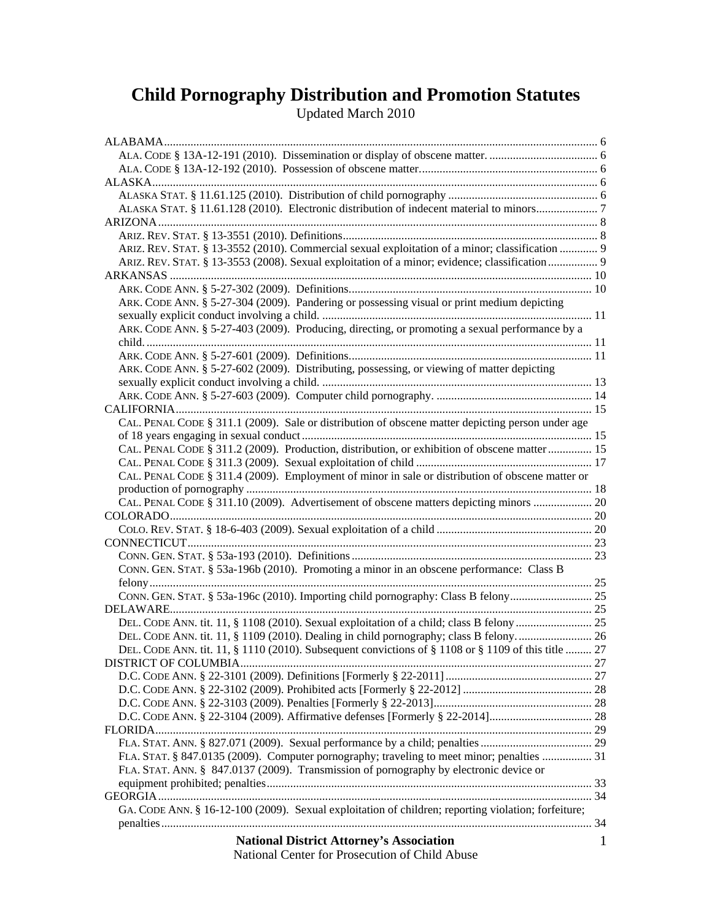## **Child Pornography Distribution and Promotion Statutes**

Updated March 2010

| ARIZ. REV. STAT. § 13-3552 (2010). Commercial sexual exploitation of a minor; classification  9     |   |
|-----------------------------------------------------------------------------------------------------|---|
| ARIZ. REV. STAT. § 13-3553 (2008). Sexual exploitation of a minor; evidence; classification  9      |   |
|                                                                                                     |   |
|                                                                                                     |   |
| ARK. CODE ANN. § 5-27-304 (2009). Pandering or possessing visual or print medium depicting          |   |
|                                                                                                     |   |
| ARK. CODE ANN. § 5-27-403 (2009). Producing, directing, or promoting a sexual performance by a      |   |
|                                                                                                     |   |
| ARK. CODE ANN. § 5-27-602 (2009). Distributing, possessing, or viewing of matter depicting          |   |
|                                                                                                     |   |
|                                                                                                     |   |
|                                                                                                     |   |
| CAL. PENAL CODE § 311.1 (2009). Sale or distribution of obscene matter depicting person under age   |   |
|                                                                                                     |   |
| CAL. PENAL CODE § 311.2 (2009). Production, distribution, or exhibition of obscene matter  15       |   |
|                                                                                                     |   |
| CAL. PENAL CODE § 311.4 (2009). Employment of minor in sale or distribution of obscene matter or    |   |
|                                                                                                     |   |
|                                                                                                     |   |
|                                                                                                     |   |
|                                                                                                     |   |
|                                                                                                     |   |
|                                                                                                     |   |
| CONN. GEN. STAT. § 53a-196b (2010). Promoting a minor in an obscene performance: Class B            |   |
|                                                                                                     |   |
|                                                                                                     |   |
|                                                                                                     |   |
|                                                                                                     |   |
| DEL. CODE ANN. tit. 11, § 1109 (2010). Dealing in child pornography; class B felony 26              |   |
| DEL. CODE ANN. tit. 11, § 1110 (2010). Subsequent convictions of § 1108 or § 1109 of this title  27 |   |
|                                                                                                     |   |
|                                                                                                     |   |
|                                                                                                     |   |
|                                                                                                     |   |
|                                                                                                     |   |
|                                                                                                     |   |
| FLA. STAT. § 847.0135 (2009). Computer pornography; traveling to meet minor; penalties  31          |   |
| FLA. STAT. ANN. § 847.0137 (2009). Transmission of pornography by electronic device or              |   |
|                                                                                                     |   |
|                                                                                                     |   |
| GA. CODE ANN. § 16-12-100 (2009). Sexual exploitation of children; reporting violation; forfeiture; |   |
|                                                                                                     |   |
| <b>National District Attorney's Association</b>                                                     | 1 |
| National Center for Prosecution of Child Abuse                                                      |   |
|                                                                                                     |   |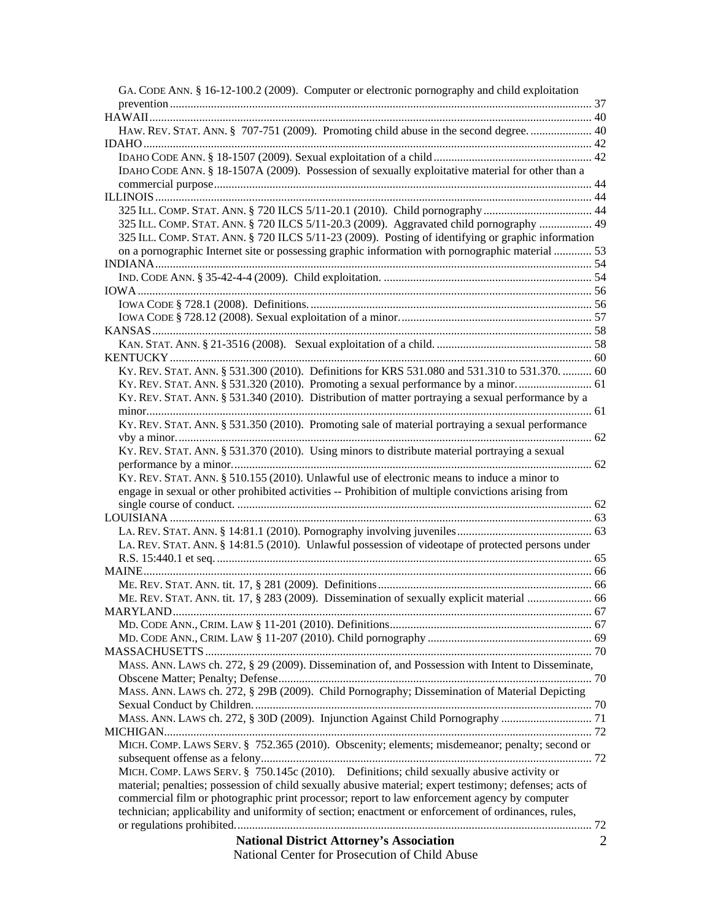| GA. CODE ANN. § 16-12-100.2 (2009). Computer or electronic pornography and child exploitation           |                |
|---------------------------------------------------------------------------------------------------------|----------------|
|                                                                                                         |                |
|                                                                                                         |                |
| HAW. REV. STAT. ANN. § 707-751 (2009). Promoting child abuse in the second degree.  40                  |                |
|                                                                                                         |                |
|                                                                                                         |                |
| IDAHO CODE ANN. § 18-1507A (2009). Possession of sexually exploitative material for other than a        |                |
|                                                                                                         |                |
|                                                                                                         |                |
|                                                                                                         |                |
| 325 ILL. COMP. STAT. ANN. § 720 ILCS 5/11-20.3 (2009). Aggravated child pornography  49                 |                |
| 325 ILL. COMP. STAT. ANN. § 720 ILCS 5/11-23 (2009). Posting of identifying or graphic information      |                |
| on a pornographic Internet site or possessing graphic information with pornographic material  53        |                |
|                                                                                                         |                |
|                                                                                                         |                |
|                                                                                                         |                |
|                                                                                                         |                |
|                                                                                                         |                |
|                                                                                                         |                |
|                                                                                                         |                |
|                                                                                                         |                |
| KY. REV. STAT. ANN. § 531.300 (2010). Definitions for KRS 531.080 and 531.310 to 531.370.  60           |                |
|                                                                                                         |                |
| KY. REV. STAT. ANN. § 531.340 (2010). Distribution of matter portraying a sexual performance by a       |                |
|                                                                                                         |                |
| KY. REV. STAT. ANN. § 531.350 (2010). Promoting sale of material portraying a sexual performance        |                |
|                                                                                                         |                |
| KY. REV. STAT. ANN. § 531.370 (2010). Using minors to distribute material portraying a sexual           |                |
|                                                                                                         |                |
| KY. REV. STAT. ANN. § 510.155 (2010). Unlawful use of electronic means to induce a minor to             |                |
| engage in sexual or other prohibited activities -- Prohibition of multiple convictions arising from     |                |
|                                                                                                         |                |
|                                                                                                         |                |
|                                                                                                         |                |
| LA. REV. STAT. ANN. § 14:81.5 (2010). Unlawful possession of videotape of protected persons under       |                |
|                                                                                                         |                |
|                                                                                                         |                |
| ME. REV. STAT. ANN. tit. 17, § 283 (2009). Dissemination of sexually explicit material  66              |                |
|                                                                                                         |                |
|                                                                                                         |                |
|                                                                                                         |                |
|                                                                                                         |                |
| MASS. ANN. LAWS ch. 272, § 29 (2009). Dissemination of, and Possession with Intent to Disseminate,      |                |
|                                                                                                         |                |
| MASS. ANN. LAWS ch. 272, § 29B (2009). Child Pornography; Dissemination of Material Depicting           |                |
|                                                                                                         |                |
|                                                                                                         |                |
|                                                                                                         |                |
| MICH. COMP. LAWS SERV. § 752.365 (2010). Obscenity; elements; misdemeanor; penalty; second or           |                |
|                                                                                                         |                |
| MICH. COMP. LAWS SERV. § 750.145c (2010). Definitions; child sexually abusive activity or               |                |
| material; penalties; possession of child sexually abusive material; expert testimony; defenses; acts of |                |
| commercial film or photographic print processor; report to law enforcement agency by computer           |                |
| technician; applicability and uniformity of section; enactment or enforcement of ordinances, rules,     |                |
|                                                                                                         |                |
| <b>National District Attorney's Association</b>                                                         | $\overline{2}$ |
| National Center for Prosecution of Child Abuse                                                          |                |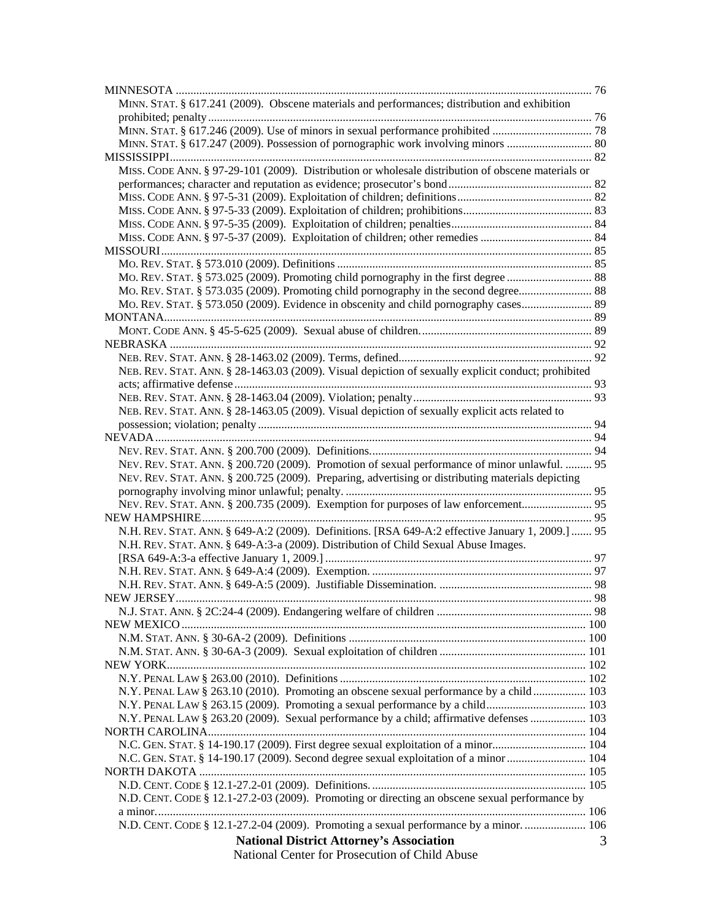| MINN. STAT. § 617.241 (2009). Obscene materials and performances; distribution and exhibition       |   |
|-----------------------------------------------------------------------------------------------------|---|
|                                                                                                     |   |
|                                                                                                     |   |
|                                                                                                     |   |
|                                                                                                     |   |
| MISS. CODE ANN. § 97-29-101 (2009). Distribution or wholesale distribution of obscene materials or  |   |
|                                                                                                     |   |
|                                                                                                     |   |
|                                                                                                     |   |
|                                                                                                     |   |
|                                                                                                     |   |
|                                                                                                     |   |
|                                                                                                     |   |
|                                                                                                     |   |
| Mo. REV. STAT. § 573.050 (2009). Evidence in obscenity and child pornography cases 89               |   |
|                                                                                                     |   |
|                                                                                                     |   |
|                                                                                                     |   |
|                                                                                                     |   |
| NEB. REV. STAT. ANN. § 28-1463.03 (2009). Visual depiction of sexually explicit conduct; prohibited |   |
|                                                                                                     |   |
|                                                                                                     |   |
| NEB. REV. STAT. ANN. § 28-1463.05 (2009). Visual depiction of sexually explicit acts related to     |   |
|                                                                                                     |   |
|                                                                                                     |   |
|                                                                                                     |   |
| NEV. REV. STAT. ANN. § 200.720 (2009). Promotion of sexual performance of minor unlawful.  95       |   |
| NEV. REV. STAT. ANN. § 200.725 (2009). Preparing, advertising or distributing materials depicting   |   |
|                                                                                                     |   |
|                                                                                                     |   |
|                                                                                                     |   |
| N.H. REV. STAT. ANN. § 649-A:2 (2009). Definitions. [RSA 649-A:2 effective January 1, 2009.]  95    |   |
| N.H. REV. STAT. ANN. § 649-A:3-a (2009). Distribution of Child Sexual Abuse Images.                 |   |
|                                                                                                     |   |
|                                                                                                     |   |
|                                                                                                     |   |
|                                                                                                     |   |
|                                                                                                     |   |
|                                                                                                     |   |
|                                                                                                     |   |
|                                                                                                     |   |
|                                                                                                     |   |
| N.Y. PENAL LAW § 263.10 (2010). Promoting an obscene sexual performance by a child 103              |   |
|                                                                                                     |   |
| N.Y. PENAL LAW § 263.20 (2009). Sexual performance by a child; affirmative defenses  103            |   |
|                                                                                                     |   |
| N.C. GEN. STAT. § 14-190.17 (2009). First degree sexual exploitation of a minor 104                 |   |
|                                                                                                     |   |
|                                                                                                     |   |
|                                                                                                     |   |
| N.D. CENT. CODE § 12.1-27.2-03 (2009). Promoting or directing an obscene sexual performance by      |   |
|                                                                                                     |   |
| N.D. CENT. CODE § 12.1-27.2-04 (2009). Promoting a sexual performance by a minor 106                |   |
| <b>National District Attorney's Association</b>                                                     | 3 |
| National Center for Prosecution of Child Abuse                                                      |   |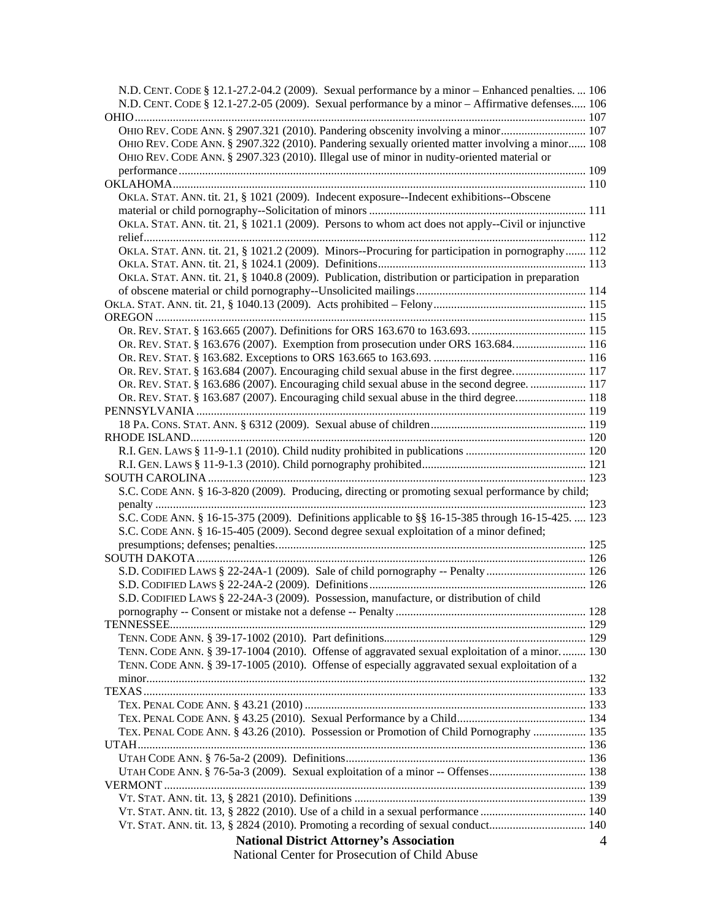| N.D. CENT. CODE § 12.1-27.2-04.2 (2009). Sexual performance by a minor - Enhanced penalties.  106    |                |
|------------------------------------------------------------------------------------------------------|----------------|
| N.D. CENT. CODE § 12.1-27.2-05 (2009). Sexual performance by a minor - Affirmative defenses 106      |                |
|                                                                                                      |                |
| OHIO REV. CODE ANN. § 2907.321 (2010). Pandering obscenity involving a minor 107                     |                |
| OHIO REV. CODE ANN. § 2907.322 (2010). Pandering sexually oriented matter involving a minor 108      |                |
| OHIO REV. CODE ANN. § 2907.323 (2010). Illegal use of minor in nudity-oriented material or           |                |
|                                                                                                      |                |
|                                                                                                      |                |
| OKLA. STAT. ANN. tit. 21, § 1021 (2009). Indecent exposure--Indecent exhibitions--Obscene            |                |
|                                                                                                      |                |
|                                                                                                      |                |
| OKLA. STAT. ANN. tit. 21, § 1021.1 (2009). Persons to whom act does not apply--Civil or injunctive   |                |
|                                                                                                      |                |
| OKLA. STAT. ANN. tit. 21, § 1021.2 (2009). Minors--Procuring for participation in pornography 112    |                |
|                                                                                                      |                |
| OKLA. STAT. ANN. tit. 21, § 1040.8 (2009). Publication, distribution or participation in preparation |                |
|                                                                                                      |                |
|                                                                                                      |                |
|                                                                                                      |                |
|                                                                                                      |                |
| OR. REV. STAT. § 163.676 (2007). Exemption from prosecution under ORS 163.684 116                    |                |
|                                                                                                      |                |
| OR. REV. STAT. § 163.684 (2007). Encouraging child sexual abuse in the first degree 117              |                |
| OR. REV. STAT. § 163.686 (2007). Encouraging child sexual abuse in the second degree.  117           |                |
| OR. REV. STAT. § 163.687 (2007). Encouraging child sexual abuse in the third degree 118              |                |
|                                                                                                      |                |
|                                                                                                      |                |
|                                                                                                      |                |
|                                                                                                      |                |
|                                                                                                      |                |
|                                                                                                      |                |
|                                                                                                      |                |
|                                                                                                      |                |
| S.C. CODE ANN. § 16-3-820 (2009). Producing, directing or promoting sexual performance by child;     |                |
|                                                                                                      |                |
| S.C. CODE ANN. § 16-15-375 (2009). Definitions applicable to §§ 16-15-385 through 16-15-425.  123    |                |
| S.C. CODE ANN. § 16-15-405 (2009). Second degree sexual exploitation of a minor defined;             |                |
|                                                                                                      |                |
|                                                                                                      |                |
| S.D. CODIFIED LAWS § 22-24A-1 (2009). Sale of child pornography -- Penalty  126                      |                |
|                                                                                                      |                |
| S.D. CODIFIED LAWS § 22-24A-3 (2009). Possession, manufacture, or distribution of child              |                |
|                                                                                                      |                |
|                                                                                                      |                |
|                                                                                                      |                |
|                                                                                                      |                |
| TENN. CODE ANN. § 39-17-1004 (2010). Offense of aggravated sexual exploitation of a minor 130        |                |
| TENN. CODE ANN. § 39-17-1005 (2010). Offense of especially aggravated sexual exploitation of a       |                |
|                                                                                                      |                |
|                                                                                                      |                |
|                                                                                                      |                |
|                                                                                                      |                |
| TEX. PENAL CODE ANN. § 43.26 (2010). Possession or Promotion of Child Pornography  135               |                |
|                                                                                                      |                |
|                                                                                                      |                |
|                                                                                                      |                |
|                                                                                                      |                |
|                                                                                                      |                |
|                                                                                                      |                |
|                                                                                                      |                |
| <b>National District Attorney's Association</b><br>National Center for Prosecution of Child Abuse    | $\overline{4}$ |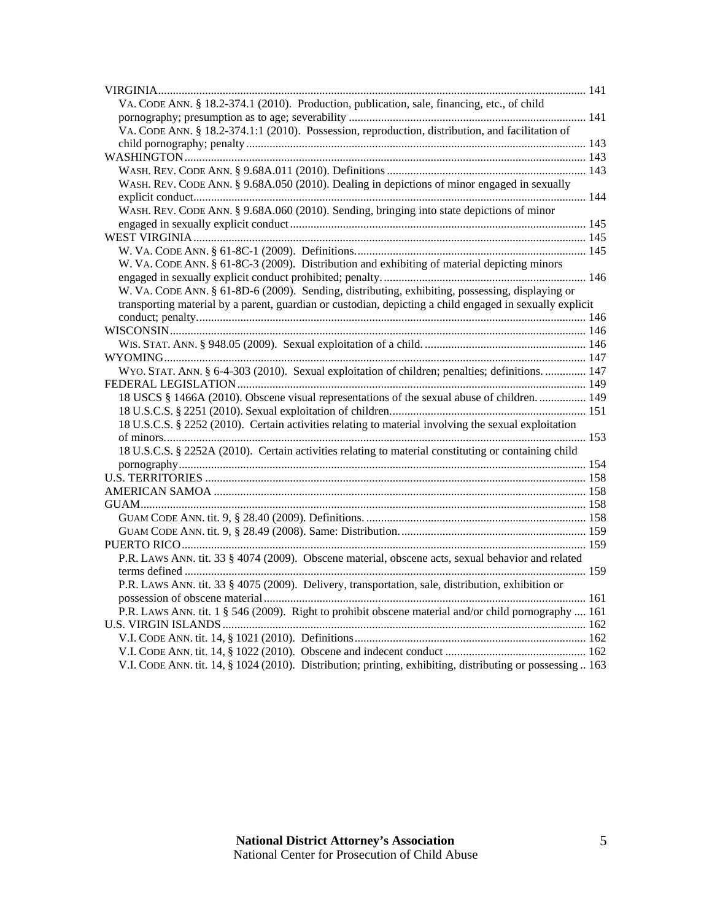| VA. CODE ANN. § 18.2-374.1 (2010). Production, publication, sale, financing, etc., of child<br>VA. CODE ANN. § 18.2-374.1:1 (2010). Possession, reproduction, distribution, and facilitation of<br>WASH. REV. CODE ANN. § 9.68A.050 (2010). Dealing in depictions of minor engaged in sexually<br>WASH. REV. CODE ANN. § 9.68A.060 (2010). Sending, bringing into state depictions of minor<br>W. VA. CODE ANN. § 61-8C-3 (2009). Distribution and exhibiting of material depicting minors<br>W. VA. CODE ANN. § 61-8D-6 (2009). Sending, distributing, exhibiting, possessing, displaying or<br>transporting material by a parent, guardian or custodian, depicting a child engaged in sexually explicit |
|-----------------------------------------------------------------------------------------------------------------------------------------------------------------------------------------------------------------------------------------------------------------------------------------------------------------------------------------------------------------------------------------------------------------------------------------------------------------------------------------------------------------------------------------------------------------------------------------------------------------------------------------------------------------------------------------------------------|
|                                                                                                                                                                                                                                                                                                                                                                                                                                                                                                                                                                                                                                                                                                           |
|                                                                                                                                                                                                                                                                                                                                                                                                                                                                                                                                                                                                                                                                                                           |
|                                                                                                                                                                                                                                                                                                                                                                                                                                                                                                                                                                                                                                                                                                           |
|                                                                                                                                                                                                                                                                                                                                                                                                                                                                                                                                                                                                                                                                                                           |
|                                                                                                                                                                                                                                                                                                                                                                                                                                                                                                                                                                                                                                                                                                           |
|                                                                                                                                                                                                                                                                                                                                                                                                                                                                                                                                                                                                                                                                                                           |
|                                                                                                                                                                                                                                                                                                                                                                                                                                                                                                                                                                                                                                                                                                           |
|                                                                                                                                                                                                                                                                                                                                                                                                                                                                                                                                                                                                                                                                                                           |
|                                                                                                                                                                                                                                                                                                                                                                                                                                                                                                                                                                                                                                                                                                           |
|                                                                                                                                                                                                                                                                                                                                                                                                                                                                                                                                                                                                                                                                                                           |
|                                                                                                                                                                                                                                                                                                                                                                                                                                                                                                                                                                                                                                                                                                           |
|                                                                                                                                                                                                                                                                                                                                                                                                                                                                                                                                                                                                                                                                                                           |
|                                                                                                                                                                                                                                                                                                                                                                                                                                                                                                                                                                                                                                                                                                           |
|                                                                                                                                                                                                                                                                                                                                                                                                                                                                                                                                                                                                                                                                                                           |
|                                                                                                                                                                                                                                                                                                                                                                                                                                                                                                                                                                                                                                                                                                           |
|                                                                                                                                                                                                                                                                                                                                                                                                                                                                                                                                                                                                                                                                                                           |
|                                                                                                                                                                                                                                                                                                                                                                                                                                                                                                                                                                                                                                                                                                           |
|                                                                                                                                                                                                                                                                                                                                                                                                                                                                                                                                                                                                                                                                                                           |
|                                                                                                                                                                                                                                                                                                                                                                                                                                                                                                                                                                                                                                                                                                           |
|                                                                                                                                                                                                                                                                                                                                                                                                                                                                                                                                                                                                                                                                                                           |
| WYO. STAT. ANN. § 6-4-303 (2010). Sexual exploitation of children; penalties; definitions.  147                                                                                                                                                                                                                                                                                                                                                                                                                                                                                                                                                                                                           |
|                                                                                                                                                                                                                                                                                                                                                                                                                                                                                                                                                                                                                                                                                                           |
| 18 USCS § 1466A (2010). Obscene visual representations of the sexual abuse of children.  149                                                                                                                                                                                                                                                                                                                                                                                                                                                                                                                                                                                                              |
|                                                                                                                                                                                                                                                                                                                                                                                                                                                                                                                                                                                                                                                                                                           |
| 18 U.S.C.S. § 2252 (2010). Certain activities relating to material involving the sexual exploitation                                                                                                                                                                                                                                                                                                                                                                                                                                                                                                                                                                                                      |
| 18 U.S.C.S. § 2252A (2010). Certain activities relating to material constituting or containing child                                                                                                                                                                                                                                                                                                                                                                                                                                                                                                                                                                                                      |
|                                                                                                                                                                                                                                                                                                                                                                                                                                                                                                                                                                                                                                                                                                           |
|                                                                                                                                                                                                                                                                                                                                                                                                                                                                                                                                                                                                                                                                                                           |
|                                                                                                                                                                                                                                                                                                                                                                                                                                                                                                                                                                                                                                                                                                           |
|                                                                                                                                                                                                                                                                                                                                                                                                                                                                                                                                                                                                                                                                                                           |
|                                                                                                                                                                                                                                                                                                                                                                                                                                                                                                                                                                                                                                                                                                           |
|                                                                                                                                                                                                                                                                                                                                                                                                                                                                                                                                                                                                                                                                                                           |
|                                                                                                                                                                                                                                                                                                                                                                                                                                                                                                                                                                                                                                                                                                           |
| P.R. LAWS ANN. tit. 33 § 4074 (2009). Obscene material, obscene acts, sexual behavior and related                                                                                                                                                                                                                                                                                                                                                                                                                                                                                                                                                                                                         |
|                                                                                                                                                                                                                                                                                                                                                                                                                                                                                                                                                                                                                                                                                                           |
| P.R. LAWS ANN. tit. 33 § 4075 (2009). Delivery, transportation, sale, distribution, exhibition or                                                                                                                                                                                                                                                                                                                                                                                                                                                                                                                                                                                                         |
|                                                                                                                                                                                                                                                                                                                                                                                                                                                                                                                                                                                                                                                                                                           |
| P.R. LAWS ANN. tit. 1 § 546 (2009). Right to prohibit obscene material and/or child pornography  161                                                                                                                                                                                                                                                                                                                                                                                                                                                                                                                                                                                                      |
|                                                                                                                                                                                                                                                                                                                                                                                                                                                                                                                                                                                                                                                                                                           |
|                                                                                                                                                                                                                                                                                                                                                                                                                                                                                                                                                                                                                                                                                                           |
|                                                                                                                                                                                                                                                                                                                                                                                                                                                                                                                                                                                                                                                                                                           |
| V.I. CODE ANN. tit. 14, § 1024 (2010). Distribution; printing, exhibiting, distributing or possessing  163                                                                                                                                                                                                                                                                                                                                                                                                                                                                                                                                                                                                |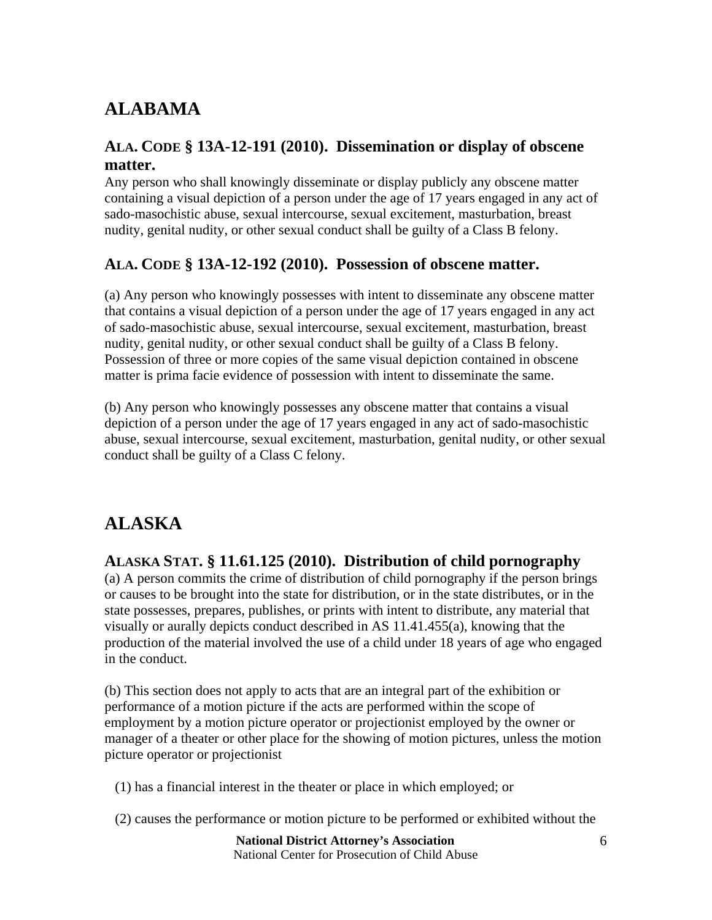# **ALABAMA**

## **ALA. CODE § 13A-12-191 (2010). Dissemination or display of obscene matter.**

Any person who shall knowingly disseminate or display publicly any obscene matter containing a visual depiction of a person under the age of 17 years engaged in any act of sado-masochistic abuse, sexual intercourse, sexual excitement, masturbation, breast nudity, genital nudity, or other sexual conduct shall be guilty of a Class B felony.

## **ALA. CODE § 13A-12-192 (2010). Possession of obscene matter.**

(a) Any person who knowingly possesses with intent to disseminate any obscene matter that contains a visual depiction of a person under the age of 17 years engaged in any act of sado-masochistic abuse, sexual intercourse, sexual excitement, masturbation, breast nudity, genital nudity, or other sexual conduct shall be guilty of a Class B felony. Possession of three or more copies of the same visual depiction contained in obscene matter is prima facie evidence of possession with intent to disseminate the same.

(b) Any person who knowingly possesses any obscene matter that contains a visual depiction of a person under the age of 17 years engaged in any act of sado-masochistic abuse, sexual intercourse, sexual excitement, masturbation, genital nudity, or other sexual conduct shall be guilty of a Class C felony.

# **ALASKA**

**ALASKA STAT. § 11.61.125 (2010). Distribution of child pornography**

(a) A person commits the crime of distribution of child pornography if the person brings or causes to be brought into the state for distribution, or in the state distributes, or in the state possesses, prepares, publishes, or prints with intent to distribute, any material that visually or aurally depicts conduct described in AS 11.41.455(a), knowing that the production of the material involved the use of a child under 18 years of age who engaged in the conduct.

(b) This section does not apply to acts that are an integral part of the exhibition or performance of a motion picture if the acts are performed within the scope of employment by a motion picture operator or projectionist employed by the owner or manager of a theater or other place for the showing of motion pictures, unless the motion picture operator or projectionist

(1) has a financial interest in the theater or place in which employed; or

(2) causes the performance or motion picture to be performed or exhibited without the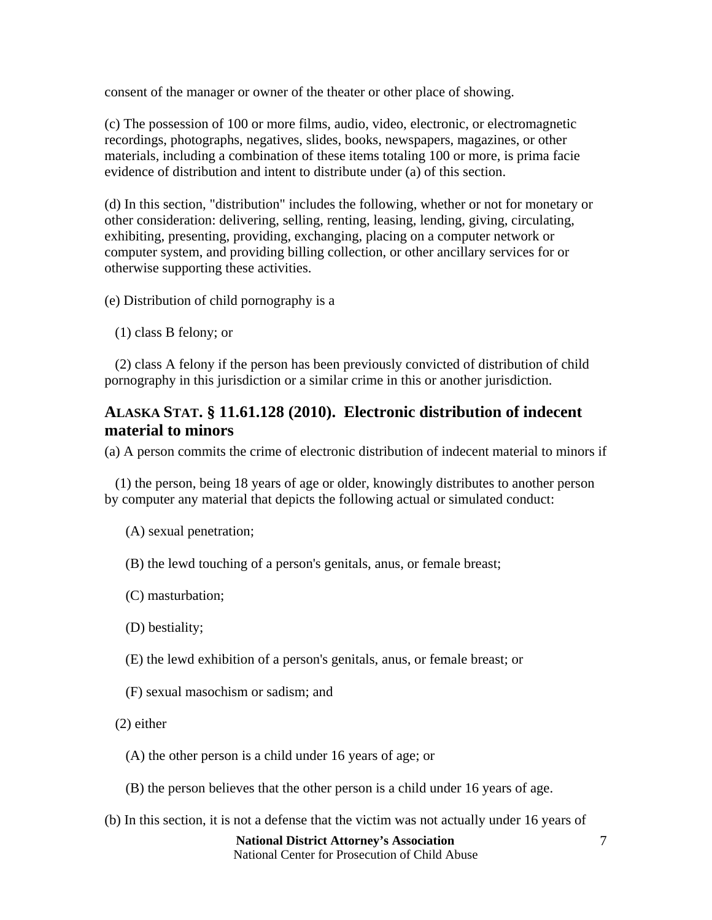consent of the manager or owner of the theater or other place of showing.

(c) The possession of 100 or more films, audio, video, electronic, or electromagnetic recordings, photographs, negatives, slides, books, newspapers, magazines, or other materials, including a combination of these items totaling 100 or more, is prima facie evidence of distribution and intent to distribute under (a) of this section.

(d) In this section, "distribution" includes the following, whether or not for monetary or other consideration: delivering, selling, renting, leasing, lending, giving, circulating, exhibiting, presenting, providing, exchanging, placing on a computer network or computer system, and providing billing collection, or other ancillary services for or otherwise supporting these activities.

(e) Distribution of child pornography is a

(1) class B felony; or

 (2) class A felony if the person has been previously convicted of distribution of child pornography in this jurisdiction or a similar crime in this or another jurisdiction.

#### **ALASKA STAT. § 11.61.128 (2010). Electronic distribution of indecent material to minors**

(a) A person commits the crime of electronic distribution of indecent material to minors if

 (1) the person, being 18 years of age or older, knowingly distributes to another person by computer any material that depicts the following actual or simulated conduct:

- (A) sexual penetration;
- (B) the lewd touching of a person's genitals, anus, or female breast;
- (C) masturbation;
- (D) bestiality;
- (E) the lewd exhibition of a person's genitals, anus, or female breast; or
- (F) sexual masochism or sadism; and

(2) either

- (A) the other person is a child under 16 years of age; or
- (B) the person believes that the other person is a child under 16 years of age.
- (b) In this section, it is not a defense that the victim was not actually under 16 years of

**National District Attorney's Association**  National Center for Prosecution of Child Abuse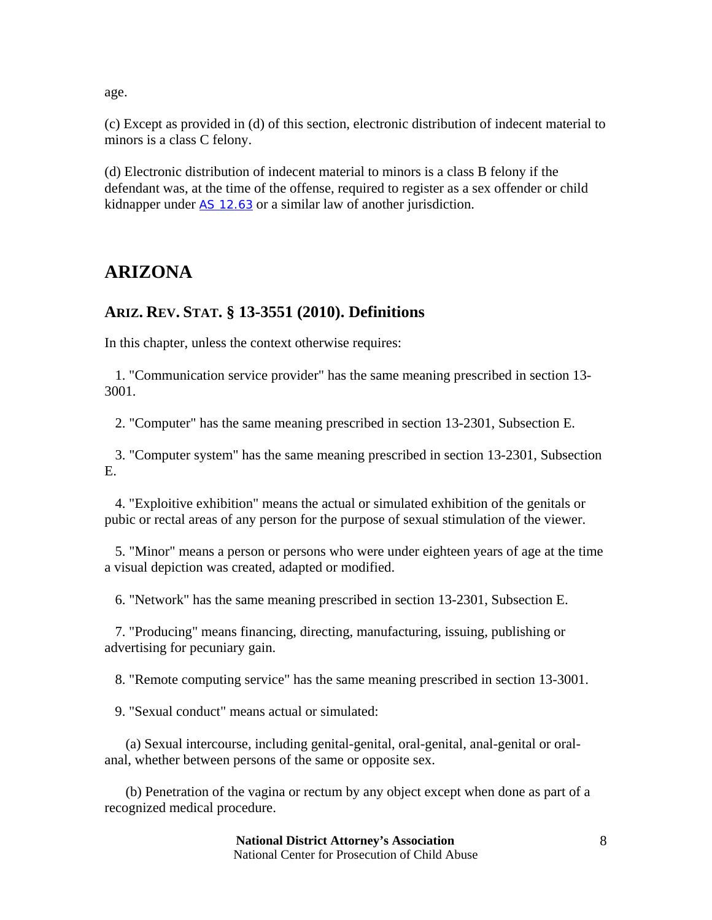age.

(c) Except as provided in (d) of this section, electronic distribution of indecent material to minors is a class C felony.

(d) Electronic distribution of indecent material to minors is a class B felony if the defendant was, at the time of the offense, required to register as a sex offender or child kidnapper under AS 12.63 or a similar law of another jurisdiction.

# **ARIZONA**

## **ARIZ. REV. STAT. § 13-3551 (2010). Definitions**

In this chapter, unless the context otherwise requires:

 1. "Communication service provider" has the same meaning prescribed in section 13- 3001.

2. "Computer" has the same meaning prescribed in section 13-2301, Subsection E.

 3. "Computer system" has the same meaning prescribed in section 13-2301, Subsection E.

 4. "Exploitive exhibition" means the actual or simulated exhibition of the genitals or pubic or rectal areas of any person for the purpose of sexual stimulation of the viewer.

 5. "Minor" means a person or persons who were under eighteen years of age at the time a visual depiction was created, adapted or modified.

6. "Network" has the same meaning prescribed in section 13-2301, Subsection E.

 7. "Producing" means financing, directing, manufacturing, issuing, publishing or advertising for pecuniary gain.

8. "Remote computing service" has the same meaning prescribed in section 13-3001.

9. "Sexual conduct" means actual or simulated:

 (a) Sexual intercourse, including genital-genital, oral-genital, anal-genital or oralanal, whether between persons of the same or opposite sex.

 (b) Penetration of the vagina or rectum by any object except when done as part of a recognized medical procedure.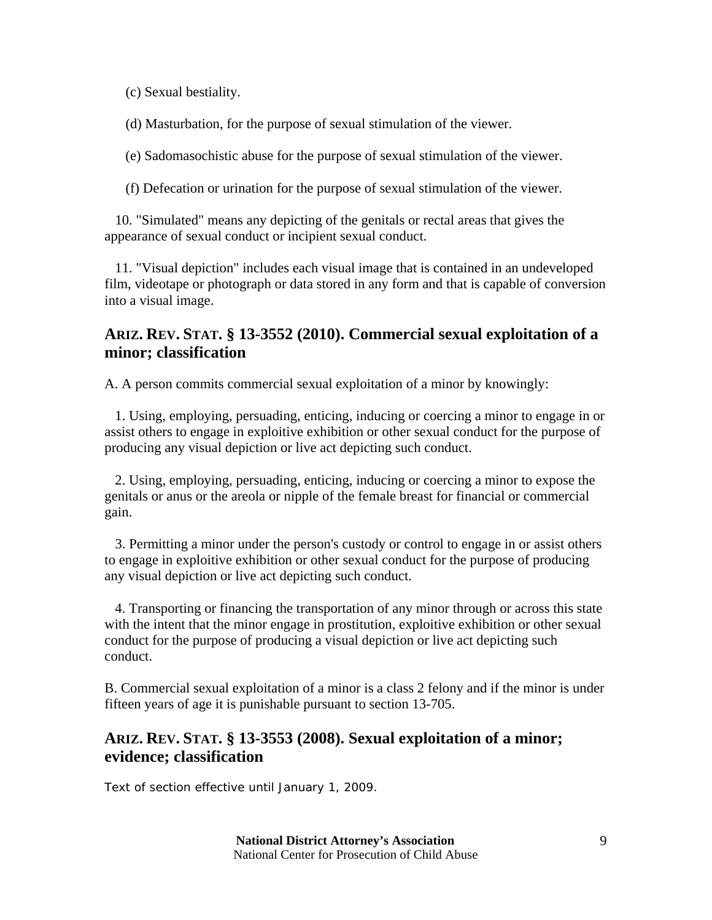(c) Sexual bestiality.

(d) Masturbation, for the purpose of sexual stimulation of the viewer.

(e) Sadomasochistic abuse for the purpose of sexual stimulation of the viewer.

(f) Defecation or urination for the purpose of sexual stimulation of the viewer.

 10. "Simulated" means any depicting of the genitals or rectal areas that gives the appearance of sexual conduct or incipient sexual conduct.

 11. "Visual depiction" includes each visual image that is contained in an undeveloped film, videotape or photograph or data stored in any form and that is capable of conversion into a visual image.

## **ARIZ. REV. STAT. § 13-3552 (2010). Commercial sexual exploitation of a minor; classification**

A. A person commits commercial sexual exploitation of a minor by knowingly:

 1. Using, employing, persuading, enticing, inducing or coercing a minor to engage in or assist others to engage in exploitive exhibition or other sexual conduct for the purpose of producing any visual depiction or live act depicting such conduct.

 2. Using, employing, persuading, enticing, inducing or coercing a minor to expose the genitals or anus or the areola or nipple of the female breast for financial or commercial gain.

 3. Permitting a minor under the person's custody or control to engage in or assist others to engage in exploitive exhibition or other sexual conduct for the purpose of producing any visual depiction or live act depicting such conduct.

 4. Transporting or financing the transportation of any minor through or across this state with the intent that the minor engage in prostitution, exploitive exhibition or other sexual conduct for the purpose of producing a visual depiction or live act depicting such conduct.

B. Commercial sexual exploitation of a minor is a class 2 felony and if the minor is under fifteen years of age it is punishable pursuant to section 13-705.

## **ARIZ. REV. STAT. § 13-3553 (2008). Sexual exploitation of a minor; evidence; classification**

Text of section effective until January 1, 2009.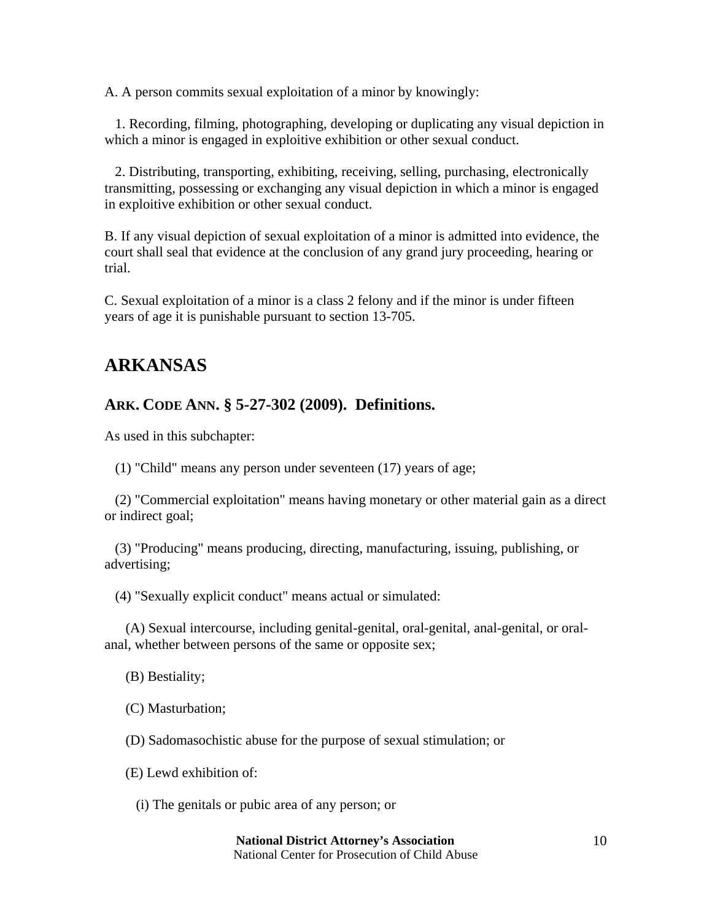A. A person commits sexual exploitation of a minor by knowingly:

 1. Recording, filming, photographing, developing or duplicating any visual depiction in which a minor is engaged in exploitive exhibition or other sexual conduct.

 2. Distributing, transporting, exhibiting, receiving, selling, purchasing, electronically transmitting, possessing or exchanging any visual depiction in which a minor is engaged in exploitive exhibition or other sexual conduct.

B. If any visual depiction of sexual exploitation of a minor is admitted into evidence, the court shall seal that evidence at the conclusion of any grand jury proceeding, hearing or trial.

C. Sexual exploitation of a minor is a class 2 felony and if the minor is under fifteen years of age it is punishable pursuant to section 13-705.

# **ARKANSAS**

#### **ARK. CODE ANN. § 5-27-302 (2009). Definitions.**

As used in this subchapter:

(1) "Child" means any person under seventeen (17) years of age;

 (2) "Commercial exploitation" means having monetary or other material gain as a direct or indirect goal;

 (3) "Producing" means producing, directing, manufacturing, issuing, publishing, or advertising;

(4) "Sexually explicit conduct" means actual or simulated:

 (A) Sexual intercourse, including genital-genital, oral-genital, anal-genital, or oralanal, whether between persons of the same or opposite sex;

(B) Bestiality;

(C) Masturbation;

(D) Sadomasochistic abuse for the purpose of sexual stimulation; or

(E) Lewd exhibition of:

(i) The genitals or pubic area of any person; or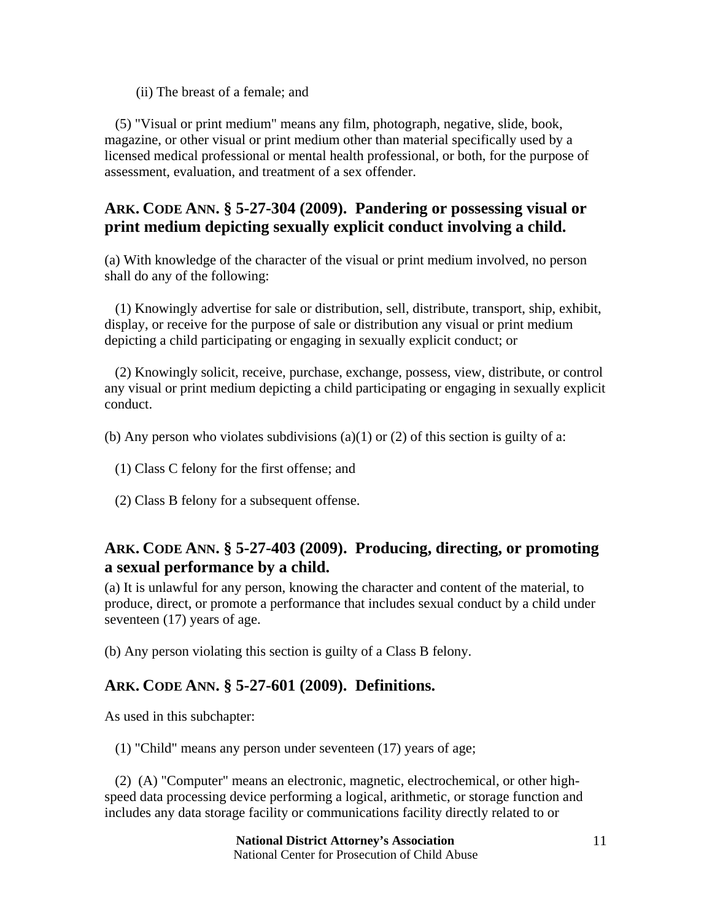(ii) The breast of a female; and

 (5) "Visual or print medium" means any film, photograph, negative, slide, book, magazine, or other visual or print medium other than material specifically used by a licensed medical professional or mental health professional, or both, for the purpose of assessment, evaluation, and treatment of a sex offender.

#### **ARK. CODE ANN. § 5-27-304 (2009). Pandering or possessing visual or print medium depicting sexually explicit conduct involving a child.**

(a) With knowledge of the character of the visual or print medium involved, no person shall do any of the following:

 (1) Knowingly advertise for sale or distribution, sell, distribute, transport, ship, exhibit, display, or receive for the purpose of sale or distribution any visual or print medium depicting a child participating or engaging in sexually explicit conduct; or

 (2) Knowingly solicit, receive, purchase, exchange, possess, view, distribute, or control any visual or print medium depicting a child participating or engaging in sexually explicit conduct.

(b) Any person who violates subdivisions (a)(1) or (2) of this section is guilty of a:

- (1) Class C felony for the first offense; and
- (2) Class B felony for a subsequent offense.

#### **ARK. CODE ANN. § 5-27-403 (2009). Producing, directing, or promoting a sexual performance by a child.**

(a) It is unlawful for any person, knowing the character and content of the material, to produce, direct, or promote a performance that includes sexual conduct by a child under seventeen (17) years of age.

(b) Any person violating this section is guilty of a Class B felony.

#### **ARK. CODE ANN. § 5-27-601 (2009). Definitions.**

As used in this subchapter:

(1) "Child" means any person under seventeen (17) years of age;

 (2) (A) "Computer" means an electronic, magnetic, electrochemical, or other highspeed data processing device performing a logical, arithmetic, or storage function and includes any data storage facility or communications facility directly related to or

> **National District Attorney's Association**  National Center for Prosecution of Child Abuse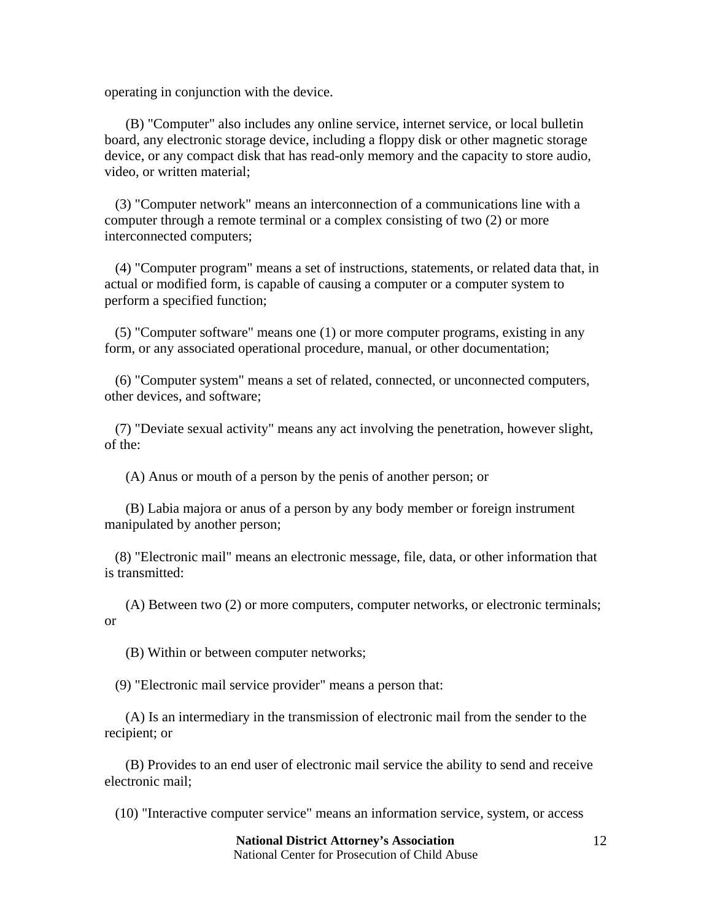operating in conjunction with the device.

 (B) "Computer" also includes any online service, internet service, or local bulletin board, any electronic storage device, including a floppy disk or other magnetic storage device, or any compact disk that has read-only memory and the capacity to store audio, video, or written material;

 (3) "Computer network" means an interconnection of a communications line with a computer through a remote terminal or a complex consisting of two (2) or more interconnected computers;

 (4) "Computer program" means a set of instructions, statements, or related data that, in actual or modified form, is capable of causing a computer or a computer system to perform a specified function;

 (5) "Computer software" means one (1) or more computer programs, existing in any form, or any associated operational procedure, manual, or other documentation;

 (6) "Computer system" means a set of related, connected, or unconnected computers, other devices, and software;

 (7) "Deviate sexual activity" means any act involving the penetration, however slight, of the:

(A) Anus or mouth of a person by the penis of another person; or

 (B) Labia majora or anus of a person by any body member or foreign instrument manipulated by another person;

 (8) "Electronic mail" means an electronic message, file, data, or other information that is transmitted:

 (A) Between two (2) or more computers, computer networks, or electronic terminals; or

(B) Within or between computer networks;

(9) "Electronic mail service provider" means a person that:

 (A) Is an intermediary in the transmission of electronic mail from the sender to the recipient; or

 (B) Provides to an end user of electronic mail service the ability to send and receive electronic mail;

(10) "Interactive computer service" means an information service, system, or access

**National District Attorney's Association** 

National Center for Prosecution of Child Abuse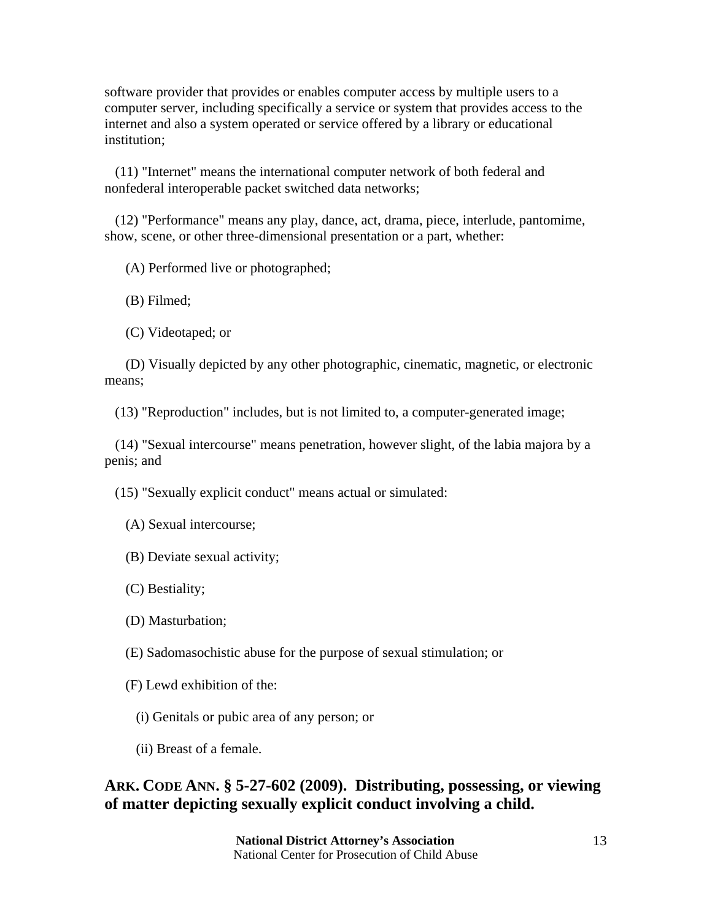software provider that provides or enables computer access by multiple users to a computer server, including specifically a service or system that provides access to the internet and also a system operated or service offered by a library or educational institution;

 (11) "Internet" means the international computer network of both federal and nonfederal interoperable packet switched data networks;

 (12) "Performance" means any play, dance, act, drama, piece, interlude, pantomime, show, scene, or other three-dimensional presentation or a part, whether:

(A) Performed live or photographed;

(B) Filmed;

(C) Videotaped; or

 (D) Visually depicted by any other photographic, cinematic, magnetic, or electronic means;

(13) "Reproduction" includes, but is not limited to, a computer-generated image;

 (14) "Sexual intercourse" means penetration, however slight, of the labia majora by a penis; and

(15) "Sexually explicit conduct" means actual or simulated:

(A) Sexual intercourse;

(B) Deviate sexual activity;

(C) Bestiality;

(D) Masturbation;

(E) Sadomasochistic abuse for the purpose of sexual stimulation; or

(F) Lewd exhibition of the:

(i) Genitals or pubic area of any person; or

(ii) Breast of a female.

#### **ARK. CODE ANN. § 5-27-602 (2009). Distributing, possessing, or viewing of matter depicting sexually explicit conduct involving a child.**

**National District Attorney's Association**  National Center for Prosecution of Child Abuse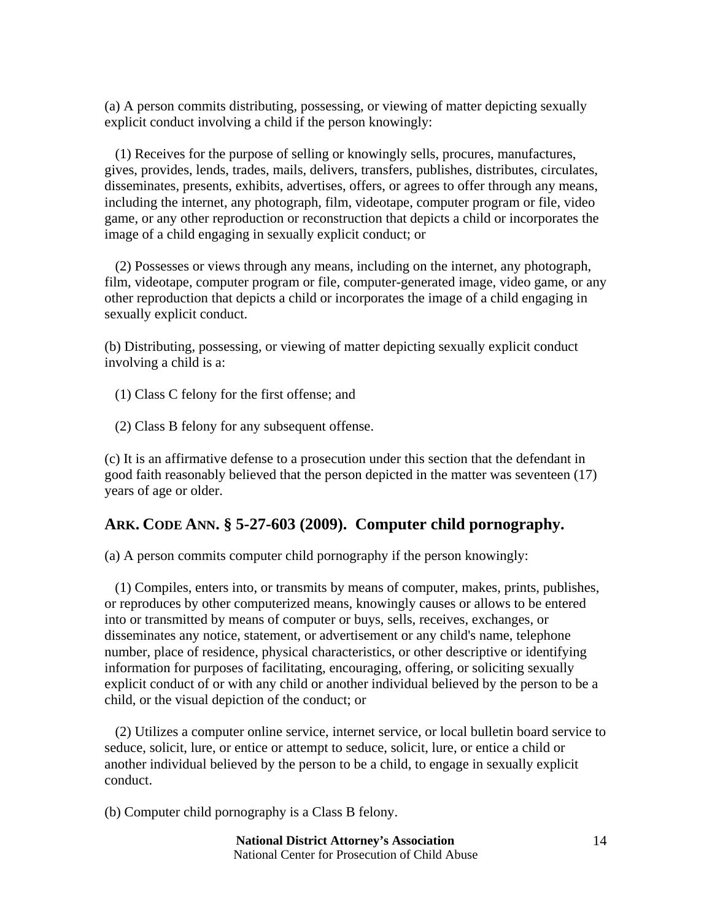(a) A person commits distributing, possessing, or viewing of matter depicting sexually explicit conduct involving a child if the person knowingly:

 (1) Receives for the purpose of selling or knowingly sells, procures, manufactures, gives, provides, lends, trades, mails, delivers, transfers, publishes, distributes, circulates, disseminates, presents, exhibits, advertises, offers, or agrees to offer through any means, including the internet, any photograph, film, videotape, computer program or file, video game, or any other reproduction or reconstruction that depicts a child or incorporates the image of a child engaging in sexually explicit conduct; or

 (2) Possesses or views through any means, including on the internet, any photograph, film, videotape, computer program or file, computer-generated image, video game, or any other reproduction that depicts a child or incorporates the image of a child engaging in sexually explicit conduct.

(b) Distributing, possessing, or viewing of matter depicting sexually explicit conduct involving a child is a:

(1) Class C felony for the first offense; and

(2) Class B felony for any subsequent offense.

(c) It is an affirmative defense to a prosecution under this section that the defendant in good faith reasonably believed that the person depicted in the matter was seventeen (17) years of age or older.

#### **ARK. CODE ANN. § 5-27-603 (2009). Computer child pornography.**

(a) A person commits computer child pornography if the person knowingly:

 (1) Compiles, enters into, or transmits by means of computer, makes, prints, publishes, or reproduces by other computerized means, knowingly causes or allows to be entered into or transmitted by means of computer or buys, sells, receives, exchanges, or disseminates any notice, statement, or advertisement or any child's name, telephone number, place of residence, physical characteristics, or other descriptive or identifying information for purposes of facilitating, encouraging, offering, or soliciting sexually explicit conduct of or with any child or another individual believed by the person to be a child, or the visual depiction of the conduct; or

 (2) Utilizes a computer online service, internet service, or local bulletin board service to seduce, solicit, lure, or entice or attempt to seduce, solicit, lure, or entice a child or another individual believed by the person to be a child, to engage in sexually explicit conduct.

(b) Computer child pornography is a Class B felony.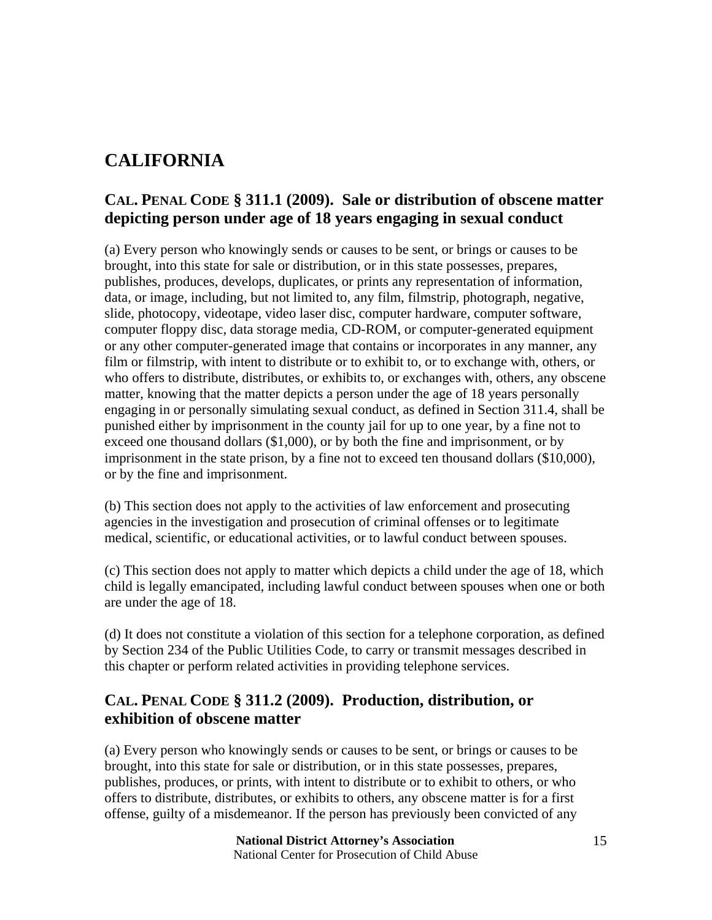# **CALIFORNIA**

## **CAL. PENAL CODE § 311.1 (2009). Sale or distribution of obscene matter depicting person under age of 18 years engaging in sexual conduct**

(a) Every person who knowingly sends or causes to be sent, or brings or causes to be brought, into this state for sale or distribution, or in this state possesses, prepares, publishes, produces, develops, duplicates, or prints any representation of information, data, or image, including, but not limited to, any film, filmstrip, photograph, negative, slide, photocopy, videotape, video laser disc, computer hardware, computer software, computer floppy disc, data storage media, CD-ROM, or computer-generated equipment or any other computer-generated image that contains or incorporates in any manner, any film or filmstrip, with intent to distribute or to exhibit to, or to exchange with, others, or who offers to distribute, distributes, or exhibits to, or exchanges with, others, any obscene matter, knowing that the matter depicts a person under the age of 18 years personally engaging in or personally simulating sexual conduct, as defined in Section 311.4, shall be punished either by imprisonment in the county jail for up to one year, by a fine not to exceed one thousand dollars (\$1,000), or by both the fine and imprisonment, or by imprisonment in the state prison, by a fine not to exceed ten thousand dollars (\$10,000), or by the fine and imprisonment.

(b) This section does not apply to the activities of law enforcement and prosecuting agencies in the investigation and prosecution of criminal offenses or to legitimate medical, scientific, or educational activities, or to lawful conduct between spouses.

(c) This section does not apply to matter which depicts a child under the age of 18, which child is legally emancipated, including lawful conduct between spouses when one or both are under the age of 18.

(d) It does not constitute a violation of this section for a telephone corporation, as defined by Section 234 of the Public Utilities Code, to carry or transmit messages described in this chapter or perform related activities in providing telephone services.

## **CAL. PENAL CODE § 311.2 (2009). Production, distribution, or exhibition of obscene matter**

(a) Every person who knowingly sends or causes to be sent, or brings or causes to be brought, into this state for sale or distribution, or in this state possesses, prepares, publishes, produces, or prints, with intent to distribute or to exhibit to others, or who offers to distribute, distributes, or exhibits to others, any obscene matter is for a first offense, guilty of a misdemeanor. If the person has previously been convicted of any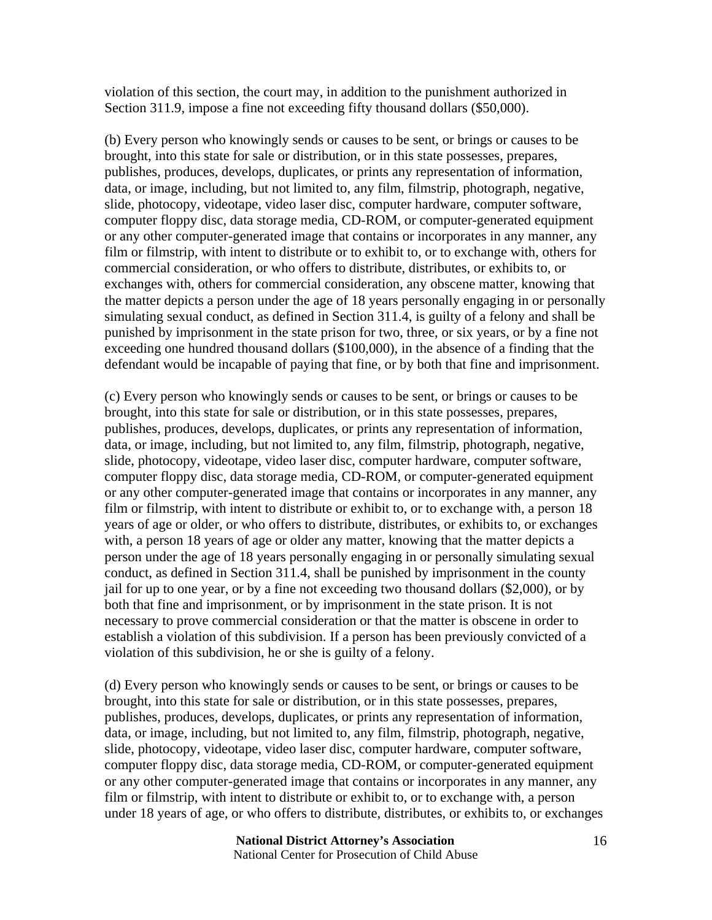violation of this section, the court may, in addition to the punishment authorized in Section 311.9, impose a fine not exceeding fifty thousand dollars (\$50,000).

(b) Every person who knowingly sends or causes to be sent, or brings or causes to be brought, into this state for sale or distribution, or in this state possesses, prepares, publishes, produces, develops, duplicates, or prints any representation of information, data, or image, including, but not limited to, any film, filmstrip, photograph, negative, slide, photocopy, videotape, video laser disc, computer hardware, computer software, computer floppy disc, data storage media, CD-ROM, or computer-generated equipment or any other computer-generated image that contains or incorporates in any manner, any film or filmstrip, with intent to distribute or to exhibit to, or to exchange with, others for commercial consideration, or who offers to distribute, distributes, or exhibits to, or exchanges with, others for commercial consideration, any obscene matter, knowing that the matter depicts a person under the age of 18 years personally engaging in or personally simulating sexual conduct, as defined in Section 311.4, is guilty of a felony and shall be punished by imprisonment in the state prison for two, three, or six years, or by a fine not exceeding one hundred thousand dollars (\$100,000), in the absence of a finding that the defendant would be incapable of paying that fine, or by both that fine and imprisonment.

(c) Every person who knowingly sends or causes to be sent, or brings or causes to be brought, into this state for sale or distribution, or in this state possesses, prepares, publishes, produces, develops, duplicates, or prints any representation of information, data, or image, including, but not limited to, any film, filmstrip, photograph, negative, slide, photocopy, videotape, video laser disc, computer hardware, computer software, computer floppy disc, data storage media, CD-ROM, or computer-generated equipment or any other computer-generated image that contains or incorporates in any manner, any film or filmstrip, with intent to distribute or exhibit to, or to exchange with, a person 18 years of age or older, or who offers to distribute, distributes, or exhibits to, or exchanges with, a person 18 years of age or older any matter, knowing that the matter depicts a person under the age of 18 years personally engaging in or personally simulating sexual conduct, as defined in Section 311.4, shall be punished by imprisonment in the county jail for up to one year, or by a fine not exceeding two thousand dollars (\$2,000), or by both that fine and imprisonment, or by imprisonment in the state prison. It is not necessary to prove commercial consideration or that the matter is obscene in order to establish a violation of this subdivision. If a person has been previously convicted of a violation of this subdivision, he or she is guilty of a felony.

(d) Every person who knowingly sends or causes to be sent, or brings or causes to be brought, into this state for sale or distribution, or in this state possesses, prepares, publishes, produces, develops, duplicates, or prints any representation of information, data, or image, including, but not limited to, any film, filmstrip, photograph, negative, slide, photocopy, videotape, video laser disc, computer hardware, computer software, computer floppy disc, data storage media, CD-ROM, or computer-generated equipment or any other computer-generated image that contains or incorporates in any manner, any film or filmstrip, with intent to distribute or exhibit to, or to exchange with, a person under 18 years of age, or who offers to distribute, distributes, or exhibits to, or exchanges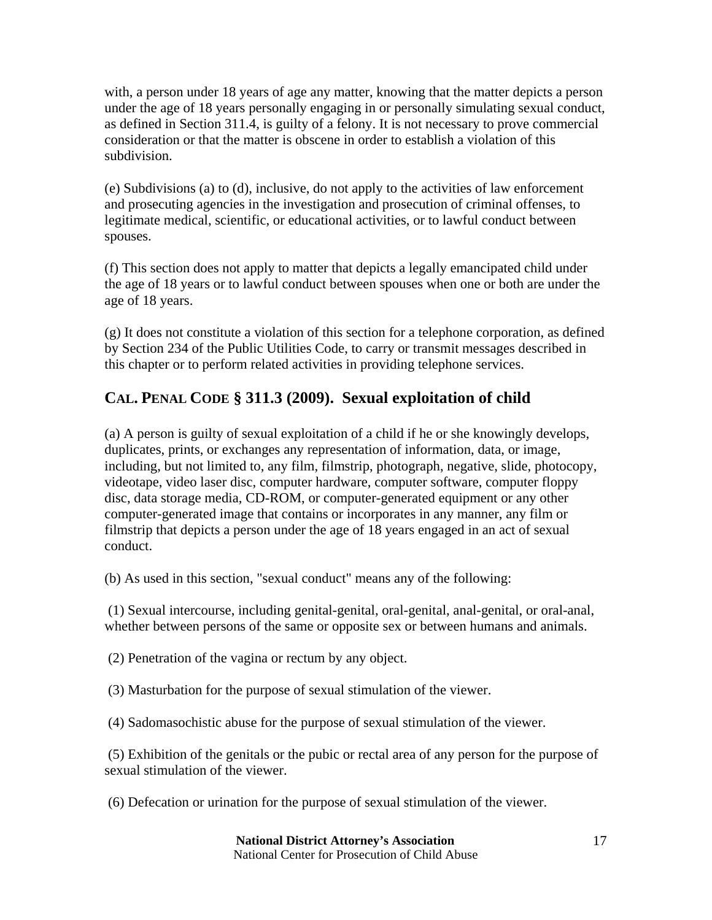with, a person under 18 years of age any matter, knowing that the matter depicts a person under the age of 18 years personally engaging in or personally simulating sexual conduct, as defined in Section 311.4, is guilty of a felony. It is not necessary to prove commercial consideration or that the matter is obscene in order to establish a violation of this subdivision.

(e) Subdivisions (a) to (d), inclusive, do not apply to the activities of law enforcement and prosecuting agencies in the investigation and prosecution of criminal offenses, to legitimate medical, scientific, or educational activities, or to lawful conduct between spouses.

(f) This section does not apply to matter that depicts a legally emancipated child under the age of 18 years or to lawful conduct between spouses when one or both are under the age of 18 years.

(g) It does not constitute a violation of this section for a telephone corporation, as defined by Section 234 of the Public Utilities Code, to carry or transmit messages described in this chapter or to perform related activities in providing telephone services.

## **CAL. PENAL CODE § 311.3 (2009). Sexual exploitation of child**

(a) A person is guilty of sexual exploitation of a child if he or she knowingly develops, duplicates, prints, or exchanges any representation of information, data, or image, including, but not limited to, any film, filmstrip, photograph, negative, slide, photocopy, videotape, video laser disc, computer hardware, computer software, computer floppy disc, data storage media, CD-ROM, or computer-generated equipment or any other computer-generated image that contains or incorporates in any manner, any film or filmstrip that depicts a person under the age of 18 years engaged in an act of sexual conduct.

(b) As used in this section, "sexual conduct" means any of the following:

 (1) Sexual intercourse, including genital-genital, oral-genital, anal-genital, or oral-anal, whether between persons of the same or opposite sex or between humans and animals.

(2) Penetration of the vagina or rectum by any object.

(3) Masturbation for the purpose of sexual stimulation of the viewer.

(4) Sadomasochistic abuse for the purpose of sexual stimulation of the viewer.

 (5) Exhibition of the genitals or the pubic or rectal area of any person for the purpose of sexual stimulation of the viewer.

(6) Defecation or urination for the purpose of sexual stimulation of the viewer.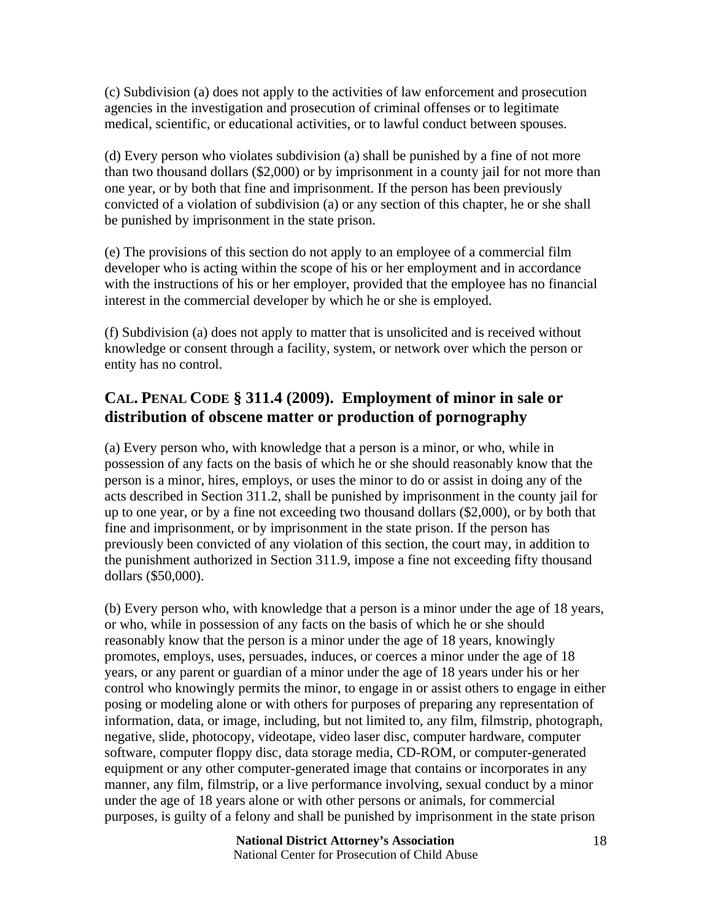(c) Subdivision (a) does not apply to the activities of law enforcement and prosecution agencies in the investigation and prosecution of criminal offenses or to legitimate medical, scientific, or educational activities, or to lawful conduct between spouses.

(d) Every person who violates subdivision (a) shall be punished by a fine of not more than two thousand dollars (\$2,000) or by imprisonment in a county jail for not more than one year, or by both that fine and imprisonment. If the person has been previously convicted of a violation of subdivision (a) or any section of this chapter, he or she shall be punished by imprisonment in the state prison.

(e) The provisions of this section do not apply to an employee of a commercial film developer who is acting within the scope of his or her employment and in accordance with the instructions of his or her employer, provided that the employee has no financial interest in the commercial developer by which he or she is employed.

(f) Subdivision (a) does not apply to matter that is unsolicited and is received without knowledge or consent through a facility, system, or network over which the person or entity has no control.

## **CAL. PENAL CODE § 311.4 (2009). Employment of minor in sale or distribution of obscene matter or production of pornography**

(a) Every person who, with knowledge that a person is a minor, or who, while in possession of any facts on the basis of which he or she should reasonably know that the person is a minor, hires, employs, or uses the minor to do or assist in doing any of the acts described in Section 311.2, shall be punished by imprisonment in the county jail for up to one year, or by a fine not exceeding two thousand dollars (\$2,000), or by both that fine and imprisonment, or by imprisonment in the state prison. If the person has previously been convicted of any violation of this section, the court may, in addition to the punishment authorized in Section 311.9, impose a fine not exceeding fifty thousand dollars (\$50,000).

(b) Every person who, with knowledge that a person is a minor under the age of 18 years, or who, while in possession of any facts on the basis of which he or she should reasonably know that the person is a minor under the age of 18 years, knowingly promotes, employs, uses, persuades, induces, or coerces a minor under the age of 18 years, or any parent or guardian of a minor under the age of 18 years under his or her control who knowingly permits the minor, to engage in or assist others to engage in either posing or modeling alone or with others for purposes of preparing any representation of information, data, or image, including, but not limited to, any film, filmstrip, photograph, negative, slide, photocopy, videotape, video laser disc, computer hardware, computer software, computer floppy disc, data storage media, CD-ROM, or computer-generated equipment or any other computer-generated image that contains or incorporates in any manner, any film, filmstrip, or a live performance involving, sexual conduct by a minor under the age of 18 years alone or with other persons or animals, for commercial purposes, is guilty of a felony and shall be punished by imprisonment in the state prison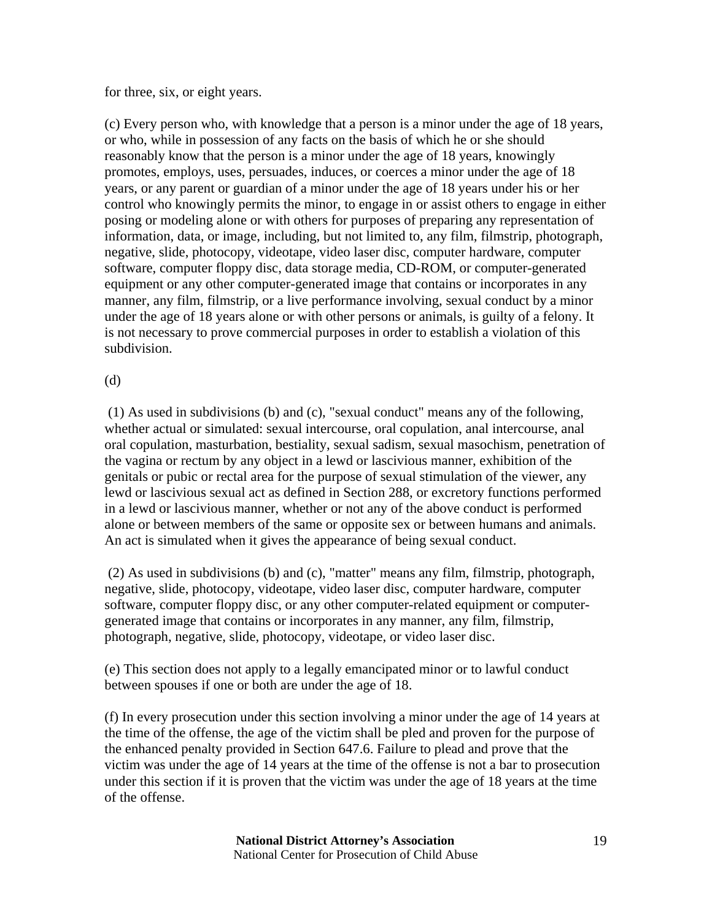for three, six, or eight years.

(c) Every person who, with knowledge that a person is a minor under the age of 18 years, or who, while in possession of any facts on the basis of which he or she should reasonably know that the person is a minor under the age of 18 years, knowingly promotes, employs, uses, persuades, induces, or coerces a minor under the age of 18 years, or any parent or guardian of a minor under the age of 18 years under his or her control who knowingly permits the minor, to engage in or assist others to engage in either posing or modeling alone or with others for purposes of preparing any representation of information, data, or image, including, but not limited to, any film, filmstrip, photograph, negative, slide, photocopy, videotape, video laser disc, computer hardware, computer software, computer floppy disc, data storage media, CD-ROM, or computer-generated equipment or any other computer-generated image that contains or incorporates in any manner, any film, filmstrip, or a live performance involving, sexual conduct by a minor under the age of 18 years alone or with other persons or animals, is guilty of a felony. It is not necessary to prove commercial purposes in order to establish a violation of this subdivision.

#### (d)

 (1) As used in subdivisions (b) and (c), "sexual conduct" means any of the following, whether actual or simulated: sexual intercourse, oral copulation, anal intercourse, anal oral copulation, masturbation, bestiality, sexual sadism, sexual masochism, penetration of the vagina or rectum by any object in a lewd or lascivious manner, exhibition of the genitals or pubic or rectal area for the purpose of sexual stimulation of the viewer, any lewd or lascivious sexual act as defined in Section 288, or excretory functions performed in a lewd or lascivious manner, whether or not any of the above conduct is performed alone or between members of the same or opposite sex or between humans and animals. An act is simulated when it gives the appearance of being sexual conduct.

 (2) As used in subdivisions (b) and (c), "matter" means any film, filmstrip, photograph, negative, slide, photocopy, videotape, video laser disc, computer hardware, computer software, computer floppy disc, or any other computer-related equipment or computergenerated image that contains or incorporates in any manner, any film, filmstrip, photograph, negative, slide, photocopy, videotape, or video laser disc.

(e) This section does not apply to a legally emancipated minor or to lawful conduct between spouses if one or both are under the age of 18.

(f) In every prosecution under this section involving a minor under the age of 14 years at the time of the offense, the age of the victim shall be pled and proven for the purpose of the enhanced penalty provided in Section 647.6. Failure to plead and prove that the victim was under the age of 14 years at the time of the offense is not a bar to prosecution under this section if it is proven that the victim was under the age of 18 years at the time of the offense.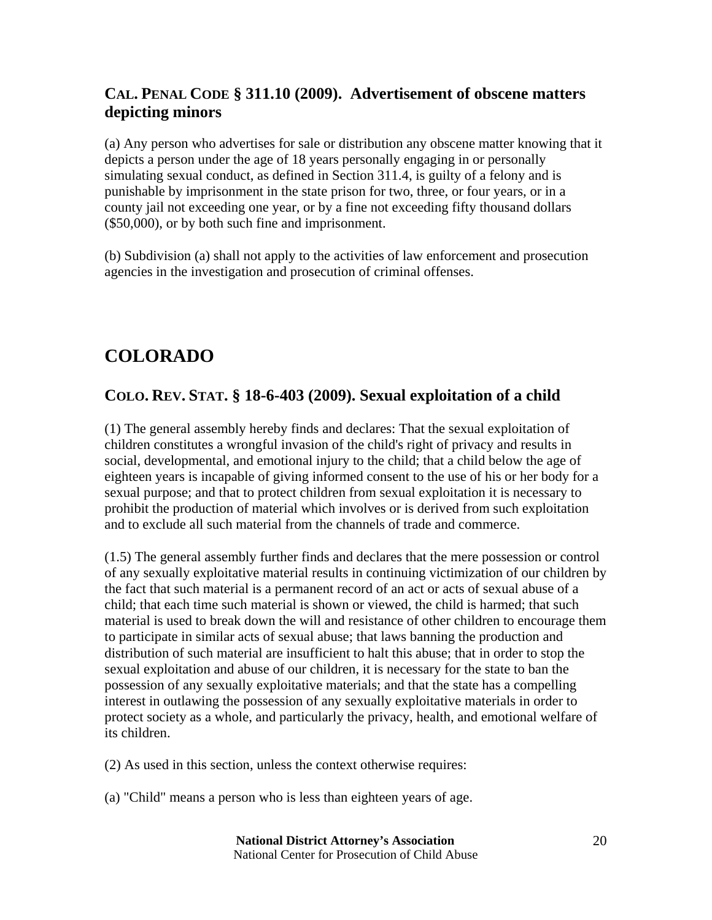## **CAL. PENAL CODE § 311.10 (2009). Advertisement of obscene matters depicting minors**

(a) Any person who advertises for sale or distribution any obscene matter knowing that it depicts a person under the age of 18 years personally engaging in or personally simulating sexual conduct, as defined in Section 311.4, is guilty of a felony and is punishable by imprisonment in the state prison for two, three, or four years, or in a county jail not exceeding one year, or by a fine not exceeding fifty thousand dollars (\$50,000), or by both such fine and imprisonment.

(b) Subdivision (a) shall not apply to the activities of law enforcement and prosecution agencies in the investigation and prosecution of criminal offenses.

# **COLORADO**

## **COLO. REV. STAT. § 18-6-403 (2009). Sexual exploitation of a child**

(1) The general assembly hereby finds and declares: That the sexual exploitation of children constitutes a wrongful invasion of the child's right of privacy and results in social, developmental, and emotional injury to the child; that a child below the age of eighteen years is incapable of giving informed consent to the use of his or her body for a sexual purpose; and that to protect children from sexual exploitation it is necessary to prohibit the production of material which involves or is derived from such exploitation and to exclude all such material from the channels of trade and commerce.

(1.5) The general assembly further finds and declares that the mere possession or control of any sexually exploitative material results in continuing victimization of our children by the fact that such material is a permanent record of an act or acts of sexual abuse of a child; that each time such material is shown or viewed, the child is harmed; that such material is used to break down the will and resistance of other children to encourage them to participate in similar acts of sexual abuse; that laws banning the production and distribution of such material are insufficient to halt this abuse; that in order to stop the sexual exploitation and abuse of our children, it is necessary for the state to ban the possession of any sexually exploitative materials; and that the state has a compelling interest in outlawing the possession of any sexually exploitative materials in order to protect society as a whole, and particularly the privacy, health, and emotional welfare of its children.

(2) As used in this section, unless the context otherwise requires:

(a) "Child" means a person who is less than eighteen years of age.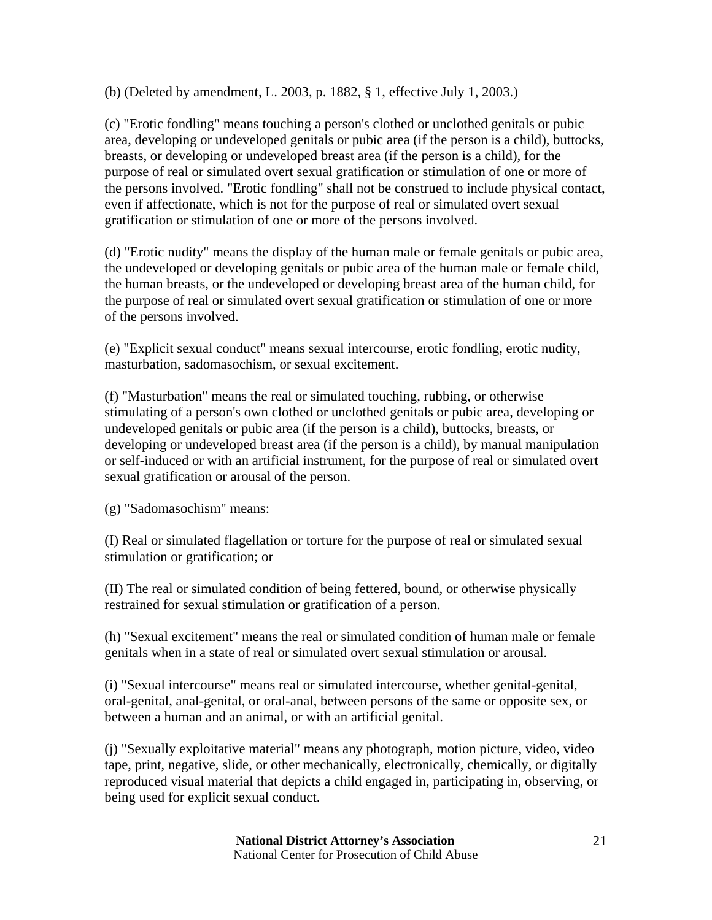(b) (Deleted by amendment, L. 2003, p. 1882, § 1, effective July 1, 2003.)

(c) "Erotic fondling" means touching a person's clothed or unclothed genitals or pubic area, developing or undeveloped genitals or pubic area (if the person is a child), buttocks, breasts, or developing or undeveloped breast area (if the person is a child), for the purpose of real or simulated overt sexual gratification or stimulation of one or more of the persons involved. "Erotic fondling" shall not be construed to include physical contact, even if affectionate, which is not for the purpose of real or simulated overt sexual gratification or stimulation of one or more of the persons involved.

(d) "Erotic nudity" means the display of the human male or female genitals or pubic area, the undeveloped or developing genitals or pubic area of the human male or female child, the human breasts, or the undeveloped or developing breast area of the human child, for the purpose of real or simulated overt sexual gratification or stimulation of one or more of the persons involved.

(e) "Explicit sexual conduct" means sexual intercourse, erotic fondling, erotic nudity, masturbation, sadomasochism, or sexual excitement.

(f) "Masturbation" means the real or simulated touching, rubbing, or otherwise stimulating of a person's own clothed or unclothed genitals or pubic area, developing or undeveloped genitals or pubic area (if the person is a child), buttocks, breasts, or developing or undeveloped breast area (if the person is a child), by manual manipulation or self-induced or with an artificial instrument, for the purpose of real or simulated overt sexual gratification or arousal of the person.

(g) "Sadomasochism" means:

(I) Real or simulated flagellation or torture for the purpose of real or simulated sexual stimulation or gratification; or

(II) The real or simulated condition of being fettered, bound, or otherwise physically restrained for sexual stimulation or gratification of a person.

(h) "Sexual excitement" means the real or simulated condition of human male or female genitals when in a state of real or simulated overt sexual stimulation or arousal.

(i) "Sexual intercourse" means real or simulated intercourse, whether genital-genital, oral-genital, anal-genital, or oral-anal, between persons of the same or opposite sex, or between a human and an animal, or with an artificial genital.

(j) "Sexually exploitative material" means any photograph, motion picture, video, video tape, print, negative, slide, or other mechanically, electronically, chemically, or digitally reproduced visual material that depicts a child engaged in, participating in, observing, or being used for explicit sexual conduct.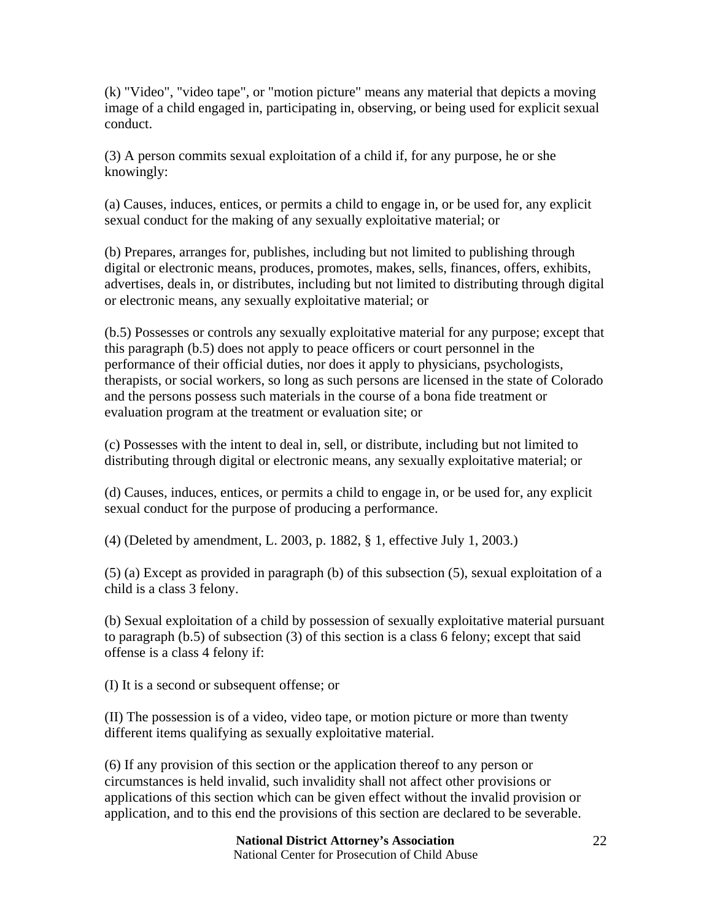(k) "Video", "video tape", or "motion picture" means any material that depicts a moving image of a child engaged in, participating in, observing, or being used for explicit sexual conduct.

(3) A person commits sexual exploitation of a child if, for any purpose, he or she knowingly:

(a) Causes, induces, entices, or permits a child to engage in, or be used for, any explicit sexual conduct for the making of any sexually exploitative material; or

(b) Prepares, arranges for, publishes, including but not limited to publishing through digital or electronic means, produces, promotes, makes, sells, finances, offers, exhibits, advertises, deals in, or distributes, including but not limited to distributing through digital or electronic means, any sexually exploitative material; or

(b.5) Possesses or controls any sexually exploitative material for any purpose; except that this paragraph (b.5) does not apply to peace officers or court personnel in the performance of their official duties, nor does it apply to physicians, psychologists, therapists, or social workers, so long as such persons are licensed in the state of Colorado and the persons possess such materials in the course of a bona fide treatment or evaluation program at the treatment or evaluation site; or

(c) Possesses with the intent to deal in, sell, or distribute, including but not limited to distributing through digital or electronic means, any sexually exploitative material; or

(d) Causes, induces, entices, or permits a child to engage in, or be used for, any explicit sexual conduct for the purpose of producing a performance.

(4) (Deleted by amendment, L. 2003, p. 1882, § 1, effective July 1, 2003.)

(5) (a) Except as provided in paragraph (b) of this subsection (5), sexual exploitation of a child is a class 3 felony.

(b) Sexual exploitation of a child by possession of sexually exploitative material pursuant to paragraph (b.5) of subsection (3) of this section is a class 6 felony; except that said offense is a class 4 felony if:

(I) It is a second or subsequent offense; or

(II) The possession is of a video, video tape, or motion picture or more than twenty different items qualifying as sexually exploitative material.

(6) If any provision of this section or the application thereof to any person or circumstances is held invalid, such invalidity shall not affect other provisions or applications of this section which can be given effect without the invalid provision or application, and to this end the provisions of this section are declared to be severable.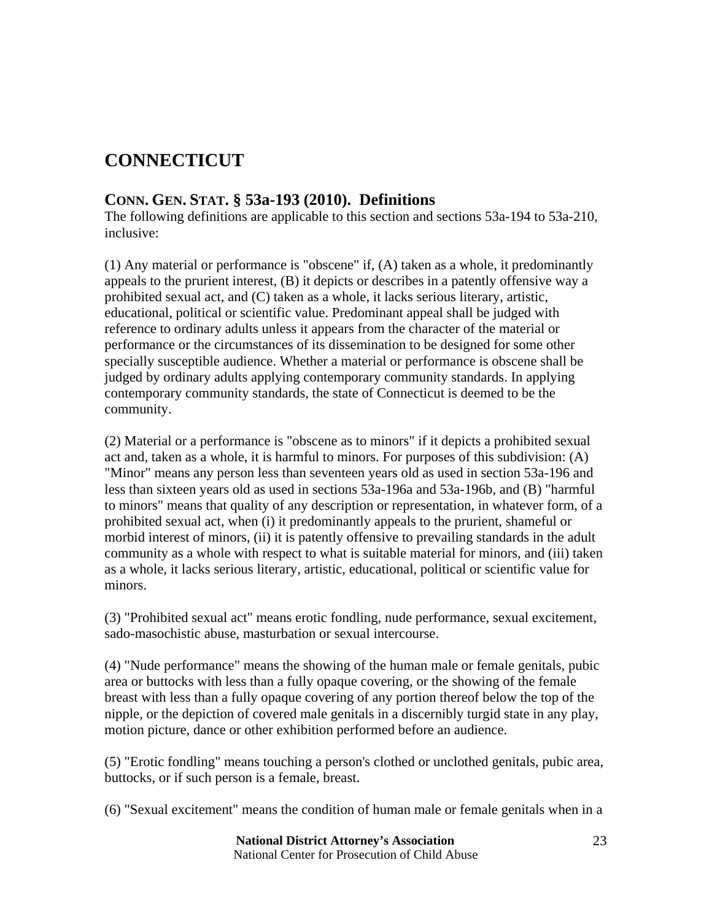# **CONNECTICUT**

#### **CONN. GEN. STAT. § 53a-193 (2010). Definitions**

The following definitions are applicable to this section and sections 53a-194 to 53a-210, inclusive:

(1) Any material or performance is "obscene" if, (A) taken as a whole, it predominantly appeals to the prurient interest, (B) it depicts or describes in a patently offensive way a prohibited sexual act, and (C) taken as a whole, it lacks serious literary, artistic, educational, political or scientific value. Predominant appeal shall be judged with reference to ordinary adults unless it appears from the character of the material or performance or the circumstances of its dissemination to be designed for some other specially susceptible audience. Whether a material or performance is obscene shall be judged by ordinary adults applying contemporary community standards. In applying contemporary community standards, the state of Connecticut is deemed to be the community.

(2) Material or a performance is "obscene as to minors" if it depicts a prohibited sexual act and, taken as a whole, it is harmful to minors. For purposes of this subdivision: (A) "Minor" means any person less than seventeen years old as used in section 53a-196 and less than sixteen years old as used in sections 53a-196a and 53a-196b, and (B) "harmful to minors" means that quality of any description or representation, in whatever form, of a prohibited sexual act, when (i) it predominantly appeals to the prurient, shameful or morbid interest of minors, (ii) it is patently offensive to prevailing standards in the adult community as a whole with respect to what is suitable material for minors, and (iii) taken as a whole, it lacks serious literary, artistic, educational, political or scientific value for minors.

(3) "Prohibited sexual act" means erotic fondling, nude performance, sexual excitement, sado-masochistic abuse, masturbation or sexual intercourse.

(4) "Nude performance" means the showing of the human male or female genitals, pubic area or buttocks with less than a fully opaque covering, or the showing of the female breast with less than a fully opaque covering of any portion thereof below the top of the nipple, or the depiction of covered male genitals in a discernibly turgid state in any play, motion picture, dance or other exhibition performed before an audience.

(5) "Erotic fondling" means touching a person's clothed or unclothed genitals, pubic area, buttocks, or if such person is a female, breast.

(6) "Sexual excitement" means the condition of human male or female genitals when in a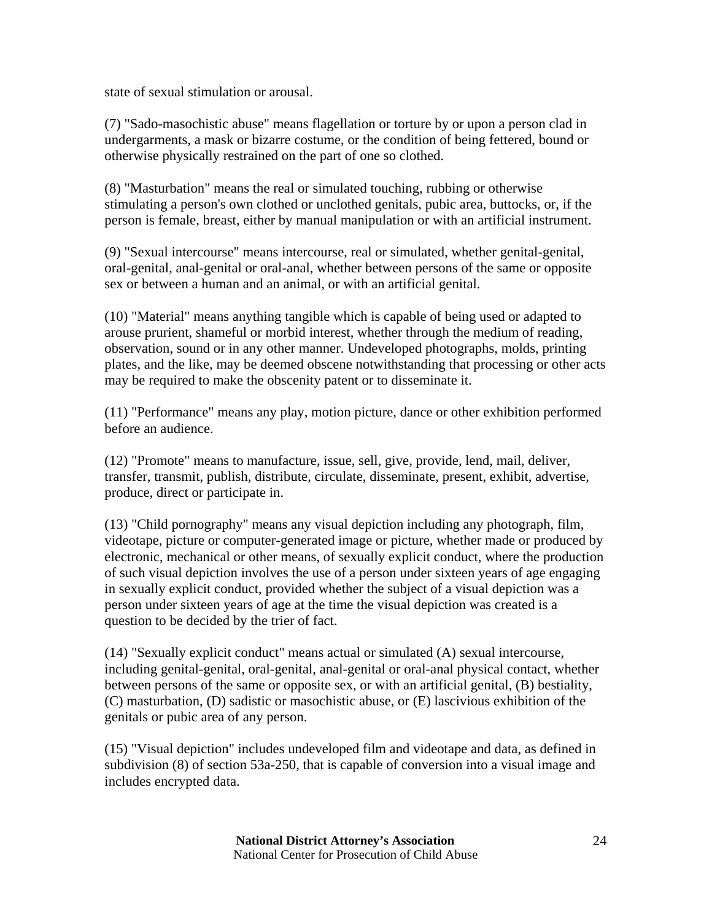state of sexual stimulation or arousal.

(7) "Sado-masochistic abuse" means flagellation or torture by or upon a person clad in undergarments, a mask or bizarre costume, or the condition of being fettered, bound or otherwise physically restrained on the part of one so clothed.

(8) "Masturbation" means the real or simulated touching, rubbing or otherwise stimulating a person's own clothed or unclothed genitals, pubic area, buttocks, or, if the person is female, breast, either by manual manipulation or with an artificial instrument.

(9) "Sexual intercourse" means intercourse, real or simulated, whether genital-genital, oral-genital, anal-genital or oral-anal, whether between persons of the same or opposite sex or between a human and an animal, or with an artificial genital.

(10) "Material" means anything tangible which is capable of being used or adapted to arouse prurient, shameful or morbid interest, whether through the medium of reading, observation, sound or in any other manner. Undeveloped photographs, molds, printing plates, and the like, may be deemed obscene notwithstanding that processing or other acts may be required to make the obscenity patent or to disseminate it.

(11) "Performance" means any play, motion picture, dance or other exhibition performed before an audience.

(12) "Promote" means to manufacture, issue, sell, give, provide, lend, mail, deliver, transfer, transmit, publish, distribute, circulate, disseminate, present, exhibit, advertise, produce, direct or participate in.

(13) "Child pornography" means any visual depiction including any photograph, film, videotape, picture or computer-generated image or picture, whether made or produced by electronic, mechanical or other means, of sexually explicit conduct, where the production of such visual depiction involves the use of a person under sixteen years of age engaging in sexually explicit conduct, provided whether the subject of a visual depiction was a person under sixteen years of age at the time the visual depiction was created is a question to be decided by the trier of fact.

(14) "Sexually explicit conduct" means actual or simulated (A) sexual intercourse, including genital-genital, oral-genital, anal-genital or oral-anal physical contact, whether between persons of the same or opposite sex, or with an artificial genital, (B) bestiality, (C) masturbation, (D) sadistic or masochistic abuse, or (E) lascivious exhibition of the genitals or pubic area of any person.

(15) "Visual depiction" includes undeveloped film and videotape and data, as defined in subdivision (8) of section 53a-250, that is capable of conversion into a visual image and includes encrypted data.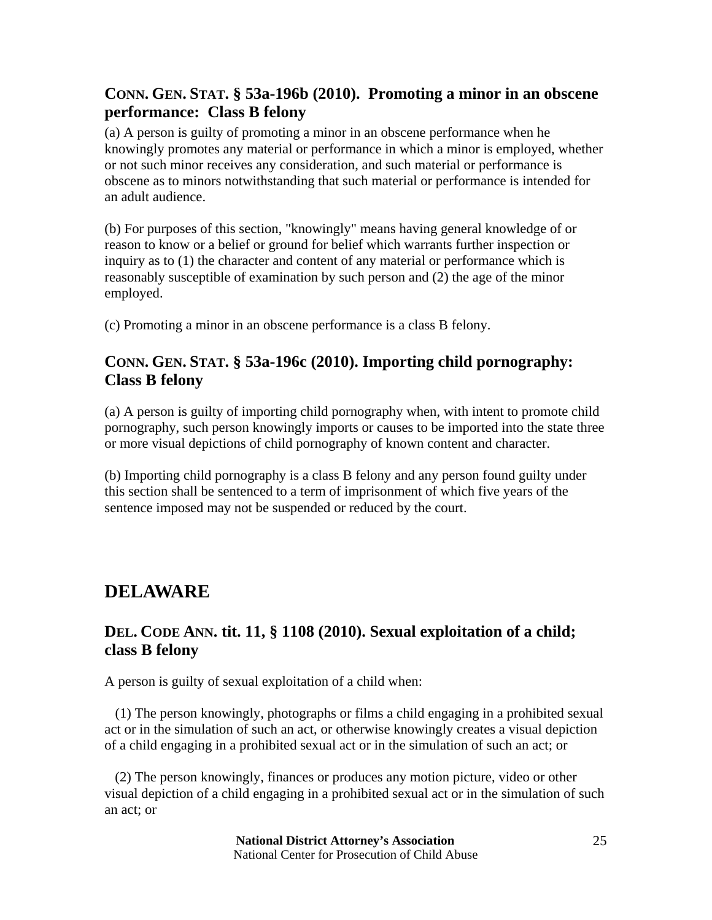## **CONN. GEN. STAT. § 53a-196b (2010). Promoting a minor in an obscene performance: Class B felony**

(a) A person is guilty of promoting a minor in an obscene performance when he knowingly promotes any material or performance in which a minor is employed, whether or not such minor receives any consideration, and such material or performance is obscene as to minors notwithstanding that such material or performance is intended for an adult audience.

(b) For purposes of this section, "knowingly" means having general knowledge of or reason to know or a belief or ground for belief which warrants further inspection or inquiry as to (1) the character and content of any material or performance which is reasonably susceptible of examination by such person and (2) the age of the minor employed.

(c) Promoting a minor in an obscene performance is a class B felony.

#### **CONN. GEN. STAT. § 53a-196c (2010). Importing child pornography: Class B felony**

(a) A person is guilty of importing child pornography when, with intent to promote child pornography, such person knowingly imports or causes to be imported into the state three or more visual depictions of child pornography of known content and character.

(b) Importing child pornography is a class B felony and any person found guilty under this section shall be sentenced to a term of imprisonment of which five years of the sentence imposed may not be suspended or reduced by the court.

# **DELAWARE**

#### **DEL. CODE ANN. tit. 11, § 1108 (2010). Sexual exploitation of a child; class B felony**

A person is guilty of sexual exploitation of a child when:

 (1) The person knowingly, photographs or films a child engaging in a prohibited sexual act or in the simulation of such an act, or otherwise knowingly creates a visual depiction of a child engaging in a prohibited sexual act or in the simulation of such an act; or

 (2) The person knowingly, finances or produces any motion picture, video or other visual depiction of a child engaging in a prohibited sexual act or in the simulation of such an act; or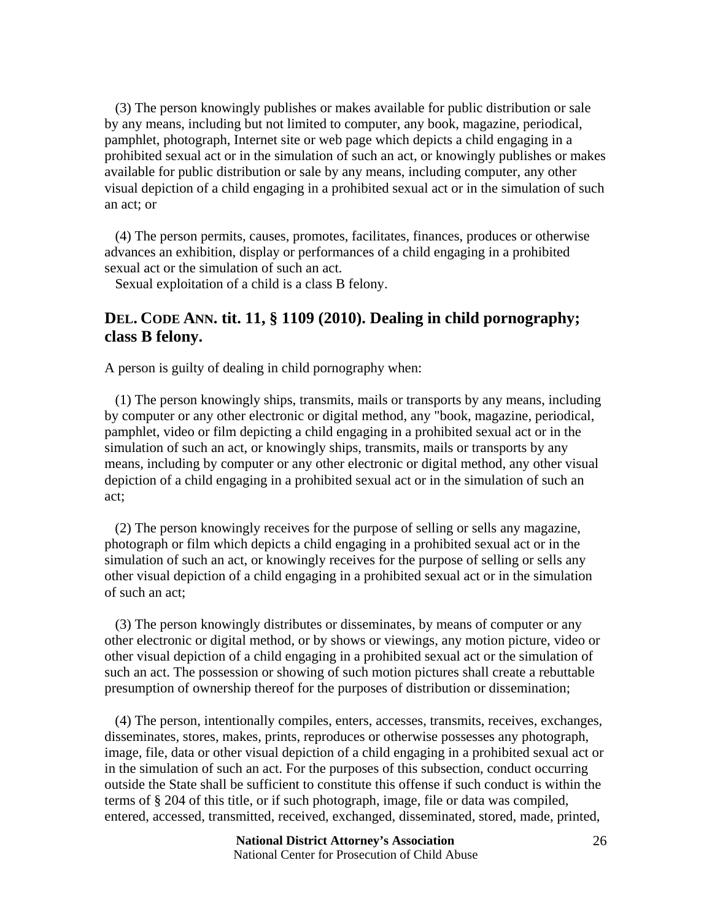(3) The person knowingly publishes or makes available for public distribution or sale by any means, including but not limited to computer, any book, magazine, periodical, pamphlet, photograph, Internet site or web page which depicts a child engaging in a prohibited sexual act or in the simulation of such an act, or knowingly publishes or makes available for public distribution or sale by any means, including computer, any other visual depiction of a child engaging in a prohibited sexual act or in the simulation of such an act; or

 (4) The person permits, causes, promotes, facilitates, finances, produces or otherwise advances an exhibition, display or performances of a child engaging in a prohibited sexual act or the simulation of such an act.

Sexual exploitation of a child is a class B felony.

#### **DEL. CODE ANN. tit. 11, § 1109 (2010). Dealing in child pornography; class B felony.**

A person is guilty of dealing in child pornography when:

 (1) The person knowingly ships, transmits, mails or transports by any means, including by computer or any other electronic or digital method, any "book, magazine, periodical, pamphlet, video or film depicting a child engaging in a prohibited sexual act or in the simulation of such an act, or knowingly ships, transmits, mails or transports by any means, including by computer or any other electronic or digital method, any other visual depiction of a child engaging in a prohibited sexual act or in the simulation of such an act;

 (2) The person knowingly receives for the purpose of selling or sells any magazine, photograph or film which depicts a child engaging in a prohibited sexual act or in the simulation of such an act, or knowingly receives for the purpose of selling or sells any other visual depiction of a child engaging in a prohibited sexual act or in the simulation of such an act;

 (3) The person knowingly distributes or disseminates, by means of computer or any other electronic or digital method, or by shows or viewings, any motion picture, video or other visual depiction of a child engaging in a prohibited sexual act or the simulation of such an act. The possession or showing of such motion pictures shall create a rebuttable presumption of ownership thereof for the purposes of distribution or dissemination;

 (4) The person, intentionally compiles, enters, accesses, transmits, receives, exchanges, disseminates, stores, makes, prints, reproduces or otherwise possesses any photograph, image, file, data or other visual depiction of a child engaging in a prohibited sexual act or in the simulation of such an act. For the purposes of this subsection, conduct occurring outside the State shall be sufficient to constitute this offense if such conduct is within the terms of § 204 of this title, or if such photograph, image, file or data was compiled, entered, accessed, transmitted, received, exchanged, disseminated, stored, made, printed,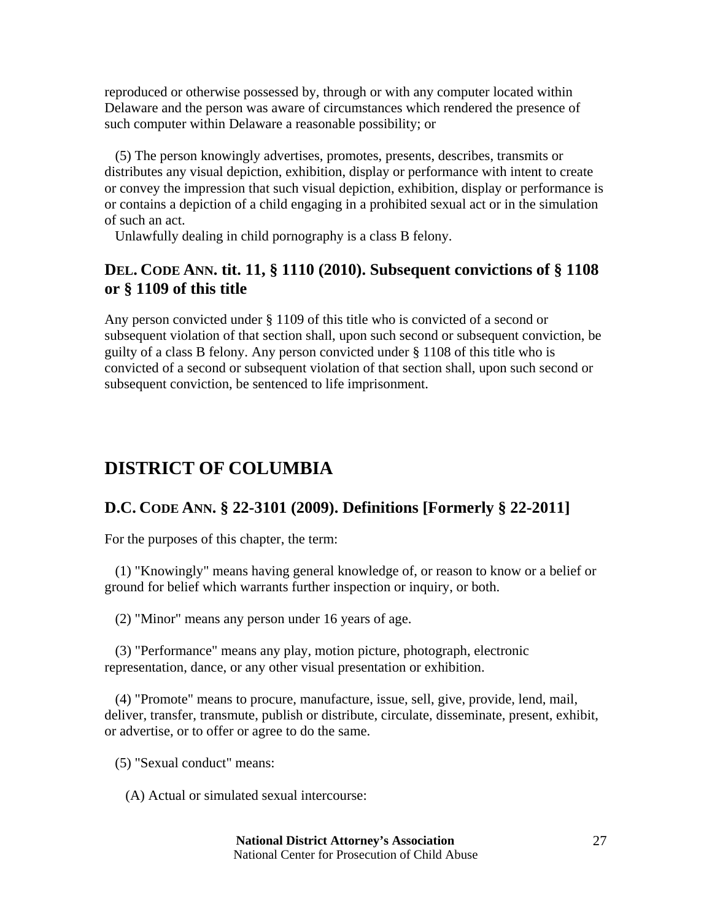reproduced or otherwise possessed by, through or with any computer located within Delaware and the person was aware of circumstances which rendered the presence of such computer within Delaware a reasonable possibility; or

 (5) The person knowingly advertises, promotes, presents, describes, transmits or distributes any visual depiction, exhibition, display or performance with intent to create or convey the impression that such visual depiction, exhibition, display or performance is or contains a depiction of a child engaging in a prohibited sexual act or in the simulation of such an act.

Unlawfully dealing in child pornography is a class B felony.

#### **DEL. CODE ANN. tit. 11, § 1110 (2010). Subsequent convictions of § 1108 or § 1109 of this title**

Any person convicted under § 1109 of this title who is convicted of a second or subsequent violation of that section shall, upon such second or subsequent conviction, be guilty of a class B felony. Any person convicted under § 1108 of this title who is convicted of a second or subsequent violation of that section shall, upon such second or subsequent conviction, be sentenced to life imprisonment.

## **DISTRICT OF COLUMBIA**

#### **D.C. CODE ANN. § 22-3101 (2009). Definitions [Formerly § 22-2011]**

For the purposes of this chapter, the term:

 (1) "Knowingly" means having general knowledge of, or reason to know or a belief or ground for belief which warrants further inspection or inquiry, or both.

(2) "Minor" means any person under 16 years of age.

 (3) "Performance" means any play, motion picture, photograph, electronic representation, dance, or any other visual presentation or exhibition.

 (4) "Promote" means to procure, manufacture, issue, sell, give, provide, lend, mail, deliver, transfer, transmute, publish or distribute, circulate, disseminate, present, exhibit, or advertise, or to offer or agree to do the same.

(5) "Sexual conduct" means:

(A) Actual or simulated sexual intercourse: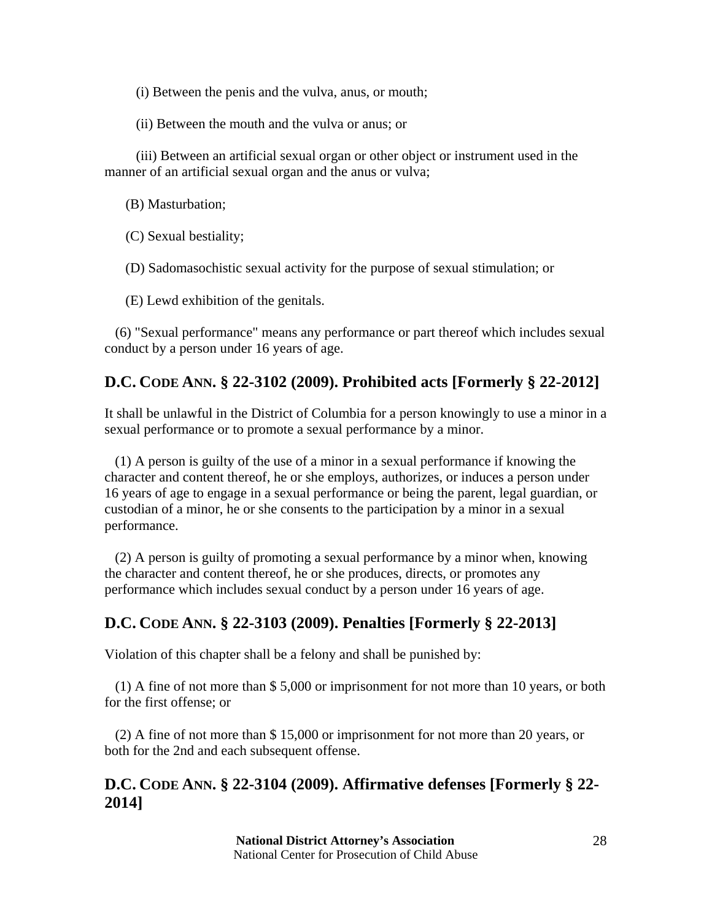(i) Between the penis and the vulva, anus, or mouth;

(ii) Between the mouth and the vulva or anus; or

 (iii) Between an artificial sexual organ or other object or instrument used in the manner of an artificial sexual organ and the anus or vulva;

(B) Masturbation;

(C) Sexual bestiality;

(D) Sadomasochistic sexual activity for the purpose of sexual stimulation; or

(E) Lewd exhibition of the genitals.

 (6) "Sexual performance" means any performance or part thereof which includes sexual conduct by a person under 16 years of age.

## **D.C. CODE ANN. § 22-3102 (2009). Prohibited acts [Formerly § 22-2012]**

It shall be unlawful in the District of Columbia for a person knowingly to use a minor in a sexual performance or to promote a sexual performance by a minor.

 (1) A person is guilty of the use of a minor in a sexual performance if knowing the character and content thereof, he or she employs, authorizes, or induces a person under 16 years of age to engage in a sexual performance or being the parent, legal guardian, or custodian of a minor, he or she consents to the participation by a minor in a sexual performance.

 (2) A person is guilty of promoting a sexual performance by a minor when, knowing the character and content thereof, he or she produces, directs, or promotes any performance which includes sexual conduct by a person under 16 years of age.

#### **D.C. CODE ANN. § 22-3103 (2009). Penalties [Formerly § 22-2013]**

Violation of this chapter shall be a felony and shall be punished by:

 (1) A fine of not more than \$ 5,000 or imprisonment for not more than 10 years, or both for the first offense; or

 (2) A fine of not more than \$ 15,000 or imprisonment for not more than 20 years, or both for the 2nd and each subsequent offense.

## **D.C. CODE ANN. § 22-3104 (2009). Affirmative defenses [Formerly § 22- 2014]**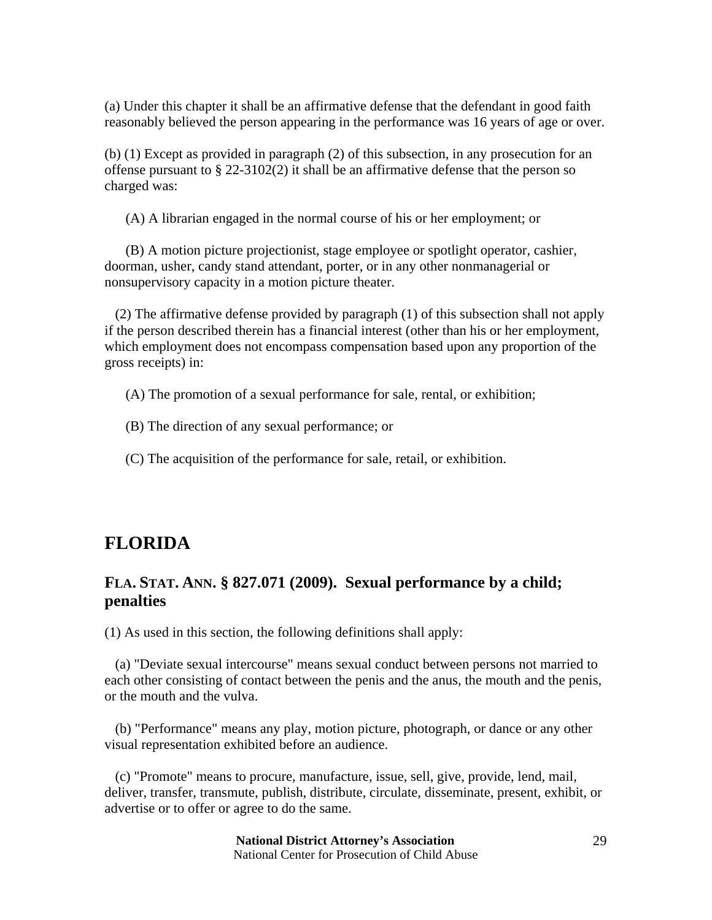(a) Under this chapter it shall be an affirmative defense that the defendant in good faith reasonably believed the person appearing in the performance was 16 years of age or over.

(b) (1) Except as provided in paragraph (2) of this subsection, in any prosecution for an offense pursuant to  $\S 22-3102(2)$  it shall be an affirmative defense that the person so charged was:

(A) A librarian engaged in the normal course of his or her employment; or

 (B) A motion picture projectionist, stage employee or spotlight operator, cashier, doorman, usher, candy stand attendant, porter, or in any other nonmanagerial or nonsupervisory capacity in a motion picture theater.

 (2) The affirmative defense provided by paragraph (1) of this subsection shall not apply if the person described therein has a financial interest (other than his or her employment, which employment does not encompass compensation based upon any proportion of the gross receipts) in:

(A) The promotion of a sexual performance for sale, rental, or exhibition;

- (B) The direction of any sexual performance; or
- (C) The acquisition of the performance for sale, retail, or exhibition.

# **FLORIDA**

#### **FLA. STAT. ANN. § 827.071 (2009). Sexual performance by a child; penalties**

(1) As used in this section, the following definitions shall apply:

 (a) "Deviate sexual intercourse" means sexual conduct between persons not married to each other consisting of contact between the penis and the anus, the mouth and the penis, or the mouth and the vulva.

 (b) "Performance" means any play, motion picture, photograph, or dance or any other visual representation exhibited before an audience.

 (c) "Promote" means to procure, manufacture, issue, sell, give, provide, lend, mail, deliver, transfer, transmute, publish, distribute, circulate, disseminate, present, exhibit, or advertise or to offer or agree to do the same.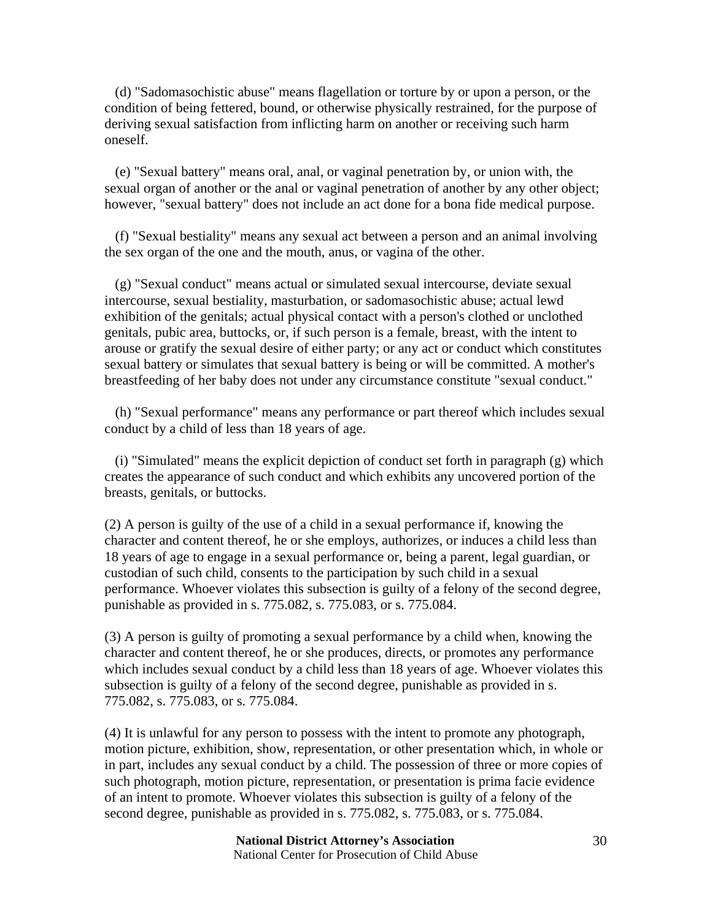(d) "Sadomasochistic abuse" means flagellation or torture by or upon a person, or the condition of being fettered, bound, or otherwise physically restrained, for the purpose of deriving sexual satisfaction from inflicting harm on another or receiving such harm oneself.

 (e) "Sexual battery" means oral, anal, or vaginal penetration by, or union with, the sexual organ of another or the anal or vaginal penetration of another by any other object; however, "sexual battery" does not include an act done for a bona fide medical purpose.

 (f) "Sexual bestiality" means any sexual act between a person and an animal involving the sex organ of the one and the mouth, anus, or vagina of the other.

 (g) "Sexual conduct" means actual or simulated sexual intercourse, deviate sexual intercourse, sexual bestiality, masturbation, or sadomasochistic abuse; actual lewd exhibition of the genitals; actual physical contact with a person's clothed or unclothed genitals, pubic area, buttocks, or, if such person is a female, breast, with the intent to arouse or gratify the sexual desire of either party; or any act or conduct which constitutes sexual battery or simulates that sexual battery is being or will be committed. A mother's breastfeeding of her baby does not under any circumstance constitute "sexual conduct."

 (h) "Sexual performance" means any performance or part thereof which includes sexual conduct by a child of less than 18 years of age.

 (i) "Simulated" means the explicit depiction of conduct set forth in paragraph (g) which creates the appearance of such conduct and which exhibits any uncovered portion of the breasts, genitals, or buttocks.

(2) A person is guilty of the use of a child in a sexual performance if, knowing the character and content thereof, he or she employs, authorizes, or induces a child less than 18 years of age to engage in a sexual performance or, being a parent, legal guardian, or custodian of such child, consents to the participation by such child in a sexual performance. Whoever violates this subsection is guilty of a felony of the second degree, punishable as provided in s. 775.082, s. 775.083, or s. 775.084.

(3) A person is guilty of promoting a sexual performance by a child when, knowing the character and content thereof, he or she produces, directs, or promotes any performance which includes sexual conduct by a child less than 18 years of age. Whoever violates this subsection is guilty of a felony of the second degree, punishable as provided in s. 775.082, s. 775.083, or s. 775.084.

(4) It is unlawful for any person to possess with the intent to promote any photograph, motion picture, exhibition, show, representation, or other presentation which, in whole or in part, includes any sexual conduct by a child. The possession of three or more copies of such photograph, motion picture, representation, or presentation is prima facie evidence of an intent to promote. Whoever violates this subsection is guilty of a felony of the second degree, punishable as provided in s. 775.082, s. 775.083, or s. 775.084.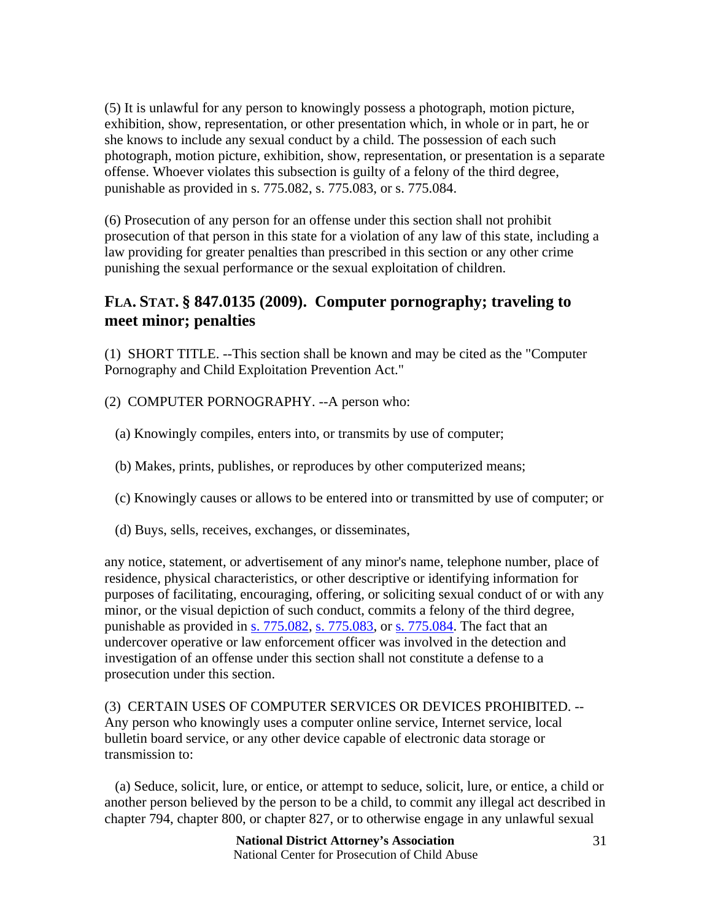(5) It is unlawful for any person to knowingly possess a photograph, motion picture, exhibition, show, representation, or other presentation which, in whole or in part, he or she knows to include any sexual conduct by a child. The possession of each such photograph, motion picture, exhibition, show, representation, or presentation is a separate offense. Whoever violates this subsection is guilty of a felony of the third degree, punishable as provided in s. 775.082, s. 775.083, or s. 775.084.

(6) Prosecution of any person for an offense under this section shall not prohibit prosecution of that person in this state for a violation of any law of this state, including a law providing for greater penalties than prescribed in this section or any other crime punishing the sexual performance or the sexual exploitation of children.

#### **FLA. STAT. § 847.0135 (2009). Computer pornography; traveling to meet minor; penalties**

(1) SHORT TITLE. --This section shall be known and may be cited as the "Computer Pornography and Child Exploitation Prevention Act."

#### (2) COMPUTER PORNOGRAPHY. --A person who:

- (a) Knowingly compiles, enters into, or transmits by use of computer;
- (b) Makes, prints, publishes, or reproduces by other computerized means;
- (c) Knowingly causes or allows to be entered into or transmitted by use of computer; or
- (d) Buys, sells, receives, exchanges, or disseminates,

any notice, statement, or advertisement of any minor's name, telephone number, place of residence, physical characteristics, or other descriptive or identifying information for purposes of facilitating, encouraging, offering, or soliciting sexual conduct of or with any minor, or the visual depiction of such conduct, commits a felony of the third degree, punishable as provided in s. 775.082, s. 775.083, or s. 775.084. The fact that an undercover operative or law enforcement officer was involved in the detection and investigation of an offense under this section shall not constitute a defense to a prosecution under this section.

(3) CERTAIN USES OF COMPUTER SERVICES OR DEVICES PROHIBITED. -- Any person who knowingly uses a computer online service, Internet service, local bulletin board service, or any other device capable of electronic data storage or transmission to:

 (a) Seduce, solicit, lure, or entice, or attempt to seduce, solicit, lure, or entice, a child or another person believed by the person to be a child, to commit any illegal act described in chapter 794, chapter 800, or chapter 827, or to otherwise engage in any unlawful sexual

> **National District Attorney's Association**  National Center for Prosecution of Child Abuse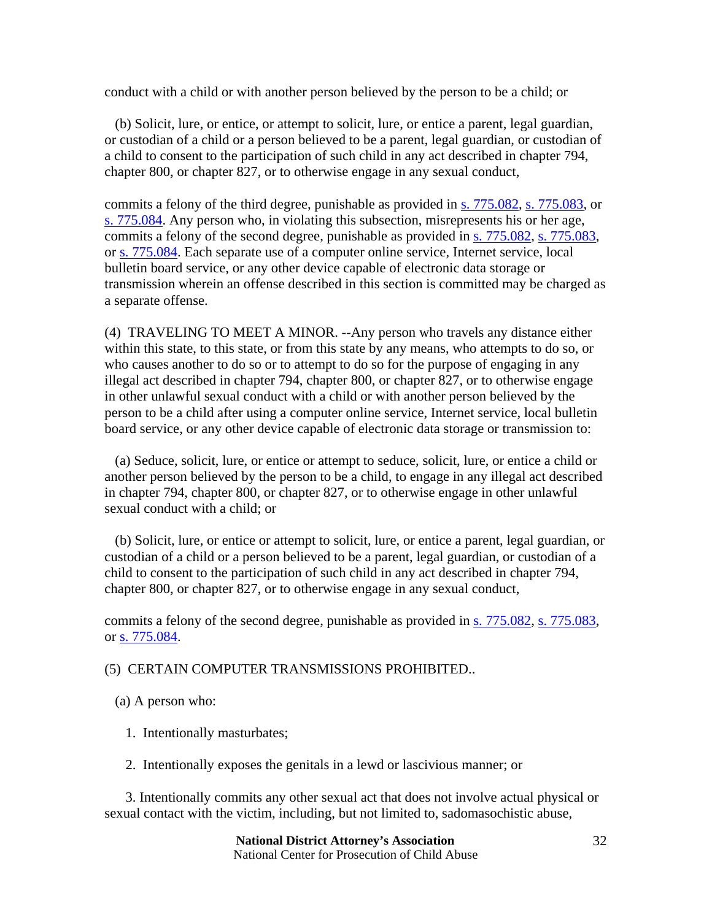conduct with a child or with another person believed by the person to be a child; or

 (b) Solicit, lure, or entice, or attempt to solicit, lure, or entice a parent, legal guardian, or custodian of a child or a person believed to be a parent, legal guardian, or custodian of a child to consent to the participation of such child in any act described in chapter 794, chapter 800, or chapter 827, or to otherwise engage in any sexual conduct,

commits a felony of the third degree, punishable as provided in s. 775.082, s. 775.083, or s. 775.084. Any person who, in violating this subsection, misrepresents his or her age, commits a felony of the second degree, punishable as provided in s. 775.082, s. 775.083, or s. 775.084. Each separate use of a computer online service, Internet service, local bulletin board service, or any other device capable of electronic data storage or transmission wherein an offense described in this section is committed may be charged as a separate offense.

(4) TRAVELING TO MEET A MINOR. --Any person who travels any distance either within this state, to this state, or from this state by any means, who attempts to do so, or who causes another to do so or to attempt to do so for the purpose of engaging in any illegal act described in chapter 794, chapter 800, or chapter 827, or to otherwise engage in other unlawful sexual conduct with a child or with another person believed by the person to be a child after using a computer online service, Internet service, local bulletin board service, or any other device capable of electronic data storage or transmission to:

 (a) Seduce, solicit, lure, or entice or attempt to seduce, solicit, lure, or entice a child or another person believed by the person to be a child, to engage in any illegal act described in chapter 794, chapter 800, or chapter 827, or to otherwise engage in other unlawful sexual conduct with a child; or

 (b) Solicit, lure, or entice or attempt to solicit, lure, or entice a parent, legal guardian, or custodian of a child or a person believed to be a parent, legal guardian, or custodian of a child to consent to the participation of such child in any act described in chapter 794, chapter 800, or chapter 827, or to otherwise engage in any sexual conduct,

commits a felony of the second degree, punishable as provided in s. 775.082, s. 775.083, or s. 775.084.

#### (5) CERTAIN COMPUTER TRANSMISSIONS PROHIBITED..

(a) A person who:

- 1. Intentionally masturbates;
- 2. Intentionally exposes the genitals in a lewd or lascivious manner; or

 3. Intentionally commits any other sexual act that does not involve actual physical or sexual contact with the victim, including, but not limited to, sadomasochistic abuse,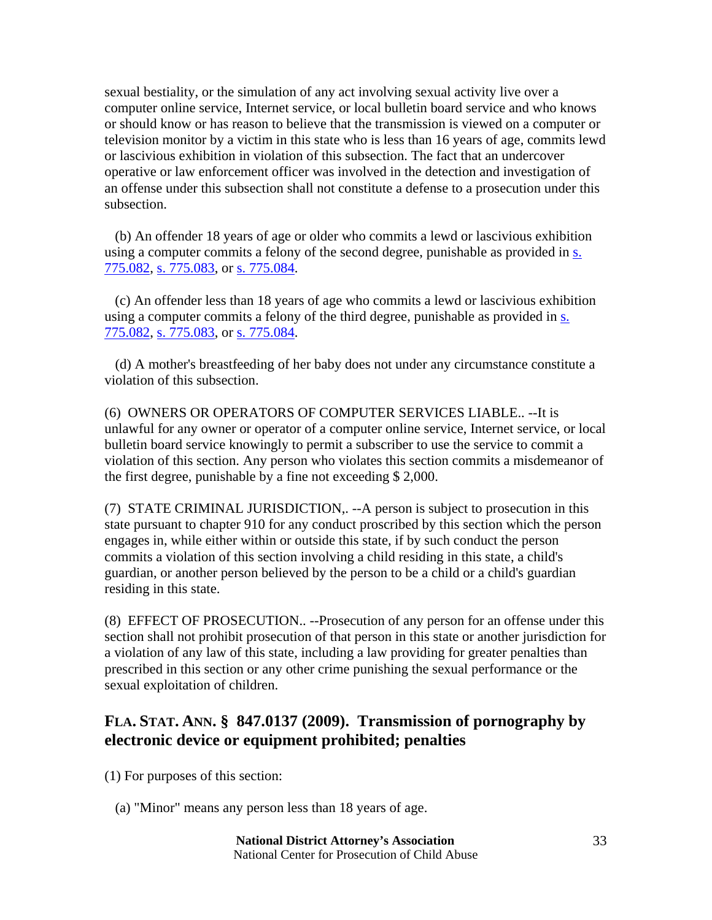sexual bestiality, or the simulation of any act involving sexual activity live over a computer online service, Internet service, or local bulletin board service and who knows or should know or has reason to believe that the transmission is viewed on a computer or television monitor by a victim in this state who is less than 16 years of age, commits lewd or lascivious exhibition in violation of this subsection. The fact that an undercover operative or law enforcement officer was involved in the detection and investigation of an offense under this subsection shall not constitute a defense to a prosecution under this subsection.

 (b) An offender 18 years of age or older who commits a lewd or lascivious exhibition using a computer commits a felony of the second degree, punishable as provided in s. 775.082, s. 775.083, or s. 775.084.

 (c) An offender less than 18 years of age who commits a lewd or lascivious exhibition using a computer commits a felony of the third degree, punishable as provided in s. 775.082, s. 775.083, or s. 775.084.

 (d) A mother's breastfeeding of her baby does not under any circumstance constitute a violation of this subsection.

(6) OWNERS OR OPERATORS OF COMPUTER SERVICES LIABLE.. --It is unlawful for any owner or operator of a computer online service, Internet service, or local bulletin board service knowingly to permit a subscriber to use the service to commit a violation of this section. Any person who violates this section commits a misdemeanor of the first degree, punishable by a fine not exceeding \$ 2,000.

(7) STATE CRIMINAL JURISDICTION,. --A person is subject to prosecution in this state pursuant to chapter 910 for any conduct proscribed by this section which the person engages in, while either within or outside this state, if by such conduct the person commits a violation of this section involving a child residing in this state, a child's guardian, or another person believed by the person to be a child or a child's guardian residing in this state.

(8) EFFECT OF PROSECUTION.. --Prosecution of any person for an offense under this section shall not prohibit prosecution of that person in this state or another jurisdiction for a violation of any law of this state, including a law providing for greater penalties than prescribed in this section or any other crime punishing the sexual performance or the sexual exploitation of children.

## **FLA. STAT. ANN. § 847.0137 (2009). Transmission of pornography by electronic device or equipment prohibited; penalties**

(1) For purposes of this section:

(a) "Minor" means any person less than 18 years of age.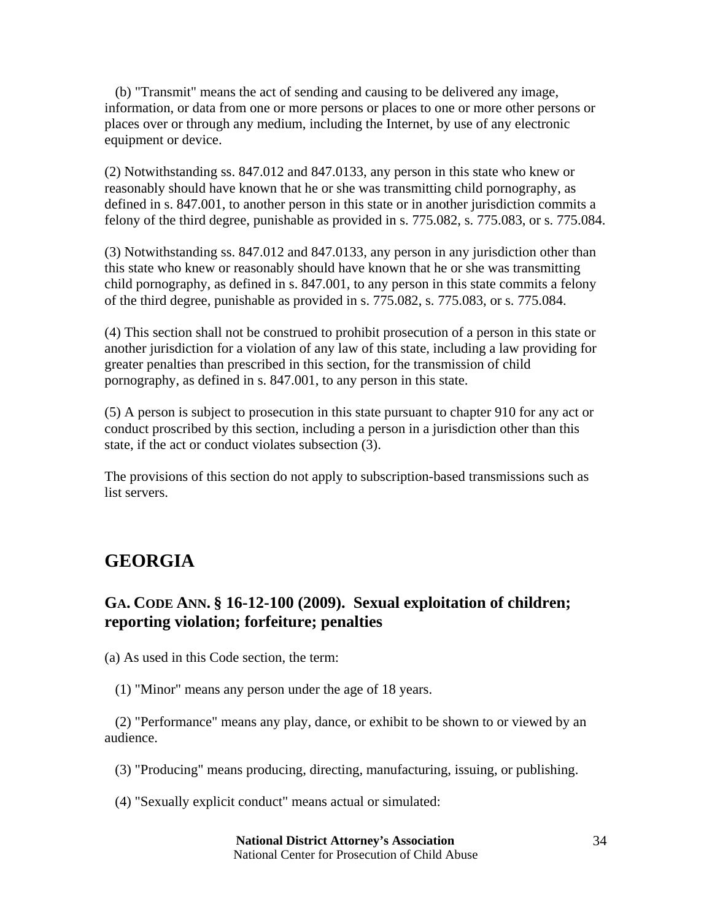(b) "Transmit" means the act of sending and causing to be delivered any image, information, or data from one or more persons or places to one or more other persons or places over or through any medium, including the Internet, by use of any electronic equipment or device.

(2) Notwithstanding ss. 847.012 and 847.0133, any person in this state who knew or reasonably should have known that he or she was transmitting child pornography, as defined in s. 847.001, to another person in this state or in another jurisdiction commits a felony of the third degree, punishable as provided in s. 775.082, s. 775.083, or s. 775.084.

(3) Notwithstanding ss. 847.012 and 847.0133, any person in any jurisdiction other than this state who knew or reasonably should have known that he or she was transmitting child pornography, as defined in s. 847.001, to any person in this state commits a felony of the third degree, punishable as provided in s. 775.082, s. 775.083, or s. 775.084.

(4) This section shall not be construed to prohibit prosecution of a person in this state or another jurisdiction for a violation of any law of this state, including a law providing for greater penalties than prescribed in this section, for the transmission of child pornography, as defined in s. 847.001, to any person in this state.

(5) A person is subject to prosecution in this state pursuant to chapter 910 for any act or conduct proscribed by this section, including a person in a jurisdiction other than this state, if the act or conduct violates subsection (3).

The provisions of this section do not apply to subscription-based transmissions such as list servers.

# **GEORGIA**

#### **GA. CODE ANN. § 16-12-100 (2009). Sexual exploitation of children; reporting violation; forfeiture; penalties**

(a) As used in this Code section, the term:

(1) "Minor" means any person under the age of 18 years.

 (2) "Performance" means any play, dance, or exhibit to be shown to or viewed by an audience.

(3) "Producing" means producing, directing, manufacturing, issuing, or publishing.

(4) "Sexually explicit conduct" means actual or simulated: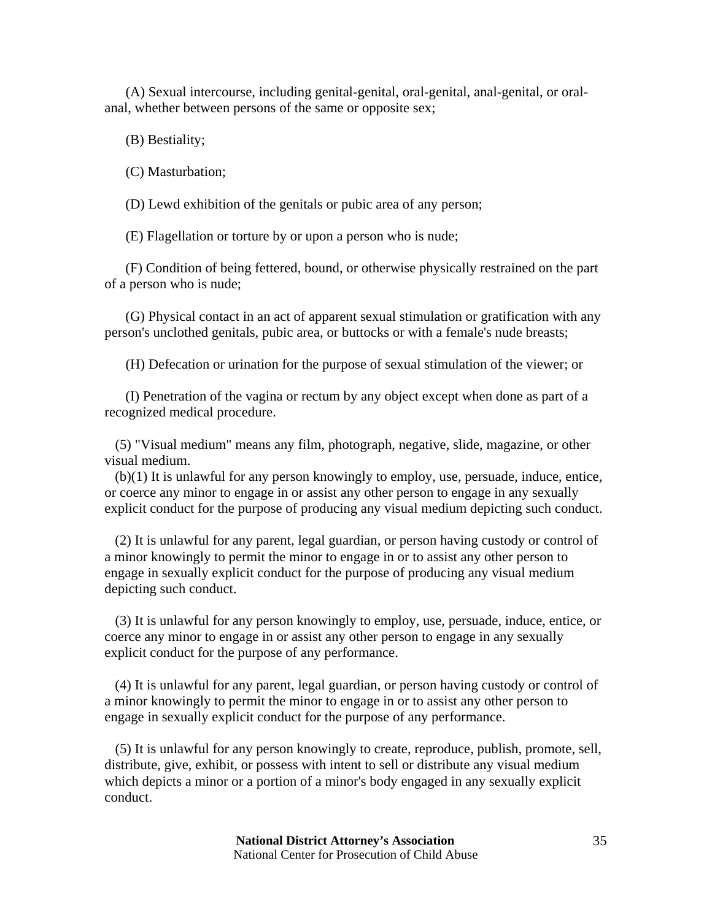(A) Sexual intercourse, including genital-genital, oral-genital, anal-genital, or oralanal, whether between persons of the same or opposite sex;

(B) Bestiality;

(C) Masturbation;

(D) Lewd exhibition of the genitals or pubic area of any person;

(E) Flagellation or torture by or upon a person who is nude;

 (F) Condition of being fettered, bound, or otherwise physically restrained on the part of a person who is nude;

 (G) Physical contact in an act of apparent sexual stimulation or gratification with any person's unclothed genitals, pubic area, or buttocks or with a female's nude breasts;

(H) Defecation or urination for the purpose of sexual stimulation of the viewer; or

 (I) Penetration of the vagina or rectum by any object except when done as part of a recognized medical procedure.

 (5) "Visual medium" means any film, photograph, negative, slide, magazine, or other visual medium.

 (b)(1) It is unlawful for any person knowingly to employ, use, persuade, induce, entice, or coerce any minor to engage in or assist any other person to engage in any sexually explicit conduct for the purpose of producing any visual medium depicting such conduct.

 (2) It is unlawful for any parent, legal guardian, or person having custody or control of a minor knowingly to permit the minor to engage in or to assist any other person to engage in sexually explicit conduct for the purpose of producing any visual medium depicting such conduct.

 (3) It is unlawful for any person knowingly to employ, use, persuade, induce, entice, or coerce any minor to engage in or assist any other person to engage in any sexually explicit conduct for the purpose of any performance.

 (4) It is unlawful for any parent, legal guardian, or person having custody or control of a minor knowingly to permit the minor to engage in or to assist any other person to engage in sexually explicit conduct for the purpose of any performance.

 (5) It is unlawful for any person knowingly to create, reproduce, publish, promote, sell, distribute, give, exhibit, or possess with intent to sell or distribute any visual medium which depicts a minor or a portion of a minor's body engaged in any sexually explicit conduct.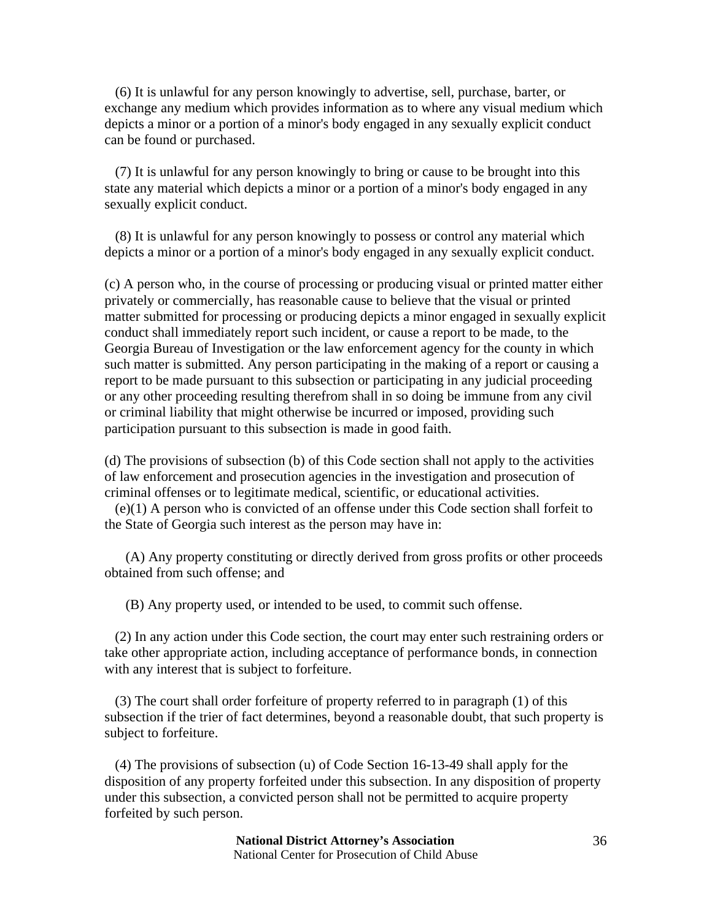(6) It is unlawful for any person knowingly to advertise, sell, purchase, barter, or exchange any medium which provides information as to where any visual medium which depicts a minor or a portion of a minor's body engaged in any sexually explicit conduct can be found or purchased.

 (7) It is unlawful for any person knowingly to bring or cause to be brought into this state any material which depicts a minor or a portion of a minor's body engaged in any sexually explicit conduct.

 (8) It is unlawful for any person knowingly to possess or control any material which depicts a minor or a portion of a minor's body engaged in any sexually explicit conduct.

(c) A person who, in the course of processing or producing visual or printed matter either privately or commercially, has reasonable cause to believe that the visual or printed matter submitted for processing or producing depicts a minor engaged in sexually explicit conduct shall immediately report such incident, or cause a report to be made, to the Georgia Bureau of Investigation or the law enforcement agency for the county in which such matter is submitted. Any person participating in the making of a report or causing a report to be made pursuant to this subsection or participating in any judicial proceeding or any other proceeding resulting therefrom shall in so doing be immune from any civil or criminal liability that might otherwise be incurred or imposed, providing such participation pursuant to this subsection is made in good faith.

(d) The provisions of subsection (b) of this Code section shall not apply to the activities of law enforcement and prosecution agencies in the investigation and prosecution of criminal offenses or to legitimate medical, scientific, or educational activities.

 (e)(1) A person who is convicted of an offense under this Code section shall forfeit to the State of Georgia such interest as the person may have in:

 (A) Any property constituting or directly derived from gross profits or other proceeds obtained from such offense; and

(B) Any property used, or intended to be used, to commit such offense.

 (2) In any action under this Code section, the court may enter such restraining orders or take other appropriate action, including acceptance of performance bonds, in connection with any interest that is subject to forfeiture.

 (3) The court shall order forfeiture of property referred to in paragraph (1) of this subsection if the trier of fact determines, beyond a reasonable doubt, that such property is subject to forfeiture.

 (4) The provisions of subsection (u) of Code Section 16-13-49 shall apply for the disposition of any property forfeited under this subsection. In any disposition of property under this subsection, a convicted person shall not be permitted to acquire property forfeited by such person.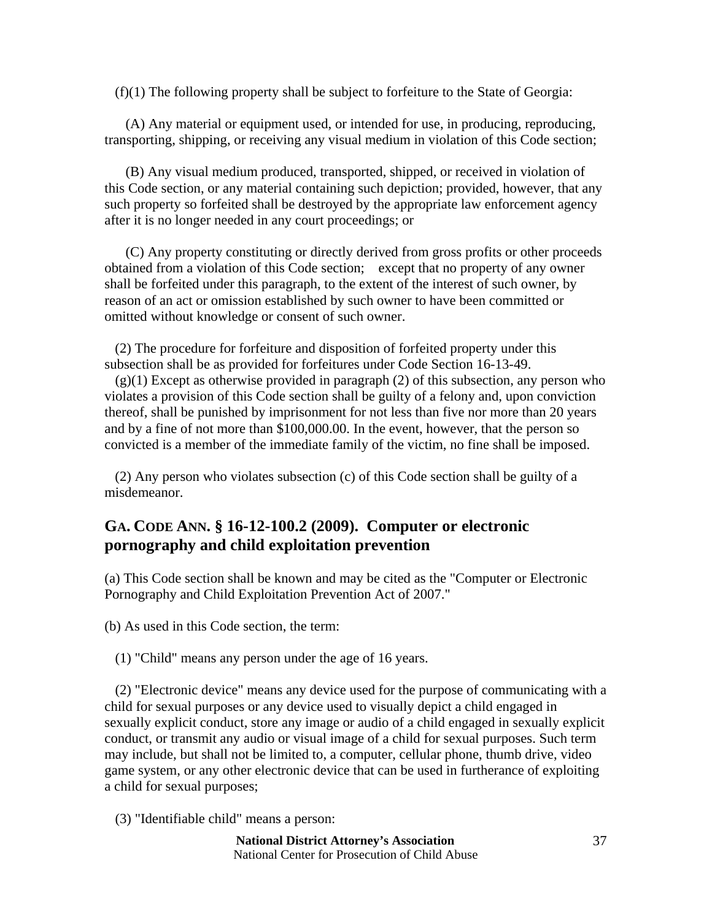(f)(1) The following property shall be subject to forfeiture to the State of Georgia:

 (A) Any material or equipment used, or intended for use, in producing, reproducing, transporting, shipping, or receiving any visual medium in violation of this Code section;

 (B) Any visual medium produced, transported, shipped, or received in violation of this Code section, or any material containing such depiction; provided, however, that any such property so forfeited shall be destroyed by the appropriate law enforcement agency after it is no longer needed in any court proceedings; or

 (C) Any property constituting or directly derived from gross profits or other proceeds obtained from a violation of this Code section; except that no property of any owner shall be forfeited under this paragraph, to the extent of the interest of such owner, by reason of an act or omission established by such owner to have been committed or omitted without knowledge or consent of such owner.

 (2) The procedure for forfeiture and disposition of forfeited property under this subsection shall be as provided for forfeitures under Code Section 16-13-49.

 (g)(1) Except as otherwise provided in paragraph (2) of this subsection, any person who violates a provision of this Code section shall be guilty of a felony and, upon conviction thereof, shall be punished by imprisonment for not less than five nor more than 20 years and by a fine of not more than \$100,000.00. In the event, however, that the person so convicted is a member of the immediate family of the victim, no fine shall be imposed.

 (2) Any person who violates subsection (c) of this Code section shall be guilty of a misdemeanor.

#### **GA. CODE ANN. § 16-12-100.2 (2009). Computer or electronic pornography and child exploitation prevention**

(a) This Code section shall be known and may be cited as the "Computer or Electronic Pornography and Child Exploitation Prevention Act of 2007."

(b) As used in this Code section, the term:

(1) "Child" means any person under the age of 16 years.

 (2) "Electronic device" means any device used for the purpose of communicating with a child for sexual purposes or any device used to visually depict a child engaged in sexually explicit conduct, store any image or audio of a child engaged in sexually explicit conduct, or transmit any audio or visual image of a child for sexual purposes. Such term may include, but shall not be limited to, a computer, cellular phone, thumb drive, video game system, or any other electronic device that can be used in furtherance of exploiting a child for sexual purposes;

(3) "Identifiable child" means a person: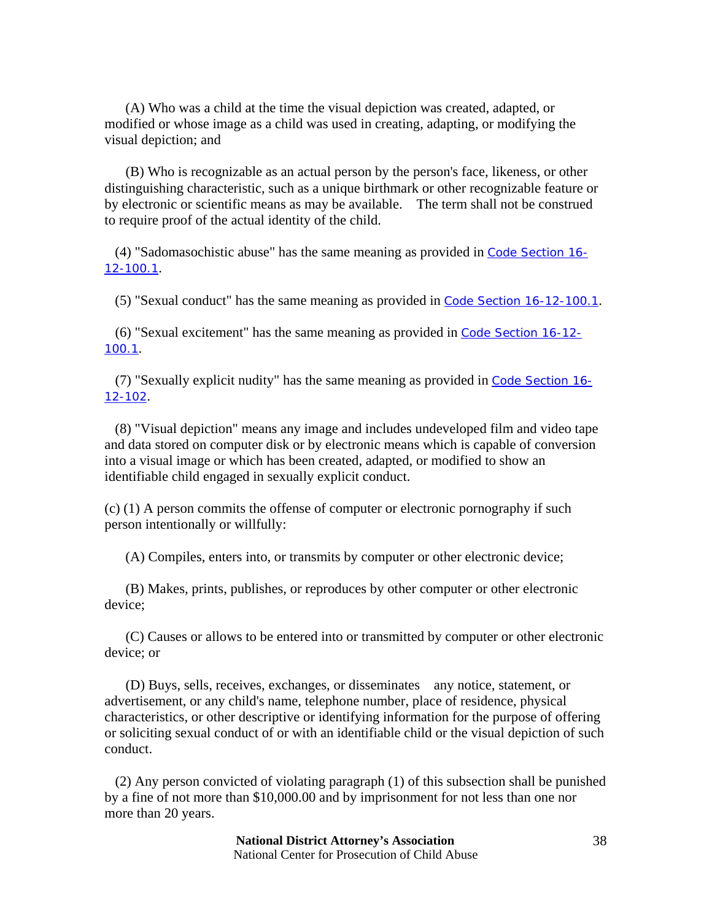(A) Who was a child at the time the visual depiction was created, adapted, or modified or whose image as a child was used in creating, adapting, or modifying the visual depiction; and

 (B) Who is recognizable as an actual person by the person's face, likeness, or other distinguishing characteristic, such as a unique birthmark or other recognizable feature or by electronic or scientific means as may be available. The term shall not be construed to require proof of the actual identity of the child.

 (4) "Sadomasochistic abuse" has the same meaning as provided in Code Section 16- 12-100.1.

(5) "Sexual conduct" has the same meaning as provided in Code Section 16-12-100.1.

 (6) "Sexual excitement" has the same meaning as provided in Code Section 16-12- 100.1.

 (7) "Sexually explicit nudity" has the same meaning as provided in Code Section 16- 12-102.

 (8) "Visual depiction" means any image and includes undeveloped film and video tape and data stored on computer disk or by electronic means which is capable of conversion into a visual image or which has been created, adapted, or modified to show an identifiable child engaged in sexually explicit conduct.

(c) (1) A person commits the offense of computer or electronic pornography if such person intentionally or willfully:

(A) Compiles, enters into, or transmits by computer or other electronic device;

 (B) Makes, prints, publishes, or reproduces by other computer or other electronic device;

 (C) Causes or allows to be entered into or transmitted by computer or other electronic device; or

 (D) Buys, sells, receives, exchanges, or disseminates any notice, statement, or advertisement, or any child's name, telephone number, place of residence, physical characteristics, or other descriptive or identifying information for the purpose of offering or soliciting sexual conduct of or with an identifiable child or the visual depiction of such conduct.

 (2) Any person convicted of violating paragraph (1) of this subsection shall be punished by a fine of not more than \$10,000.00 and by imprisonment for not less than one nor more than 20 years.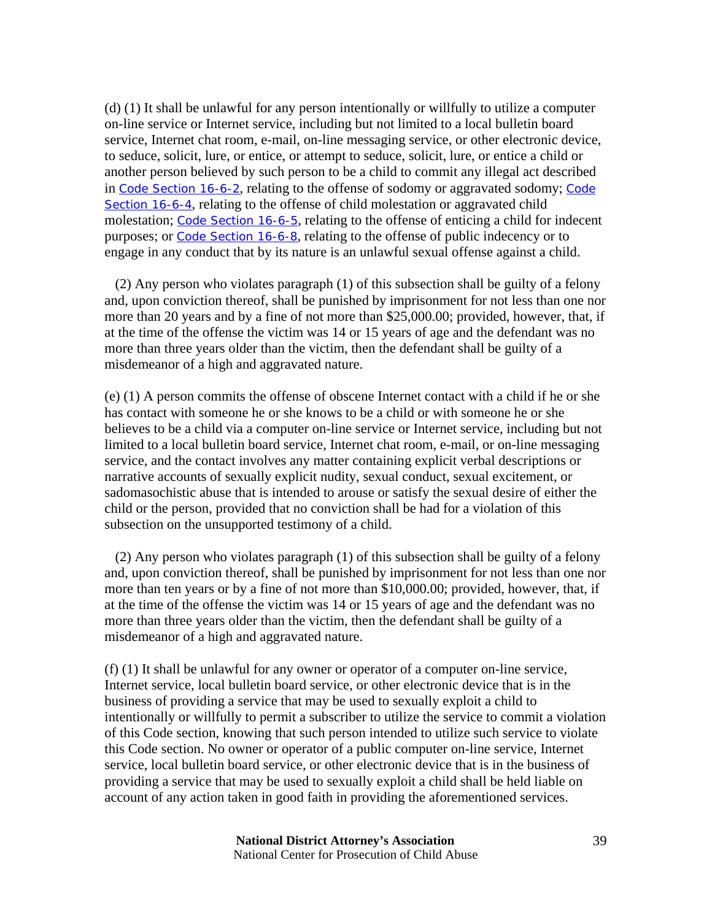(d) (1) It shall be unlawful for any person intentionally or willfully to utilize a computer on-line service or Internet service, including but not limited to a local bulletin board service, Internet chat room, e-mail, on-line messaging service, or other electronic device, to seduce, solicit, lure, or entice, or attempt to seduce, solicit, lure, or entice a child or another person believed by such person to be a child to commit any illegal act described in Code Section 16-6-2, relating to the offense of sodomy or aggravated sodomy; Code Section 16-6-4, relating to the offense of child molestation or aggravated child molestation; Code Section 16-6-5, relating to the offense of enticing a child for indecent purposes; or Code Section 16-6-8, relating to the offense of public indecency or to engage in any conduct that by its nature is an unlawful sexual offense against a child.

 (2) Any person who violates paragraph (1) of this subsection shall be guilty of a felony and, upon conviction thereof, shall be punished by imprisonment for not less than one nor more than 20 years and by a fine of not more than \$25,000.00; provided, however, that, if at the time of the offense the victim was 14 or 15 years of age and the defendant was no more than three years older than the victim, then the defendant shall be guilty of a misdemeanor of a high and aggravated nature.

(e) (1) A person commits the offense of obscene Internet contact with a child if he or she has contact with someone he or she knows to be a child or with someone he or she believes to be a child via a computer on-line service or Internet service, including but not limited to a local bulletin board service, Internet chat room, e-mail, or on-line messaging service, and the contact involves any matter containing explicit verbal descriptions or narrative accounts of sexually explicit nudity, sexual conduct, sexual excitement, or sadomasochistic abuse that is intended to arouse or satisfy the sexual desire of either the child or the person, provided that no conviction shall be had for a violation of this subsection on the unsupported testimony of a child.

 (2) Any person who violates paragraph (1) of this subsection shall be guilty of a felony and, upon conviction thereof, shall be punished by imprisonment for not less than one nor more than ten years or by a fine of not more than \$10,000.00; provided, however, that, if at the time of the offense the victim was 14 or 15 years of age and the defendant was no more than three years older than the victim, then the defendant shall be guilty of a misdemeanor of a high and aggravated nature.

(f) (1) It shall be unlawful for any owner or operator of a computer on-line service, Internet service, local bulletin board service, or other electronic device that is in the business of providing a service that may be used to sexually exploit a child to intentionally or willfully to permit a subscriber to utilize the service to commit a violation of this Code section, knowing that such person intended to utilize such service to violate this Code section. No owner or operator of a public computer on-line service, Internet service, local bulletin board service, or other electronic device that is in the business of providing a service that may be used to sexually exploit a child shall be held liable on account of any action taken in good faith in providing the aforementioned services.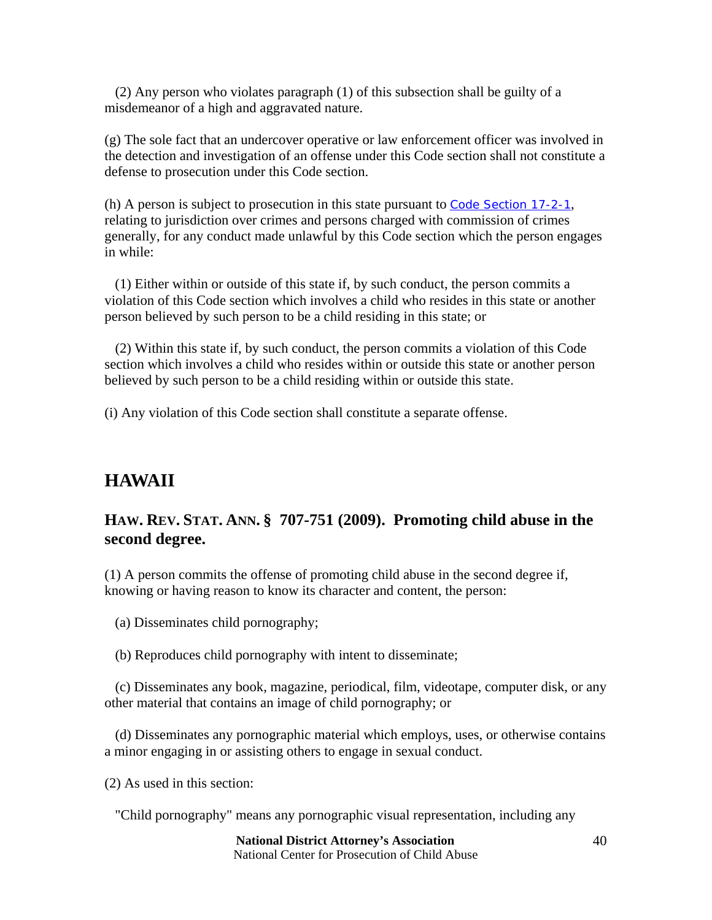(2) Any person who violates paragraph (1) of this subsection shall be guilty of a misdemeanor of a high and aggravated nature.

(g) The sole fact that an undercover operative or law enforcement officer was involved in the detection and investigation of an offense under this Code section shall not constitute a defense to prosecution under this Code section.

(h) A person is subject to prosecution in this state pursuant to Code Section 17-2-1, relating to jurisdiction over crimes and persons charged with commission of crimes generally, for any conduct made unlawful by this Code section which the person engages in while:

 (1) Either within or outside of this state if, by such conduct, the person commits a violation of this Code section which involves a child who resides in this state or another person believed by such person to be a child residing in this state; or

 (2) Within this state if, by such conduct, the person commits a violation of this Code section which involves a child who resides within or outside this state or another person believed by such person to be a child residing within or outside this state.

(i) Any violation of this Code section shall constitute a separate offense.

#### **HAWAII**

### **HAW. REV. STAT. ANN. § 707-751 (2009). Promoting child abuse in the second degree.**

(1) A person commits the offense of promoting child abuse in the second degree if, knowing or having reason to know its character and content, the person:

(a) Disseminates child pornography;

(b) Reproduces child pornography with intent to disseminate;

 (c) Disseminates any book, magazine, periodical, film, videotape, computer disk, or any other material that contains an image of child pornography; or

 (d) Disseminates any pornographic material which employs, uses, or otherwise contains a minor engaging in or assisting others to engage in sexual conduct.

(2) As used in this section:

"Child pornography" means any pornographic visual representation, including any

**National District Attorney's Association**  National Center for Prosecution of Child Abuse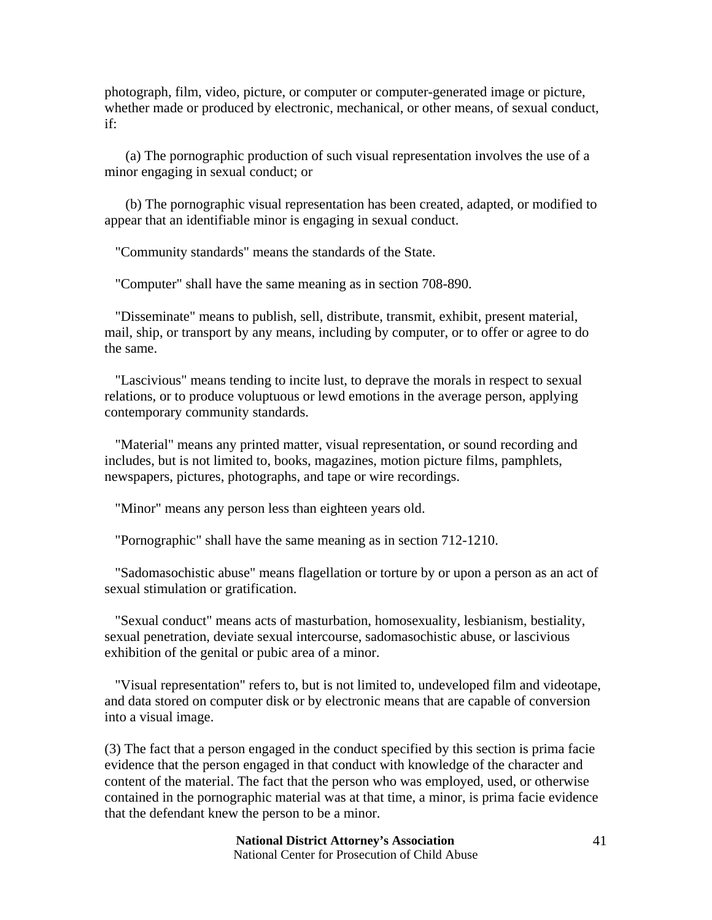photograph, film, video, picture, or computer or computer-generated image or picture, whether made or produced by electronic, mechanical, or other means, of sexual conduct, if:

 (a) The pornographic production of such visual representation involves the use of a minor engaging in sexual conduct; or

 (b) The pornographic visual representation has been created, adapted, or modified to appear that an identifiable minor is engaging in sexual conduct.

"Community standards" means the standards of the State.

"Computer" shall have the same meaning as in section 708-890.

 "Disseminate" means to publish, sell, distribute, transmit, exhibit, present material, mail, ship, or transport by any means, including by computer, or to offer or agree to do the same.

 "Lascivious" means tending to incite lust, to deprave the morals in respect to sexual relations, or to produce voluptuous or lewd emotions in the average person, applying contemporary community standards.

 "Material" means any printed matter, visual representation, or sound recording and includes, but is not limited to, books, magazines, motion picture films, pamphlets, newspapers, pictures, photographs, and tape or wire recordings.

"Minor" means any person less than eighteen years old.

"Pornographic" shall have the same meaning as in section 712-1210.

 "Sadomasochistic abuse" means flagellation or torture by or upon a person as an act of sexual stimulation or gratification.

 "Sexual conduct" means acts of masturbation, homosexuality, lesbianism, bestiality, sexual penetration, deviate sexual intercourse, sadomasochistic abuse, or lascivious exhibition of the genital or pubic area of a minor.

 "Visual representation" refers to, but is not limited to, undeveloped film and videotape, and data stored on computer disk or by electronic means that are capable of conversion into a visual image.

(3) The fact that a person engaged in the conduct specified by this section is prima facie evidence that the person engaged in that conduct with knowledge of the character and content of the material. The fact that the person who was employed, used, or otherwise contained in the pornographic material was at that time, a minor, is prima facie evidence that the defendant knew the person to be a minor.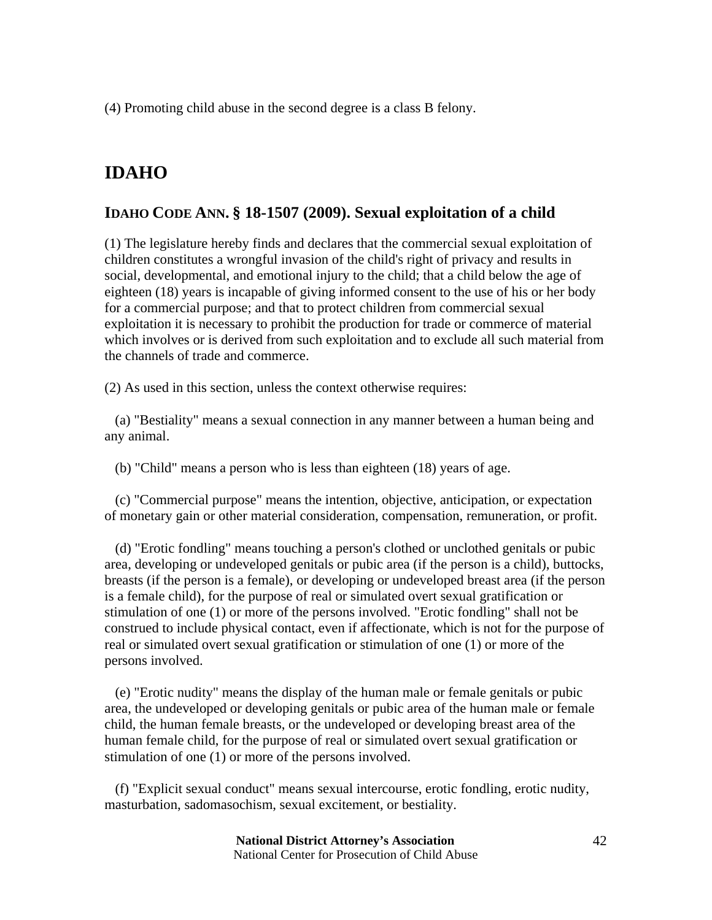(4) Promoting child abuse in the second degree is a class B felony.

# **IDAHO**

#### **IDAHO CODE ANN. § 18-1507 (2009). Sexual exploitation of a child**

(1) The legislature hereby finds and declares that the commercial sexual exploitation of children constitutes a wrongful invasion of the child's right of privacy and results in social, developmental, and emotional injury to the child; that a child below the age of eighteen (18) years is incapable of giving informed consent to the use of his or her body for a commercial purpose; and that to protect children from commercial sexual exploitation it is necessary to prohibit the production for trade or commerce of material which involves or is derived from such exploitation and to exclude all such material from the channels of trade and commerce.

(2) As used in this section, unless the context otherwise requires:

 (a) "Bestiality" means a sexual connection in any manner between a human being and any animal.

(b) "Child" means a person who is less than eighteen (18) years of age.

 (c) "Commercial purpose" means the intention, objective, anticipation, or expectation of monetary gain or other material consideration, compensation, remuneration, or profit.

 (d) "Erotic fondling" means touching a person's clothed or unclothed genitals or pubic area, developing or undeveloped genitals or pubic area (if the person is a child), buttocks, breasts (if the person is a female), or developing or undeveloped breast area (if the person is a female child), for the purpose of real or simulated overt sexual gratification or stimulation of one (1) or more of the persons involved. "Erotic fondling" shall not be construed to include physical contact, even if affectionate, which is not for the purpose of real or simulated overt sexual gratification or stimulation of one (1) or more of the persons involved.

 (e) "Erotic nudity" means the display of the human male or female genitals or pubic area, the undeveloped or developing genitals or pubic area of the human male or female child, the human female breasts, or the undeveloped or developing breast area of the human female child, for the purpose of real or simulated overt sexual gratification or stimulation of one (1) or more of the persons involved.

 (f) "Explicit sexual conduct" means sexual intercourse, erotic fondling, erotic nudity, masturbation, sadomasochism, sexual excitement, or bestiality.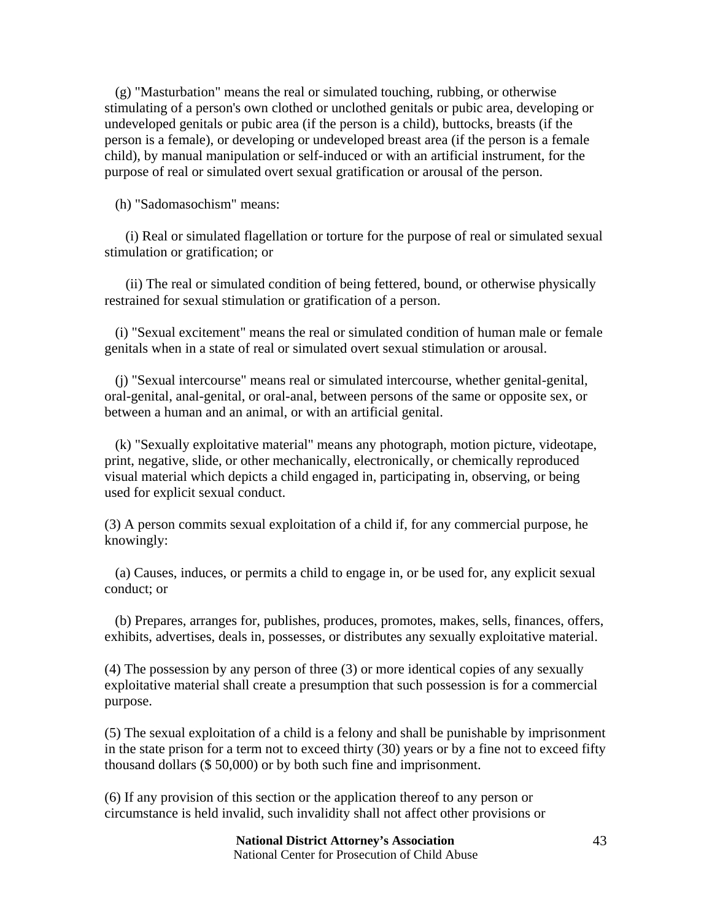(g) "Masturbation" means the real or simulated touching, rubbing, or otherwise stimulating of a person's own clothed or unclothed genitals or pubic area, developing or undeveloped genitals or pubic area (if the person is a child), buttocks, breasts (if the person is a female), or developing or undeveloped breast area (if the person is a female child), by manual manipulation or self-induced or with an artificial instrument, for the purpose of real or simulated overt sexual gratification or arousal of the person.

(h) "Sadomasochism" means:

 (i) Real or simulated flagellation or torture for the purpose of real or simulated sexual stimulation or gratification; or

 (ii) The real or simulated condition of being fettered, bound, or otherwise physically restrained for sexual stimulation or gratification of a person.

 (i) "Sexual excitement" means the real or simulated condition of human male or female genitals when in a state of real or simulated overt sexual stimulation or arousal.

 (j) "Sexual intercourse" means real or simulated intercourse, whether genital-genital, oral-genital, anal-genital, or oral-anal, between persons of the same or opposite sex, or between a human and an animal, or with an artificial genital.

 (k) "Sexually exploitative material" means any photograph, motion picture, videotape, print, negative, slide, or other mechanically, electronically, or chemically reproduced visual material which depicts a child engaged in, participating in, observing, or being used for explicit sexual conduct.

(3) A person commits sexual exploitation of a child if, for any commercial purpose, he knowingly:

 (a) Causes, induces, or permits a child to engage in, or be used for, any explicit sexual conduct; or

 (b) Prepares, arranges for, publishes, produces, promotes, makes, sells, finances, offers, exhibits, advertises, deals in, possesses, or distributes any sexually exploitative material.

(4) The possession by any person of three (3) or more identical copies of any sexually exploitative material shall create a presumption that such possession is for a commercial purpose.

(5) The sexual exploitation of a child is a felony and shall be punishable by imprisonment in the state prison for a term not to exceed thirty (30) years or by a fine not to exceed fifty thousand dollars (\$ 50,000) or by both such fine and imprisonment.

(6) If any provision of this section or the application thereof to any person or circumstance is held invalid, such invalidity shall not affect other provisions or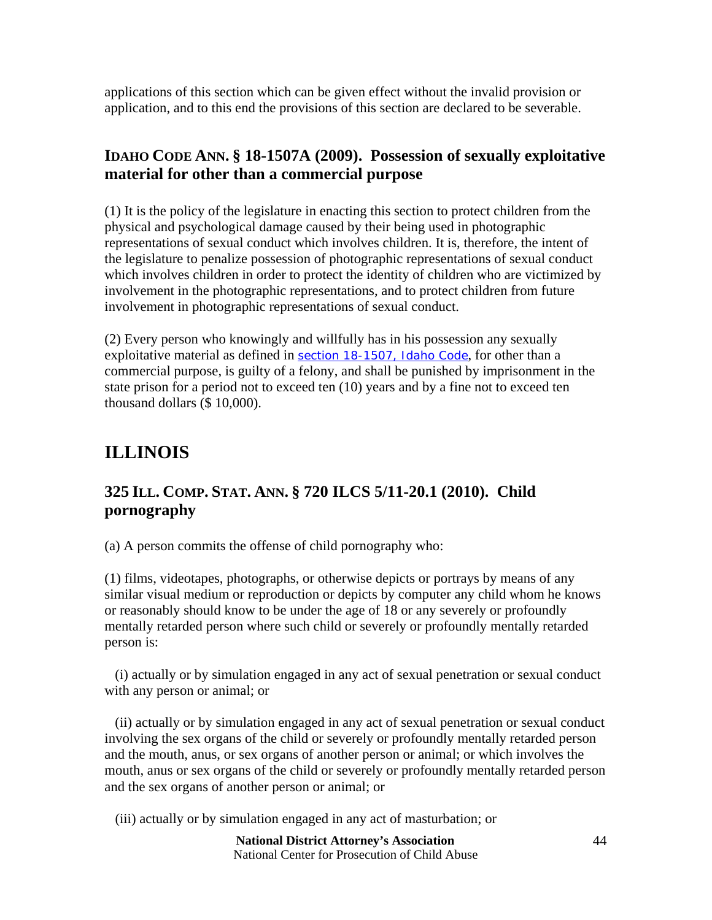applications of this section which can be given effect without the invalid provision or application, and to this end the provisions of this section are declared to be severable.

### **IDAHO CODE ANN. § 18-1507A (2009). Possession of sexually exploitative material for other than a commercial purpose**

(1) It is the policy of the legislature in enacting this section to protect children from the physical and psychological damage caused by their being used in photographic representations of sexual conduct which involves children. It is, therefore, the intent of the legislature to penalize possession of photographic representations of sexual conduct which involves children in order to protect the identity of children who are victimized by involvement in the photographic representations, and to protect children from future involvement in photographic representations of sexual conduct.

(2) Every person who knowingly and willfully has in his possession any sexually exploitative material as defined in section 18-1507, Idaho Code, for other than a commercial purpose, is guilty of a felony, and shall be punished by imprisonment in the state prison for a period not to exceed ten (10) years and by a fine not to exceed ten thousand dollars (\$ 10,000).

# **ILLINOIS**

# **325 ILL. COMP. STAT. ANN. § 720 ILCS 5/11-20.1 (2010). Child pornography**

(a) A person commits the offense of child pornography who:

(1) films, videotapes, photographs, or otherwise depicts or portrays by means of any similar visual medium or reproduction or depicts by computer any child whom he knows or reasonably should know to be under the age of 18 or any severely or profoundly mentally retarded person where such child or severely or profoundly mentally retarded person is:

 (i) actually or by simulation engaged in any act of sexual penetration or sexual conduct with any person or animal; or

 (ii) actually or by simulation engaged in any act of sexual penetration or sexual conduct involving the sex organs of the child or severely or profoundly mentally retarded person and the mouth, anus, or sex organs of another person or animal; or which involves the mouth, anus or sex organs of the child or severely or profoundly mentally retarded person and the sex organs of another person or animal; or

(iii) actually or by simulation engaged in any act of masturbation; or

**National District Attorney's Association**  National Center for Prosecution of Child Abuse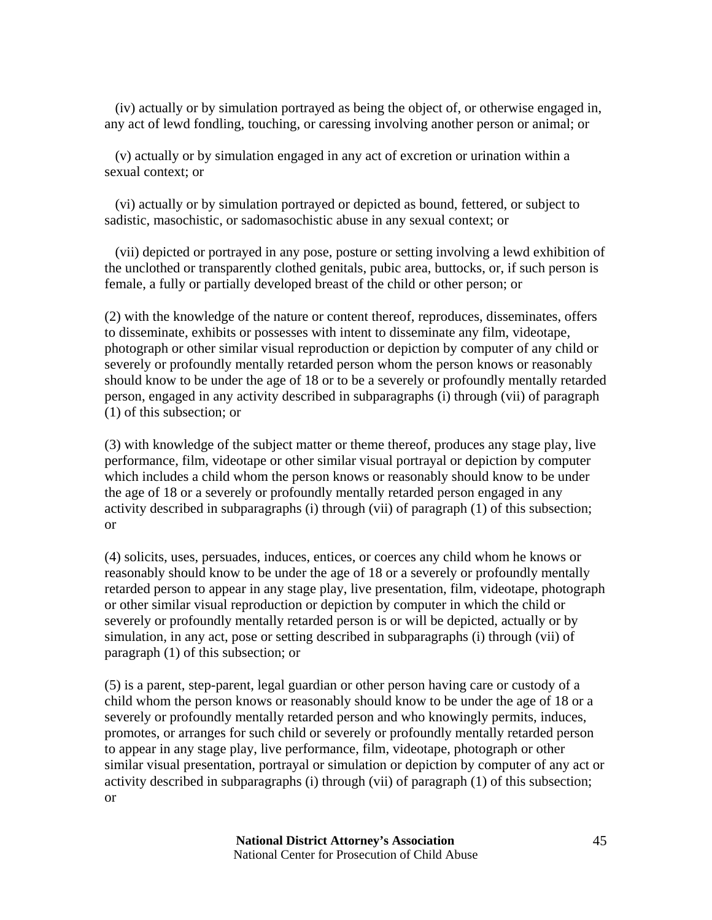(iv) actually or by simulation portrayed as being the object of, or otherwise engaged in, any act of lewd fondling, touching, or caressing involving another person or animal; or

 (v) actually or by simulation engaged in any act of excretion or urination within a sexual context; or

 (vi) actually or by simulation portrayed or depicted as bound, fettered, or subject to sadistic, masochistic, or sadomasochistic abuse in any sexual context; or

 (vii) depicted or portrayed in any pose, posture or setting involving a lewd exhibition of the unclothed or transparently clothed genitals, pubic area, buttocks, or, if such person is female, a fully or partially developed breast of the child or other person; or

(2) with the knowledge of the nature or content thereof, reproduces, disseminates, offers to disseminate, exhibits or possesses with intent to disseminate any film, videotape, photograph or other similar visual reproduction or depiction by computer of any child or severely or profoundly mentally retarded person whom the person knows or reasonably should know to be under the age of 18 or to be a severely or profoundly mentally retarded person, engaged in any activity described in subparagraphs (i) through (vii) of paragraph (1) of this subsection; or

(3) with knowledge of the subject matter or theme thereof, produces any stage play, live performance, film, videotape or other similar visual portrayal or depiction by computer which includes a child whom the person knows or reasonably should know to be under the age of 18 or a severely or profoundly mentally retarded person engaged in any activity described in subparagraphs (i) through (vii) of paragraph (1) of this subsection; or

(4) solicits, uses, persuades, induces, entices, or coerces any child whom he knows or reasonably should know to be under the age of 18 or a severely or profoundly mentally retarded person to appear in any stage play, live presentation, film, videotape, photograph or other similar visual reproduction or depiction by computer in which the child or severely or profoundly mentally retarded person is or will be depicted, actually or by simulation, in any act, pose or setting described in subparagraphs (i) through (vii) of paragraph (1) of this subsection; or

(5) is a parent, step-parent, legal guardian or other person having care or custody of a child whom the person knows or reasonably should know to be under the age of 18 or a severely or profoundly mentally retarded person and who knowingly permits, induces, promotes, or arranges for such child or severely or profoundly mentally retarded person to appear in any stage play, live performance, film, videotape, photograph or other similar visual presentation, portrayal or simulation or depiction by computer of any act or activity described in subparagraphs (i) through (vii) of paragraph (1) of this subsection; or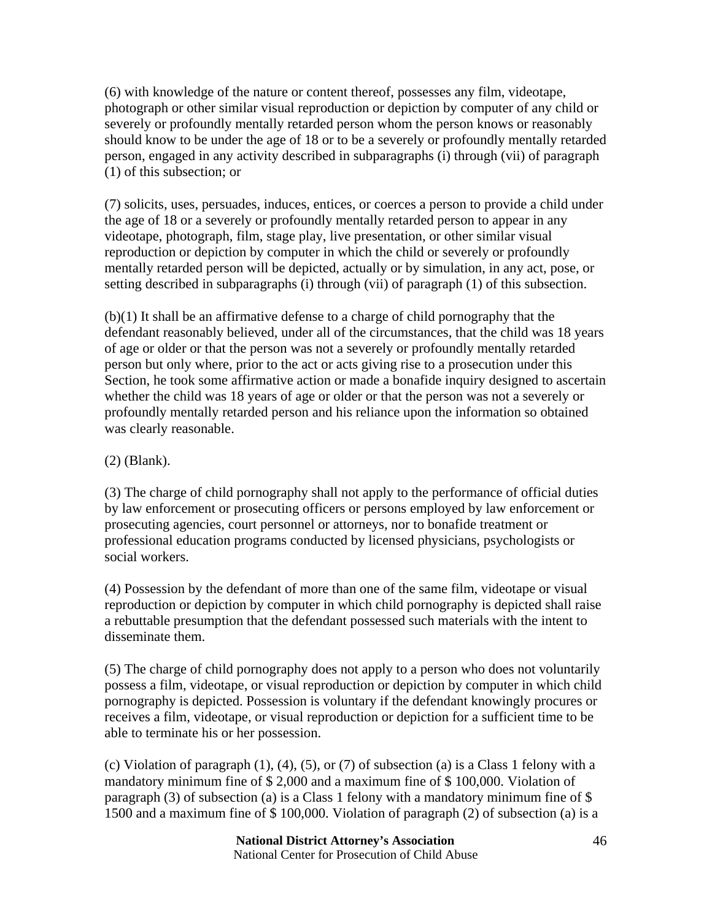(6) with knowledge of the nature or content thereof, possesses any film, videotape, photograph or other similar visual reproduction or depiction by computer of any child or severely or profoundly mentally retarded person whom the person knows or reasonably should know to be under the age of 18 or to be a severely or profoundly mentally retarded person, engaged in any activity described in subparagraphs (i) through (vii) of paragraph (1) of this subsection; or

(7) solicits, uses, persuades, induces, entices, or coerces a person to provide a child under the age of 18 or a severely or profoundly mentally retarded person to appear in any videotape, photograph, film, stage play, live presentation, or other similar visual reproduction or depiction by computer in which the child or severely or profoundly mentally retarded person will be depicted, actually or by simulation, in any act, pose, or setting described in subparagraphs (i) through (vii) of paragraph (1) of this subsection.

(b)(1) It shall be an affirmative defense to a charge of child pornography that the defendant reasonably believed, under all of the circumstances, that the child was 18 years of age or older or that the person was not a severely or profoundly mentally retarded person but only where, prior to the act or acts giving rise to a prosecution under this Section, he took some affirmative action or made a bonafide inquiry designed to ascertain whether the child was 18 years of age or older or that the person was not a severely or profoundly mentally retarded person and his reliance upon the information so obtained was clearly reasonable.

(2) (Blank).

(3) The charge of child pornography shall not apply to the performance of official duties by law enforcement or prosecuting officers or persons employed by law enforcement or prosecuting agencies, court personnel or attorneys, nor to bonafide treatment or professional education programs conducted by licensed physicians, psychologists or social workers.

(4) Possession by the defendant of more than one of the same film, videotape or visual reproduction or depiction by computer in which child pornography is depicted shall raise a rebuttable presumption that the defendant possessed such materials with the intent to disseminate them.

(5) The charge of child pornography does not apply to a person who does not voluntarily possess a film, videotape, or visual reproduction or depiction by computer in which child pornography is depicted. Possession is voluntary if the defendant knowingly procures or receives a film, videotape, or visual reproduction or depiction for a sufficient time to be able to terminate his or her possession.

(c) Violation of paragraph  $(1)$ ,  $(4)$ ,  $(5)$ , or  $(7)$  of subsection  $(a)$  is a Class 1 felony with a mandatory minimum fine of \$ 2,000 and a maximum fine of \$ 100,000. Violation of paragraph (3) of subsection (a) is a Class 1 felony with a mandatory minimum fine of \$ 1500 and a maximum fine of \$ 100,000. Violation of paragraph (2) of subsection (a) is a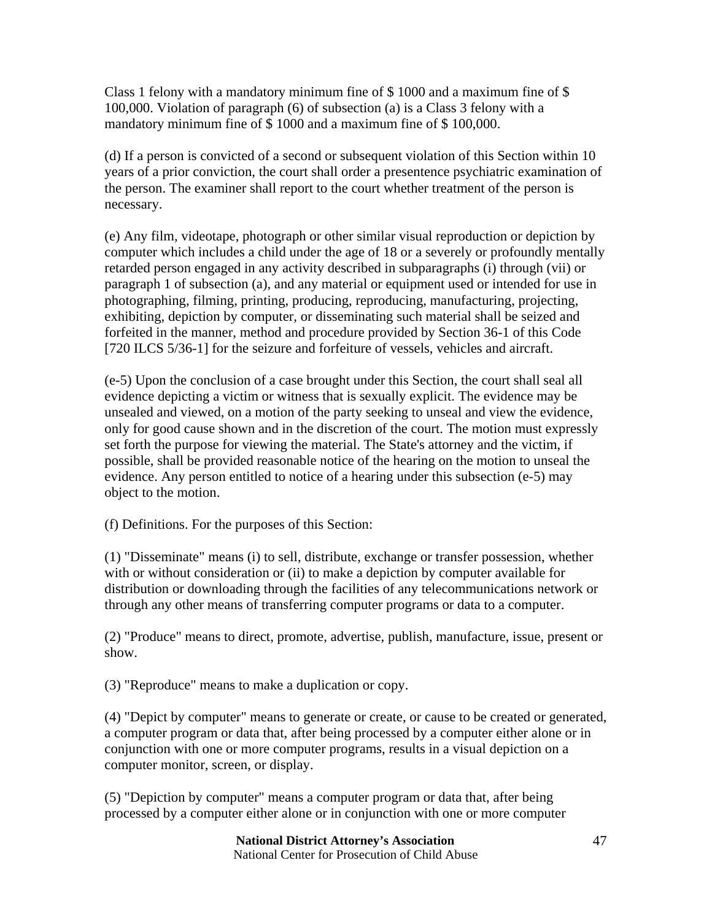Class 1 felony with a mandatory minimum fine of \$ 1000 and a maximum fine of \$ 100,000. Violation of paragraph (6) of subsection (a) is a Class 3 felony with a mandatory minimum fine of \$ 1000 and a maximum fine of \$ 100,000.

(d) If a person is convicted of a second or subsequent violation of this Section within 10 years of a prior conviction, the court shall order a presentence psychiatric examination of the person. The examiner shall report to the court whether treatment of the person is necessary.

(e) Any film, videotape, photograph or other similar visual reproduction or depiction by computer which includes a child under the age of 18 or a severely or profoundly mentally retarded person engaged in any activity described in subparagraphs (i) through (vii) or paragraph 1 of subsection (a), and any material or equipment used or intended for use in photographing, filming, printing, producing, reproducing, manufacturing, projecting, exhibiting, depiction by computer, or disseminating such material shall be seized and forfeited in the manner, method and procedure provided by Section 36-1 of this Code [720 ILCS 5/36-1] for the seizure and forfeiture of vessels, vehicles and aircraft.

(e-5) Upon the conclusion of a case brought under this Section, the court shall seal all evidence depicting a victim or witness that is sexually explicit. The evidence may be unsealed and viewed, on a motion of the party seeking to unseal and view the evidence, only for good cause shown and in the discretion of the court. The motion must expressly set forth the purpose for viewing the material. The State's attorney and the victim, if possible, shall be provided reasonable notice of the hearing on the motion to unseal the evidence. Any person entitled to notice of a hearing under this subsection (e-5) may object to the motion.

(f) Definitions. For the purposes of this Section:

(1) "Disseminate" means (i) to sell, distribute, exchange or transfer possession, whether with or without consideration or (ii) to make a depiction by computer available for distribution or downloading through the facilities of any telecommunications network or through any other means of transferring computer programs or data to a computer.

(2) "Produce" means to direct, promote, advertise, publish, manufacture, issue, present or show.

(3) "Reproduce" means to make a duplication or copy.

(4) "Depict by computer" means to generate or create, or cause to be created or generated, a computer program or data that, after being processed by a computer either alone or in conjunction with one or more computer programs, results in a visual depiction on a computer monitor, screen, or display.

(5) "Depiction by computer" means a computer program or data that, after being processed by a computer either alone or in conjunction with one or more computer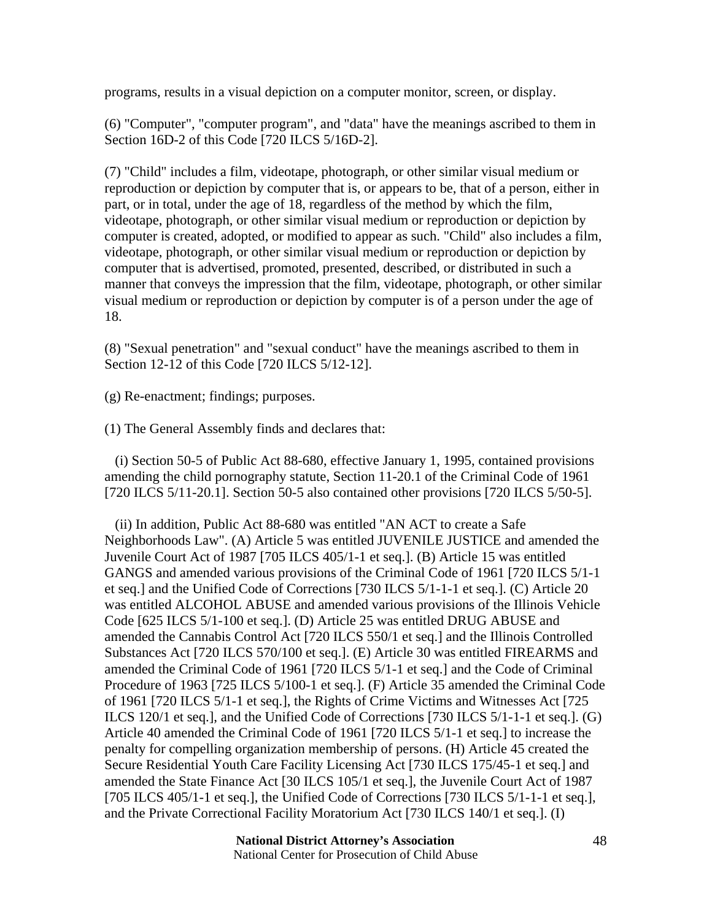programs, results in a visual depiction on a computer monitor, screen, or display.

(6) "Computer", "computer program", and "data" have the meanings ascribed to them in Section 16D-2 of this Code [720 ILCS 5/16D-2].

(7) "Child" includes a film, videotape, photograph, or other similar visual medium or reproduction or depiction by computer that is, or appears to be, that of a person, either in part, or in total, under the age of 18, regardless of the method by which the film, videotape, photograph, or other similar visual medium or reproduction or depiction by computer is created, adopted, or modified to appear as such. "Child" also includes a film, videotape, photograph, or other similar visual medium or reproduction or depiction by computer that is advertised, promoted, presented, described, or distributed in such a manner that conveys the impression that the film, videotape, photograph, or other similar visual medium or reproduction or depiction by computer is of a person under the age of 18.

(8) "Sexual penetration" and "sexual conduct" have the meanings ascribed to them in Section 12-12 of this Code [720 ILCS 5/12-12].

(g) Re-enactment; findings; purposes.

(1) The General Assembly finds and declares that:

 (i) Section 50-5 of Public Act 88-680, effective January 1, 1995, contained provisions amending the child pornography statute, Section 11-20.1 of the Criminal Code of 1961 [720 ILCS 5/11-20.1]. Section 50-5 also contained other provisions [720 ILCS 5/50-5].

 (ii) In addition, Public Act 88-680 was entitled "AN ACT to create a Safe Neighborhoods Law". (A) Article 5 was entitled JUVENILE JUSTICE and amended the Juvenile Court Act of 1987 [705 ILCS 405/1-1 et seq.]. (B) Article 15 was entitled GANGS and amended various provisions of the Criminal Code of 1961 [720 ILCS 5/1-1 et seq.] and the Unified Code of Corrections [730 ILCS 5/1-1-1 et seq.]. (C) Article 20 was entitled ALCOHOL ABUSE and amended various provisions of the Illinois Vehicle Code [625 ILCS 5/1-100 et seq.]. (D) Article 25 was entitled DRUG ABUSE and amended the Cannabis Control Act [720 ILCS 550/1 et seq.] and the Illinois Controlled Substances Act [720 ILCS 570/100 et seq.]. (E) Article 30 was entitled FIREARMS and amended the Criminal Code of 1961 [720 ILCS 5/1-1 et seq.] and the Code of Criminal Procedure of 1963 [725 ILCS 5/100-1 et seq.]. (F) Article 35 amended the Criminal Code of 1961 [720 ILCS 5/1-1 et seq.], the Rights of Crime Victims and Witnesses Act [725 ILCS 120/1 et seq.], and the Unified Code of Corrections [730 ILCS 5/1-1-1 et seq.]. (G) Article 40 amended the Criminal Code of 1961 [720 ILCS 5/1-1 et seq.] to increase the penalty for compelling organization membership of persons. (H) Article 45 created the Secure Residential Youth Care Facility Licensing Act [730 ILCS 175/45-1 et seq.] and amended the State Finance Act [30 ILCS 105/1 et seq.], the Juvenile Court Act of 1987 [705 ILCS 405/1-1 et seq.], the Unified Code of Corrections [730 ILCS 5/1-1-1 et seq.], and the Private Correctional Facility Moratorium Act [730 ILCS 140/1 et seq.]. (I)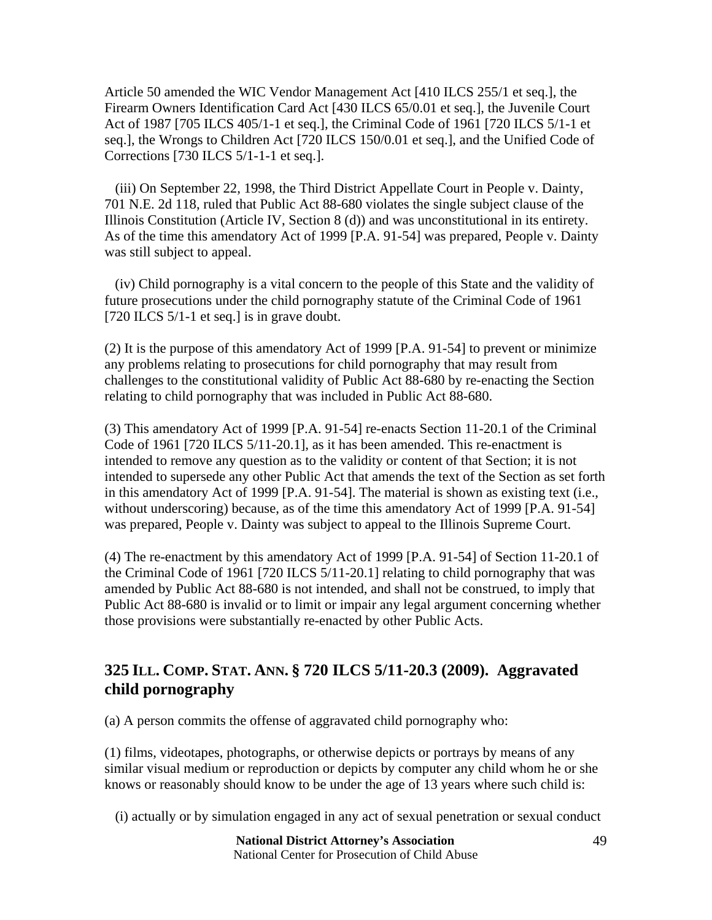Article 50 amended the WIC Vendor Management Act [410 ILCS 255/1 et seq.], the Firearm Owners Identification Card Act [430 ILCS 65/0.01 et seq.], the Juvenile Court Act of 1987 [705 ILCS 405/1-1 et seq.], the Criminal Code of 1961 [720 ILCS 5/1-1 et seq.], the Wrongs to Children Act [720 ILCS 150/0.01 et seq.], and the Unified Code of Corrections [730 ILCS 5/1-1-1 et seq.].

 (iii) On September 22, 1998, the Third District Appellate Court in People v. Dainty, 701 N.E. 2d 118, ruled that Public Act 88-680 violates the single subject clause of the Illinois Constitution (Article IV, Section 8 (d)) and was unconstitutional in its entirety. As of the time this amendatory Act of 1999 [P.A. 91-54] was prepared, People v. Dainty was still subject to appeal.

 (iv) Child pornography is a vital concern to the people of this State and the validity of future prosecutions under the child pornography statute of the Criminal Code of 1961 [720 ILCS 5/1-1 et seq.] is in grave doubt.

(2) It is the purpose of this amendatory Act of 1999 [P.A. 91-54] to prevent or minimize any problems relating to prosecutions for child pornography that may result from challenges to the constitutional validity of Public Act 88-680 by re-enacting the Section relating to child pornography that was included in Public Act 88-680.

(3) This amendatory Act of 1999 [P.A. 91-54] re-enacts Section 11-20.1 of the Criminal Code of 1961 [720 ILCS 5/11-20.1], as it has been amended. This re-enactment is intended to remove any question as to the validity or content of that Section; it is not intended to supersede any other Public Act that amends the text of the Section as set forth in this amendatory Act of 1999 [P.A. 91-54]. The material is shown as existing text (i.e., without underscoring) because, as of the time this amendatory Act of 1999 [P.A. 91-54] was prepared, People v. Dainty was subject to appeal to the Illinois Supreme Court.

(4) The re-enactment by this amendatory Act of 1999 [P.A. 91-54] of Section 11-20.1 of the Criminal Code of 1961 [720 ILCS 5/11-20.1] relating to child pornography that was amended by Public Act 88-680 is not intended, and shall not be construed, to imply that Public Act 88-680 is invalid or to limit or impair any legal argument concerning whether those provisions were substantially re-enacted by other Public Acts.

#### **325 ILL. COMP. STAT. ANN. § 720 ILCS 5/11-20.3 (2009). Aggravated child pornography**

(a) A person commits the offense of aggravated child pornography who:

(1) films, videotapes, photographs, or otherwise depicts or portrays by means of any similar visual medium or reproduction or depicts by computer any child whom he or she knows or reasonably should know to be under the age of 13 years where such child is:

(i) actually or by simulation engaged in any act of sexual penetration or sexual conduct

**National District Attorney's Association**  National Center for Prosecution of Child Abuse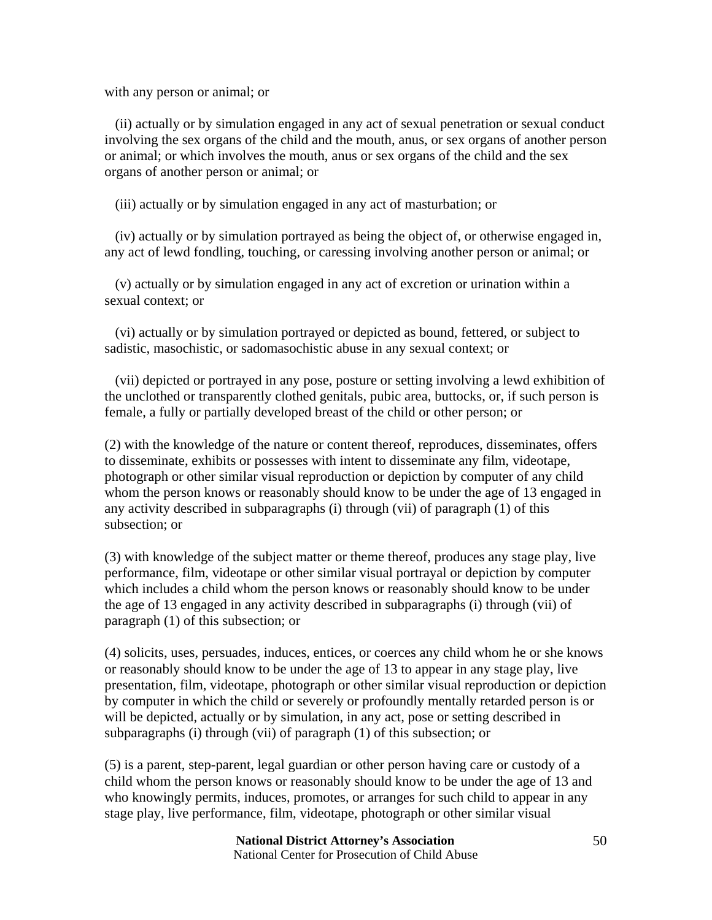with any person or animal; or

 (ii) actually or by simulation engaged in any act of sexual penetration or sexual conduct involving the sex organs of the child and the mouth, anus, or sex organs of another person or animal; or which involves the mouth, anus or sex organs of the child and the sex organs of another person or animal; or

(iii) actually or by simulation engaged in any act of masturbation; or

 (iv) actually or by simulation portrayed as being the object of, or otherwise engaged in, any act of lewd fondling, touching, or caressing involving another person or animal; or

 (v) actually or by simulation engaged in any act of excretion or urination within a sexual context; or

 (vi) actually or by simulation portrayed or depicted as bound, fettered, or subject to sadistic, masochistic, or sadomasochistic abuse in any sexual context; or

 (vii) depicted or portrayed in any pose, posture or setting involving a lewd exhibition of the unclothed or transparently clothed genitals, pubic area, buttocks, or, if such person is female, a fully or partially developed breast of the child or other person; or

(2) with the knowledge of the nature or content thereof, reproduces, disseminates, offers to disseminate, exhibits or possesses with intent to disseminate any film, videotape, photograph or other similar visual reproduction or depiction by computer of any child whom the person knows or reasonably should know to be under the age of 13 engaged in any activity described in subparagraphs (i) through (vii) of paragraph (1) of this subsection; or

(3) with knowledge of the subject matter or theme thereof, produces any stage play, live performance, film, videotape or other similar visual portrayal or depiction by computer which includes a child whom the person knows or reasonably should know to be under the age of 13 engaged in any activity described in subparagraphs (i) through (vii) of paragraph (1) of this subsection; or

(4) solicits, uses, persuades, induces, entices, or coerces any child whom he or she knows or reasonably should know to be under the age of 13 to appear in any stage play, live presentation, film, videotape, photograph or other similar visual reproduction or depiction by computer in which the child or severely or profoundly mentally retarded person is or will be depicted, actually or by simulation, in any act, pose or setting described in subparagraphs (i) through (vii) of paragraph (1) of this subsection; or

(5) is a parent, step-parent, legal guardian or other person having care or custody of a child whom the person knows or reasonably should know to be under the age of 13 and who knowingly permits, induces, promotes, or arranges for such child to appear in any stage play, live performance, film, videotape, photograph or other similar visual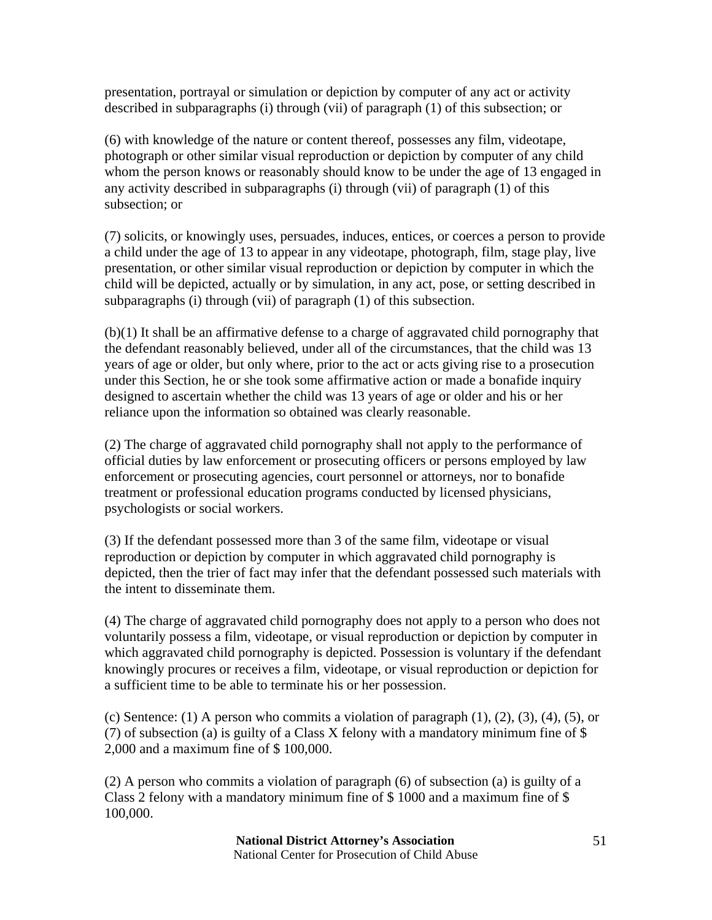presentation, portrayal or simulation or depiction by computer of any act or activity described in subparagraphs (i) through (vii) of paragraph (1) of this subsection; or

(6) with knowledge of the nature or content thereof, possesses any film, videotape, photograph or other similar visual reproduction or depiction by computer of any child whom the person knows or reasonably should know to be under the age of 13 engaged in any activity described in subparagraphs (i) through (vii) of paragraph (1) of this subsection; or

(7) solicits, or knowingly uses, persuades, induces, entices, or coerces a person to provide a child under the age of 13 to appear in any videotape, photograph, film, stage play, live presentation, or other similar visual reproduction or depiction by computer in which the child will be depicted, actually or by simulation, in any act, pose, or setting described in subparagraphs (i) through (vii) of paragraph (1) of this subsection.

(b)(1) It shall be an affirmative defense to a charge of aggravated child pornography that the defendant reasonably believed, under all of the circumstances, that the child was 13 years of age or older, but only where, prior to the act or acts giving rise to a prosecution under this Section, he or she took some affirmative action or made a bonafide inquiry designed to ascertain whether the child was 13 years of age or older and his or her reliance upon the information so obtained was clearly reasonable.

(2) The charge of aggravated child pornography shall not apply to the performance of official duties by law enforcement or prosecuting officers or persons employed by law enforcement or prosecuting agencies, court personnel or attorneys, nor to bonafide treatment or professional education programs conducted by licensed physicians, psychologists or social workers.

(3) If the defendant possessed more than 3 of the same film, videotape or visual reproduction or depiction by computer in which aggravated child pornography is depicted, then the trier of fact may infer that the defendant possessed such materials with the intent to disseminate them.

(4) The charge of aggravated child pornography does not apply to a person who does not voluntarily possess a film, videotape, or visual reproduction or depiction by computer in which aggravated child pornography is depicted. Possession is voluntary if the defendant knowingly procures or receives a film, videotape, or visual reproduction or depiction for a sufficient time to be able to terminate his or her possession.

(c) Sentence: (1) A person who commits a violation of paragraph  $(1)$ ,  $(2)$ ,  $(3)$ ,  $(4)$ ,  $(5)$ , or (7) of subsection (a) is guilty of a Class X felony with a mandatory minimum fine of \$ 2,000 and a maximum fine of \$ 100,000.

(2) A person who commits a violation of paragraph (6) of subsection (a) is guilty of a Class 2 felony with a mandatory minimum fine of \$ 1000 and a maximum fine of \$ 100,000.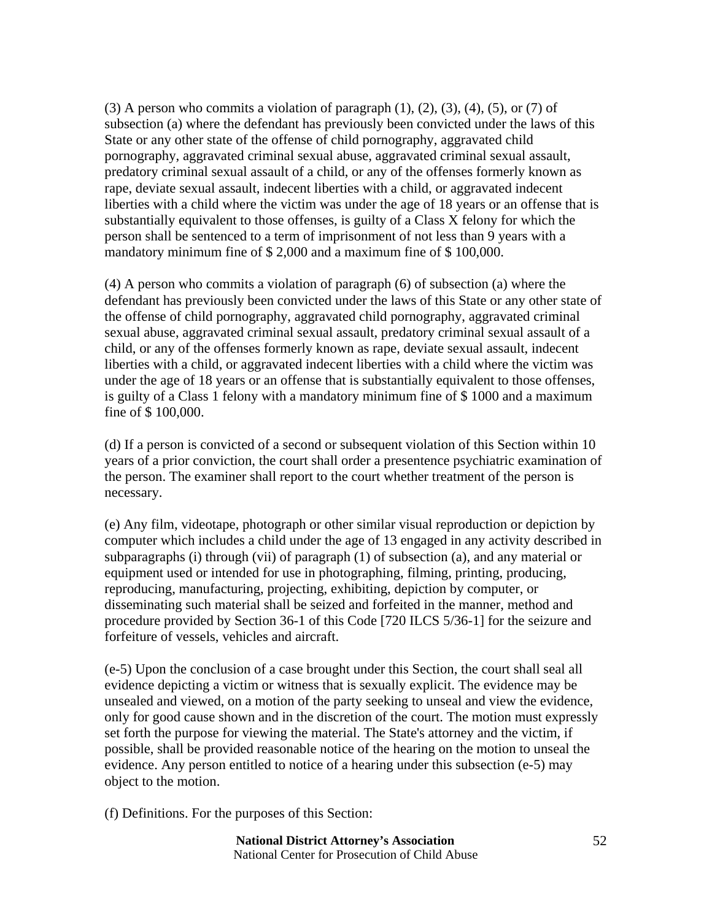$(3)$  A person who commits a violation of paragraph  $(1)$ ,  $(2)$ ,  $(3)$ ,  $(4)$ ,  $(5)$ , or  $(7)$  of subsection (a) where the defendant has previously been convicted under the laws of this State or any other state of the offense of child pornography, aggravated child pornography, aggravated criminal sexual abuse, aggravated criminal sexual assault, predatory criminal sexual assault of a child, or any of the offenses formerly known as rape, deviate sexual assault, indecent liberties with a child, or aggravated indecent liberties with a child where the victim was under the age of 18 years or an offense that is substantially equivalent to those offenses, is guilty of a Class X felony for which the person shall be sentenced to a term of imprisonment of not less than 9 years with a mandatory minimum fine of \$ 2,000 and a maximum fine of \$ 100,000.

(4) A person who commits a violation of paragraph (6) of subsection (a) where the defendant has previously been convicted under the laws of this State or any other state of the offense of child pornography, aggravated child pornography, aggravated criminal sexual abuse, aggravated criminal sexual assault, predatory criminal sexual assault of a child, or any of the offenses formerly known as rape, deviate sexual assault, indecent liberties with a child, or aggravated indecent liberties with a child where the victim was under the age of 18 years or an offense that is substantially equivalent to those offenses, is guilty of a Class 1 felony with a mandatory minimum fine of \$ 1000 and a maximum fine of \$ 100,000.

(d) If a person is convicted of a second or subsequent violation of this Section within 10 years of a prior conviction, the court shall order a presentence psychiatric examination of the person. The examiner shall report to the court whether treatment of the person is necessary.

(e) Any film, videotape, photograph or other similar visual reproduction or depiction by computer which includes a child under the age of 13 engaged in any activity described in subparagraphs (i) through (vii) of paragraph (1) of subsection (a), and any material or equipment used or intended for use in photographing, filming, printing, producing, reproducing, manufacturing, projecting, exhibiting, depiction by computer, or disseminating such material shall be seized and forfeited in the manner, method and procedure provided by Section 36-1 of this Code [720 ILCS 5/36-1] for the seizure and forfeiture of vessels, vehicles and aircraft.

(e-5) Upon the conclusion of a case brought under this Section, the court shall seal all evidence depicting a victim or witness that is sexually explicit. The evidence may be unsealed and viewed, on a motion of the party seeking to unseal and view the evidence, only for good cause shown and in the discretion of the court. The motion must expressly set forth the purpose for viewing the material. The State's attorney and the victim, if possible, shall be provided reasonable notice of the hearing on the motion to unseal the evidence. Any person entitled to notice of a hearing under this subsection (e-5) may object to the motion.

(f) Definitions. For the purposes of this Section: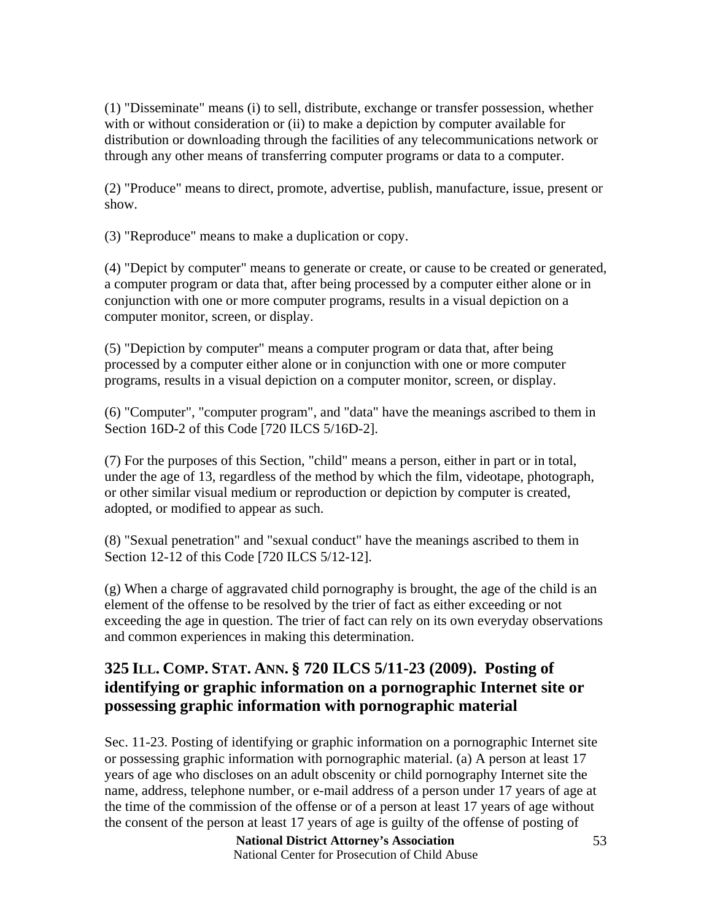(1) "Disseminate" means (i) to sell, distribute, exchange or transfer possession, whether with or without consideration or (ii) to make a depiction by computer available for distribution or downloading through the facilities of any telecommunications network or through any other means of transferring computer programs or data to a computer.

(2) "Produce" means to direct, promote, advertise, publish, manufacture, issue, present or show.

(3) "Reproduce" means to make a duplication or copy.

(4) "Depict by computer" means to generate or create, or cause to be created or generated, a computer program or data that, after being processed by a computer either alone or in conjunction with one or more computer programs, results in a visual depiction on a computer monitor, screen, or display.

(5) "Depiction by computer" means a computer program or data that, after being processed by a computer either alone or in conjunction with one or more computer programs, results in a visual depiction on a computer monitor, screen, or display.

(6) "Computer", "computer program", and "data" have the meanings ascribed to them in Section 16D-2 of this Code [720 ILCS 5/16D-2].

(7) For the purposes of this Section, "child" means a person, either in part or in total, under the age of 13, regardless of the method by which the film, videotape, photograph, or other similar visual medium or reproduction or depiction by computer is created, adopted, or modified to appear as such.

(8) "Sexual penetration" and "sexual conduct" have the meanings ascribed to them in Section 12-12 of this Code [720 ILCS 5/12-12].

(g) When a charge of aggravated child pornography is brought, the age of the child is an element of the offense to be resolved by the trier of fact as either exceeding or not exceeding the age in question. The trier of fact can rely on its own everyday observations and common experiences in making this determination.

### **325 ILL. COMP. STAT. ANN. § 720 ILCS 5/11-23 (2009). Posting of identifying or graphic information on a pornographic Internet site or possessing graphic information with pornographic material**

Sec. 11-23. Posting of identifying or graphic information on a pornographic Internet site or possessing graphic information with pornographic material. (a) A person at least 17 years of age who discloses on an adult obscenity or child pornography Internet site the name, address, telephone number, or e-mail address of a person under 17 years of age at the time of the commission of the offense or of a person at least 17 years of age without the consent of the person at least 17 years of age is guilty of the offense of posting of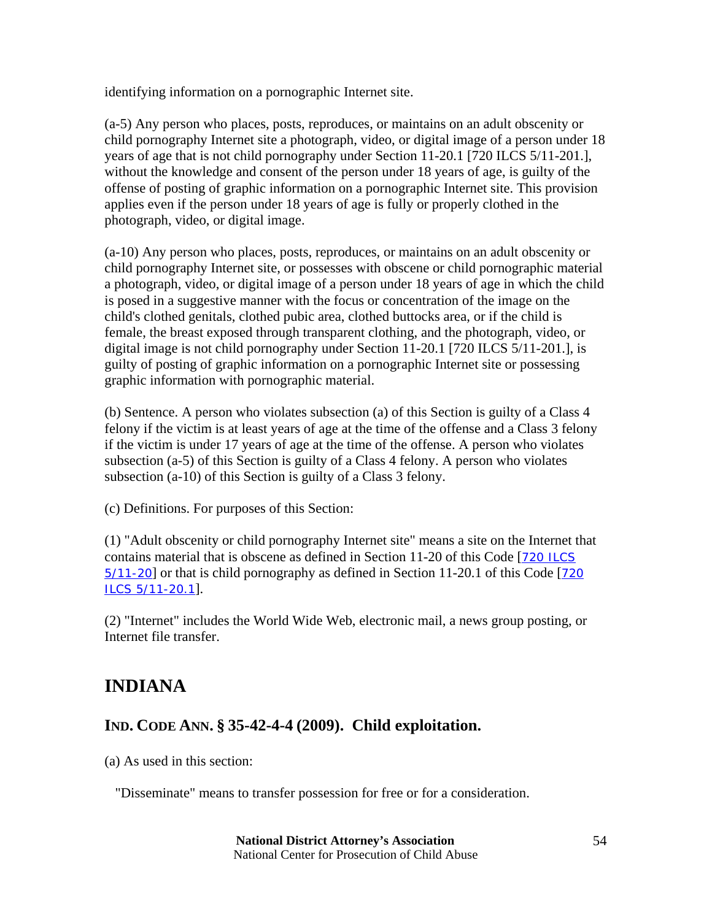identifying information on a pornographic Internet site.

(a-5) Any person who places, posts, reproduces, or maintains on an adult obscenity or child pornography Internet site a photograph, video, or digital image of a person under 18 years of age that is not child pornography under Section 11-20.1 [720 ILCS 5/11-201.], without the knowledge and consent of the person under 18 years of age, is guilty of the offense of posting of graphic information on a pornographic Internet site. This provision applies even if the person under 18 years of age is fully or properly clothed in the photograph, video, or digital image.

(a-10) Any person who places, posts, reproduces, or maintains on an adult obscenity or child pornography Internet site, or possesses with obscene or child pornographic material a photograph, video, or digital image of a person under 18 years of age in which the child is posed in a suggestive manner with the focus or concentration of the image on the child's clothed genitals, clothed pubic area, clothed buttocks area, or if the child is female, the breast exposed through transparent clothing, and the photograph, video, or digital image is not child pornography under Section 11-20.1 [720 ILCS 5/11-201.], is guilty of posting of graphic information on a pornographic Internet site or possessing graphic information with pornographic material.

(b) Sentence. A person who violates subsection (a) of this Section is guilty of a Class 4 felony if the victim is at least years of age at the time of the offense and a Class 3 felony if the victim is under 17 years of age at the time of the offense. A person who violates subsection (a-5) of this Section is guilty of a Class 4 felony. A person who violates subsection (a-10) of this Section is guilty of a Class 3 felony.

(c) Definitions. For purposes of this Section:

(1) "Adult obscenity or child pornography Internet site" means a site on the Internet that contains material that is obscene as defined in Section 11-20 of this Code [720 ILCS 5/11-20] or that is child pornography as defined in Section 11-20.1 of this Code [720 ILCS 5/11-20.1].

(2) "Internet" includes the World Wide Web, electronic mail, a news group posting, or Internet file transfer.

# **INDIANA**

# **IND. CODE ANN. § 35-42-4-4 (2009). Child exploitation.**

(a) As used in this section:

"Disseminate" means to transfer possession for free or for a consideration.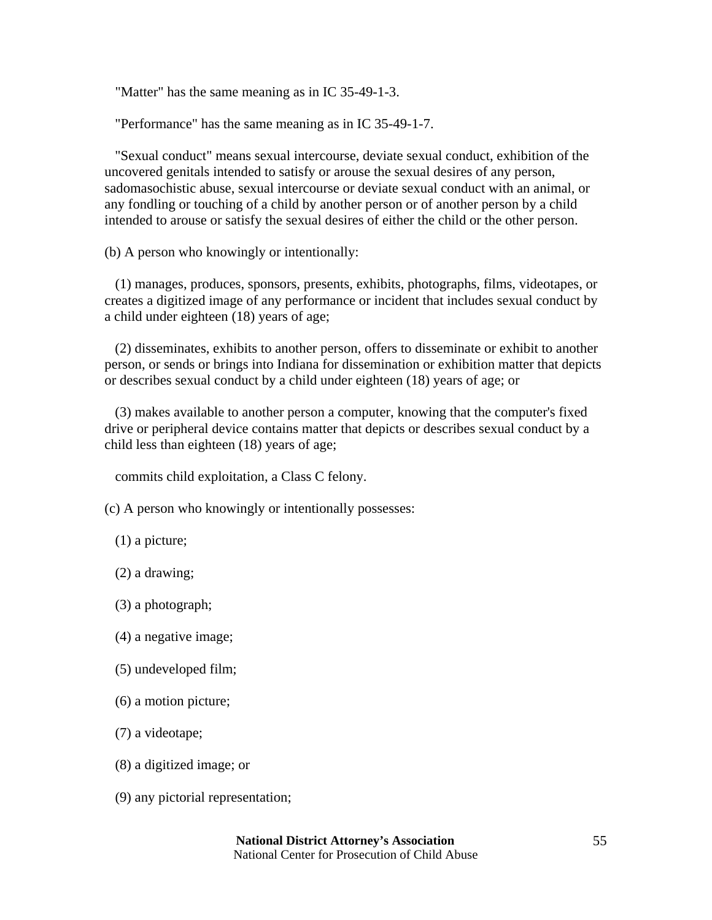"Matter" has the same meaning as in IC 35-49-1-3.

"Performance" has the same meaning as in IC 35-49-1-7.

 "Sexual conduct" means sexual intercourse, deviate sexual conduct, exhibition of the uncovered genitals intended to satisfy or arouse the sexual desires of any person, sadomasochistic abuse, sexual intercourse or deviate sexual conduct with an animal, or any fondling or touching of a child by another person or of another person by a child intended to arouse or satisfy the sexual desires of either the child or the other person.

(b) A person who knowingly or intentionally:

 (1) manages, produces, sponsors, presents, exhibits, photographs, films, videotapes, or creates a digitized image of any performance or incident that includes sexual conduct by a child under eighteen (18) years of age;

 (2) disseminates, exhibits to another person, offers to disseminate or exhibit to another person, or sends or brings into Indiana for dissemination or exhibition matter that depicts or describes sexual conduct by a child under eighteen (18) years of age; or

 (3) makes available to another person a computer, knowing that the computer's fixed drive or peripheral device contains matter that depicts or describes sexual conduct by a child less than eighteen (18) years of age;

commits child exploitation, a Class C felony.

(c) A person who knowingly or intentionally possesses:

- (1) a picture;
- (2) a drawing;
- (3) a photograph;
- (4) a negative image;
- (5) undeveloped film;
- (6) a motion picture;
- (7) a videotape;
- (8) a digitized image; or
- (9) any pictorial representation;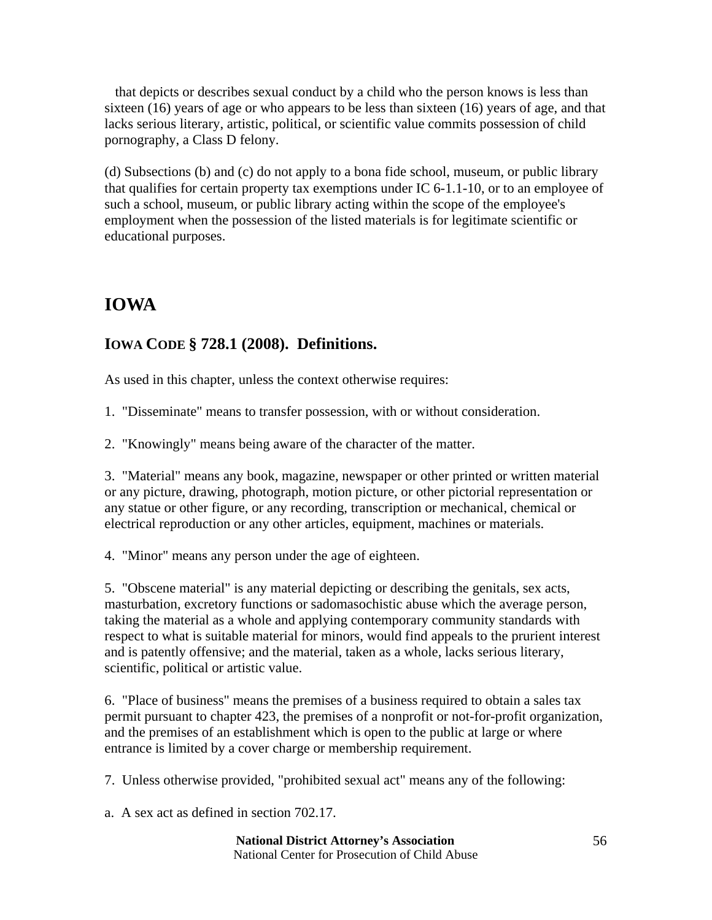that depicts or describes sexual conduct by a child who the person knows is less than sixteen (16) years of age or who appears to be less than sixteen (16) years of age, and that lacks serious literary, artistic, political, or scientific value commits possession of child pornography, a Class D felony.

(d) Subsections (b) and (c) do not apply to a bona fide school, museum, or public library that qualifies for certain property tax exemptions under IC 6-1.1-10, or to an employee of such a school, museum, or public library acting within the scope of the employee's employment when the possession of the listed materials is for legitimate scientific or educational purposes.

# **IOWA**

# **IOWA CODE § 728.1 (2008). Definitions.**

As used in this chapter, unless the context otherwise requires:

1. "Disseminate" means to transfer possession, with or without consideration.

2. "Knowingly" means being aware of the character of the matter.

3. "Material" means any book, magazine, newspaper or other printed or written material or any picture, drawing, photograph, motion picture, or other pictorial representation or any statue or other figure, or any recording, transcription or mechanical, chemical or electrical reproduction or any other articles, equipment, machines or materials.

4. "Minor" means any person under the age of eighteen.

5. "Obscene material" is any material depicting or describing the genitals, sex acts, masturbation, excretory functions or sadomasochistic abuse which the average person, taking the material as a whole and applying contemporary community standards with respect to what is suitable material for minors, would find appeals to the prurient interest and is patently offensive; and the material, taken as a whole, lacks serious literary, scientific, political or artistic value.

6. "Place of business" means the premises of a business required to obtain a sales tax permit pursuant to chapter 423, the premises of a nonprofit or not-for-profit organization, and the premises of an establishment which is open to the public at large or where entrance is limited by a cover charge or membership requirement.

7. Unless otherwise provided, "prohibited sexual act" means any of the following:

a. A sex act as defined in section 702.17.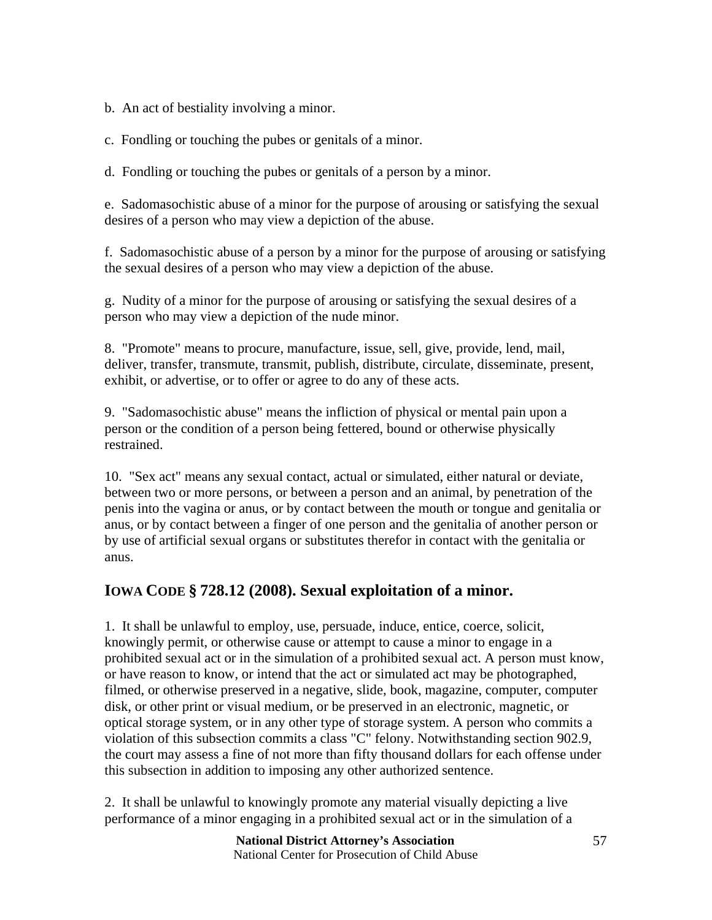b. An act of bestiality involving a minor.

c. Fondling or touching the pubes or genitals of a minor.

d. Fondling or touching the pubes or genitals of a person by a minor.

e. Sadomasochistic abuse of a minor for the purpose of arousing or satisfying the sexual desires of a person who may view a depiction of the abuse.

f. Sadomasochistic abuse of a person by a minor for the purpose of arousing or satisfying the sexual desires of a person who may view a depiction of the abuse.

g. Nudity of a minor for the purpose of arousing or satisfying the sexual desires of a person who may view a depiction of the nude minor.

8. "Promote" means to procure, manufacture, issue, sell, give, provide, lend, mail, deliver, transfer, transmute, transmit, publish, distribute, circulate, disseminate, present, exhibit, or advertise, or to offer or agree to do any of these acts.

9. "Sadomasochistic abuse" means the infliction of physical or mental pain upon a person or the condition of a person being fettered, bound or otherwise physically restrained.

10. "Sex act" means any sexual contact, actual or simulated, either natural or deviate, between two or more persons, or between a person and an animal, by penetration of the penis into the vagina or anus, or by contact between the mouth or tongue and genitalia or anus, or by contact between a finger of one person and the genitalia of another person or by use of artificial sexual organs or substitutes therefor in contact with the genitalia or anus.

#### **IOWA CODE § 728.12 (2008). Sexual exploitation of a minor.**

1. It shall be unlawful to employ, use, persuade, induce, entice, coerce, solicit, knowingly permit, or otherwise cause or attempt to cause a minor to engage in a prohibited sexual act or in the simulation of a prohibited sexual act. A person must know, or have reason to know, or intend that the act or simulated act may be photographed, filmed, or otherwise preserved in a negative, slide, book, magazine, computer, computer disk, or other print or visual medium, or be preserved in an electronic, magnetic, or optical storage system, or in any other type of storage system. A person who commits a violation of this subsection commits a class "C" felony. Notwithstanding section 902.9, the court may assess a fine of not more than fifty thousand dollars for each offense under this subsection in addition to imposing any other authorized sentence.

2. It shall be unlawful to knowingly promote any material visually depicting a live performance of a minor engaging in a prohibited sexual act or in the simulation of a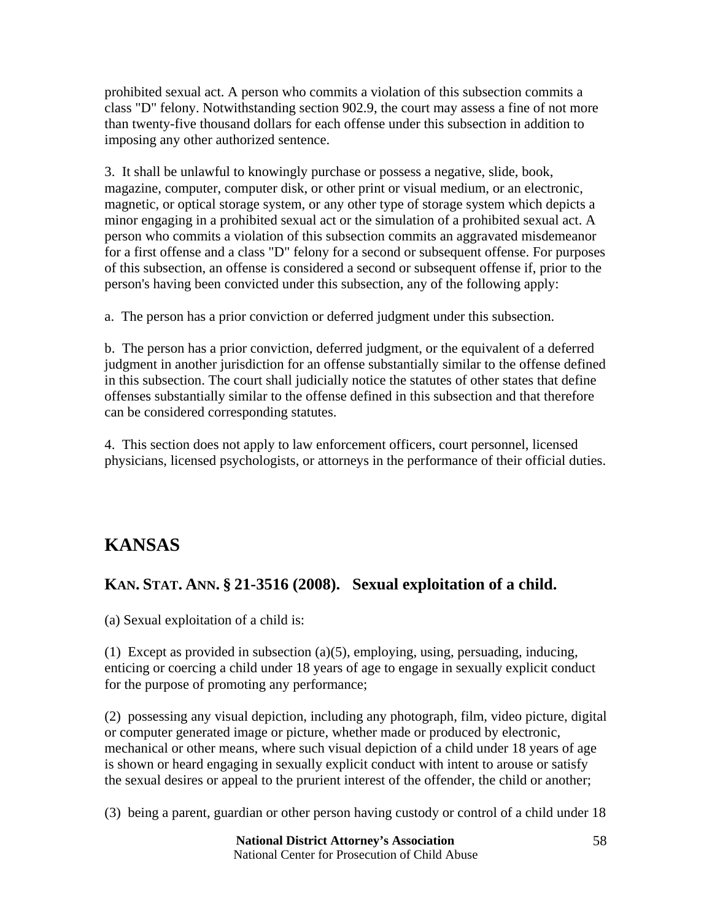prohibited sexual act. A person who commits a violation of this subsection commits a class "D" felony. Notwithstanding section 902.9, the court may assess a fine of not more than twenty-five thousand dollars for each offense under this subsection in addition to imposing any other authorized sentence.

3. It shall be unlawful to knowingly purchase or possess a negative, slide, book, magazine, computer, computer disk, or other print or visual medium, or an electronic, magnetic, or optical storage system, or any other type of storage system which depicts a minor engaging in a prohibited sexual act or the simulation of a prohibited sexual act. A person who commits a violation of this subsection commits an aggravated misdemeanor for a first offense and a class "D" felony for a second or subsequent offense. For purposes of this subsection, an offense is considered a second or subsequent offense if, prior to the person's having been convicted under this subsection, any of the following apply:

a. The person has a prior conviction or deferred judgment under this subsection.

b. The person has a prior conviction, deferred judgment, or the equivalent of a deferred judgment in another jurisdiction for an offense substantially similar to the offense defined in this subsection. The court shall judicially notice the statutes of other states that define offenses substantially similar to the offense defined in this subsection and that therefore can be considered corresponding statutes.

4. This section does not apply to law enforcement officers, court personnel, licensed physicians, licensed psychologists, or attorneys in the performance of their official duties.

# **KANSAS**

# **KAN. STAT. ANN. § 21-3516 (2008). Sexual exploitation of a child.**

(a) Sexual exploitation of a child is:

(1) Except as provided in subsection (a)(5), employing, using, persuading, inducing, enticing or coercing a child under 18 years of age to engage in sexually explicit conduct for the purpose of promoting any performance;

(2) possessing any visual depiction, including any photograph, film, video picture, digital or computer generated image or picture, whether made or produced by electronic, mechanical or other means, where such visual depiction of a child under 18 years of age is shown or heard engaging in sexually explicit conduct with intent to arouse or satisfy the sexual desires or appeal to the prurient interest of the offender, the child or another;

(3) being a parent, guardian or other person having custody or control of a child under 18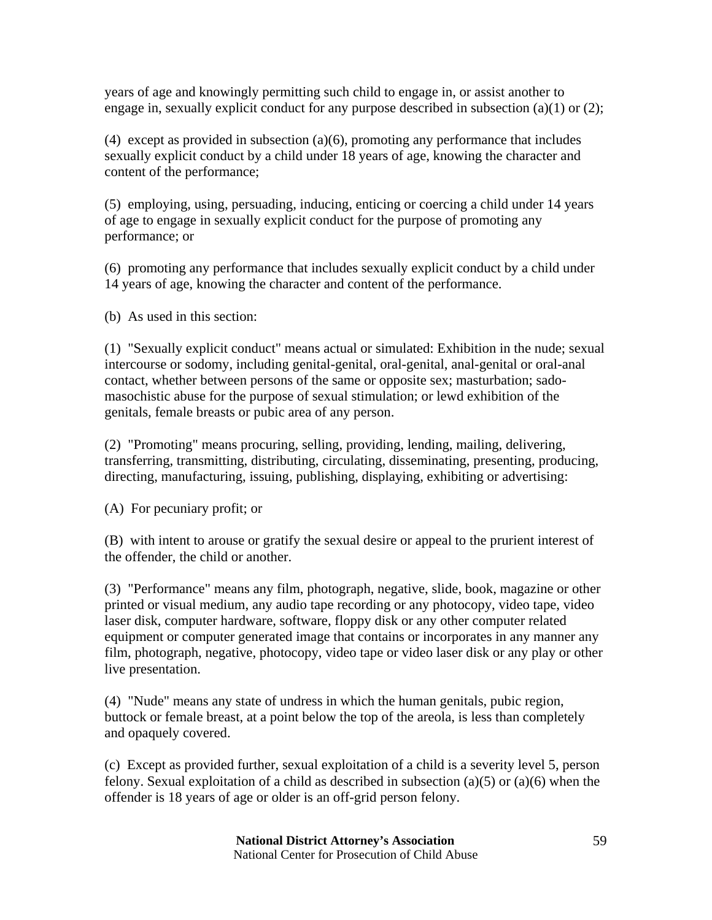years of age and knowingly permitting such child to engage in, or assist another to engage in, sexually explicit conduct for any purpose described in subsection (a)(1) or (2);

(4) except as provided in subsection (a)(6), promoting any performance that includes sexually explicit conduct by a child under 18 years of age, knowing the character and content of the performance;

(5) employing, using, persuading, inducing, enticing or coercing a child under 14 years of age to engage in sexually explicit conduct for the purpose of promoting any performance; or

(6) promoting any performance that includes sexually explicit conduct by a child under 14 years of age, knowing the character and content of the performance.

(b) As used in this section:

(1) "Sexually explicit conduct" means actual or simulated: Exhibition in the nude; sexual intercourse or sodomy, including genital-genital, oral-genital, anal-genital or oral-anal contact, whether between persons of the same or opposite sex; masturbation; sadomasochistic abuse for the purpose of sexual stimulation; or lewd exhibition of the genitals, female breasts or pubic area of any person.

(2) "Promoting" means procuring, selling, providing, lending, mailing, delivering, transferring, transmitting, distributing, circulating, disseminating, presenting, producing, directing, manufacturing, issuing, publishing, displaying, exhibiting or advertising:

(A) For pecuniary profit; or

(B) with intent to arouse or gratify the sexual desire or appeal to the prurient interest of the offender, the child or another.

(3) "Performance" means any film, photograph, negative, slide, book, magazine or other printed or visual medium, any audio tape recording or any photocopy, video tape, video laser disk, computer hardware, software, floppy disk or any other computer related equipment or computer generated image that contains or incorporates in any manner any film, photograph, negative, photocopy, video tape or video laser disk or any play or other live presentation.

(4) "Nude" means any state of undress in which the human genitals, pubic region, buttock or female breast, at a point below the top of the areola, is less than completely and opaquely covered.

(c) Except as provided further, sexual exploitation of a child is a severity level 5, person felony. Sexual exploitation of a child as described in subsection (a)(5) or (a)(6) when the offender is 18 years of age or older is an off-grid person felony.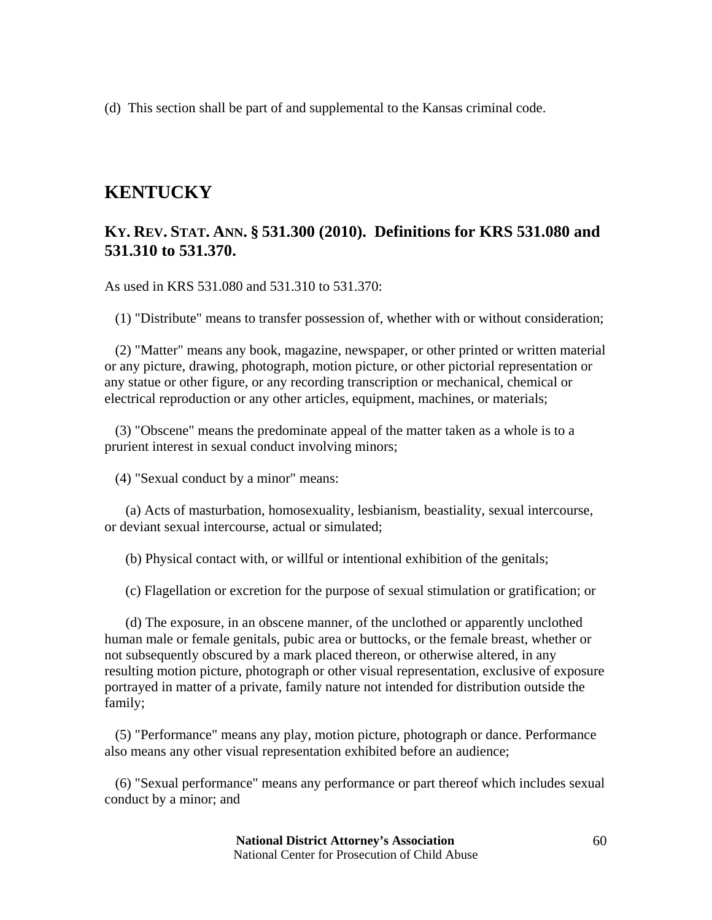(d) This section shall be part of and supplemental to the Kansas criminal code.

# **KENTUCKY**

#### **KY. REV. STAT. ANN. § 531.300 (2010). Definitions for KRS 531.080 and 531.310 to 531.370.**

As used in KRS 531.080 and 531.310 to 531.370:

(1) "Distribute" means to transfer possession of, whether with or without consideration;

 (2) "Matter" means any book, magazine, newspaper, or other printed or written material or any picture, drawing, photograph, motion picture, or other pictorial representation or any statue or other figure, or any recording transcription or mechanical, chemical or electrical reproduction or any other articles, equipment, machines, or materials;

 (3) "Obscene" means the predominate appeal of the matter taken as a whole is to a prurient interest in sexual conduct involving minors;

(4) "Sexual conduct by a minor" means:

 (a) Acts of masturbation, homosexuality, lesbianism, beastiality, sexual intercourse, or deviant sexual intercourse, actual or simulated;

(b) Physical contact with, or willful or intentional exhibition of the genitals;

(c) Flagellation or excretion for the purpose of sexual stimulation or gratification; or

 (d) The exposure, in an obscene manner, of the unclothed or apparently unclothed human male or female genitals, pubic area or buttocks, or the female breast, whether or not subsequently obscured by a mark placed thereon, or otherwise altered, in any resulting motion picture, photograph or other visual representation, exclusive of exposure portrayed in matter of a private, family nature not intended for distribution outside the family;

 (5) "Performance" means any play, motion picture, photograph or dance. Performance also means any other visual representation exhibited before an audience;

 (6) "Sexual performance" means any performance or part thereof which includes sexual conduct by a minor; and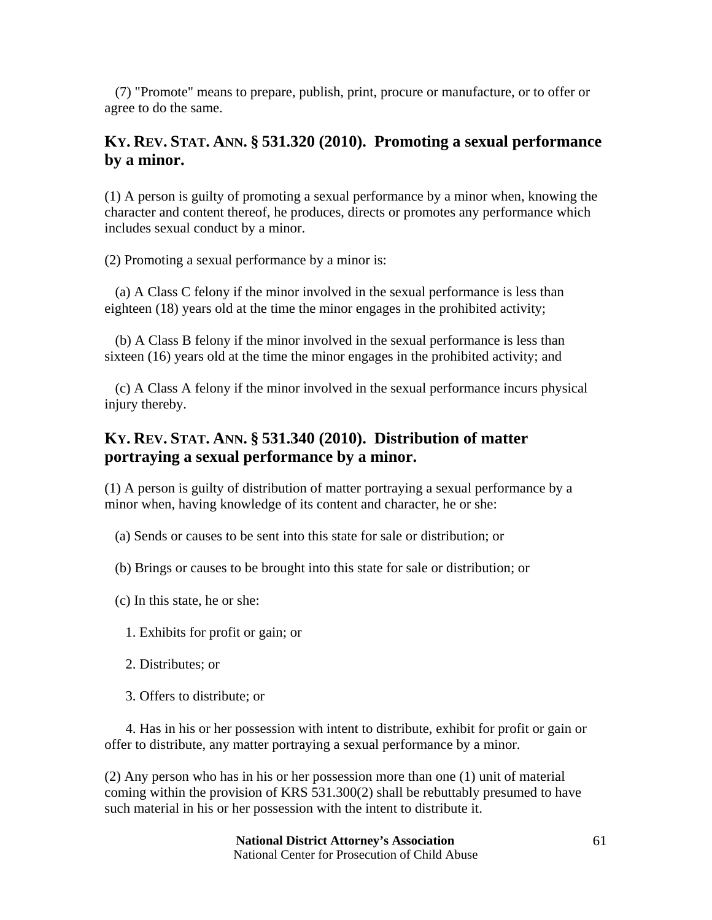(7) "Promote" means to prepare, publish, print, procure or manufacture, or to offer or agree to do the same.

#### **KY. REV. STAT. ANN. § 531.320 (2010). Promoting a sexual performance by a minor.**

(1) A person is guilty of promoting a sexual performance by a minor when, knowing the character and content thereof, he produces, directs or promotes any performance which includes sexual conduct by a minor.

(2) Promoting a sexual performance by a minor is:

 (a) A Class C felony if the minor involved in the sexual performance is less than eighteen (18) years old at the time the minor engages in the prohibited activity;

 (b) A Class B felony if the minor involved in the sexual performance is less than sixteen (16) years old at the time the minor engages in the prohibited activity; and

 (c) A Class A felony if the minor involved in the sexual performance incurs physical injury thereby.

#### **KY. REV. STAT. ANN. § 531.340 (2010). Distribution of matter portraying a sexual performance by a minor.**

(1) A person is guilty of distribution of matter portraying a sexual performance by a minor when, having knowledge of its content and character, he or she:

- (a) Sends or causes to be sent into this state for sale or distribution; or
- (b) Brings or causes to be brought into this state for sale or distribution; or
- (c) In this state, he or she:
	- 1. Exhibits for profit or gain; or
	- 2. Distributes; or
	- 3. Offers to distribute; or

 4. Has in his or her possession with intent to distribute, exhibit for profit or gain or offer to distribute, any matter portraying a sexual performance by a minor.

(2) Any person who has in his or her possession more than one (1) unit of material coming within the provision of KRS 531.300(2) shall be rebuttably presumed to have such material in his or her possession with the intent to distribute it.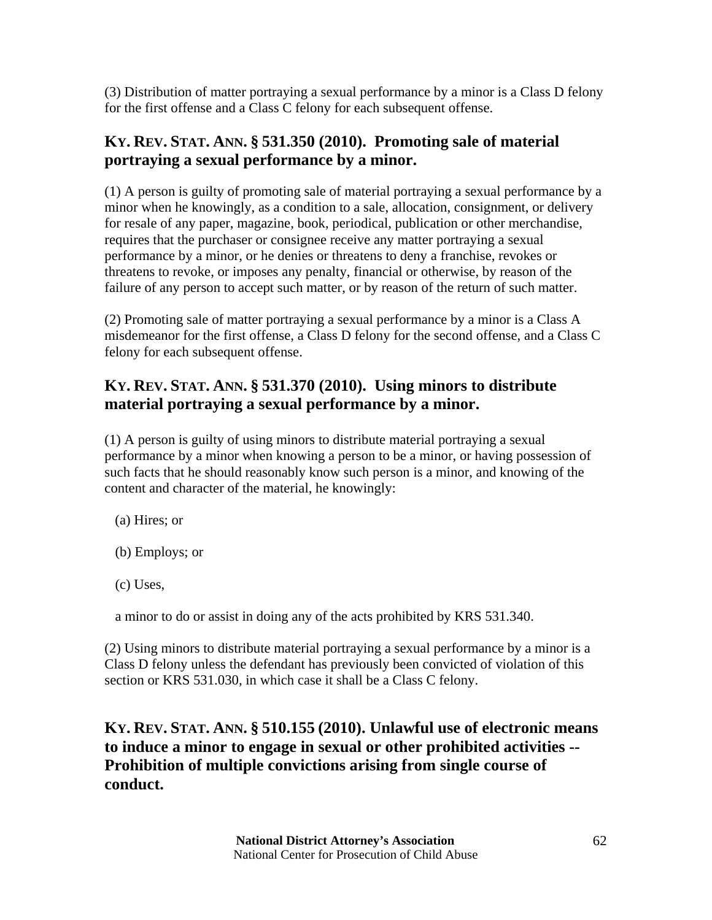(3) Distribution of matter portraying a sexual performance by a minor is a Class D felony for the first offense and a Class C felony for each subsequent offense.

### **KY. REV. STAT. ANN. § 531.350 (2010). Promoting sale of material portraying a sexual performance by a minor.**

(1) A person is guilty of promoting sale of material portraying a sexual performance by a minor when he knowingly, as a condition to a sale, allocation, consignment, or delivery for resale of any paper, magazine, book, periodical, publication or other merchandise, requires that the purchaser or consignee receive any matter portraying a sexual performance by a minor, or he denies or threatens to deny a franchise, revokes or threatens to revoke, or imposes any penalty, financial or otherwise, by reason of the failure of any person to accept such matter, or by reason of the return of such matter.

(2) Promoting sale of matter portraying a sexual performance by a minor is a Class A misdemeanor for the first offense, a Class D felony for the second offense, and a Class C felony for each subsequent offense.

# **KY. REV. STAT. ANN. § 531.370 (2010). Using minors to distribute material portraying a sexual performance by a minor.**

(1) A person is guilty of using minors to distribute material portraying a sexual performance by a minor when knowing a person to be a minor, or having possession of such facts that he should reasonably know such person is a minor, and knowing of the content and character of the material, he knowingly:

- (a) Hires; or
- (b) Employs; or
- (c) Uses,

a minor to do or assist in doing any of the acts prohibited by KRS 531.340.

(2) Using minors to distribute material portraying a sexual performance by a minor is a Class D felony unless the defendant has previously been convicted of violation of this section or KRS 531.030, in which case it shall be a Class C felony.

**KY. REV. STAT. ANN. § 510.155 (2010). Unlawful use of electronic means to induce a minor to engage in sexual or other prohibited activities -- Prohibition of multiple convictions arising from single course of conduct.**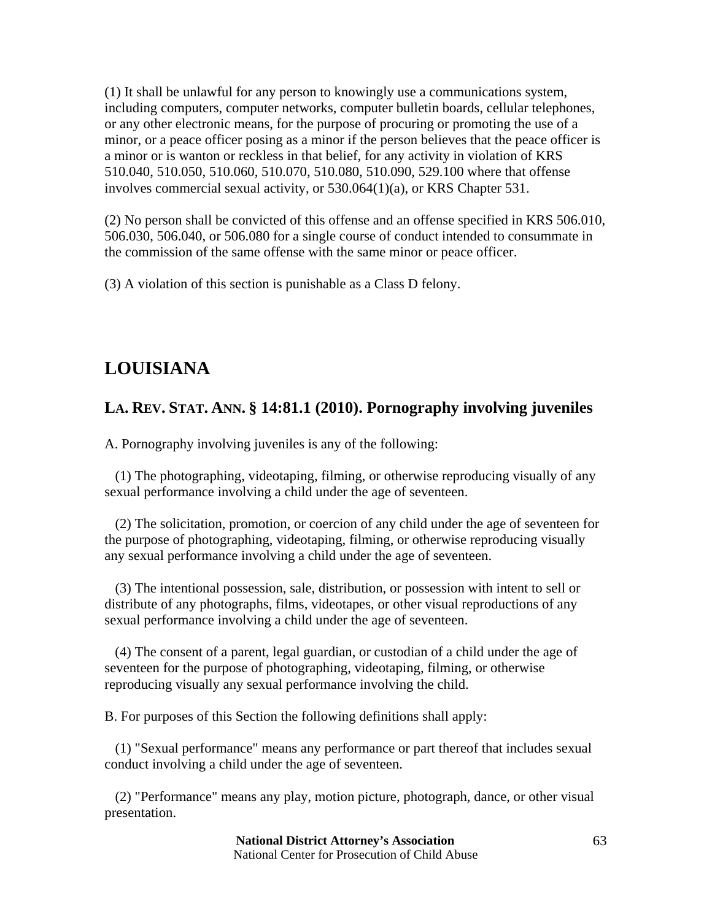(1) It shall be unlawful for any person to knowingly use a communications system, including computers, computer networks, computer bulletin boards, cellular telephones, or any other electronic means, for the purpose of procuring or promoting the use of a minor, or a peace officer posing as a minor if the person believes that the peace officer is a minor or is wanton or reckless in that belief, for any activity in violation of KRS 510.040, 510.050, 510.060, 510.070, 510.080, 510.090, 529.100 where that offense involves commercial sexual activity, or 530.064(1)(a), or KRS Chapter 531.

(2) No person shall be convicted of this offense and an offense specified in KRS 506.010, 506.030, 506.040, or 506.080 for a single course of conduct intended to consummate in the commission of the same offense with the same minor or peace officer.

(3) A violation of this section is punishable as a Class D felony.

# **LOUISIANA**

# **LA. REV. STAT. ANN. § 14:81.1 (2010). Pornography involving juveniles**

A. Pornography involving juveniles is any of the following:

 (1) The photographing, videotaping, filming, or otherwise reproducing visually of any sexual performance involving a child under the age of seventeen.

 (2) The solicitation, promotion, or coercion of any child under the age of seventeen for the purpose of photographing, videotaping, filming, or otherwise reproducing visually any sexual performance involving a child under the age of seventeen.

 (3) The intentional possession, sale, distribution, or possession with intent to sell or distribute of any photographs, films, videotapes, or other visual reproductions of any sexual performance involving a child under the age of seventeen.

 (4) The consent of a parent, legal guardian, or custodian of a child under the age of seventeen for the purpose of photographing, videotaping, filming, or otherwise reproducing visually any sexual performance involving the child.

B. For purposes of this Section the following definitions shall apply:

 (1) "Sexual performance" means any performance or part thereof that includes sexual conduct involving a child under the age of seventeen.

 (2) "Performance" means any play, motion picture, photograph, dance, or other visual presentation.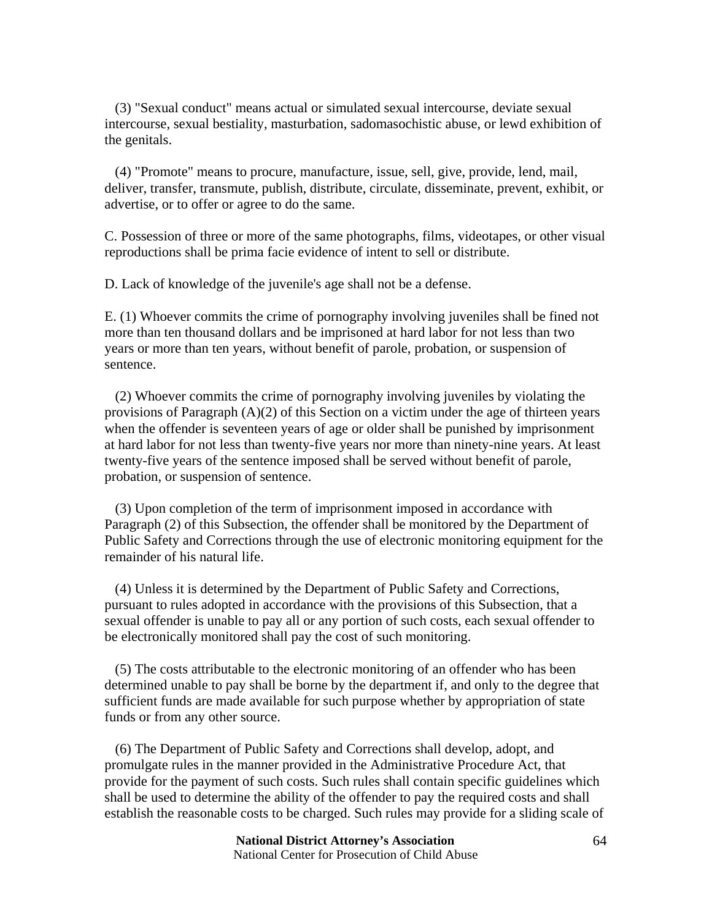(3) "Sexual conduct" means actual or simulated sexual intercourse, deviate sexual intercourse, sexual bestiality, masturbation, sadomasochistic abuse, or lewd exhibition of the genitals.

 (4) "Promote" means to procure, manufacture, issue, sell, give, provide, lend, mail, deliver, transfer, transmute, publish, distribute, circulate, disseminate, prevent, exhibit, or advertise, or to offer or agree to do the same.

C. Possession of three or more of the same photographs, films, videotapes, or other visual reproductions shall be prima facie evidence of intent to sell or distribute.

D. Lack of knowledge of the juvenile's age shall not be a defense.

E. (1) Whoever commits the crime of pornography involving juveniles shall be fined not more than ten thousand dollars and be imprisoned at hard labor for not less than two years or more than ten years, without benefit of parole, probation, or suspension of sentence.

 (2) Whoever commits the crime of pornography involving juveniles by violating the provisions of Paragraph (A)(2) of this Section on a victim under the age of thirteen years when the offender is seventeen years of age or older shall be punished by imprisonment at hard labor for not less than twenty-five years nor more than ninety-nine years. At least twenty-five years of the sentence imposed shall be served without benefit of parole, probation, or suspension of sentence.

 (3) Upon completion of the term of imprisonment imposed in accordance with Paragraph (2) of this Subsection, the offender shall be monitored by the Department of Public Safety and Corrections through the use of electronic monitoring equipment for the remainder of his natural life.

 (4) Unless it is determined by the Department of Public Safety and Corrections, pursuant to rules adopted in accordance with the provisions of this Subsection, that a sexual offender is unable to pay all or any portion of such costs, each sexual offender to be electronically monitored shall pay the cost of such monitoring.

 (5) The costs attributable to the electronic monitoring of an offender who has been determined unable to pay shall be borne by the department if, and only to the degree that sufficient funds are made available for such purpose whether by appropriation of state funds or from any other source.

 (6) The Department of Public Safety and Corrections shall develop, adopt, and promulgate rules in the manner provided in the Administrative Procedure Act, that provide for the payment of such costs. Such rules shall contain specific guidelines which shall be used to determine the ability of the offender to pay the required costs and shall establish the reasonable costs to be charged. Such rules may provide for a sliding scale of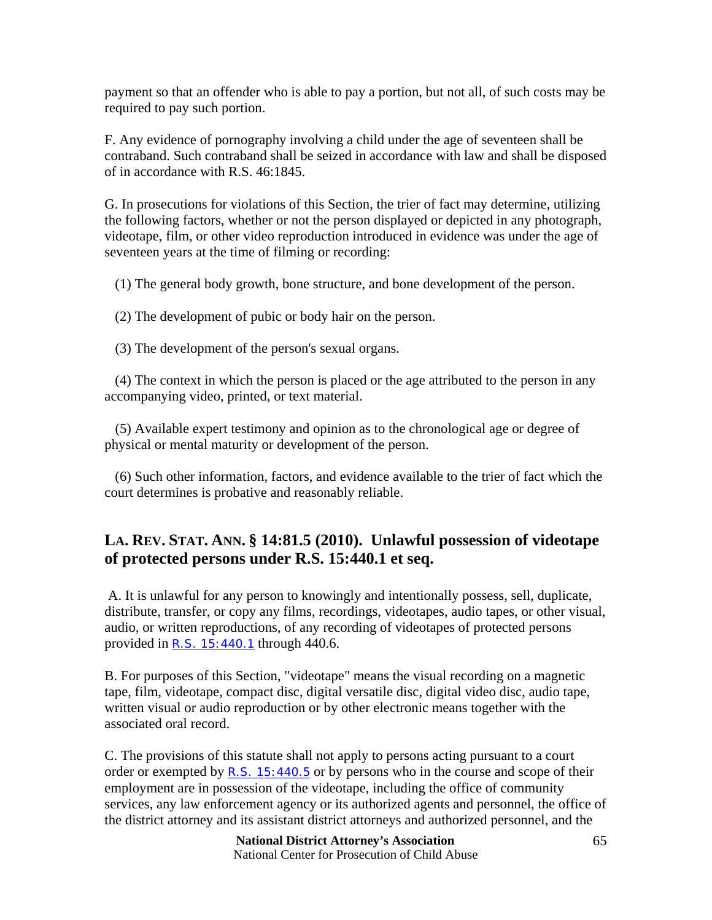payment so that an offender who is able to pay a portion, but not all, of such costs may be required to pay such portion.

F. Any evidence of pornography involving a child under the age of seventeen shall be contraband. Such contraband shall be seized in accordance with law and shall be disposed of in accordance with R.S. 46:1845.

G. In prosecutions for violations of this Section, the trier of fact may determine, utilizing the following factors, whether or not the person displayed or depicted in any photograph, videotape, film, or other video reproduction introduced in evidence was under the age of seventeen years at the time of filming or recording:

(1) The general body growth, bone structure, and bone development of the person.

(2) The development of pubic or body hair on the person.

(3) The development of the person's sexual organs.

 (4) The context in which the person is placed or the age attributed to the person in any accompanying video, printed, or text material.

 (5) Available expert testimony and opinion as to the chronological age or degree of physical or mental maturity or development of the person.

 (6) Such other information, factors, and evidence available to the trier of fact which the court determines is probative and reasonably reliable.

### **LA. REV. STAT. ANN. § 14:81.5 (2010). Unlawful possession of videotape of protected persons under R.S. 15:440.1 et seq.**

 A. It is unlawful for any person to knowingly and intentionally possess, sell, duplicate, distribute, transfer, or copy any films, recordings, videotapes, audio tapes, or other visual, audio, or written reproductions, of any recording of videotapes of protected persons provided in R.S. 15:440.1 through 440.6.

B. For purposes of this Section, "videotape" means the visual recording on a magnetic tape, film, videotape, compact disc, digital versatile disc, digital video disc, audio tape, written visual or audio reproduction or by other electronic means together with the associated oral record.

C. The provisions of this statute shall not apply to persons acting pursuant to a court order or exempted by  $R.S. 15:440.5$  or by persons who in the course and scope of their employment are in possession of the videotape, including the office of community services, any law enforcement agency or its authorized agents and personnel, the office of the district attorney and its assistant district attorneys and authorized personnel, and the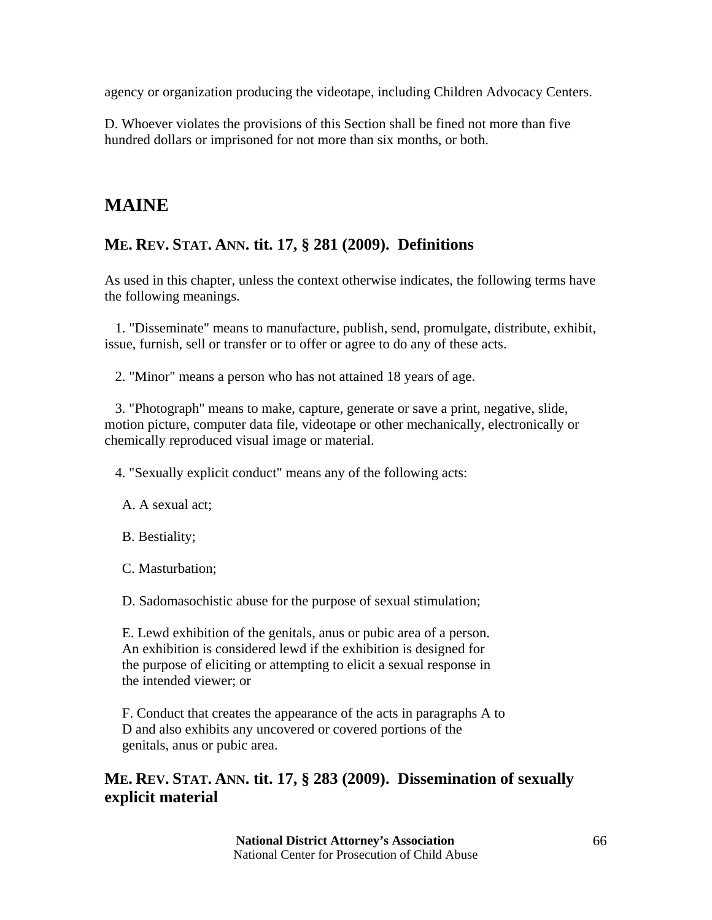agency or organization producing the videotape, including Children Advocacy Centers.

D. Whoever violates the provisions of this Section shall be fined not more than five hundred dollars or imprisoned for not more than six months, or both.

# **MAINE**

# **ME. REV. STAT. ANN. tit. 17, § 281 (2009). Definitions**

As used in this chapter, unless the context otherwise indicates, the following terms have the following meanings.

 1. "Disseminate" means to manufacture, publish, send, promulgate, distribute, exhibit, issue, furnish, sell or transfer or to offer or agree to do any of these acts.

2. "Minor" means a person who has not attained 18 years of age.

 3. "Photograph" means to make, capture, generate or save a print, negative, slide, motion picture, computer data file, videotape or other mechanically, electronically or chemically reproduced visual image or material.

4. "Sexually explicit conduct" means any of the following acts:

A. A sexual act;

B. Bestiality;

C. Masturbation;

D. Sadomasochistic abuse for the purpose of sexual stimulation;

 E. Lewd exhibition of the genitals, anus or pubic area of a person. An exhibition is considered lewd if the exhibition is designed for the purpose of eliciting or attempting to elicit a sexual response in the intended viewer; or

 F. Conduct that creates the appearance of the acts in paragraphs A to D and also exhibits any uncovered or covered portions of the genitals, anus or pubic area.

### **ME. REV. STAT. ANN. tit. 17, § 283 (2009). Dissemination of sexually explicit material**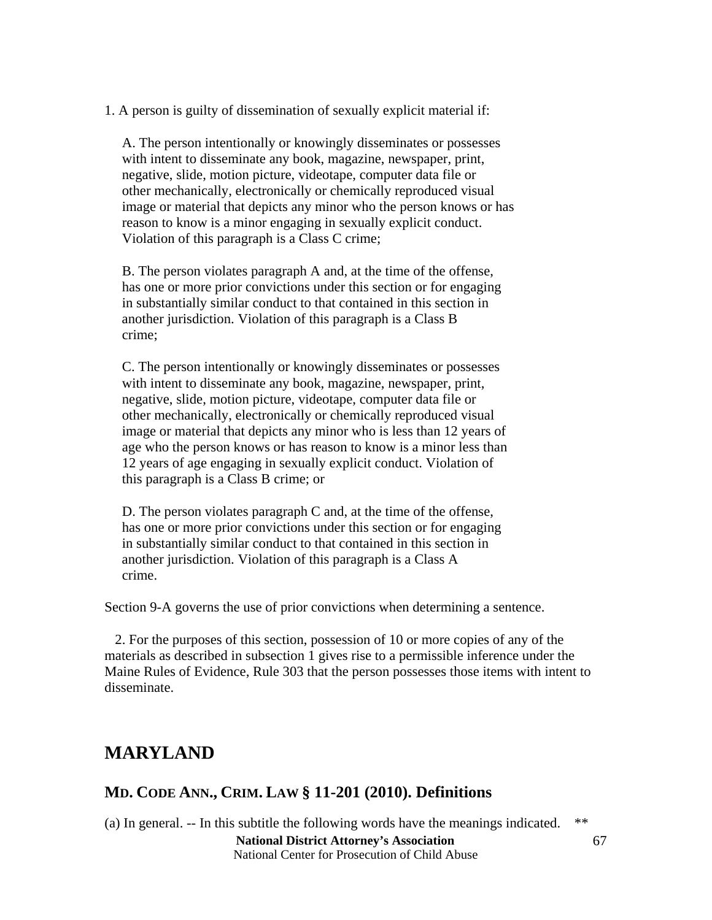1. A person is guilty of dissemination of sexually explicit material if:

 A. The person intentionally or knowingly disseminates or possesses with intent to disseminate any book, magazine, newspaper, print, negative, slide, motion picture, videotape, computer data file or other mechanically, electronically or chemically reproduced visual image or material that depicts any minor who the person knows or has reason to know is a minor engaging in sexually explicit conduct. Violation of this paragraph is a Class C crime;

 B. The person violates paragraph A and, at the time of the offense, has one or more prior convictions under this section or for engaging in substantially similar conduct to that contained in this section in another jurisdiction. Violation of this paragraph is a Class B crime;

 C. The person intentionally or knowingly disseminates or possesses with intent to disseminate any book, magazine, newspaper, print, negative, slide, motion picture, videotape, computer data file or other mechanically, electronically or chemically reproduced visual image or material that depicts any minor who is less than 12 years of age who the person knows or has reason to know is a minor less than 12 years of age engaging in sexually explicit conduct. Violation of this paragraph is a Class B crime; or

 D. The person violates paragraph C and, at the time of the offense, has one or more prior convictions under this section or for engaging in substantially similar conduct to that contained in this section in another jurisdiction. Violation of this paragraph is a Class A crime.

Section 9-A governs the use of prior convictions when determining a sentence.

 2. For the purposes of this section, possession of 10 or more copies of any of the materials as described in subsection 1 gives rise to a permissible inference under the Maine Rules of Evidence, Rule 303 that the person possesses those items with intent to disseminate.

# **MARYLAND**

#### **MD. CODE ANN., CRIM. LAW § 11-201 (2010). Definitions**

**National District Attorney's Association**  National Center for Prosecution of Child Abuse (a) In general. -- In this subtitle the following words have the meanings indicated.  $**$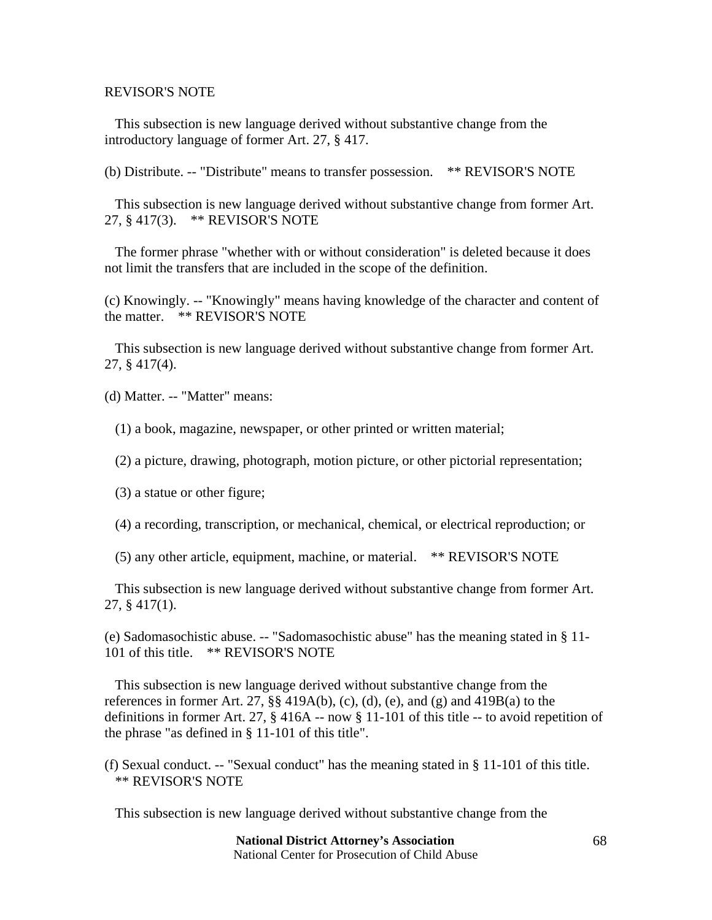#### REVISOR'S NOTE

 This subsection is new language derived without substantive change from the introductory language of former Art. 27, § 417.

(b) Distribute. -- "Distribute" means to transfer possession. \*\* REVISOR'S NOTE

 This subsection is new language derived without substantive change from former Art. 27, § 417(3). \*\* REVISOR'S NOTE

 The former phrase "whether with or without consideration" is deleted because it does not limit the transfers that are included in the scope of the definition.

(c) Knowingly. -- "Knowingly" means having knowledge of the character and content of the matter. \*\* REVISOR'S NOTE

 This subsection is new language derived without substantive change from former Art. 27, § 417(4).

(d) Matter. -- "Matter" means:

(1) a book, magazine, newspaper, or other printed or written material;

(2) a picture, drawing, photograph, motion picture, or other pictorial representation;

(3) a statue or other figure;

(4) a recording, transcription, or mechanical, chemical, or electrical reproduction; or

(5) any other article, equipment, machine, or material. \*\* REVISOR'S NOTE

 This subsection is new language derived without substantive change from former Art. 27, § 417(1).

(e) Sadomasochistic abuse. -- "Sadomasochistic abuse" has the meaning stated in § 11- 101 of this title. \*\* REVISOR'S NOTE

 This subsection is new language derived without substantive change from the references in former Art. 27,  $\S$  $\S$  419A(b), (c), (d), (e), and (g) and 419B(a) to the definitions in former Art. 27, § 416A -- now § 11-101 of this title -- to avoid repetition of the phrase "as defined in § 11-101 of this title".

(f) Sexual conduct. -- "Sexual conduct" has the meaning stated in § 11-101 of this title. \*\* REVISOR'S NOTE

This subsection is new language derived without substantive change from the

**National District Attorney's Association**  National Center for Prosecution of Child Abuse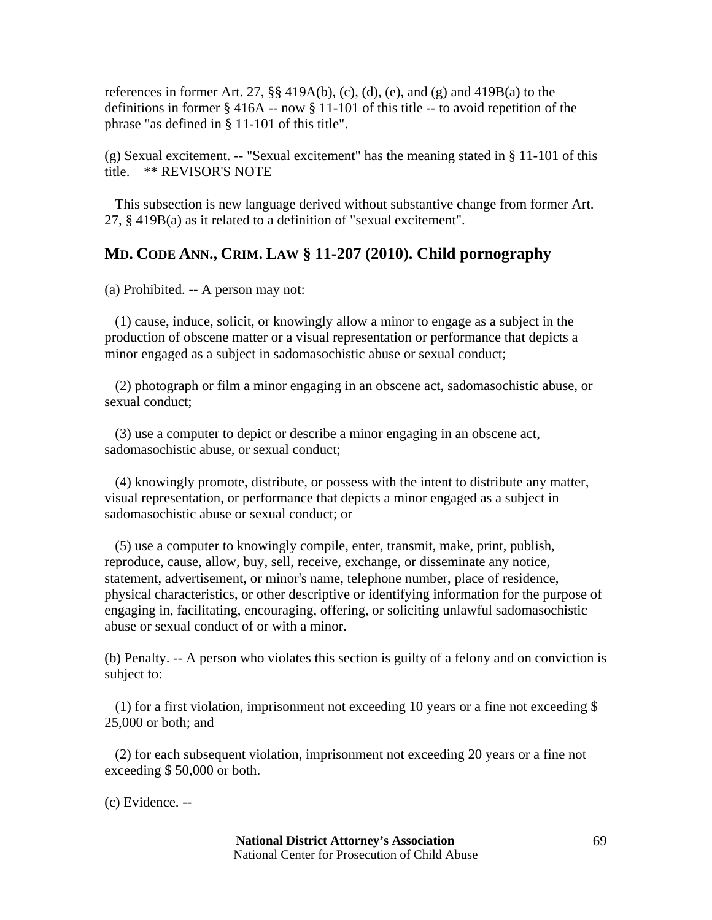references in former Art. 27,  $\S$  419A(b), (c), (d), (e), and (g) and 419B(a) to the definitions in former § 416A -- now § 11-101 of this title -- to avoid repetition of the phrase "as defined in § 11-101 of this title".

(g) Sexual excitement. -- "Sexual excitement" has the meaning stated in § 11-101 of this title. \*\* REVISOR'S NOTE

 This subsection is new language derived without substantive change from former Art. 27, § 419B(a) as it related to a definition of "sexual excitement".

#### **MD. CODE ANN., CRIM. LAW § 11-207 (2010). Child pornography**

(a) Prohibited. -- A person may not:

 (1) cause, induce, solicit, or knowingly allow a minor to engage as a subject in the production of obscene matter or a visual representation or performance that depicts a minor engaged as a subject in sadomasochistic abuse or sexual conduct;

 (2) photograph or film a minor engaging in an obscene act, sadomasochistic abuse, or sexual conduct;

 (3) use a computer to depict or describe a minor engaging in an obscene act, sadomasochistic abuse, or sexual conduct;

 (4) knowingly promote, distribute, or possess with the intent to distribute any matter, visual representation, or performance that depicts a minor engaged as a subject in sadomasochistic abuse or sexual conduct; or

 (5) use a computer to knowingly compile, enter, transmit, make, print, publish, reproduce, cause, allow, buy, sell, receive, exchange, or disseminate any notice, statement, advertisement, or minor's name, telephone number, place of residence, physical characteristics, or other descriptive or identifying information for the purpose of engaging in, facilitating, encouraging, offering, or soliciting unlawful sadomasochistic abuse or sexual conduct of or with a minor.

(b) Penalty. -- A person who violates this section is guilty of a felony and on conviction is subject to:

 (1) for a first violation, imprisonment not exceeding 10 years or a fine not exceeding \$ 25,000 or both; and

 (2) for each subsequent violation, imprisonment not exceeding 20 years or a fine not exceeding \$ 50,000 or both.

(c) Evidence. --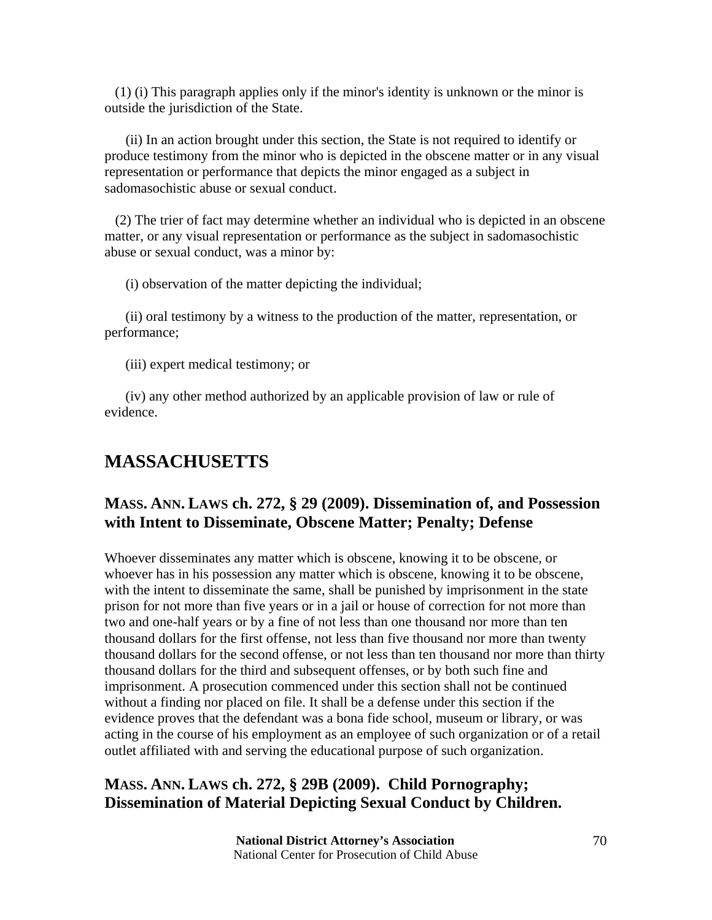(1) (i) This paragraph applies only if the minor's identity is unknown or the minor is outside the jurisdiction of the State.

 (ii) In an action brought under this section, the State is not required to identify or produce testimony from the minor who is depicted in the obscene matter or in any visual representation or performance that depicts the minor engaged as a subject in sadomasochistic abuse or sexual conduct.

 (2) The trier of fact may determine whether an individual who is depicted in an obscene matter, or any visual representation or performance as the subject in sadomasochistic abuse or sexual conduct, was a minor by:

(i) observation of the matter depicting the individual;

 (ii) oral testimony by a witness to the production of the matter, representation, or performance;

(iii) expert medical testimony; or

 (iv) any other method authorized by an applicable provision of law or rule of evidence.

#### **MASSACHUSETTS**

#### **MASS. ANN. LAWS ch. 272, § 29 (2009). Dissemination of, and Possession with Intent to Disseminate, Obscene Matter; Penalty; Defense**

Whoever disseminates any matter which is obscene, knowing it to be obscene, or whoever has in his possession any matter which is obscene, knowing it to be obscene, with the intent to disseminate the same, shall be punished by imprisonment in the state prison for not more than five years or in a jail or house of correction for not more than two and one-half years or by a fine of not less than one thousand nor more than ten thousand dollars for the first offense, not less than five thousand nor more than twenty thousand dollars for the second offense, or not less than ten thousand nor more than thirty thousand dollars for the third and subsequent offenses, or by both such fine and imprisonment. A prosecution commenced under this section shall not be continued without a finding nor placed on file. It shall be a defense under this section if the evidence proves that the defendant was a bona fide school, museum or library, or was acting in the course of his employment as an employee of such organization or of a retail outlet affiliated with and serving the educational purpose of such organization.

#### **MASS. ANN. LAWS ch. 272, § 29B (2009). Child Pornography; Dissemination of Material Depicting Sexual Conduct by Children.**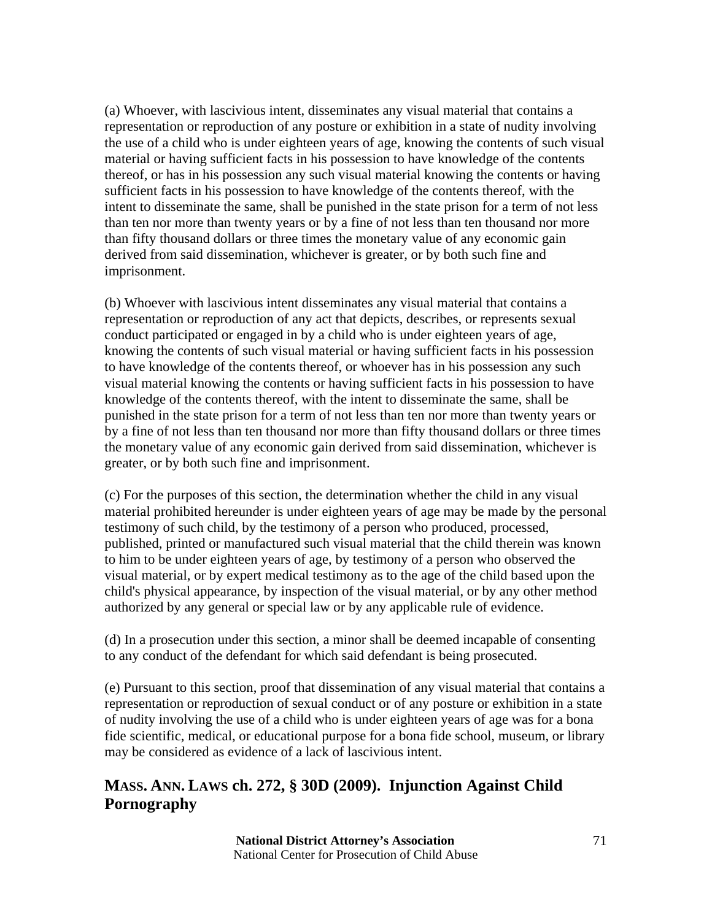(a) Whoever, with lascivious intent, disseminates any visual material that contains a representation or reproduction of any posture or exhibition in a state of nudity involving the use of a child who is under eighteen years of age, knowing the contents of such visual material or having sufficient facts in his possession to have knowledge of the contents thereof, or has in his possession any such visual material knowing the contents or having sufficient facts in his possession to have knowledge of the contents thereof, with the intent to disseminate the same, shall be punished in the state prison for a term of not less than ten nor more than twenty years or by a fine of not less than ten thousand nor more than fifty thousand dollars or three times the monetary value of any economic gain derived from said dissemination, whichever is greater, or by both such fine and imprisonment.

(b) Whoever with lascivious intent disseminates any visual material that contains a representation or reproduction of any act that depicts, describes, or represents sexual conduct participated or engaged in by a child who is under eighteen years of age, knowing the contents of such visual material or having sufficient facts in his possession to have knowledge of the contents thereof, or whoever has in his possession any such visual material knowing the contents or having sufficient facts in his possession to have knowledge of the contents thereof, with the intent to disseminate the same, shall be punished in the state prison for a term of not less than ten nor more than twenty years or by a fine of not less than ten thousand nor more than fifty thousand dollars or three times the monetary value of any economic gain derived from said dissemination, whichever is greater, or by both such fine and imprisonment.

(c) For the purposes of this section, the determination whether the child in any visual material prohibited hereunder is under eighteen years of age may be made by the personal testimony of such child, by the testimony of a person who produced, processed, published, printed or manufactured such visual material that the child therein was known to him to be under eighteen years of age, by testimony of a person who observed the visual material, or by expert medical testimony as to the age of the child based upon the child's physical appearance, by inspection of the visual material, or by any other method authorized by any general or special law or by any applicable rule of evidence.

(d) In a prosecution under this section, a minor shall be deemed incapable of consenting to any conduct of the defendant for which said defendant is being prosecuted.

(e) Pursuant to this section, proof that dissemination of any visual material that contains a representation or reproduction of sexual conduct or of any posture or exhibition in a state of nudity involving the use of a child who is under eighteen years of age was for a bona fide scientific, medical, or educational purpose for a bona fide school, museum, or library may be considered as evidence of a lack of lascivious intent.

### **MASS. ANN. LAWS ch. 272, § 30D (2009). Injunction Against Child Pornography**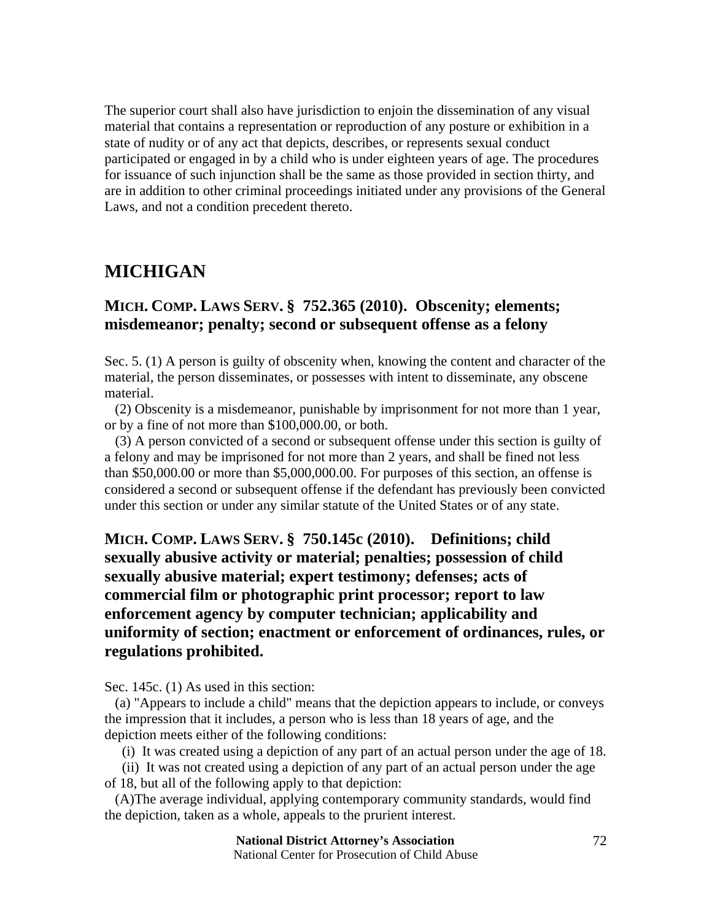The superior court shall also have jurisdiction to enjoin the dissemination of any visual material that contains a representation or reproduction of any posture or exhibition in a state of nudity or of any act that depicts, describes, or represents sexual conduct participated or engaged in by a child who is under eighteen years of age. The procedures for issuance of such injunction shall be the same as those provided in section thirty, and are in addition to other criminal proceedings initiated under any provisions of the General Laws, and not a condition precedent thereto.

# **MICHIGAN**

#### **MICH. COMP. LAWS SERV. § 752.365 (2010). Obscenity; elements; misdemeanor; penalty; second or subsequent offense as a felony**

Sec. 5. (1) A person is guilty of obscenity when, knowing the content and character of the material, the person disseminates, or possesses with intent to disseminate, any obscene material.

 (2) Obscenity is a misdemeanor, punishable by imprisonment for not more than 1 year, or by a fine of not more than \$100,000.00, or both.

 (3) A person convicted of a second or subsequent offense under this section is guilty of a felony and may be imprisoned for not more than 2 years, and shall be fined not less than \$50,000.00 or more than \$5,000,000.00. For purposes of this section, an offense is considered a second or subsequent offense if the defendant has previously been convicted under this section or under any similar statute of the United States or of any state.

**MICH. COMP. LAWS SERV. § 750.145c (2010). Definitions; child sexually abusive activity or material; penalties; possession of child sexually abusive material; expert testimony; defenses; acts of commercial film or photographic print processor; report to law enforcement agency by computer technician; applicability and uniformity of section; enactment or enforcement of ordinances, rules, or regulations prohibited.** 

Sec. 145c. (1) As used in this section:

 (a) "Appears to include a child" means that the depiction appears to include, or conveys the impression that it includes, a person who is less than 18 years of age, and the depiction meets either of the following conditions:

(i) It was created using a depiction of any part of an actual person under the age of 18.

 (ii) It was not created using a depiction of any part of an actual person under the age of 18, but all of the following apply to that depiction:

 (A)The average individual, applying contemporary community standards, would find the depiction, taken as a whole, appeals to the prurient interest.

> **National District Attorney's Association**  National Center for Prosecution of Child Abuse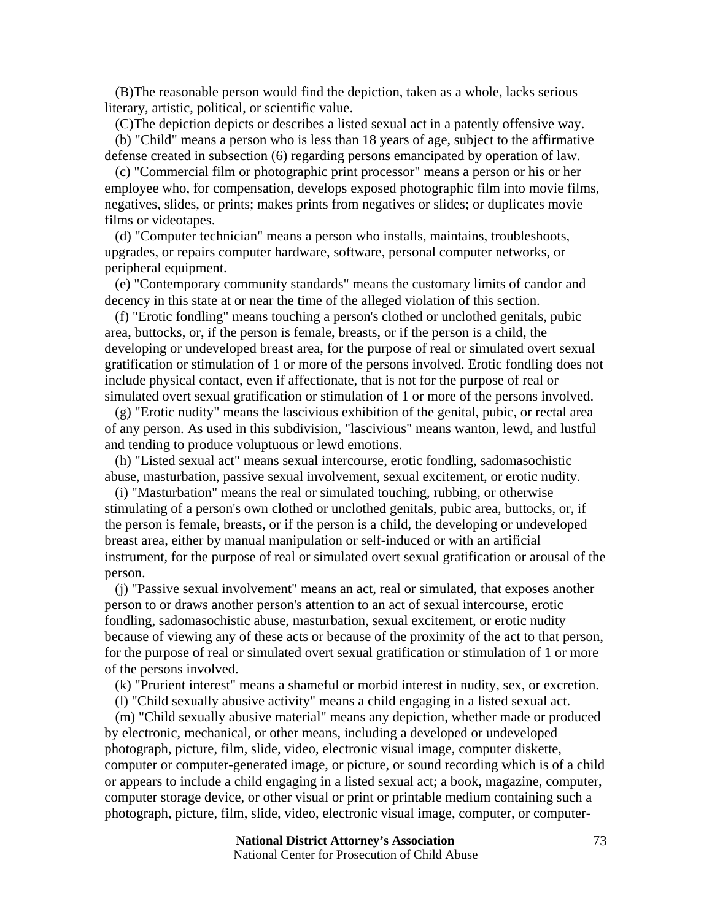(B)The reasonable person would find the depiction, taken as a whole, lacks serious literary, artistic, political, or scientific value.

(C)The depiction depicts or describes a listed sexual act in a patently offensive way.

 (b) "Child" means a person who is less than 18 years of age, subject to the affirmative defense created in subsection (6) regarding persons emancipated by operation of law.

 (c) "Commercial film or photographic print processor" means a person or his or her employee who, for compensation, develops exposed photographic film into movie films, negatives, slides, or prints; makes prints from negatives or slides; or duplicates movie films or videotapes.

 (d) "Computer technician" means a person who installs, maintains, troubleshoots, upgrades, or repairs computer hardware, software, personal computer networks, or peripheral equipment.

 (e) "Contemporary community standards" means the customary limits of candor and decency in this state at or near the time of the alleged violation of this section.

 (f) "Erotic fondling" means touching a person's clothed or unclothed genitals, pubic area, buttocks, or, if the person is female, breasts, or if the person is a child, the developing or undeveloped breast area, for the purpose of real or simulated overt sexual gratification or stimulation of 1 or more of the persons involved. Erotic fondling does not include physical contact, even if affectionate, that is not for the purpose of real or simulated overt sexual gratification or stimulation of 1 or more of the persons involved.

 (g) "Erotic nudity" means the lascivious exhibition of the genital, pubic, or rectal area of any person. As used in this subdivision, "lascivious" means wanton, lewd, and lustful and tending to produce voluptuous or lewd emotions.

 (h) "Listed sexual act" means sexual intercourse, erotic fondling, sadomasochistic abuse, masturbation, passive sexual involvement, sexual excitement, or erotic nudity.

 (i) "Masturbation" means the real or simulated touching, rubbing, or otherwise stimulating of a person's own clothed or unclothed genitals, pubic area, buttocks, or, if the person is female, breasts, or if the person is a child, the developing or undeveloped breast area, either by manual manipulation or self-induced or with an artificial instrument, for the purpose of real or simulated overt sexual gratification or arousal of the person.

 (j) "Passive sexual involvement" means an act, real or simulated, that exposes another person to or draws another person's attention to an act of sexual intercourse, erotic fondling, sadomasochistic abuse, masturbation, sexual excitement, or erotic nudity because of viewing any of these acts or because of the proximity of the act to that person, for the purpose of real or simulated overt sexual gratification or stimulation of 1 or more of the persons involved.

(k) "Prurient interest" means a shameful or morbid interest in nudity, sex, or excretion.

(l) "Child sexually abusive activity" means a child engaging in a listed sexual act.

 (m) "Child sexually abusive material" means any depiction, whether made or produced by electronic, mechanical, or other means, including a developed or undeveloped photograph, picture, film, slide, video, electronic visual image, computer diskette, computer or computer-generated image, or picture, or sound recording which is of a child or appears to include a child engaging in a listed sexual act; a book, magazine, computer, computer storage device, or other visual or print or printable medium containing such a photograph, picture, film, slide, video, electronic visual image, computer, or computer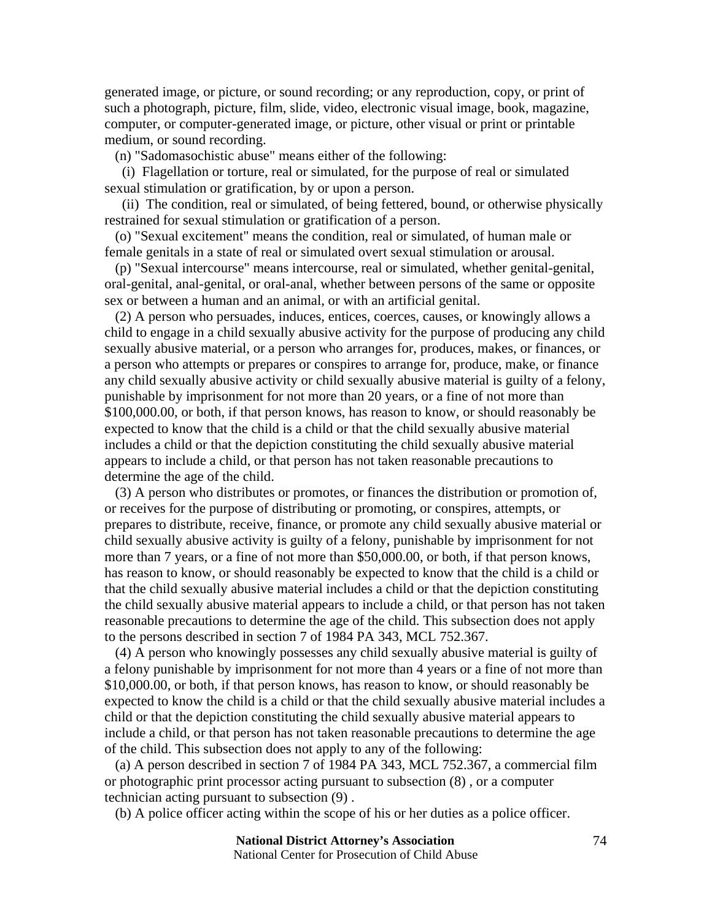generated image, or picture, or sound recording; or any reproduction, copy, or print of such a photograph, picture, film, slide, video, electronic visual image, book, magazine, computer, or computer-generated image, or picture, other visual or print or printable medium, or sound recording.

(n) "Sadomasochistic abuse" means either of the following:

 (i) Flagellation or torture, real or simulated, for the purpose of real or simulated sexual stimulation or gratification, by or upon a person.

 (ii) The condition, real or simulated, of being fettered, bound, or otherwise physically restrained for sexual stimulation or gratification of a person.

 (o) "Sexual excitement" means the condition, real or simulated, of human male or female genitals in a state of real or simulated overt sexual stimulation or arousal.

 (p) "Sexual intercourse" means intercourse, real or simulated, whether genital-genital, oral-genital, anal-genital, or oral-anal, whether between persons of the same or opposite sex or between a human and an animal, or with an artificial genital.

 (2) A person who persuades, induces, entices, coerces, causes, or knowingly allows a child to engage in a child sexually abusive activity for the purpose of producing any child sexually abusive material, or a person who arranges for, produces, makes, or finances, or a person who attempts or prepares or conspires to arrange for, produce, make, or finance any child sexually abusive activity or child sexually abusive material is guilty of a felony, punishable by imprisonment for not more than 20 years, or a fine of not more than \$100,000.00, or both, if that person knows, has reason to know, or should reasonably be expected to know that the child is a child or that the child sexually abusive material includes a child or that the depiction constituting the child sexually abusive material appears to include a child, or that person has not taken reasonable precautions to determine the age of the child.

 (3) A person who distributes or promotes, or finances the distribution or promotion of, or receives for the purpose of distributing or promoting, or conspires, attempts, or prepares to distribute, receive, finance, or promote any child sexually abusive material or child sexually abusive activity is guilty of a felony, punishable by imprisonment for not more than 7 years, or a fine of not more than \$50,000.00, or both, if that person knows, has reason to know, or should reasonably be expected to know that the child is a child or that the child sexually abusive material includes a child or that the depiction constituting the child sexually abusive material appears to include a child, or that person has not taken reasonable precautions to determine the age of the child. This subsection does not apply to the persons described in section 7 of 1984 PA 343, MCL 752.367.

 (4) A person who knowingly possesses any child sexually abusive material is guilty of a felony punishable by imprisonment for not more than 4 years or a fine of not more than \$10,000.00, or both, if that person knows, has reason to know, or should reasonably be expected to know the child is a child or that the child sexually abusive material includes a child or that the depiction constituting the child sexually abusive material appears to include a child, or that person has not taken reasonable precautions to determine the age of the child. This subsection does not apply to any of the following:

 (a) A person described in section 7 of 1984 PA 343, MCL 752.367, a commercial film or photographic print processor acting pursuant to subsection (8) , or a computer technician acting pursuant to subsection (9) .

(b) A police officer acting within the scope of his or her duties as a police officer.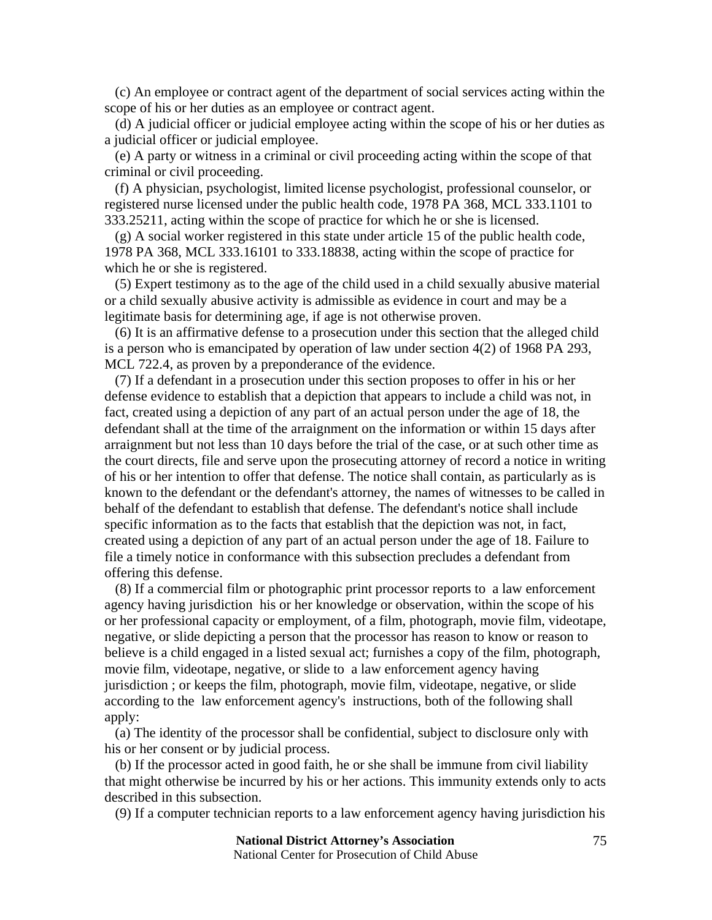(c) An employee or contract agent of the department of social services acting within the scope of his or her duties as an employee or contract agent.

 (d) A judicial officer or judicial employee acting within the scope of his or her duties as a judicial officer or judicial employee.

 (e) A party or witness in a criminal or civil proceeding acting within the scope of that criminal or civil proceeding.

 (f) A physician, psychologist, limited license psychologist, professional counselor, or registered nurse licensed under the public health code, 1978 PA 368, MCL 333.1101 to 333.25211, acting within the scope of practice for which he or she is licensed.

 (g) A social worker registered in this state under article 15 of the public health code, 1978 PA 368, MCL 333.16101 to 333.18838, acting within the scope of practice for which he or she is registered.

 (5) Expert testimony as to the age of the child used in a child sexually abusive material or a child sexually abusive activity is admissible as evidence in court and may be a legitimate basis for determining age, if age is not otherwise proven.

 (6) It is an affirmative defense to a prosecution under this section that the alleged child is a person who is emancipated by operation of law under section 4(2) of 1968 PA 293, MCL 722.4, as proven by a preponderance of the evidence.

 (7) If a defendant in a prosecution under this section proposes to offer in his or her defense evidence to establish that a depiction that appears to include a child was not, in fact, created using a depiction of any part of an actual person under the age of 18, the defendant shall at the time of the arraignment on the information or within 15 days after arraignment but not less than 10 days before the trial of the case, or at such other time as the court directs, file and serve upon the prosecuting attorney of record a notice in writing of his or her intention to offer that defense. The notice shall contain, as particularly as is known to the defendant or the defendant's attorney, the names of witnesses to be called in behalf of the defendant to establish that defense. The defendant's notice shall include specific information as to the facts that establish that the depiction was not, in fact, created using a depiction of any part of an actual person under the age of 18. Failure to file a timely notice in conformance with this subsection precludes a defendant from offering this defense.

 (8) If a commercial film or photographic print processor reports to a law enforcement agency having jurisdiction his or her knowledge or observation, within the scope of his or her professional capacity or employment, of a film, photograph, movie film, videotape, negative, or slide depicting a person that the processor has reason to know or reason to believe is a child engaged in a listed sexual act; furnishes a copy of the film, photograph, movie film, videotape, negative, or slide to a law enforcement agency having jurisdiction ; or keeps the film, photograph, movie film, videotape, negative, or slide according to the law enforcement agency's instructions, both of the following shall apply:

 (a) The identity of the processor shall be confidential, subject to disclosure only with his or her consent or by judicial process.

 (b) If the processor acted in good faith, he or she shall be immune from civil liability that might otherwise be incurred by his or her actions. This immunity extends only to acts described in this subsection.

(9) If a computer technician reports to a law enforcement agency having jurisdiction his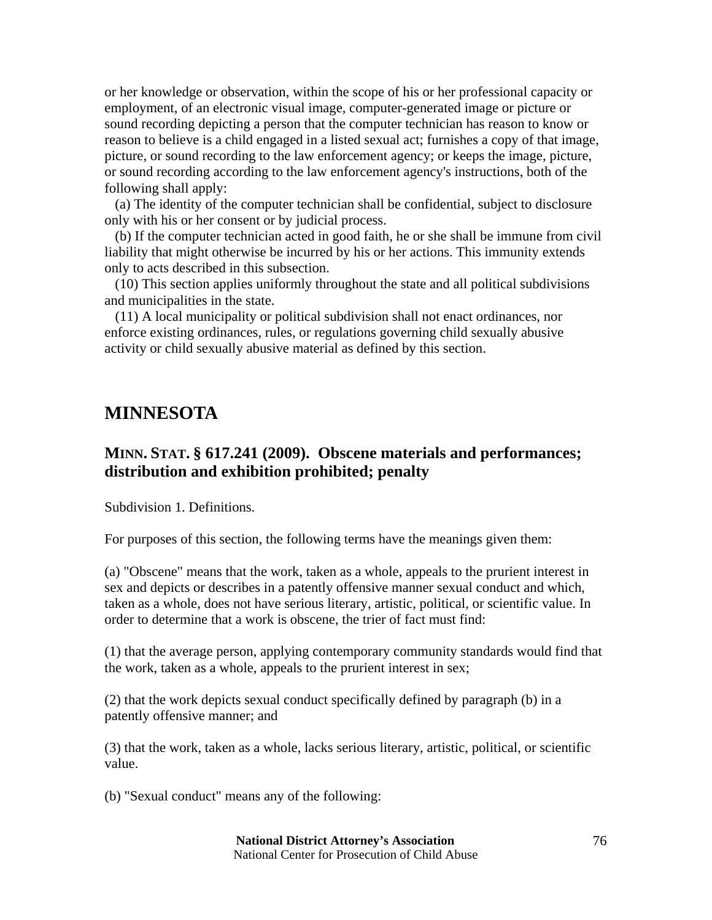or her knowledge or observation, within the scope of his or her professional capacity or employment, of an electronic visual image, computer-generated image or picture or sound recording depicting a person that the computer technician has reason to know or reason to believe is a child engaged in a listed sexual act; furnishes a copy of that image, picture, or sound recording to the law enforcement agency; or keeps the image, picture, or sound recording according to the law enforcement agency's instructions, both of the following shall apply:

 (a) The identity of the computer technician shall be confidential, subject to disclosure only with his or her consent or by judicial process.

 (b) If the computer technician acted in good faith, he or she shall be immune from civil liability that might otherwise be incurred by his or her actions. This immunity extends only to acts described in this subsection.

 (10) This section applies uniformly throughout the state and all political subdivisions and municipalities in the state.

 (11) A local municipality or political subdivision shall not enact ordinances, nor enforce existing ordinances, rules, or regulations governing child sexually abusive activity or child sexually abusive material as defined by this section.

# **MINNESOTA**

#### **MINN. STAT. § 617.241 (2009). Obscene materials and performances; distribution and exhibition prohibited; penalty**

Subdivision 1. Definitions.

For purposes of this section, the following terms have the meanings given them:

(a) "Obscene" means that the work, taken as a whole, appeals to the prurient interest in sex and depicts or describes in a patently offensive manner sexual conduct and which, taken as a whole, does not have serious literary, artistic, political, or scientific value. In order to determine that a work is obscene, the trier of fact must find:

(1) that the average person, applying contemporary community standards would find that the work, taken as a whole, appeals to the prurient interest in sex;

(2) that the work depicts sexual conduct specifically defined by paragraph (b) in a patently offensive manner; and

(3) that the work, taken as a whole, lacks serious literary, artistic, political, or scientific value.

(b) "Sexual conduct" means any of the following: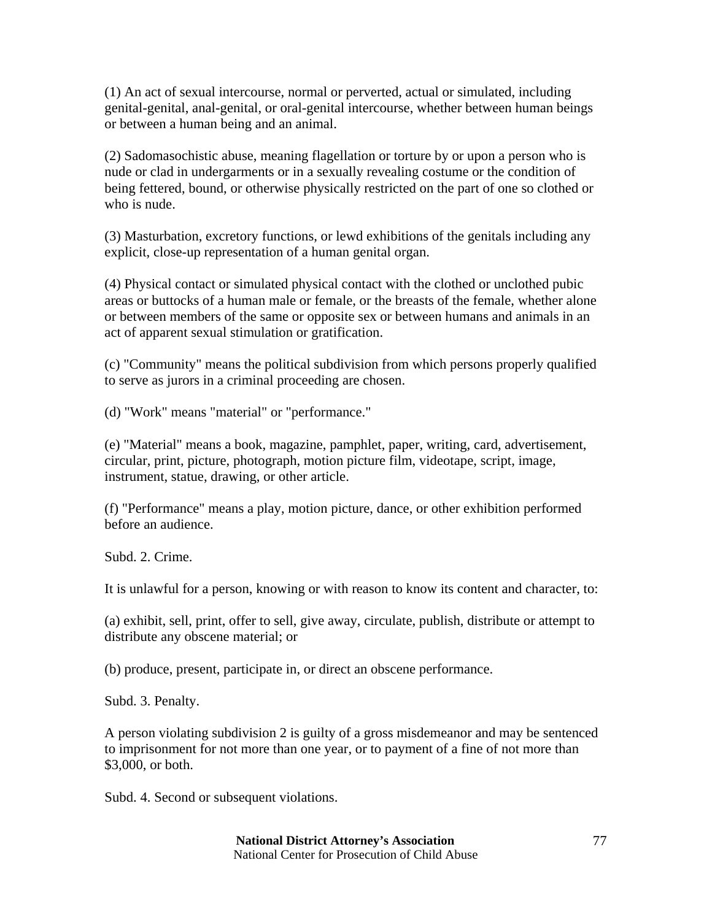(1) An act of sexual intercourse, normal or perverted, actual or simulated, including genital-genital, anal-genital, or oral-genital intercourse, whether between human beings or between a human being and an animal.

(2) Sadomasochistic abuse, meaning flagellation or torture by or upon a person who is nude or clad in undergarments or in a sexually revealing costume or the condition of being fettered, bound, or otherwise physically restricted on the part of one so clothed or who is nude.

(3) Masturbation, excretory functions, or lewd exhibitions of the genitals including any explicit, close-up representation of a human genital organ.

(4) Physical contact or simulated physical contact with the clothed or unclothed pubic areas or buttocks of a human male or female, or the breasts of the female, whether alone or between members of the same or opposite sex or between humans and animals in an act of apparent sexual stimulation or gratification.

(c) "Community" means the political subdivision from which persons properly qualified to serve as jurors in a criminal proceeding are chosen.

(d) "Work" means "material" or "performance."

(e) "Material" means a book, magazine, pamphlet, paper, writing, card, advertisement, circular, print, picture, photograph, motion picture film, videotape, script, image, instrument, statue, drawing, or other article.

(f) "Performance" means a play, motion picture, dance, or other exhibition performed before an audience.

Subd. 2. Crime.

It is unlawful for a person, knowing or with reason to know its content and character, to:

(a) exhibit, sell, print, offer to sell, give away, circulate, publish, distribute or attempt to distribute any obscene material; or

(b) produce, present, participate in, or direct an obscene performance.

Subd. 3. Penalty.

A person violating subdivision 2 is guilty of a gross misdemeanor and may be sentenced to imprisonment for not more than one year, or to payment of a fine of not more than \$3,000, or both.

Subd. 4. Second or subsequent violations.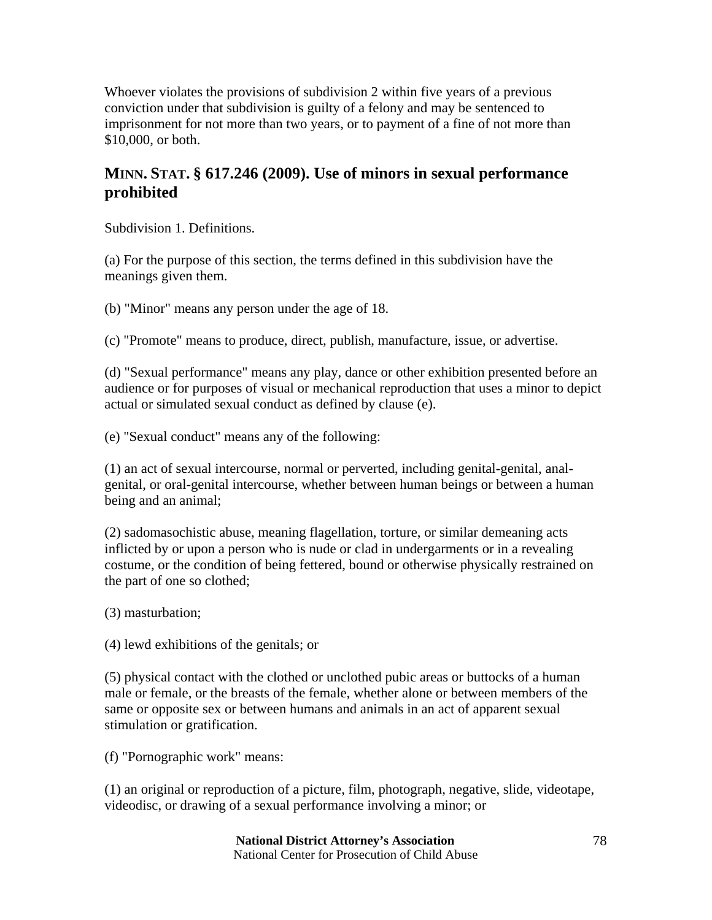Whoever violates the provisions of subdivision 2 within five years of a previous conviction under that subdivision is guilty of a felony and may be sentenced to imprisonment for not more than two years, or to payment of a fine of not more than \$10,000, or both.

# **MINN. STAT. § 617.246 (2009). Use of minors in sexual performance prohibited**

Subdivision 1. Definitions.

(a) For the purpose of this section, the terms defined in this subdivision have the meanings given them.

(b) "Minor" means any person under the age of 18.

(c) "Promote" means to produce, direct, publish, manufacture, issue, or advertise.

(d) "Sexual performance" means any play, dance or other exhibition presented before an audience or for purposes of visual or mechanical reproduction that uses a minor to depict actual or simulated sexual conduct as defined by clause (e).

(e) "Sexual conduct" means any of the following:

(1) an act of sexual intercourse, normal or perverted, including genital-genital, analgenital, or oral-genital intercourse, whether between human beings or between a human being and an animal;

(2) sadomasochistic abuse, meaning flagellation, torture, or similar demeaning acts inflicted by or upon a person who is nude or clad in undergarments or in a revealing costume, or the condition of being fettered, bound or otherwise physically restrained on the part of one so clothed;

(3) masturbation;

(4) lewd exhibitions of the genitals; or

(5) physical contact with the clothed or unclothed pubic areas or buttocks of a human male or female, or the breasts of the female, whether alone or between members of the same or opposite sex or between humans and animals in an act of apparent sexual stimulation or gratification.

(f) "Pornographic work" means:

(1) an original or reproduction of a picture, film, photograph, negative, slide, videotape, videodisc, or drawing of a sexual performance involving a minor; or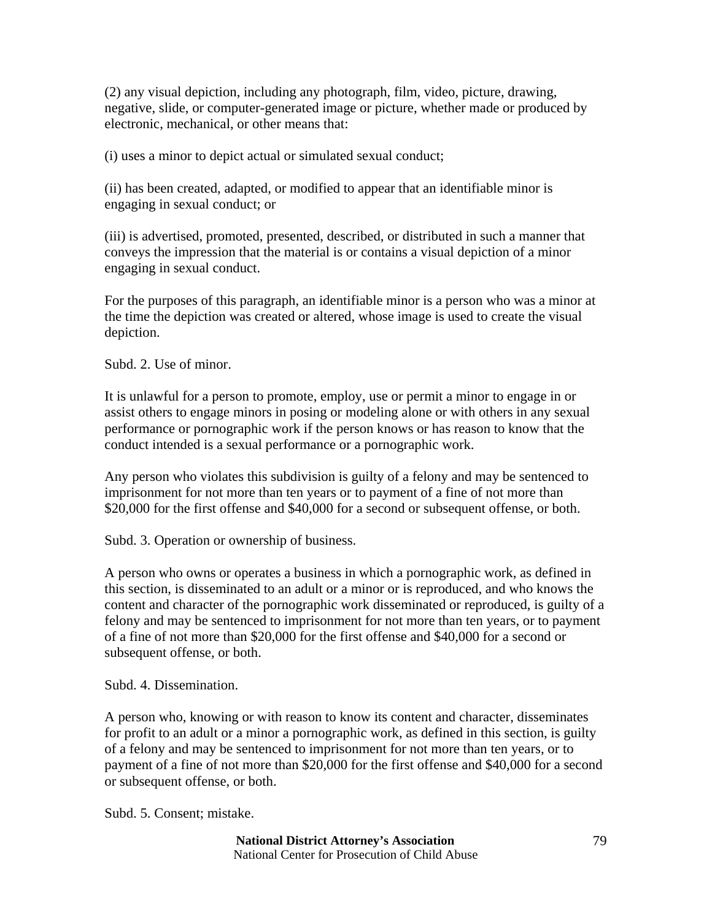(2) any visual depiction, including any photograph, film, video, picture, drawing, negative, slide, or computer-generated image or picture, whether made or produced by electronic, mechanical, or other means that:

(i) uses a minor to depict actual or simulated sexual conduct;

(ii) has been created, adapted, or modified to appear that an identifiable minor is engaging in sexual conduct; or

(iii) is advertised, promoted, presented, described, or distributed in such a manner that conveys the impression that the material is or contains a visual depiction of a minor engaging in sexual conduct.

For the purposes of this paragraph, an identifiable minor is a person who was a minor at the time the depiction was created or altered, whose image is used to create the visual depiction.

Subd. 2. Use of minor.

It is unlawful for a person to promote, employ, use or permit a minor to engage in or assist others to engage minors in posing or modeling alone or with others in any sexual performance or pornographic work if the person knows or has reason to know that the conduct intended is a sexual performance or a pornographic work.

Any person who violates this subdivision is guilty of a felony and may be sentenced to imprisonment for not more than ten years or to payment of a fine of not more than \$20,000 for the first offense and \$40,000 for a second or subsequent offense, or both.

Subd. 3. Operation or ownership of business.

A person who owns or operates a business in which a pornographic work, as defined in this section, is disseminated to an adult or a minor or is reproduced, and who knows the content and character of the pornographic work disseminated or reproduced, is guilty of a felony and may be sentenced to imprisonment for not more than ten years, or to payment of a fine of not more than \$20,000 for the first offense and \$40,000 for a second or subsequent offense, or both.

Subd. 4. Dissemination.

A person who, knowing or with reason to know its content and character, disseminates for profit to an adult or a minor a pornographic work, as defined in this section, is guilty of a felony and may be sentenced to imprisonment for not more than ten years, or to payment of a fine of not more than \$20,000 for the first offense and \$40,000 for a second or subsequent offense, or both.

Subd. 5. Consent; mistake.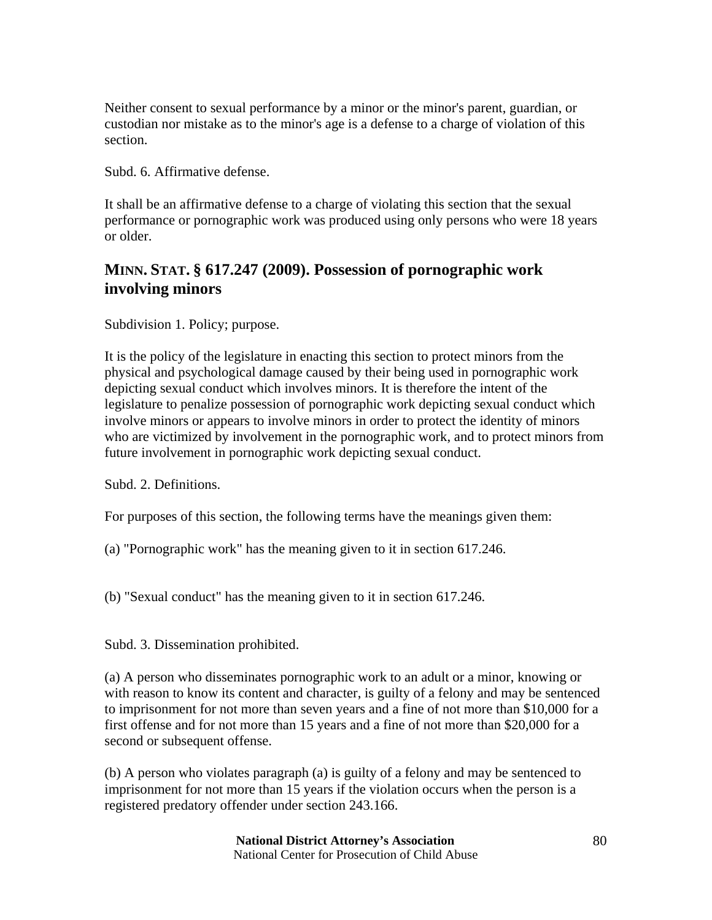Neither consent to sexual performance by a minor or the minor's parent, guardian, or custodian nor mistake as to the minor's age is a defense to a charge of violation of this section.

Subd. 6. Affirmative defense.

It shall be an affirmative defense to a charge of violating this section that the sexual performance or pornographic work was produced using only persons who were 18 years or older.

#### **MINN. STAT. § 617.247 (2009). Possession of pornographic work involving minors**

Subdivision 1. Policy; purpose.

It is the policy of the legislature in enacting this section to protect minors from the physical and psychological damage caused by their being used in pornographic work depicting sexual conduct which involves minors. It is therefore the intent of the legislature to penalize possession of pornographic work depicting sexual conduct which involve minors or appears to involve minors in order to protect the identity of minors who are victimized by involvement in the pornographic work, and to protect minors from future involvement in pornographic work depicting sexual conduct.

Subd. 2. Definitions.

For purposes of this section, the following terms have the meanings given them:

(a) "Pornographic work" has the meaning given to it in section 617.246.

(b) "Sexual conduct" has the meaning given to it in section 617.246.

Subd. 3. Dissemination prohibited.

(a) A person who disseminates pornographic work to an adult or a minor, knowing or with reason to know its content and character, is guilty of a felony and may be sentenced to imprisonment for not more than seven years and a fine of not more than \$10,000 for a first offense and for not more than 15 years and a fine of not more than \$20,000 for a second or subsequent offense.

(b) A person who violates paragraph (a) is guilty of a felony and may be sentenced to imprisonment for not more than 15 years if the violation occurs when the person is a registered predatory offender under section 243.166.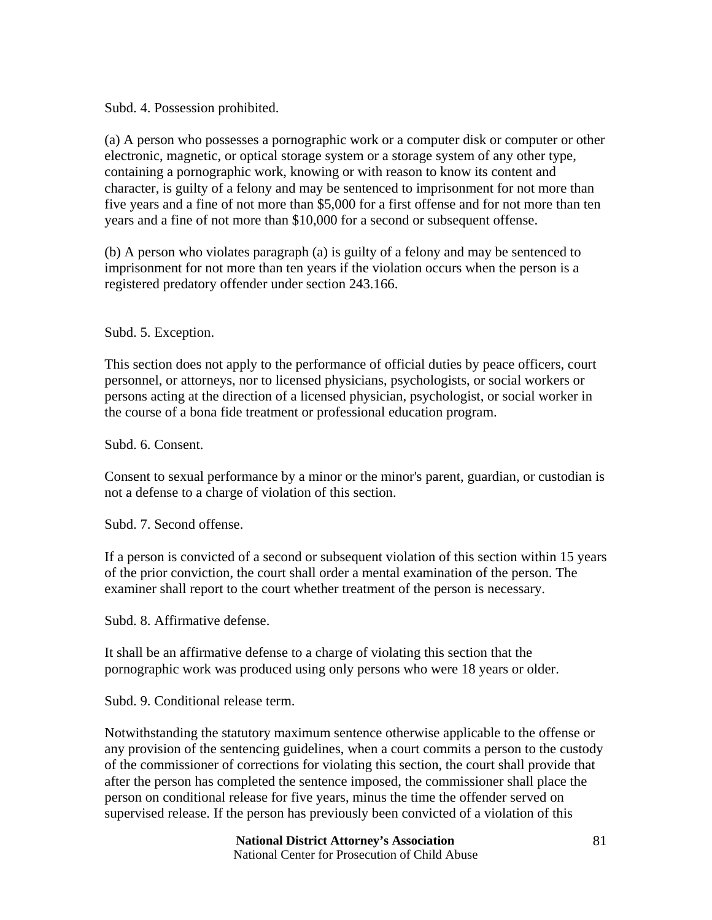Subd. 4. Possession prohibited.

(a) A person who possesses a pornographic work or a computer disk or computer or other electronic, magnetic, or optical storage system or a storage system of any other type, containing a pornographic work, knowing or with reason to know its content and character, is guilty of a felony and may be sentenced to imprisonment for not more than five years and a fine of not more than \$5,000 for a first offense and for not more than ten years and a fine of not more than \$10,000 for a second or subsequent offense.

(b) A person who violates paragraph (a) is guilty of a felony and may be sentenced to imprisonment for not more than ten years if the violation occurs when the person is a registered predatory offender under section 243.166.

Subd. 5. Exception.

This section does not apply to the performance of official duties by peace officers, court personnel, or attorneys, nor to licensed physicians, psychologists, or social workers or persons acting at the direction of a licensed physician, psychologist, or social worker in the course of a bona fide treatment or professional education program.

Subd. 6. Consent.

Consent to sexual performance by a minor or the minor's parent, guardian, or custodian is not a defense to a charge of violation of this section.

Subd. 7. Second offense.

If a person is convicted of a second or subsequent violation of this section within 15 years of the prior conviction, the court shall order a mental examination of the person. The examiner shall report to the court whether treatment of the person is necessary.

Subd. 8. Affirmative defense.

It shall be an affirmative defense to a charge of violating this section that the pornographic work was produced using only persons who were 18 years or older.

Subd. 9. Conditional release term.

Notwithstanding the statutory maximum sentence otherwise applicable to the offense or any provision of the sentencing guidelines, when a court commits a person to the custody of the commissioner of corrections for violating this section, the court shall provide that after the person has completed the sentence imposed, the commissioner shall place the person on conditional release for five years, minus the time the offender served on supervised release. If the person has previously been convicted of a violation of this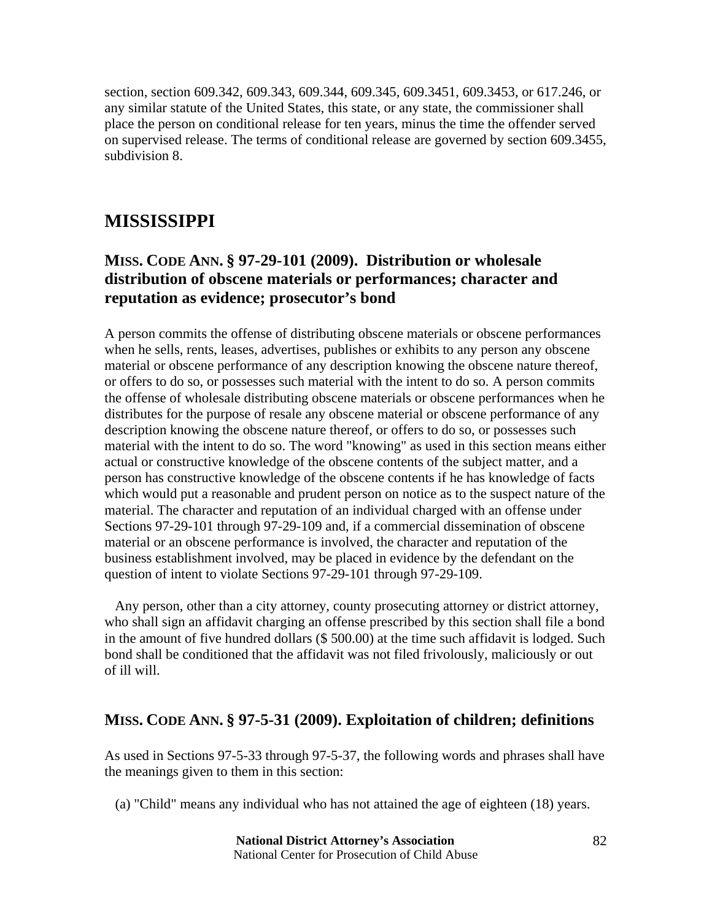section, section 609.342, 609.343, 609.344, 609.345, 609.3451, 609.3453, or 617.246, or any similar statute of the United States, this state, or any state, the commissioner shall place the person on conditional release for ten years, minus the time the offender served on supervised release. The terms of conditional release are governed by section 609.3455, subdivision 8.

# **MISSISSIPPI**

# **MISS. CODE ANN. § 97-29-101 (2009). Distribution or wholesale distribution of obscene materials or performances; character and reputation as evidence; prosecutor's bond**

A person commits the offense of distributing obscene materials or obscene performances when he sells, rents, leases, advertises, publishes or exhibits to any person any obscene material or obscene performance of any description knowing the obscene nature thereof, or offers to do so, or possesses such material with the intent to do so. A person commits the offense of wholesale distributing obscene materials or obscene performances when he distributes for the purpose of resale any obscene material or obscene performance of any description knowing the obscene nature thereof, or offers to do so, or possesses such material with the intent to do so. The word "knowing" as used in this section means either actual or constructive knowledge of the obscene contents of the subject matter, and a person has constructive knowledge of the obscene contents if he has knowledge of facts which would put a reasonable and prudent person on notice as to the suspect nature of the material. The character and reputation of an individual charged with an offense under Sections 97-29-101 through 97-29-109 and, if a commercial dissemination of obscene material or an obscene performance is involved, the character and reputation of the business establishment involved, may be placed in evidence by the defendant on the question of intent to violate Sections 97-29-101 through 97-29-109.

 Any person, other than a city attorney, county prosecuting attorney or district attorney, who shall sign an affidavit charging an offense prescribed by this section shall file a bond in the amount of five hundred dollars (\$ 500.00) at the time such affidavit is lodged. Such bond shall be conditioned that the affidavit was not filed frivolously, maliciously or out of ill will.

### **MISS. CODE ANN. § 97-5-31 (2009). Exploitation of children; definitions**

As used in Sections 97-5-33 through 97-5-37, the following words and phrases shall have the meanings given to them in this section:

(a) "Child" means any individual who has not attained the age of eighteen (18) years.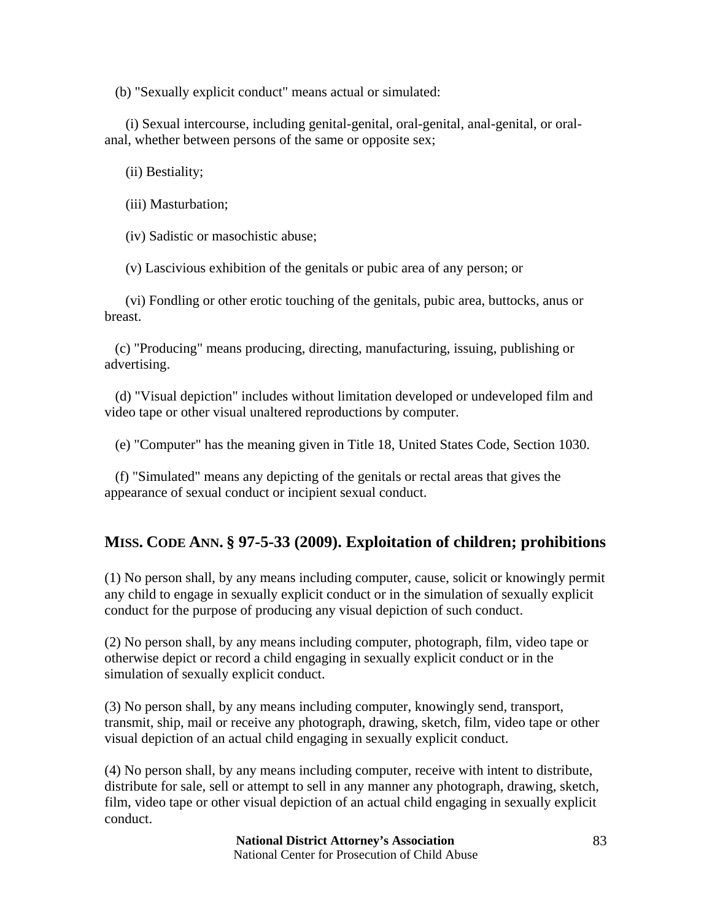(b) "Sexually explicit conduct" means actual or simulated:

 (i) Sexual intercourse, including genital-genital, oral-genital, anal-genital, or oralanal, whether between persons of the same or opposite sex;

(ii) Bestiality;

(iii) Masturbation;

(iv) Sadistic or masochistic abuse;

(v) Lascivious exhibition of the genitals or pubic area of any person; or

 (vi) Fondling or other erotic touching of the genitals, pubic area, buttocks, anus or breast.

 (c) "Producing" means producing, directing, manufacturing, issuing, publishing or advertising.

 (d) "Visual depiction" includes without limitation developed or undeveloped film and video tape or other visual unaltered reproductions by computer.

(e) "Computer" has the meaning given in Title 18, United States Code, Section 1030.

 (f) "Simulated" means any depicting of the genitals or rectal areas that gives the appearance of sexual conduct or incipient sexual conduct.

### **MISS. CODE ANN. § 97-5-33 (2009). Exploitation of children; prohibitions**

(1) No person shall, by any means including computer, cause, solicit or knowingly permit any child to engage in sexually explicit conduct or in the simulation of sexually explicit conduct for the purpose of producing any visual depiction of such conduct.

(2) No person shall, by any means including computer, photograph, film, video tape or otherwise depict or record a child engaging in sexually explicit conduct or in the simulation of sexually explicit conduct.

(3) No person shall, by any means including computer, knowingly send, transport, transmit, ship, mail or receive any photograph, drawing, sketch, film, video tape or other visual depiction of an actual child engaging in sexually explicit conduct.

(4) No person shall, by any means including computer, receive with intent to distribute, distribute for sale, sell or attempt to sell in any manner any photograph, drawing, sketch, film, video tape or other visual depiction of an actual child engaging in sexually explicit conduct.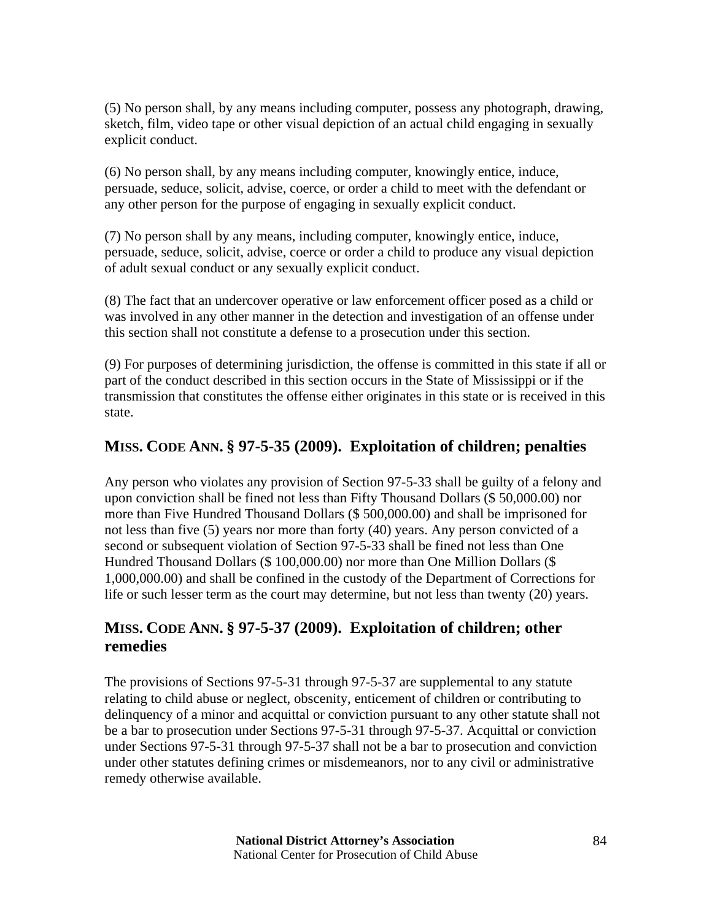(5) No person shall, by any means including computer, possess any photograph, drawing, sketch, film, video tape or other visual depiction of an actual child engaging in sexually explicit conduct.

(6) No person shall, by any means including computer, knowingly entice, induce, persuade, seduce, solicit, advise, coerce, or order a child to meet with the defendant or any other person for the purpose of engaging in sexually explicit conduct.

(7) No person shall by any means, including computer, knowingly entice, induce, persuade, seduce, solicit, advise, coerce or order a child to produce any visual depiction of adult sexual conduct or any sexually explicit conduct.

(8) The fact that an undercover operative or law enforcement officer posed as a child or was involved in any other manner in the detection and investigation of an offense under this section shall not constitute a defense to a prosecution under this section.

(9) For purposes of determining jurisdiction, the offense is committed in this state if all or part of the conduct described in this section occurs in the State of Mississippi or if the transmission that constitutes the offense either originates in this state or is received in this state.

# **MISS. CODE ANN. § 97-5-35 (2009). Exploitation of children; penalties**

Any person who violates any provision of Section 97-5-33 shall be guilty of a felony and upon conviction shall be fined not less than Fifty Thousand Dollars (\$ 50,000.00) nor more than Five Hundred Thousand Dollars (\$ 500,000.00) and shall be imprisoned for not less than five (5) years nor more than forty (40) years. Any person convicted of a second or subsequent violation of Section 97-5-33 shall be fined not less than One Hundred Thousand Dollars (\$ 100,000.00) nor more than One Million Dollars (\$ 1,000,000.00) and shall be confined in the custody of the Department of Corrections for life or such lesser term as the court may determine, but not less than twenty (20) years.

### **MISS. CODE ANN. § 97-5-37 (2009). Exploitation of children; other remedies**

The provisions of Sections 97-5-31 through 97-5-37 are supplemental to any statute relating to child abuse or neglect, obscenity, enticement of children or contributing to delinquency of a minor and acquittal or conviction pursuant to any other statute shall not be a bar to prosecution under Sections 97-5-31 through 97-5-37. Acquittal or conviction under Sections 97-5-31 through 97-5-37 shall not be a bar to prosecution and conviction under other statutes defining crimes or misdemeanors, nor to any civil or administrative remedy otherwise available.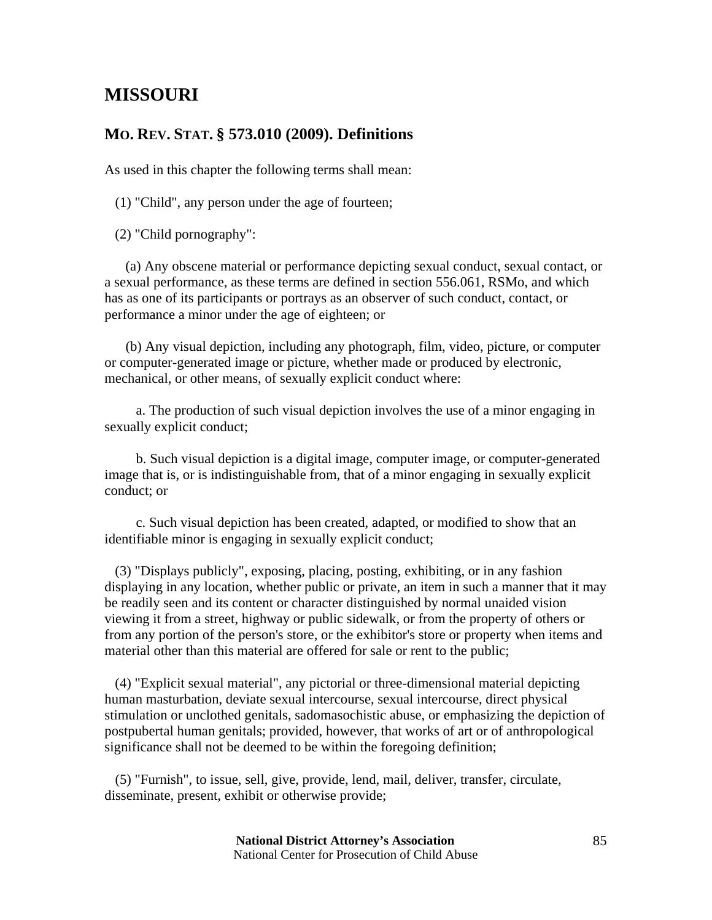# **MISSOURI**

#### **MO. REV. STAT. § 573.010 (2009). Definitions**

As used in this chapter the following terms shall mean:

(1) "Child", any person under the age of fourteen;

(2) "Child pornography":

 (a) Any obscene material or performance depicting sexual conduct, sexual contact, or a sexual performance, as these terms are defined in section 556.061, RSMo, and which has as one of its participants or portrays as an observer of such conduct, contact, or performance a minor under the age of eighteen; or

 (b) Any visual depiction, including any photograph, film, video, picture, or computer or computer-generated image or picture, whether made or produced by electronic, mechanical, or other means, of sexually explicit conduct where:

 a. The production of such visual depiction involves the use of a minor engaging in sexually explicit conduct;

 b. Such visual depiction is a digital image, computer image, or computer-generated image that is, or is indistinguishable from, that of a minor engaging in sexually explicit conduct; or

 c. Such visual depiction has been created, adapted, or modified to show that an identifiable minor is engaging in sexually explicit conduct;

 (3) "Displays publicly", exposing, placing, posting, exhibiting, or in any fashion displaying in any location, whether public or private, an item in such a manner that it may be readily seen and its content or character distinguished by normal unaided vision viewing it from a street, highway or public sidewalk, or from the property of others or from any portion of the person's store, or the exhibitor's store or property when items and material other than this material are offered for sale or rent to the public;

 (4) "Explicit sexual material", any pictorial or three-dimensional material depicting human masturbation, deviate sexual intercourse, sexual intercourse, direct physical stimulation or unclothed genitals, sadomasochistic abuse, or emphasizing the depiction of postpubertal human genitals; provided, however, that works of art or of anthropological significance shall not be deemed to be within the foregoing definition;

 (5) "Furnish", to issue, sell, give, provide, lend, mail, deliver, transfer, circulate, disseminate, present, exhibit or otherwise provide;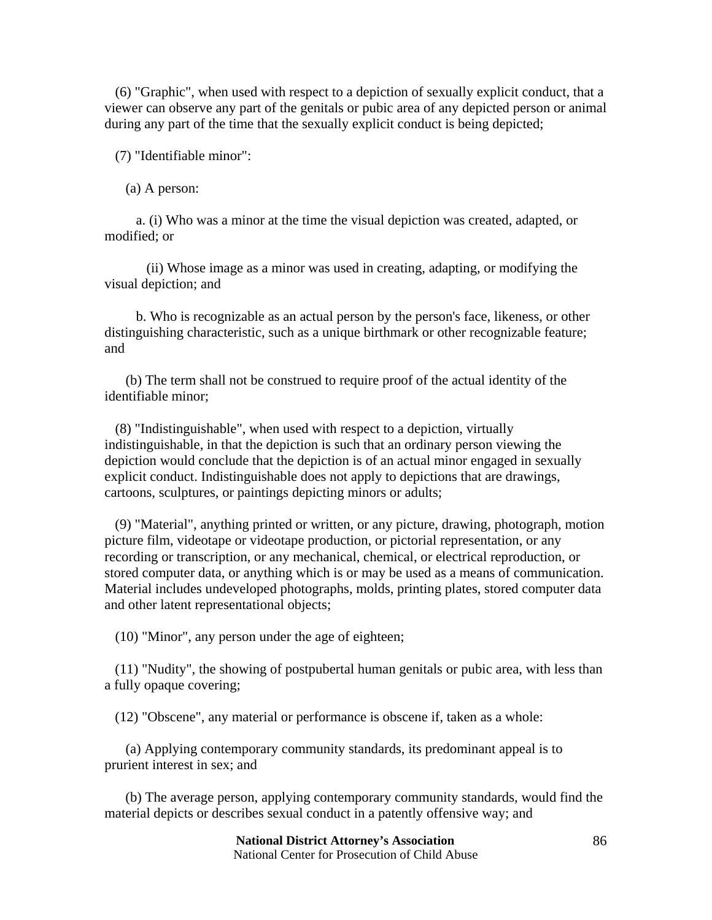(6) "Graphic", when used with respect to a depiction of sexually explicit conduct, that a viewer can observe any part of the genitals or pubic area of any depicted person or animal during any part of the time that the sexually explicit conduct is being depicted;

(7) "Identifiable minor":

(a) A person:

 a. (i) Who was a minor at the time the visual depiction was created, adapted, or modified; or

 (ii) Whose image as a minor was used in creating, adapting, or modifying the visual depiction; and

 b. Who is recognizable as an actual person by the person's face, likeness, or other distinguishing characteristic, such as a unique birthmark or other recognizable feature; and

 (b) The term shall not be construed to require proof of the actual identity of the identifiable minor;

 (8) "Indistinguishable", when used with respect to a depiction, virtually indistinguishable, in that the depiction is such that an ordinary person viewing the depiction would conclude that the depiction is of an actual minor engaged in sexually explicit conduct. Indistinguishable does not apply to depictions that are drawings, cartoons, sculptures, or paintings depicting minors or adults;

 (9) "Material", anything printed or written, or any picture, drawing, photograph, motion picture film, videotape or videotape production, or pictorial representation, or any recording or transcription, or any mechanical, chemical, or electrical reproduction, or stored computer data, or anything which is or may be used as a means of communication. Material includes undeveloped photographs, molds, printing plates, stored computer data and other latent representational objects;

(10) "Minor", any person under the age of eighteen;

 (11) "Nudity", the showing of postpubertal human genitals or pubic area, with less than a fully opaque covering;

(12) "Obscene", any material or performance is obscene if, taken as a whole:

 (a) Applying contemporary community standards, its predominant appeal is to prurient interest in sex; and

 (b) The average person, applying contemporary community standards, would find the material depicts or describes sexual conduct in a patently offensive way; and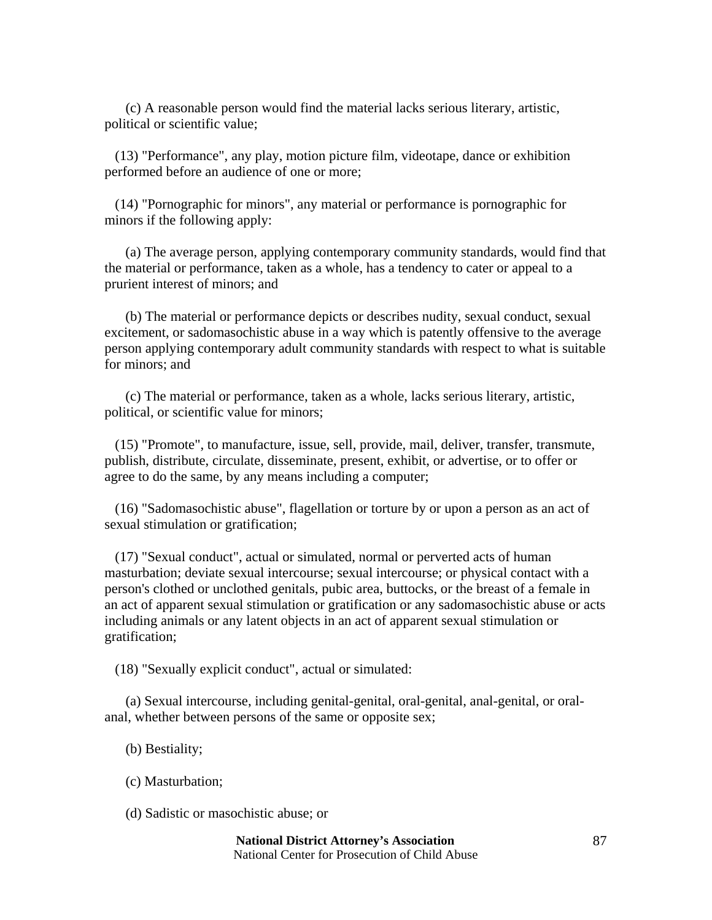(c) A reasonable person would find the material lacks serious literary, artistic, political or scientific value;

 (13) "Performance", any play, motion picture film, videotape, dance or exhibition performed before an audience of one or more;

 (14) "Pornographic for minors", any material or performance is pornographic for minors if the following apply:

 (a) The average person, applying contemporary community standards, would find that the material or performance, taken as a whole, has a tendency to cater or appeal to a prurient interest of minors; and

 (b) The material or performance depicts or describes nudity, sexual conduct, sexual excitement, or sadomasochistic abuse in a way which is patently offensive to the average person applying contemporary adult community standards with respect to what is suitable for minors; and

 (c) The material or performance, taken as a whole, lacks serious literary, artistic, political, or scientific value for minors;

 (15) "Promote", to manufacture, issue, sell, provide, mail, deliver, transfer, transmute, publish, distribute, circulate, disseminate, present, exhibit, or advertise, or to offer or agree to do the same, by any means including a computer;

 (16) "Sadomasochistic abuse", flagellation or torture by or upon a person as an act of sexual stimulation or gratification;

 (17) "Sexual conduct", actual or simulated, normal or perverted acts of human masturbation; deviate sexual intercourse; sexual intercourse; or physical contact with a person's clothed or unclothed genitals, pubic area, buttocks, or the breast of a female in an act of apparent sexual stimulation or gratification or any sadomasochistic abuse or acts including animals or any latent objects in an act of apparent sexual stimulation or gratification;

(18) "Sexually explicit conduct", actual or simulated:

 (a) Sexual intercourse, including genital-genital, oral-genital, anal-genital, or oralanal, whether between persons of the same or opposite sex;

(b) Bestiality;

(c) Masturbation;

(d) Sadistic or masochistic abuse; or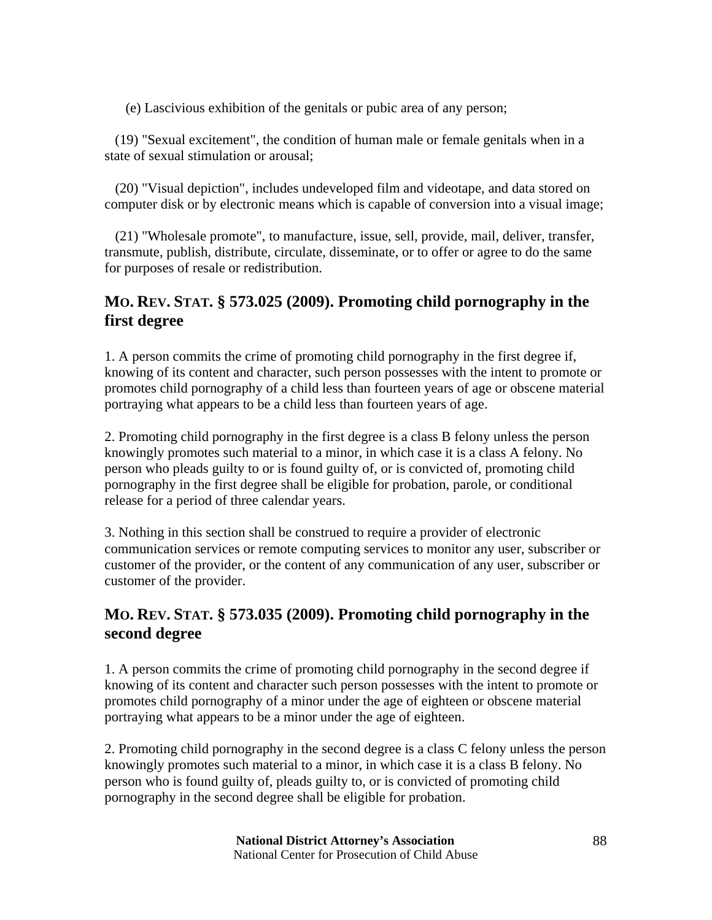(e) Lascivious exhibition of the genitals or pubic area of any person;

 (19) "Sexual excitement", the condition of human male or female genitals when in a state of sexual stimulation or arousal;

 (20) "Visual depiction", includes undeveloped film and videotape, and data stored on computer disk or by electronic means which is capable of conversion into a visual image;

 (21) "Wholesale promote", to manufacture, issue, sell, provide, mail, deliver, transfer, transmute, publish, distribute, circulate, disseminate, or to offer or agree to do the same for purposes of resale or redistribution.

# **MO. REV. STAT. § 573.025 (2009). Promoting child pornography in the first degree**

1. A person commits the crime of promoting child pornography in the first degree if, knowing of its content and character, such person possesses with the intent to promote or promotes child pornography of a child less than fourteen years of age or obscene material portraying what appears to be a child less than fourteen years of age.

2. Promoting child pornography in the first degree is a class B felony unless the person knowingly promotes such material to a minor, in which case it is a class A felony. No person who pleads guilty to or is found guilty of, or is convicted of, promoting child pornography in the first degree shall be eligible for probation, parole, or conditional release for a period of three calendar years.

3. Nothing in this section shall be construed to require a provider of electronic communication services or remote computing services to monitor any user, subscriber or customer of the provider, or the content of any communication of any user, subscriber or customer of the provider.

# **MO. REV. STAT. § 573.035 (2009). Promoting child pornography in the second degree**

1. A person commits the crime of promoting child pornography in the second degree if knowing of its content and character such person possesses with the intent to promote or promotes child pornography of a minor under the age of eighteen or obscene material portraying what appears to be a minor under the age of eighteen.

2. Promoting child pornography in the second degree is a class C felony unless the person knowingly promotes such material to a minor, in which case it is a class B felony. No person who is found guilty of, pleads guilty to, or is convicted of promoting child pornography in the second degree shall be eligible for probation.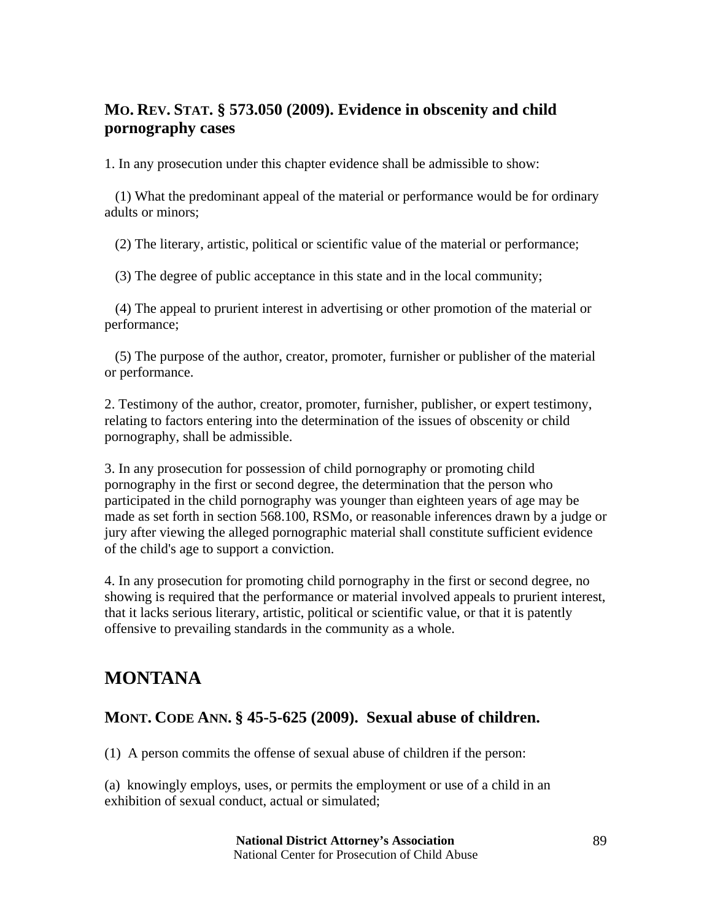# **MO. REV. STAT. § 573.050 (2009). Evidence in obscenity and child pornography cases**

1. In any prosecution under this chapter evidence shall be admissible to show:

 (1) What the predominant appeal of the material or performance would be for ordinary adults or minors;

(2) The literary, artistic, political or scientific value of the material or performance;

(3) The degree of public acceptance in this state and in the local community;

 (4) The appeal to prurient interest in advertising or other promotion of the material or performance;

 (5) The purpose of the author, creator, promoter, furnisher or publisher of the material or performance.

2. Testimony of the author, creator, promoter, furnisher, publisher, or expert testimony, relating to factors entering into the determination of the issues of obscenity or child pornography, shall be admissible.

3. In any prosecution for possession of child pornography or promoting child pornography in the first or second degree, the determination that the person who participated in the child pornography was younger than eighteen years of age may be made as set forth in section 568.100, RSMo, or reasonable inferences drawn by a judge or jury after viewing the alleged pornographic material shall constitute sufficient evidence of the child's age to support a conviction.

4. In any prosecution for promoting child pornography in the first or second degree, no showing is required that the performance or material involved appeals to prurient interest, that it lacks serious literary, artistic, political or scientific value, or that it is patently offensive to prevailing standards in the community as a whole.

# **MONTANA**

### **MONT. CODE ANN. § 45-5-625 (2009). Sexual abuse of children.**

(1) A person commits the offense of sexual abuse of children if the person:

(a) knowingly employs, uses, or permits the employment or use of a child in an exhibition of sexual conduct, actual or simulated;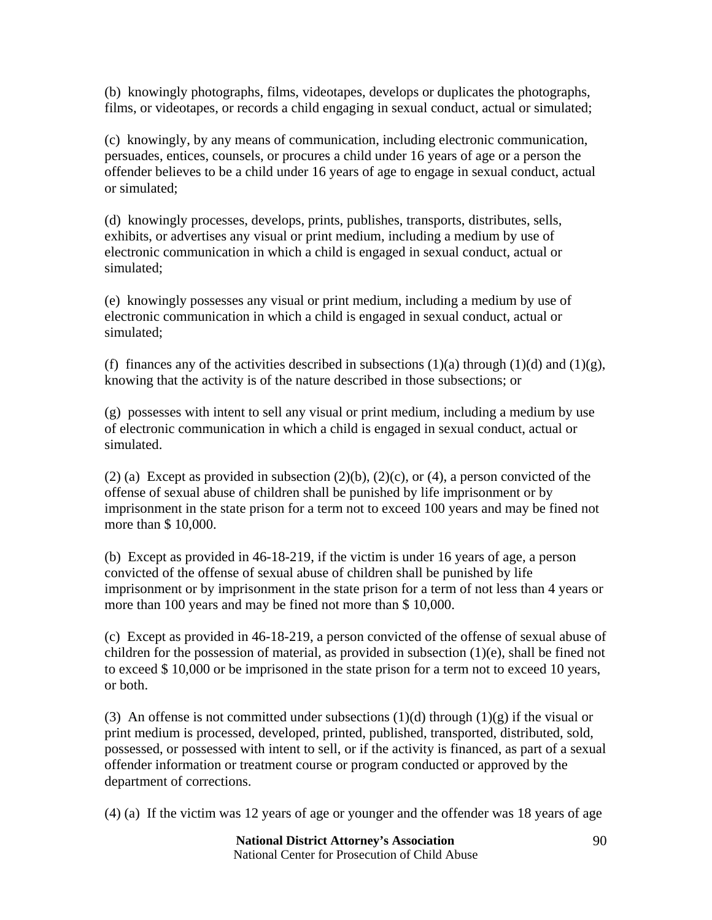(b) knowingly photographs, films, videotapes, develops or duplicates the photographs, films, or videotapes, or records a child engaging in sexual conduct, actual or simulated;

(c) knowingly, by any means of communication, including electronic communication, persuades, entices, counsels, or procures a child under 16 years of age or a person the offender believes to be a child under 16 years of age to engage in sexual conduct, actual or simulated;

(d) knowingly processes, develops, prints, publishes, transports, distributes, sells, exhibits, or advertises any visual or print medium, including a medium by use of electronic communication in which a child is engaged in sexual conduct, actual or simulated;

(e) knowingly possesses any visual or print medium, including a medium by use of electronic communication in which a child is engaged in sexual conduct, actual or simulated;

(f) finances any of the activities described in subsections (1)(a) through (1)(d) and (1)(g), knowing that the activity is of the nature described in those subsections; or

(g) possesses with intent to sell any visual or print medium, including a medium by use of electronic communication in which a child is engaged in sexual conduct, actual or simulated.

(2) (a) Except as provided in subsection  $(2)(b)$ ,  $(2)(c)$ , or  $(4)$ , a person convicted of the offense of sexual abuse of children shall be punished by life imprisonment or by imprisonment in the state prison for a term not to exceed 100 years and may be fined not more than \$ 10,000.

(b) Except as provided in 46-18-219, if the victim is under 16 years of age, a person convicted of the offense of sexual abuse of children shall be punished by life imprisonment or by imprisonment in the state prison for a term of not less than 4 years or more than 100 years and may be fined not more than \$ 10,000.

(c) Except as provided in 46-18-219, a person convicted of the offense of sexual abuse of children for the possession of material, as provided in subsection (1)(e), shall be fined not to exceed \$ 10,000 or be imprisoned in the state prison for a term not to exceed 10 years, or both.

(3) An offense is not committed under subsections  $(1)(d)$  through  $(1)(g)$  if the visual or print medium is processed, developed, printed, published, transported, distributed, sold, possessed, or possessed with intent to sell, or if the activity is financed, as part of a sexual offender information or treatment course or program conducted or approved by the department of corrections.

(4) (a) If the victim was 12 years of age or younger and the offender was 18 years of age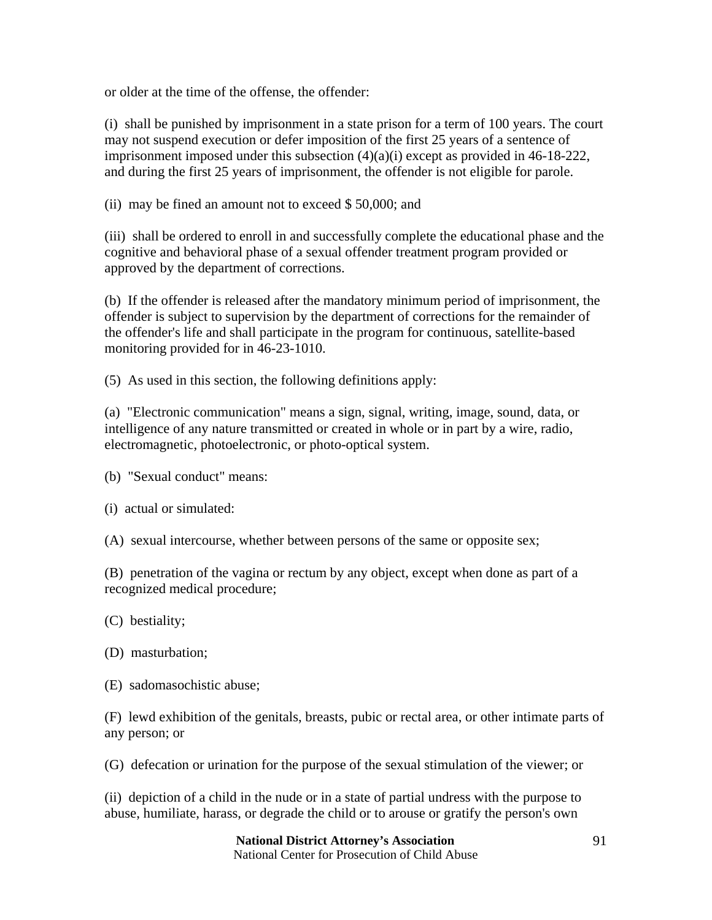or older at the time of the offense, the offender:

(i) shall be punished by imprisonment in a state prison for a term of 100 years. The court may not suspend execution or defer imposition of the first 25 years of a sentence of imprisonment imposed under this subsection (4)(a)(i) except as provided in 46-18-222, and during the first 25 years of imprisonment, the offender is not eligible for parole.

(ii) may be fined an amount not to exceed \$ 50,000; and

(iii) shall be ordered to enroll in and successfully complete the educational phase and the cognitive and behavioral phase of a sexual offender treatment program provided or approved by the department of corrections.

(b) If the offender is released after the mandatory minimum period of imprisonment, the offender is subject to supervision by the department of corrections for the remainder of the offender's life and shall participate in the program for continuous, satellite-based monitoring provided for in 46-23-1010.

(5) As used in this section, the following definitions apply:

(a) "Electronic communication" means a sign, signal, writing, image, sound, data, or intelligence of any nature transmitted or created in whole or in part by a wire, radio, electromagnetic, photoelectronic, or photo-optical system.

(b) "Sexual conduct" means:

(i) actual or simulated:

(A) sexual intercourse, whether between persons of the same or opposite sex;

(B) penetration of the vagina or rectum by any object, except when done as part of a recognized medical procedure;

(C) bestiality;

(D) masturbation;

(E) sadomasochistic abuse;

(F) lewd exhibition of the genitals, breasts, pubic or rectal area, or other intimate parts of any person; or

(G) defecation or urination for the purpose of the sexual stimulation of the viewer; or

(ii) depiction of a child in the nude or in a state of partial undress with the purpose to abuse, humiliate, harass, or degrade the child or to arouse or gratify the person's own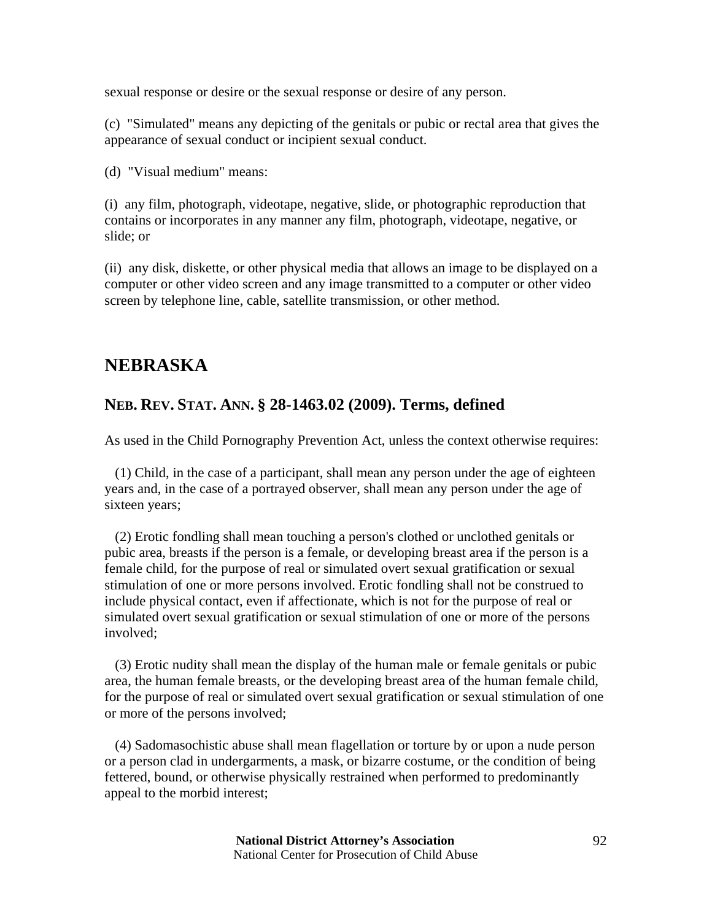sexual response or desire or the sexual response or desire of any person.

(c) "Simulated" means any depicting of the genitals or pubic or rectal area that gives the appearance of sexual conduct or incipient sexual conduct.

(d) "Visual medium" means:

(i) any film, photograph, videotape, negative, slide, or photographic reproduction that contains or incorporates in any manner any film, photograph, videotape, negative, or slide; or

(ii) any disk, diskette, or other physical media that allows an image to be displayed on a computer or other video screen and any image transmitted to a computer or other video screen by telephone line, cable, satellite transmission, or other method.

# **NEBRASKA**

# **NEB. REV. STAT. ANN. § 28-1463.02 (2009). Terms, defined**

As used in the Child Pornography Prevention Act, unless the context otherwise requires:

 (1) Child, in the case of a participant, shall mean any person under the age of eighteen years and, in the case of a portrayed observer, shall mean any person under the age of sixteen years;

 (2) Erotic fondling shall mean touching a person's clothed or unclothed genitals or pubic area, breasts if the person is a female, or developing breast area if the person is a female child, for the purpose of real or simulated overt sexual gratification or sexual stimulation of one or more persons involved. Erotic fondling shall not be construed to include physical contact, even if affectionate, which is not for the purpose of real or simulated overt sexual gratification or sexual stimulation of one or more of the persons involved;

 (3) Erotic nudity shall mean the display of the human male or female genitals or pubic area, the human female breasts, or the developing breast area of the human female child, for the purpose of real or simulated overt sexual gratification or sexual stimulation of one or more of the persons involved;

 (4) Sadomasochistic abuse shall mean flagellation or torture by or upon a nude person or a person clad in undergarments, a mask, or bizarre costume, or the condition of being fettered, bound, or otherwise physically restrained when performed to predominantly appeal to the morbid interest;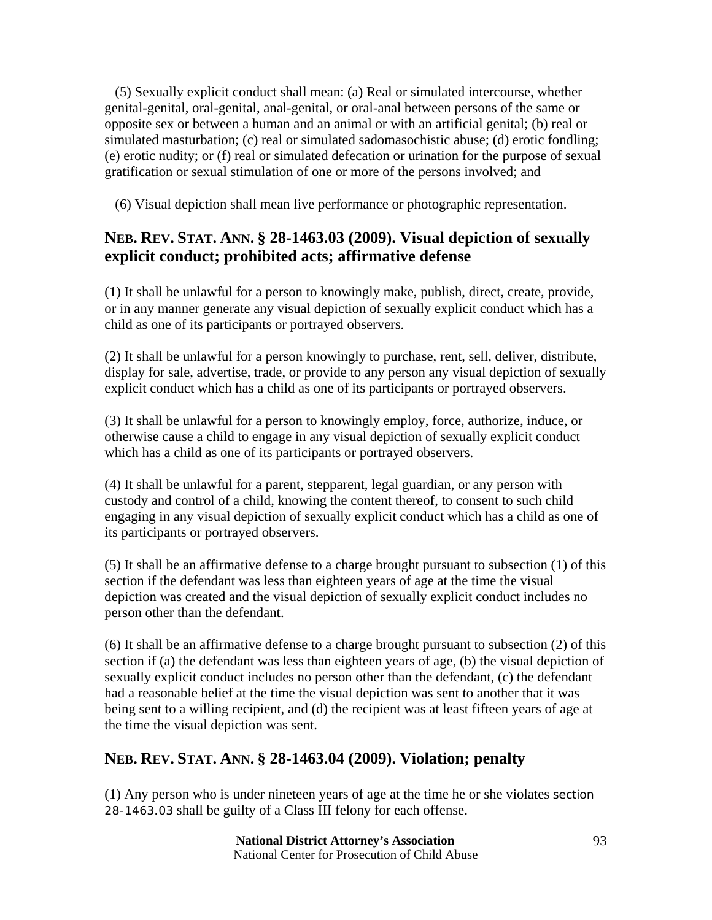(5) Sexually explicit conduct shall mean: (a) Real or simulated intercourse, whether genital-genital, oral-genital, anal-genital, or oral-anal between persons of the same or opposite sex or between a human and an animal or with an artificial genital; (b) real or simulated masturbation; (c) real or simulated sadomasochistic abuse; (d) erotic fondling; (e) erotic nudity; or (f) real or simulated defecation or urination for the purpose of sexual gratification or sexual stimulation of one or more of the persons involved; and

(6) Visual depiction shall mean live performance or photographic representation.

# **NEB. REV. STAT. ANN. § 28-1463.03 (2009). Visual depiction of sexually explicit conduct; prohibited acts; affirmative defense**

(1) It shall be unlawful for a person to knowingly make, publish, direct, create, provide, or in any manner generate any visual depiction of sexually explicit conduct which has a child as one of its participants or portrayed observers.

(2) It shall be unlawful for a person knowingly to purchase, rent, sell, deliver, distribute, display for sale, advertise, trade, or provide to any person any visual depiction of sexually explicit conduct which has a child as one of its participants or portrayed observers.

(3) It shall be unlawful for a person to knowingly employ, force, authorize, induce, or otherwise cause a child to engage in any visual depiction of sexually explicit conduct which has a child as one of its participants or portrayed observers.

(4) It shall be unlawful for a parent, stepparent, legal guardian, or any person with custody and control of a child, knowing the content thereof, to consent to such child engaging in any visual depiction of sexually explicit conduct which has a child as one of its participants or portrayed observers.

(5) It shall be an affirmative defense to a charge brought pursuant to subsection (1) of this section if the defendant was less than eighteen years of age at the time the visual depiction was created and the visual depiction of sexually explicit conduct includes no person other than the defendant.

(6) It shall be an affirmative defense to a charge brought pursuant to subsection (2) of this section if (a) the defendant was less than eighteen years of age, (b) the visual depiction of sexually explicit conduct includes no person other than the defendant, (c) the defendant had a reasonable belief at the time the visual depiction was sent to another that it was being sent to a willing recipient, and (d) the recipient was at least fifteen years of age at the time the visual depiction was sent.

# **NEB. REV. STAT. ANN. § 28-1463.04 (2009). Violation; penalty**

(1) Any person who is under nineteen years of age at the time he or she violates section 28-1463.03 shall be guilty of a Class III felony for each offense.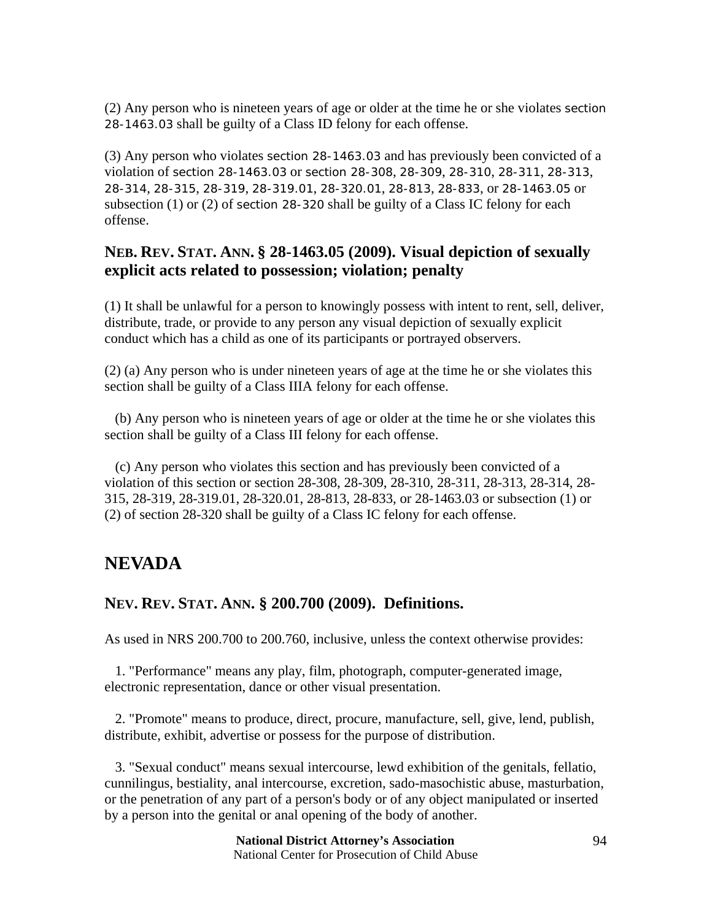(2) Any person who is nineteen years of age or older at the time he or she violates section 28-1463.03 shall be guilty of a Class ID felony for each offense.

(3) Any person who violates section 28-1463.03 and has previously been convicted of a violation of section 28-1463.03 or section 28-308, 28-309, 28-310, 28-311, 28-313, 28-314, 28-315, 28-319, 28-319.01, 28-320.01, 28-813, 28-833, or 28-1463.05 or subsection (1) or (2) of section 28-320 shall be guilty of a Class IC felony for each offense.

# **NEB. REV. STAT. ANN. § 28-1463.05 (2009). Visual depiction of sexually explicit acts related to possession; violation; penalty**

(1) It shall be unlawful for a person to knowingly possess with intent to rent, sell, deliver, distribute, trade, or provide to any person any visual depiction of sexually explicit conduct which has a child as one of its participants or portrayed observers.

(2) (a) Any person who is under nineteen years of age at the time he or she violates this section shall be guilty of a Class IIIA felony for each offense.

 (b) Any person who is nineteen years of age or older at the time he or she violates this section shall be guilty of a Class III felony for each offense.

 (c) Any person who violates this section and has previously been convicted of a violation of this section or section 28-308, 28-309, 28-310, 28-311, 28-313, 28-314, 28- 315, 28-319, 28-319.01, 28-320.01, 28-813, 28-833, or 28-1463.03 or subsection (1) or (2) of section 28-320 shall be guilty of a Class IC felony for each offense.

# **NEVADA**

#### **NEV. REV. STAT. ANN. § 200.700 (2009). Definitions.**

As used in NRS 200.700 to 200.760, inclusive, unless the context otherwise provides:

 1. "Performance" means any play, film, photograph, computer-generated image, electronic representation, dance or other visual presentation.

 2. "Promote" means to produce, direct, procure, manufacture, sell, give, lend, publish, distribute, exhibit, advertise or possess for the purpose of distribution.

 3. "Sexual conduct" means sexual intercourse, lewd exhibition of the genitals, fellatio, cunnilingus, bestiality, anal intercourse, excretion, sado-masochistic abuse, masturbation, or the penetration of any part of a person's body or of any object manipulated or inserted by a person into the genital or anal opening of the body of another.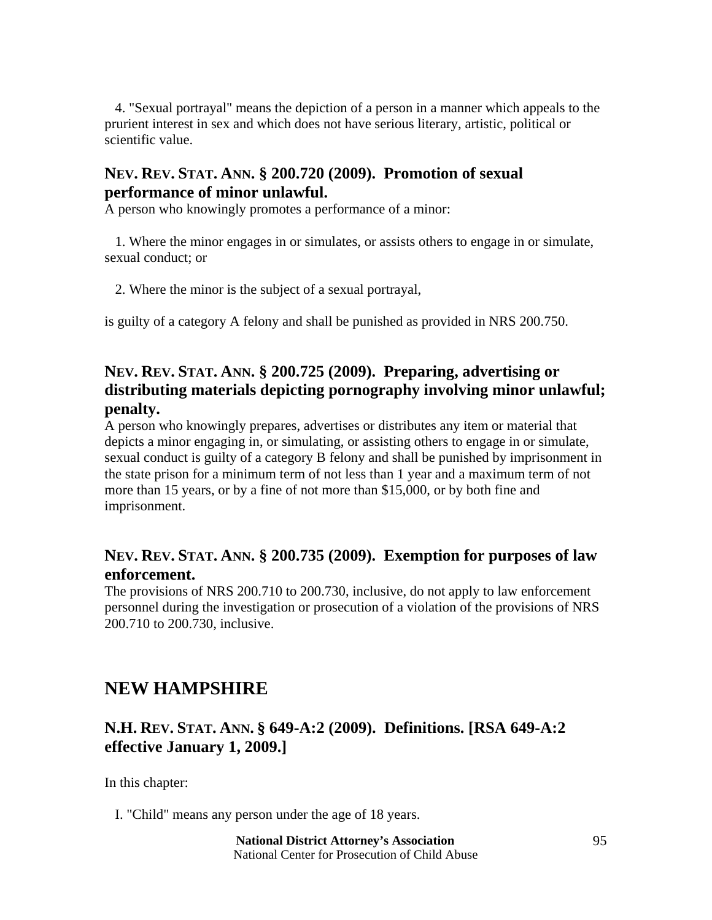4. "Sexual portrayal" means the depiction of a person in a manner which appeals to the prurient interest in sex and which does not have serious literary, artistic, political or scientific value.

### **NEV. REV. STAT. ANN. § 200.720 (2009). Promotion of sexual performance of minor unlawful.**

A person who knowingly promotes a performance of a minor:

 1. Where the minor engages in or simulates, or assists others to engage in or simulate, sexual conduct; or

2. Where the minor is the subject of a sexual portrayal,

is guilty of a category A felony and shall be punished as provided in NRS 200.750.

# **NEV. REV. STAT. ANN. § 200.725 (2009). Preparing, advertising or distributing materials depicting pornography involving minor unlawful; penalty.**

A person who knowingly prepares, advertises or distributes any item or material that depicts a minor engaging in, or simulating, or assisting others to engage in or simulate, sexual conduct is guilty of a category B felony and shall be punished by imprisonment in the state prison for a minimum term of not less than 1 year and a maximum term of not more than 15 years, or by a fine of not more than \$15,000, or by both fine and imprisonment.

### **NEV. REV. STAT. ANN. § 200.735 (2009). Exemption for purposes of law enforcement.**

The provisions of NRS 200.710 to 200.730, inclusive, do not apply to law enforcement personnel during the investigation or prosecution of a violation of the provisions of NRS 200.710 to 200.730, inclusive.

# **NEW HAMPSHIRE**

# **N.H. REV. STAT. ANN. § 649-A:2 (2009). Definitions. [RSA 649-A:2 effective January 1, 2009.]**

In this chapter:

I. "Child" means any person under the age of 18 years.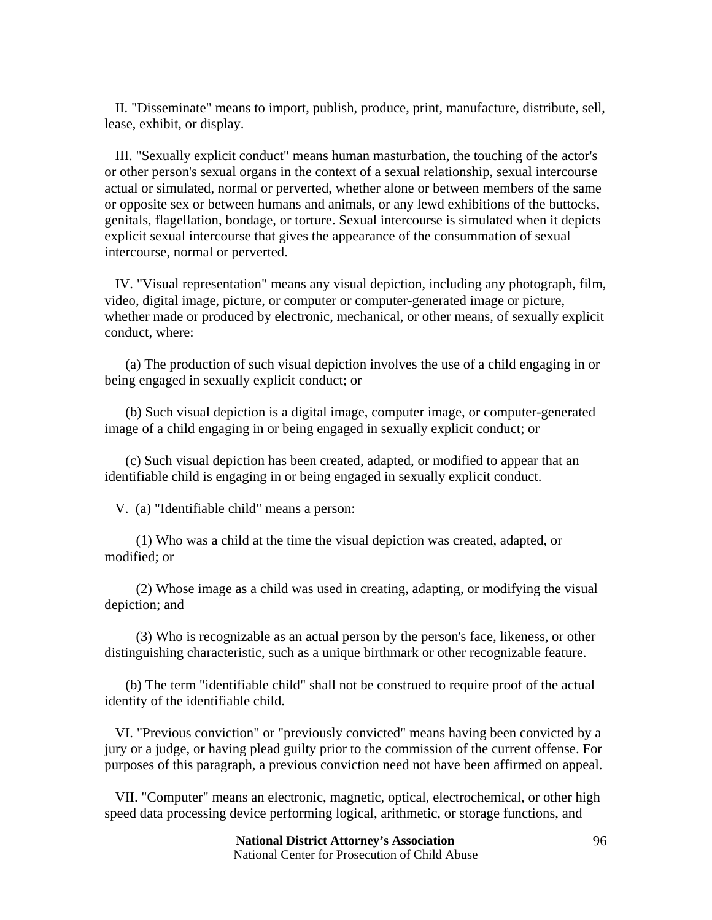II. "Disseminate" means to import, publish, produce, print, manufacture, distribute, sell, lease, exhibit, or display.

 III. "Sexually explicit conduct" means human masturbation, the touching of the actor's or other person's sexual organs in the context of a sexual relationship, sexual intercourse actual or simulated, normal or perverted, whether alone or between members of the same or opposite sex or between humans and animals, or any lewd exhibitions of the buttocks, genitals, flagellation, bondage, or torture. Sexual intercourse is simulated when it depicts explicit sexual intercourse that gives the appearance of the consummation of sexual intercourse, normal or perverted.

 IV. "Visual representation" means any visual depiction, including any photograph, film, video, digital image, picture, or computer or computer-generated image or picture, whether made or produced by electronic, mechanical, or other means, of sexually explicit conduct, where:

 (a) The production of such visual depiction involves the use of a child engaging in or being engaged in sexually explicit conduct; or

 (b) Such visual depiction is a digital image, computer image, or computer-generated image of a child engaging in or being engaged in sexually explicit conduct; or

 (c) Such visual depiction has been created, adapted, or modified to appear that an identifiable child is engaging in or being engaged in sexually explicit conduct.

V. (a) "Identifiable child" means a person:

 (1) Who was a child at the time the visual depiction was created, adapted, or modified; or

 (2) Whose image as a child was used in creating, adapting, or modifying the visual depiction; and

 (3) Who is recognizable as an actual person by the person's face, likeness, or other distinguishing characteristic, such as a unique birthmark or other recognizable feature.

 (b) The term "identifiable child" shall not be construed to require proof of the actual identity of the identifiable child.

 VI. "Previous conviction" or "previously convicted" means having been convicted by a jury or a judge, or having plead guilty prior to the commission of the current offense. For purposes of this paragraph, a previous conviction need not have been affirmed on appeal.

 VII. "Computer" means an electronic, magnetic, optical, electrochemical, or other high speed data processing device performing logical, arithmetic, or storage functions, and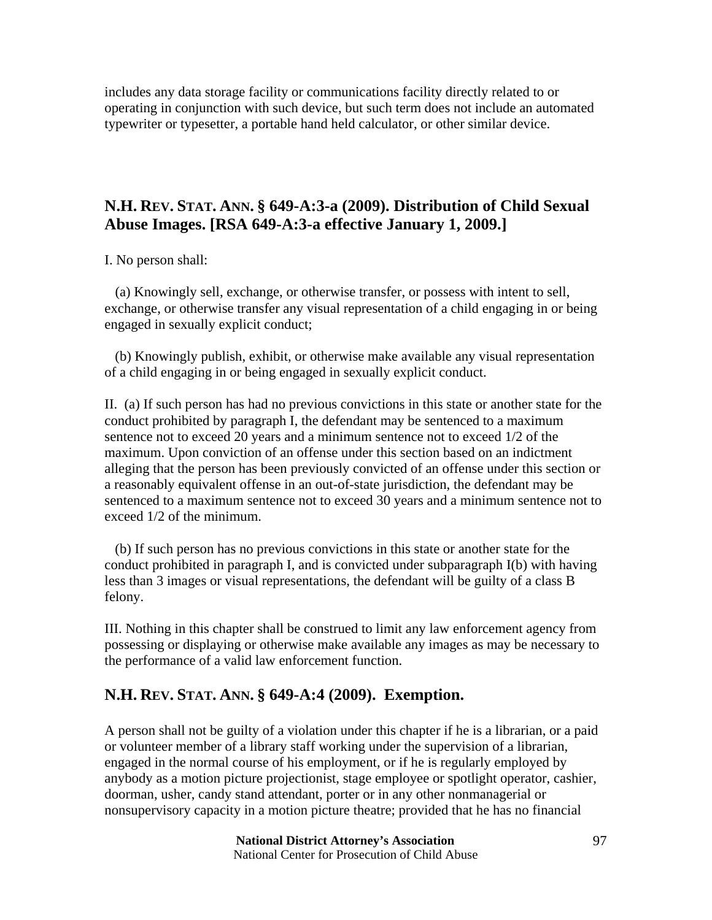includes any data storage facility or communications facility directly related to or operating in conjunction with such device, but such term does not include an automated typewriter or typesetter, a portable hand held calculator, or other similar device.

# **N.H. REV. STAT. ANN. § 649-A:3-a (2009). Distribution of Child Sexual Abuse Images. [RSA 649-A:3-a effective January 1, 2009.]**

I. No person shall:

 (a) Knowingly sell, exchange, or otherwise transfer, or possess with intent to sell, exchange, or otherwise transfer any visual representation of a child engaging in or being engaged in sexually explicit conduct;

 (b) Knowingly publish, exhibit, or otherwise make available any visual representation of a child engaging in or being engaged in sexually explicit conduct.

II. (a) If such person has had no previous convictions in this state or another state for the conduct prohibited by paragraph I, the defendant may be sentenced to a maximum sentence not to exceed 20 years and a minimum sentence not to exceed 1/2 of the maximum. Upon conviction of an offense under this section based on an indictment alleging that the person has been previously convicted of an offense under this section or a reasonably equivalent offense in an out-of-state jurisdiction, the defendant may be sentenced to a maximum sentence not to exceed 30 years and a minimum sentence not to exceed 1/2 of the minimum.

 (b) If such person has no previous convictions in this state or another state for the conduct prohibited in paragraph I, and is convicted under subparagraph I(b) with having less than 3 images or visual representations, the defendant will be guilty of a class B felony.

III. Nothing in this chapter shall be construed to limit any law enforcement agency from possessing or displaying or otherwise make available any images as may be necessary to the performance of a valid law enforcement function.

### **N.H. REV. STAT. ANN. § 649-A:4 (2009). Exemption.**

A person shall not be guilty of a violation under this chapter if he is a librarian, or a paid or volunteer member of a library staff working under the supervision of a librarian, engaged in the normal course of his employment, or if he is regularly employed by anybody as a motion picture projectionist, stage employee or spotlight operator, cashier, doorman, usher, candy stand attendant, porter or in any other nonmanagerial or nonsupervisory capacity in a motion picture theatre; provided that he has no financial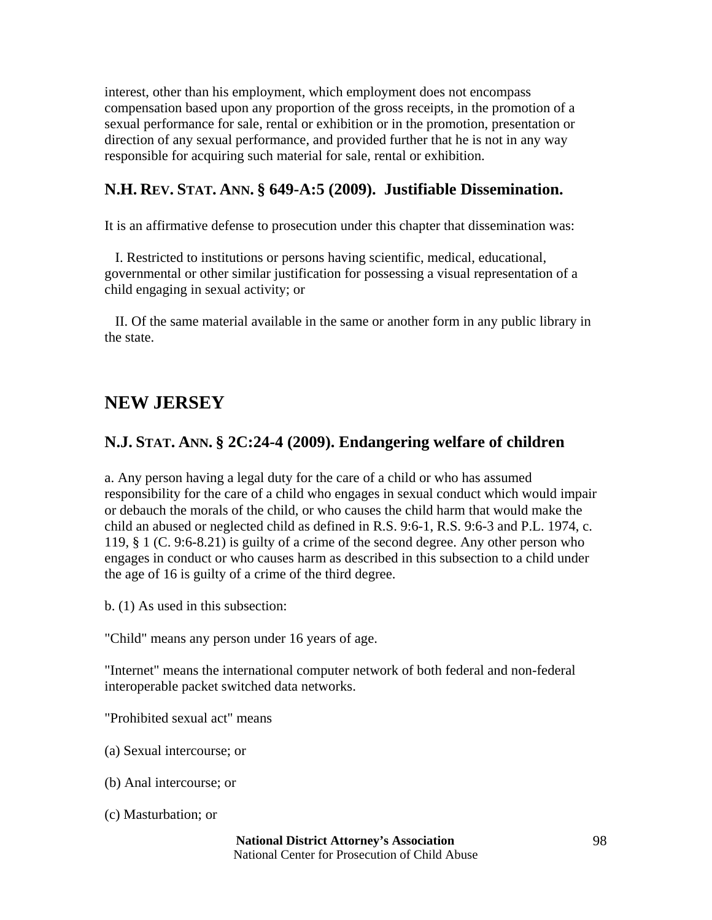interest, other than his employment, which employment does not encompass compensation based upon any proportion of the gross receipts, in the promotion of a sexual performance for sale, rental or exhibition or in the promotion, presentation or direction of any sexual performance, and provided further that he is not in any way responsible for acquiring such material for sale, rental or exhibition.

### **N.H. REV. STAT. ANN. § 649-A:5 (2009). Justifiable Dissemination.**

It is an affirmative defense to prosecution under this chapter that dissemination was:

 I. Restricted to institutions or persons having scientific, medical, educational, governmental or other similar justification for possessing a visual representation of a child engaging in sexual activity; or

 II. Of the same material available in the same or another form in any public library in the state.

# **NEW JERSEY**

# **N.J. STAT. ANN. § 2C:24-4 (2009). Endangering welfare of children**

a. Any person having a legal duty for the care of a child or who has assumed responsibility for the care of a child who engages in sexual conduct which would impair or debauch the morals of the child, or who causes the child harm that would make the child an abused or neglected child as defined in R.S. 9:6-1, R.S. 9:6-3 and P.L. 1974, c. 119, § 1 (C. 9:6-8.21) is guilty of a crime of the second degree. Any other person who engages in conduct or who causes harm as described in this subsection to a child under the age of 16 is guilty of a crime of the third degree.

b. (1) As used in this subsection:

"Child" means any person under 16 years of age.

"Internet" means the international computer network of both federal and non-federal interoperable packet switched data networks.

"Prohibited sexual act" means

(a) Sexual intercourse; or

- (b) Anal intercourse; or
- (c) Masturbation; or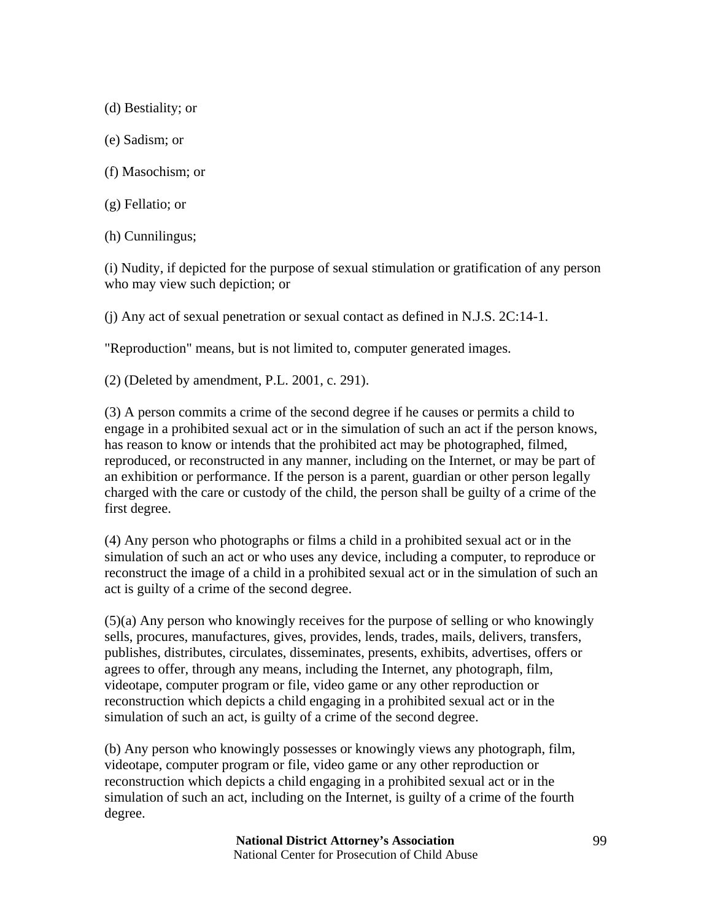(d) Bestiality; or

(e) Sadism; or

(f) Masochism; or

(g) Fellatio; or

(h) Cunnilingus;

(i) Nudity, if depicted for the purpose of sexual stimulation or gratification of any person who may view such depiction; or

(j) Any act of sexual penetration or sexual contact as defined in N.J.S. 2C:14-1.

"Reproduction" means, but is not limited to, computer generated images.

(2) (Deleted by amendment, P.L. 2001, c. 291).

(3) A person commits a crime of the second degree if he causes or permits a child to engage in a prohibited sexual act or in the simulation of such an act if the person knows, has reason to know or intends that the prohibited act may be photographed, filmed, reproduced, or reconstructed in any manner, including on the Internet, or may be part of an exhibition or performance. If the person is a parent, guardian or other person legally charged with the care or custody of the child, the person shall be guilty of a crime of the first degree.

(4) Any person who photographs or films a child in a prohibited sexual act or in the simulation of such an act or who uses any device, including a computer, to reproduce or reconstruct the image of a child in a prohibited sexual act or in the simulation of such an act is guilty of a crime of the second degree.

(5)(a) Any person who knowingly receives for the purpose of selling or who knowingly sells, procures, manufactures, gives, provides, lends, trades, mails, delivers, transfers, publishes, distributes, circulates, disseminates, presents, exhibits, advertises, offers or agrees to offer, through any means, including the Internet, any photograph, film, videotape, computer program or file, video game or any other reproduction or reconstruction which depicts a child engaging in a prohibited sexual act or in the simulation of such an act, is guilty of a crime of the second degree.

(b) Any person who knowingly possesses or knowingly views any photograph, film, videotape, computer program or file, video game or any other reproduction or reconstruction which depicts a child engaging in a prohibited sexual act or in the simulation of such an act, including on the Internet, is guilty of a crime of the fourth degree.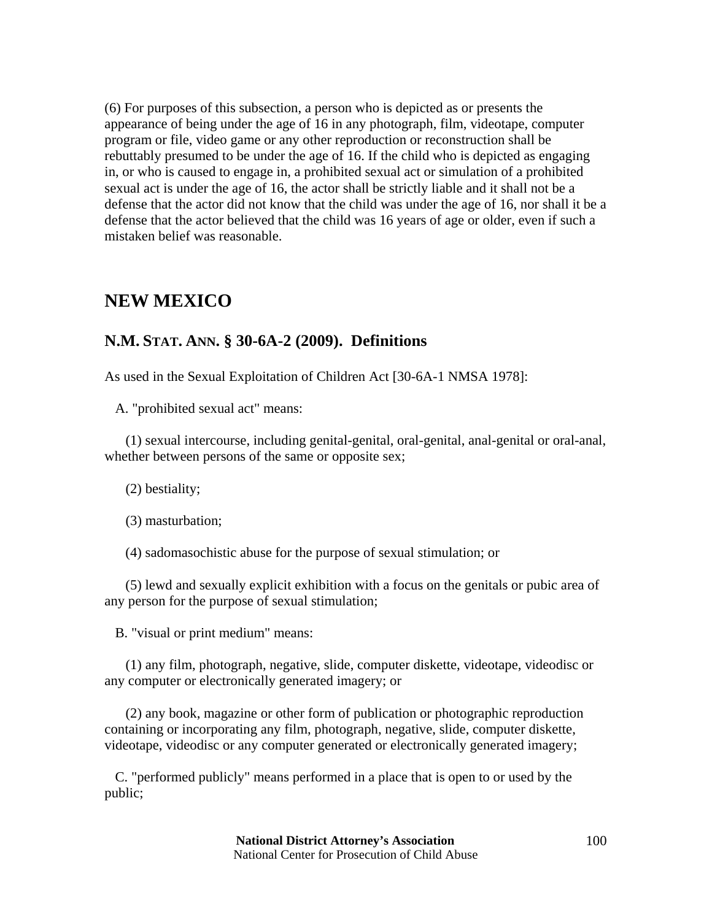(6) For purposes of this subsection, a person who is depicted as or presents the appearance of being under the age of 16 in any photograph, film, videotape, computer program or file, video game or any other reproduction or reconstruction shall be rebuttably presumed to be under the age of 16. If the child who is depicted as engaging in, or who is caused to engage in, a prohibited sexual act or simulation of a prohibited sexual act is under the age of 16, the actor shall be strictly liable and it shall not be a defense that the actor did not know that the child was under the age of 16, nor shall it be a defense that the actor believed that the child was 16 years of age or older, even if such a mistaken belief was reasonable.

# **NEW MEXICO**

### **N.M. STAT. ANN. § 30-6A-2 (2009). Definitions**

As used in the Sexual Exploitation of Children Act [30-6A-1 NMSA 1978]:

A. "prohibited sexual act" means:

 (1) sexual intercourse, including genital-genital, oral-genital, anal-genital or oral-anal, whether between persons of the same or opposite sex;

(2) bestiality;

(3) masturbation;

(4) sadomasochistic abuse for the purpose of sexual stimulation; or

 (5) lewd and sexually explicit exhibition with a focus on the genitals or pubic area of any person for the purpose of sexual stimulation;

B. "visual or print medium" means:

 (1) any film, photograph, negative, slide, computer diskette, videotape, videodisc or any computer or electronically generated imagery; or

 (2) any book, magazine or other form of publication or photographic reproduction containing or incorporating any film, photograph, negative, slide, computer diskette, videotape, videodisc or any computer generated or electronically generated imagery;

 C. "performed publicly" means performed in a place that is open to or used by the public;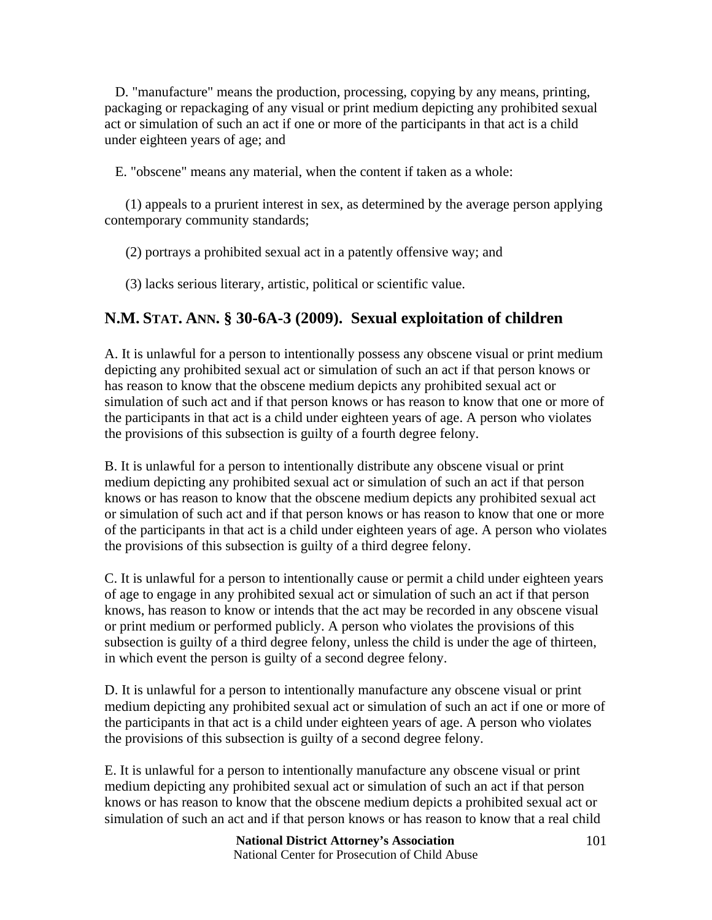D. "manufacture" means the production, processing, copying by any means, printing, packaging or repackaging of any visual or print medium depicting any prohibited sexual act or simulation of such an act if one or more of the participants in that act is a child under eighteen years of age; and

E. "obscene" means any material, when the content if taken as a whole:

 (1) appeals to a prurient interest in sex, as determined by the average person applying contemporary community standards;

(2) portrays a prohibited sexual act in a patently offensive way; and

(3) lacks serious literary, artistic, political or scientific value.

### **N.M. STAT. ANN. § 30-6A-3 (2009). Sexual exploitation of children**

A. It is unlawful for a person to intentionally possess any obscene visual or print medium depicting any prohibited sexual act or simulation of such an act if that person knows or has reason to know that the obscene medium depicts any prohibited sexual act or simulation of such act and if that person knows or has reason to know that one or more of the participants in that act is a child under eighteen years of age. A person who violates the provisions of this subsection is guilty of a fourth degree felony.

B. It is unlawful for a person to intentionally distribute any obscene visual or print medium depicting any prohibited sexual act or simulation of such an act if that person knows or has reason to know that the obscene medium depicts any prohibited sexual act or simulation of such act and if that person knows or has reason to know that one or more of the participants in that act is a child under eighteen years of age. A person who violates the provisions of this subsection is guilty of a third degree felony.

C. It is unlawful for a person to intentionally cause or permit a child under eighteen years of age to engage in any prohibited sexual act or simulation of such an act if that person knows, has reason to know or intends that the act may be recorded in any obscene visual or print medium or performed publicly. A person who violates the provisions of this subsection is guilty of a third degree felony, unless the child is under the age of thirteen, in which event the person is guilty of a second degree felony.

D. It is unlawful for a person to intentionally manufacture any obscene visual or print medium depicting any prohibited sexual act or simulation of such an act if one or more of the participants in that act is a child under eighteen years of age. A person who violates the provisions of this subsection is guilty of a second degree felony.

E. It is unlawful for a person to intentionally manufacture any obscene visual or print medium depicting any prohibited sexual act or simulation of such an act if that person knows or has reason to know that the obscene medium depicts a prohibited sexual act or simulation of such an act and if that person knows or has reason to know that a real child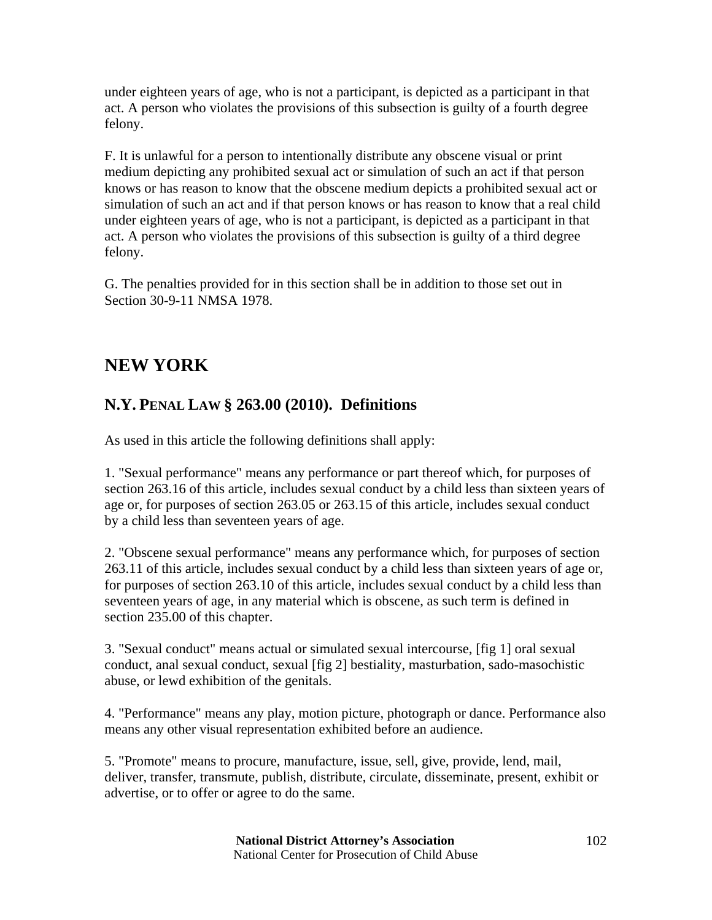under eighteen years of age, who is not a participant, is depicted as a participant in that act. A person who violates the provisions of this subsection is guilty of a fourth degree felony.

F. It is unlawful for a person to intentionally distribute any obscene visual or print medium depicting any prohibited sexual act or simulation of such an act if that person knows or has reason to know that the obscene medium depicts a prohibited sexual act or simulation of such an act and if that person knows or has reason to know that a real child under eighteen years of age, who is not a participant, is depicted as a participant in that act. A person who violates the provisions of this subsection is guilty of a third degree felony.

G. The penalties provided for in this section shall be in addition to those set out in Section 30-9-11 NMSA 1978.

# **NEW YORK**

# **N.Y. PENAL LAW § 263.00 (2010). Definitions**

As used in this article the following definitions shall apply:

1. "Sexual performance" means any performance or part thereof which, for purposes of section 263.16 of this article, includes sexual conduct by a child less than sixteen years of age or, for purposes of section 263.05 or 263.15 of this article, includes sexual conduct by a child less than seventeen years of age.

2. "Obscene sexual performance" means any performance which, for purposes of section 263.11 of this article, includes sexual conduct by a child less than sixteen years of age or, for purposes of section 263.10 of this article, includes sexual conduct by a child less than seventeen years of age, in any material which is obscene, as such term is defined in section 235.00 of this chapter.

3. "Sexual conduct" means actual or simulated sexual intercourse, [fig 1] oral sexual conduct, anal sexual conduct, sexual [fig 2] bestiality, masturbation, sado-masochistic abuse, or lewd exhibition of the genitals.

4. "Performance" means any play, motion picture, photograph or dance. Performance also means any other visual representation exhibited before an audience.

5. "Promote" means to procure, manufacture, issue, sell, give, provide, lend, mail, deliver, transfer, transmute, publish, distribute, circulate, disseminate, present, exhibit or advertise, or to offer or agree to do the same.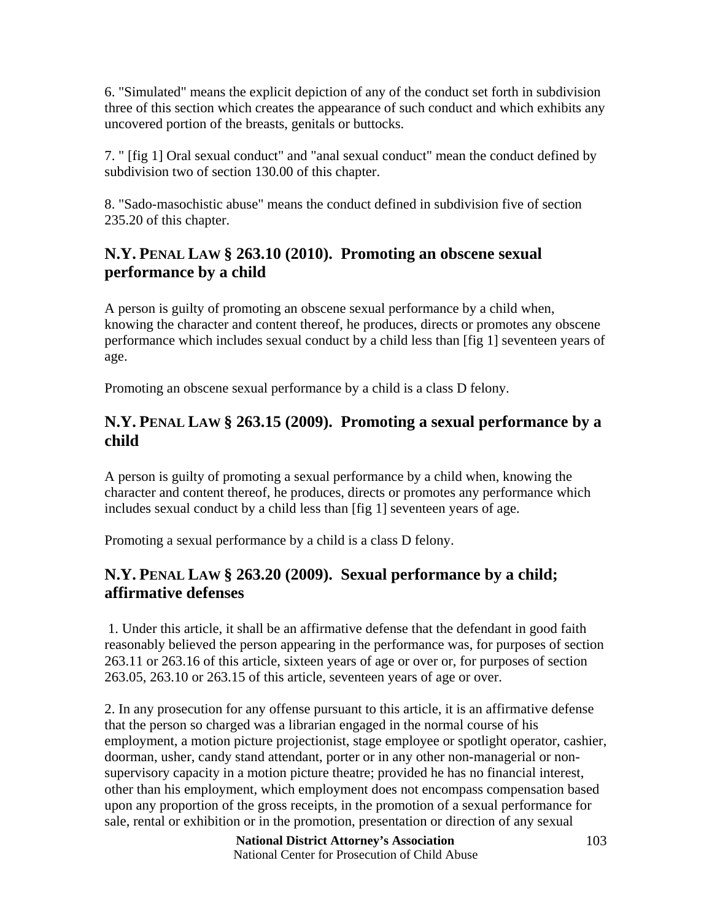6. "Simulated" means the explicit depiction of any of the conduct set forth in subdivision three of this section which creates the appearance of such conduct and which exhibits any uncovered portion of the breasts, genitals or buttocks.

7. " [fig 1] Oral sexual conduct" and "anal sexual conduct" mean the conduct defined by subdivision two of section 130.00 of this chapter.

8. "Sado-masochistic abuse" means the conduct defined in subdivision five of section 235.20 of this chapter.

# **N.Y. PENAL LAW § 263.10 (2010). Promoting an obscene sexual performance by a child**

A person is guilty of promoting an obscene sexual performance by a child when, knowing the character and content thereof, he produces, directs or promotes any obscene performance which includes sexual conduct by a child less than [fig 1] seventeen years of age.

Promoting an obscene sexual performance by a child is a class D felony.

# **N.Y. PENAL LAW § 263.15 (2009). Promoting a sexual performance by a child**

A person is guilty of promoting a sexual performance by a child when, knowing the character and content thereof, he produces, directs or promotes any performance which includes sexual conduct by a child less than [fig 1] seventeen years of age.

Promoting a sexual performance by a child is a class D felony.

# **N.Y. PENAL LAW § 263.20 (2009). Sexual performance by a child; affirmative defenses**

 1. Under this article, it shall be an affirmative defense that the defendant in good faith reasonably believed the person appearing in the performance was, for purposes of section 263.11 or 263.16 of this article, sixteen years of age or over or, for purposes of section 263.05, 263.10 or 263.15 of this article, seventeen years of age or over.

2. In any prosecution for any offense pursuant to this article, it is an affirmative defense that the person so charged was a librarian engaged in the normal course of his employment, a motion picture projectionist, stage employee or spotlight operator, cashier, doorman, usher, candy stand attendant, porter or in any other non-managerial or nonsupervisory capacity in a motion picture theatre; provided he has no financial interest, other than his employment, which employment does not encompass compensation based upon any proportion of the gross receipts, in the promotion of a sexual performance for sale, rental or exhibition or in the promotion, presentation or direction of any sexual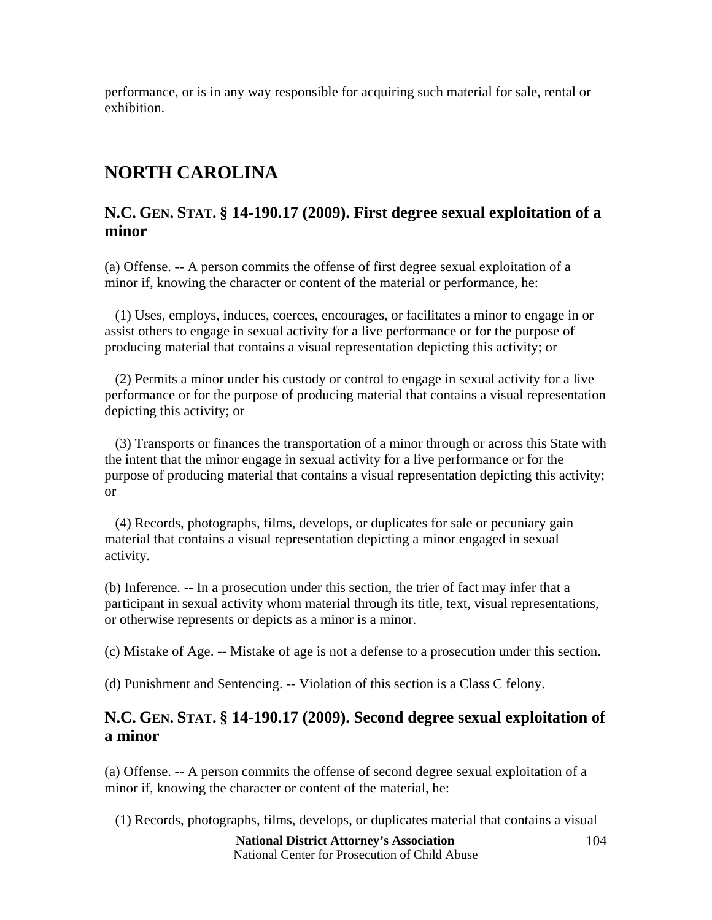performance, or is in any way responsible for acquiring such material for sale, rental or exhibition.

# **NORTH CAROLINA**

#### **N.C. GEN. STAT. § 14-190.17 (2009). First degree sexual exploitation of a minor**

(a) Offense. -- A person commits the offense of first degree sexual exploitation of a minor if, knowing the character or content of the material or performance, he:

 (1) Uses, employs, induces, coerces, encourages, or facilitates a minor to engage in or assist others to engage in sexual activity for a live performance or for the purpose of producing material that contains a visual representation depicting this activity; or

 (2) Permits a minor under his custody or control to engage in sexual activity for a live performance or for the purpose of producing material that contains a visual representation depicting this activity; or

 (3) Transports or finances the transportation of a minor through or across this State with the intent that the minor engage in sexual activity for a live performance or for the purpose of producing material that contains a visual representation depicting this activity; or

 (4) Records, photographs, films, develops, or duplicates for sale or pecuniary gain material that contains a visual representation depicting a minor engaged in sexual activity.

(b) Inference. -- In a prosecution under this section, the trier of fact may infer that a participant in sexual activity whom material through its title, text, visual representations, or otherwise represents or depicts as a minor is a minor.

(c) Mistake of Age. -- Mistake of age is not a defense to a prosecution under this section.

(d) Punishment and Sentencing. -- Violation of this section is a Class C felony.

### **N.C. GEN. STAT. § 14-190.17 (2009). Second degree sexual exploitation of a minor**

(a) Offense. -- A person commits the offense of second degree sexual exploitation of a minor if, knowing the character or content of the material, he:

(1) Records, photographs, films, develops, or duplicates material that contains a visual

**National District Attorney's Association**  National Center for Prosecution of Child Abuse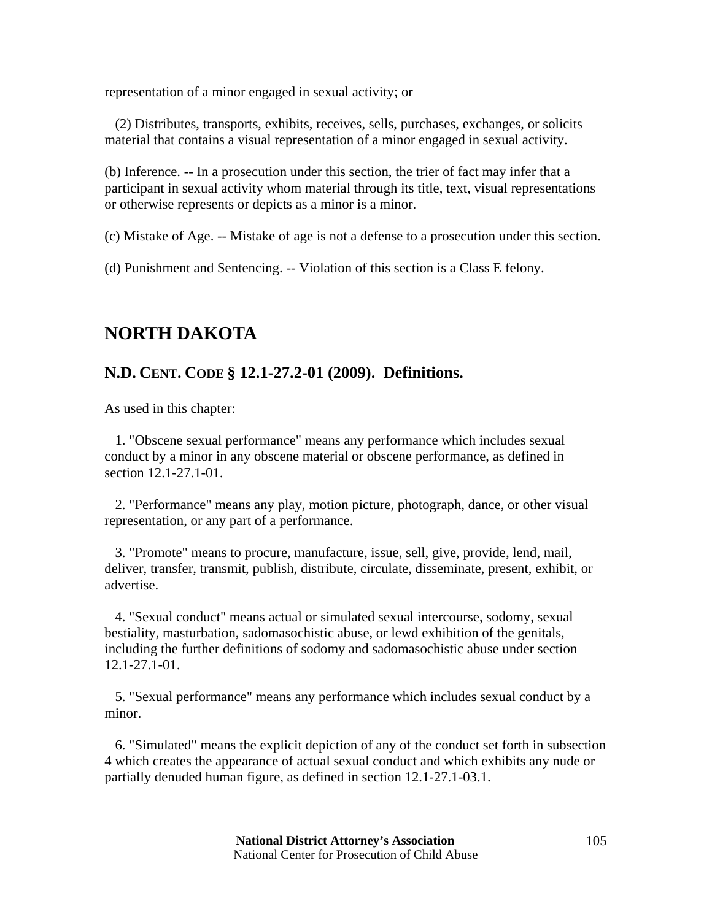representation of a minor engaged in sexual activity; or

 (2) Distributes, transports, exhibits, receives, sells, purchases, exchanges, or solicits material that contains a visual representation of a minor engaged in sexual activity.

(b) Inference. -- In a prosecution under this section, the trier of fact may infer that a participant in sexual activity whom material through its title, text, visual representations or otherwise represents or depicts as a minor is a minor.

(c) Mistake of Age. -- Mistake of age is not a defense to a prosecution under this section.

(d) Punishment and Sentencing. -- Violation of this section is a Class E felony.

# **NORTH DAKOTA**

#### **N.D. CENT. CODE § 12.1-27.2-01 (2009). Definitions.**

As used in this chapter:

 1. "Obscene sexual performance" means any performance which includes sexual conduct by a minor in any obscene material or obscene performance, as defined in section 12.1-27.1-01.

 2. "Performance" means any play, motion picture, photograph, dance, or other visual representation, or any part of a performance.

 3. "Promote" means to procure, manufacture, issue, sell, give, provide, lend, mail, deliver, transfer, transmit, publish, distribute, circulate, disseminate, present, exhibit, or advertise.

 4. "Sexual conduct" means actual or simulated sexual intercourse, sodomy, sexual bestiality, masturbation, sadomasochistic abuse, or lewd exhibition of the genitals, including the further definitions of sodomy and sadomasochistic abuse under section 12.1-27.1-01.

 5. "Sexual performance" means any performance which includes sexual conduct by a minor.

 6. "Simulated" means the explicit depiction of any of the conduct set forth in subsection 4 which creates the appearance of actual sexual conduct and which exhibits any nude or partially denuded human figure, as defined in section 12.1-27.1-03.1.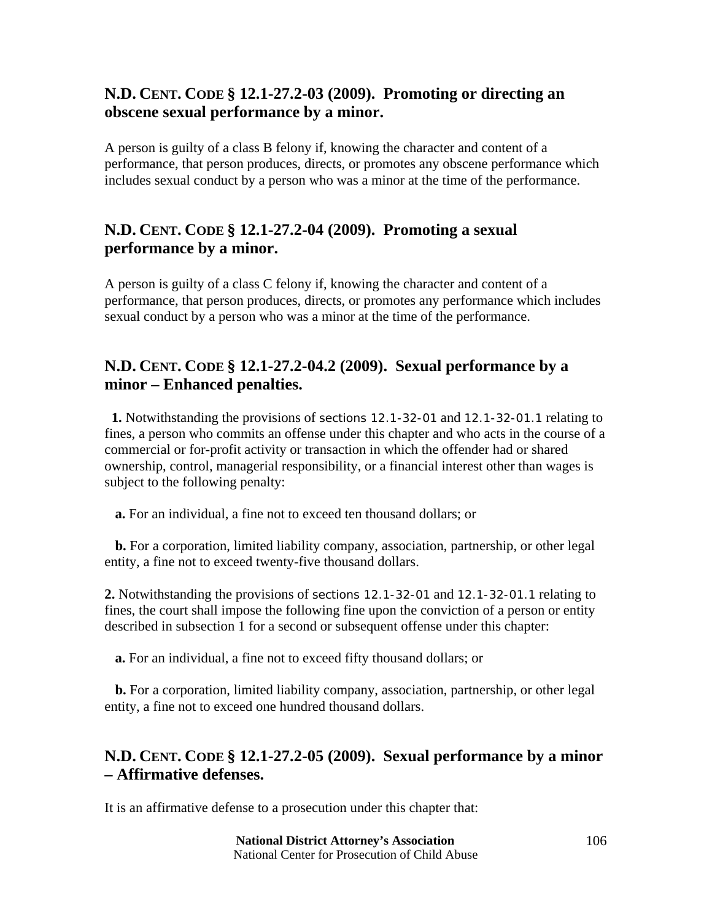# **N.D. CENT. CODE § 12.1-27.2-03 (2009). Promoting or directing an obscene sexual performance by a minor.**

A person is guilty of a class B felony if, knowing the character and content of a performance, that person produces, directs, or promotes any obscene performance which includes sexual conduct by a person who was a minor at the time of the performance.

### **N.D. CENT. CODE § 12.1-27.2-04 (2009). Promoting a sexual performance by a minor.**

A person is guilty of a class C felony if, knowing the character and content of a performance, that person produces, directs, or promotes any performance which includes sexual conduct by a person who was a minor at the time of the performance.

# **N.D. CENT. CODE § 12.1-27.2-04.2 (2009). Sexual performance by a minor – Enhanced penalties.**

 **1.** Notwithstanding the provisions of sections 12.1-32-01 and 12.1-32-01.1 relating to fines, a person who commits an offense under this chapter and who acts in the course of a commercial or for-profit activity or transaction in which the offender had or shared ownership, control, managerial responsibility, or a financial interest other than wages is subject to the following penalty:

**a.** For an individual, a fine not to exceed ten thousand dollars; or

 **b.** For a corporation, limited liability company, association, partnership, or other legal entity, a fine not to exceed twenty-five thousand dollars.

**2.** Notwithstanding the provisions of sections 12.1-32-01 and 12.1-32-01.1 relating to fines, the court shall impose the following fine upon the conviction of a person or entity described in subsection 1 for a second or subsequent offense under this chapter:

**a.** For an individual, a fine not to exceed fifty thousand dollars; or

 **b.** For a corporation, limited liability company, association, partnership, or other legal entity, a fine not to exceed one hundred thousand dollars.

# **N.D. CENT. CODE § 12.1-27.2-05 (2009). Sexual performance by a minor – Affirmative defenses.**

It is an affirmative defense to a prosecution under this chapter that: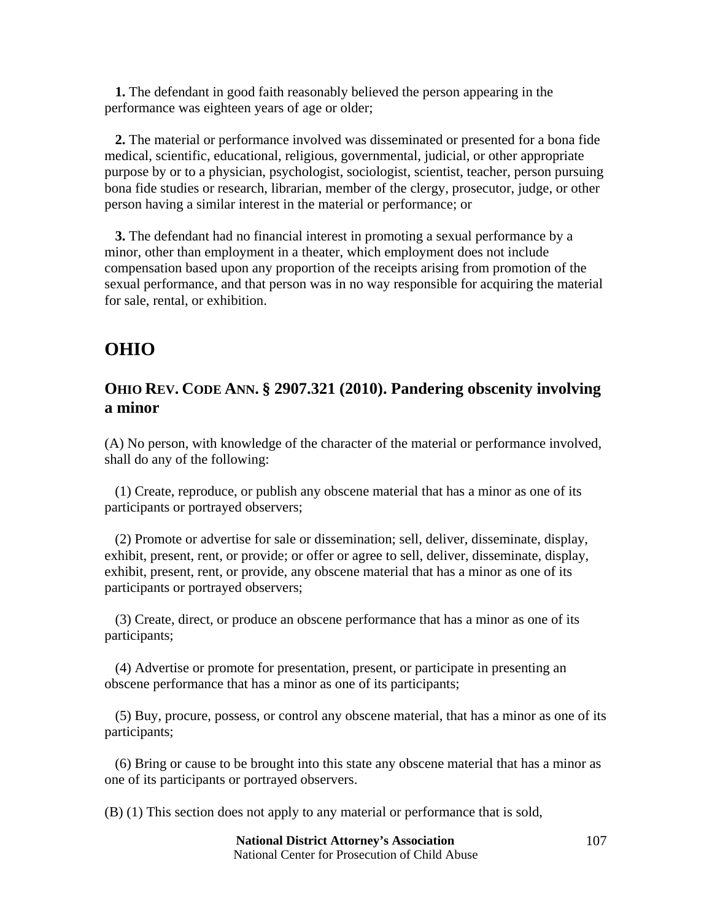**1.** The defendant in good faith reasonably believed the person appearing in the performance was eighteen years of age or older;

 **2.** The material or performance involved was disseminated or presented for a bona fide medical, scientific, educational, religious, governmental, judicial, or other appropriate purpose by or to a physician, psychologist, sociologist, scientist, teacher, person pursuing bona fide studies or research, librarian, member of the clergy, prosecutor, judge, or other person having a similar interest in the material or performance; or

 **3.** The defendant had no financial interest in promoting a sexual performance by a minor, other than employment in a theater, which employment does not include compensation based upon any proportion of the receipts arising from promotion of the sexual performance, and that person was in no way responsible for acquiring the material for sale, rental, or exhibition.

# **OHIO**

### **OHIO REV. CODE ANN. § 2907.321 (2010). Pandering obscenity involving a minor**

(A) No person, with knowledge of the character of the material or performance involved, shall do any of the following:

 (1) Create, reproduce, or publish any obscene material that has a minor as one of its participants or portrayed observers;

 (2) Promote or advertise for sale or dissemination; sell, deliver, disseminate, display, exhibit, present, rent, or provide; or offer or agree to sell, deliver, disseminate, display, exhibit, present, rent, or provide, any obscene material that has a minor as one of its participants or portrayed observers;

 (3) Create, direct, or produce an obscene performance that has a minor as one of its participants;

 (4) Advertise or promote for presentation, present, or participate in presenting an obscene performance that has a minor as one of its participants;

 (5) Buy, procure, possess, or control any obscene material, that has a minor as one of its participants;

 (6) Bring or cause to be brought into this state any obscene material that has a minor as one of its participants or portrayed observers.

(B) (1) This section does not apply to any material or performance that is sold,

#### **National District Attorney's Association**  National Center for Prosecution of Child Abuse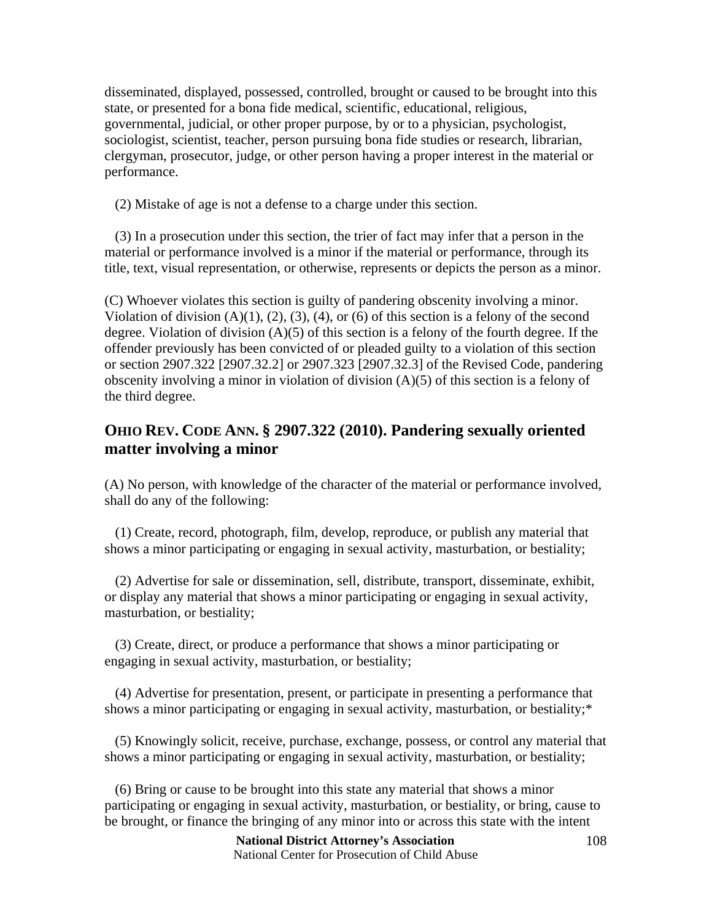disseminated, displayed, possessed, controlled, brought or caused to be brought into this state, or presented for a bona fide medical, scientific, educational, religious, governmental, judicial, or other proper purpose, by or to a physician, psychologist, sociologist, scientist, teacher, person pursuing bona fide studies or research, librarian, clergyman, prosecutor, judge, or other person having a proper interest in the material or performance.

(2) Mistake of age is not a defense to a charge under this section.

 (3) In a prosecution under this section, the trier of fact may infer that a person in the material or performance involved is a minor if the material or performance, through its title, text, visual representation, or otherwise, represents or depicts the person as a minor.

(C) Whoever violates this section is guilty of pandering obscenity involving a minor. Violation of division  $(A)(1)$ ,  $(2)$ ,  $(3)$ ,  $(4)$ , or  $(6)$  of this section is a felony of the second degree. Violation of division  $(A)(5)$  of this section is a felony of the fourth degree. If the offender previously has been convicted of or pleaded guilty to a violation of this section or section 2907.322 [2907.32.2] or 2907.323 [2907.32.3] of the Revised Code, pandering obscenity involving a minor in violation of division (A)(5) of this section is a felony of the third degree.

### **OHIO REV. CODE ANN. § 2907.322 (2010). Pandering sexually oriented matter involving a minor**

(A) No person, with knowledge of the character of the material or performance involved, shall do any of the following:

 (1) Create, record, photograph, film, develop, reproduce, or publish any material that shows a minor participating or engaging in sexual activity, masturbation, or bestiality;

 (2) Advertise for sale or dissemination, sell, distribute, transport, disseminate, exhibit, or display any material that shows a minor participating or engaging in sexual activity, masturbation, or bestiality;

 (3) Create, direct, or produce a performance that shows a minor participating or engaging in sexual activity, masturbation, or bestiality;

 (4) Advertise for presentation, present, or participate in presenting a performance that shows a minor participating or engaging in sexual activity, masturbation, or bestiality;\*

 (5) Knowingly solicit, receive, purchase, exchange, possess, or control any material that shows a minor participating or engaging in sexual activity, masturbation, or bestiality;

 (6) Bring or cause to be brought into this state any material that shows a minor participating or engaging in sexual activity, masturbation, or bestiality, or bring, cause to be brought, or finance the bringing of any minor into or across this state with the intent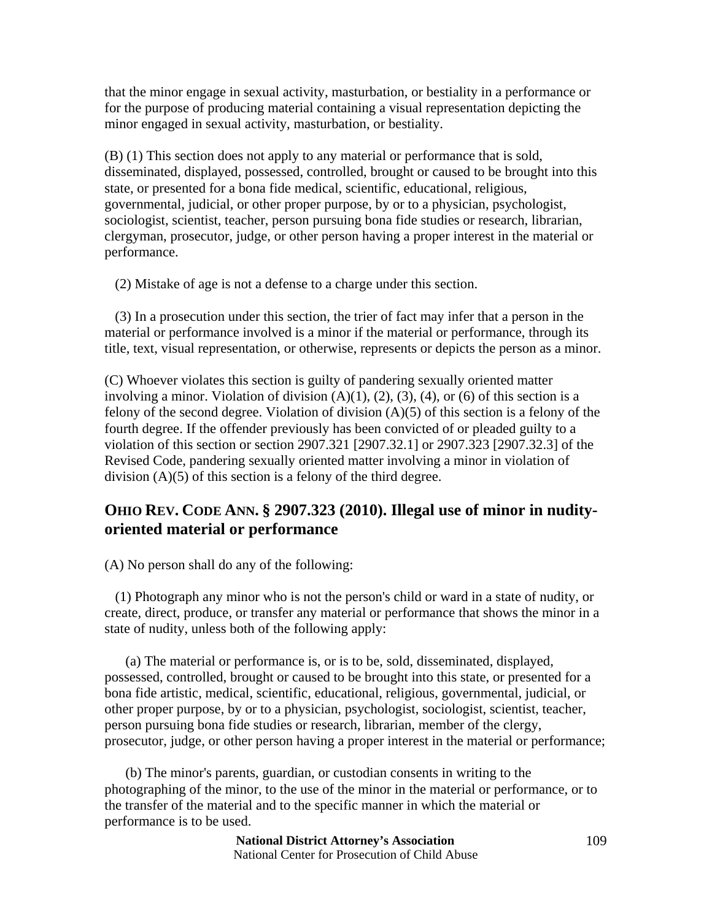that the minor engage in sexual activity, masturbation, or bestiality in a performance or for the purpose of producing material containing a visual representation depicting the minor engaged in sexual activity, masturbation, or bestiality.

(B) (1) This section does not apply to any material or performance that is sold, disseminated, displayed, possessed, controlled, brought or caused to be brought into this state, or presented for a bona fide medical, scientific, educational, religious, governmental, judicial, or other proper purpose, by or to a physician, psychologist, sociologist, scientist, teacher, person pursuing bona fide studies or research, librarian, clergyman, prosecutor, judge, or other person having a proper interest in the material or performance.

(2) Mistake of age is not a defense to a charge under this section.

 (3) In a prosecution under this section, the trier of fact may infer that a person in the material or performance involved is a minor if the material or performance, through its title, text, visual representation, or otherwise, represents or depicts the person as a minor.

(C) Whoever violates this section is guilty of pandering sexually oriented matter involving a minor. Violation of division  $(A)(1)$ ,  $(2)$ ,  $(3)$ ,  $(4)$ , or  $(6)$  of this section is a felony of the second degree. Violation of division (A)(5) of this section is a felony of the fourth degree. If the offender previously has been convicted of or pleaded guilty to a violation of this section or section 2907.321 [2907.32.1] or 2907.323 [2907.32.3] of the Revised Code, pandering sexually oriented matter involving a minor in violation of division (A)(5) of this section is a felony of the third degree.

## **OHIO REV. CODE ANN. § 2907.323 (2010). Illegal use of minor in nudityoriented material or performance**

(A) No person shall do any of the following:

 (1) Photograph any minor who is not the person's child or ward in a state of nudity, or create, direct, produce, or transfer any material or performance that shows the minor in a state of nudity, unless both of the following apply:

 (a) The material or performance is, or is to be, sold, disseminated, displayed, possessed, controlled, brought or caused to be brought into this state, or presented for a bona fide artistic, medical, scientific, educational, religious, governmental, judicial, or other proper purpose, by or to a physician, psychologist, sociologist, scientist, teacher, person pursuing bona fide studies or research, librarian, member of the clergy, prosecutor, judge, or other person having a proper interest in the material or performance;

 (b) The minor's parents, guardian, or custodian consents in writing to the photographing of the minor, to the use of the minor in the material or performance, or to the transfer of the material and to the specific manner in which the material or performance is to be used.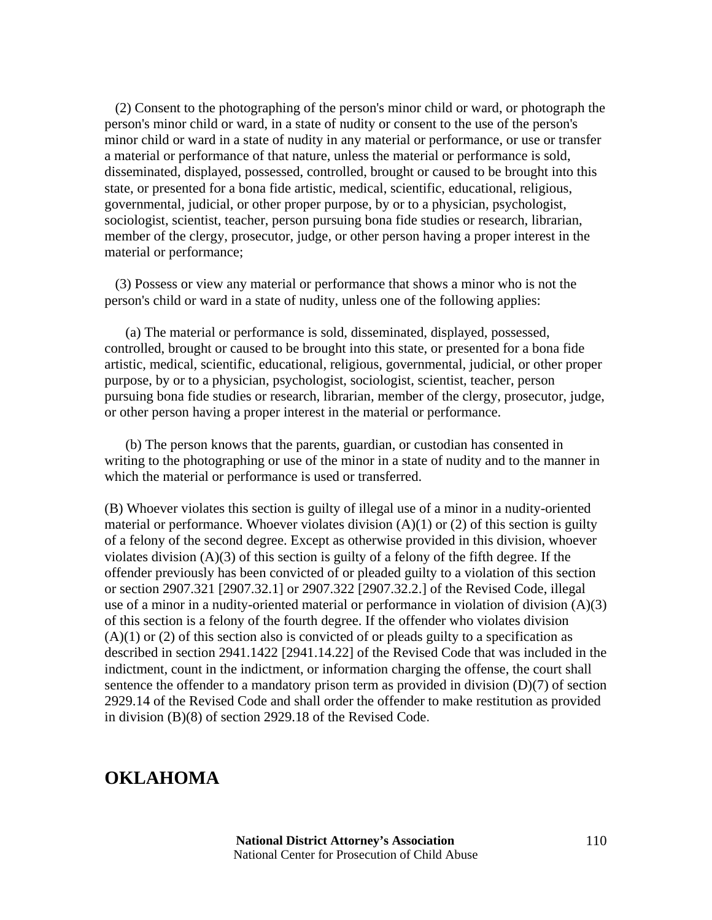(2) Consent to the photographing of the person's minor child or ward, or photograph the person's minor child or ward, in a state of nudity or consent to the use of the person's minor child or ward in a state of nudity in any material or performance, or use or transfer a material or performance of that nature, unless the material or performance is sold, disseminated, displayed, possessed, controlled, brought or caused to be brought into this state, or presented for a bona fide artistic, medical, scientific, educational, religious, governmental, judicial, or other proper purpose, by or to a physician, psychologist, sociologist, scientist, teacher, person pursuing bona fide studies or research, librarian, member of the clergy, prosecutor, judge, or other person having a proper interest in the material or performance;

 (3) Possess or view any material or performance that shows a minor who is not the person's child or ward in a state of nudity, unless one of the following applies:

 (a) The material or performance is sold, disseminated, displayed, possessed, controlled, brought or caused to be brought into this state, or presented for a bona fide artistic, medical, scientific, educational, religious, governmental, judicial, or other proper purpose, by or to a physician, psychologist, sociologist, scientist, teacher, person pursuing bona fide studies or research, librarian, member of the clergy, prosecutor, judge, or other person having a proper interest in the material or performance.

 (b) The person knows that the parents, guardian, or custodian has consented in writing to the photographing or use of the minor in a state of nudity and to the manner in which the material or performance is used or transferred.

(B) Whoever violates this section is guilty of illegal use of a minor in a nudity-oriented material or performance. Whoever violates division  $(A)(1)$  or  $(2)$  of this section is guilty of a felony of the second degree. Except as otherwise provided in this division, whoever violates division (A)(3) of this section is guilty of a felony of the fifth degree. If the offender previously has been convicted of or pleaded guilty to a violation of this section or section 2907.321 [2907.32.1] or 2907.322 [2907.32.2.] of the Revised Code, illegal use of a minor in a nudity-oriented material or performance in violation of division (A)(3) of this section is a felony of the fourth degree. If the offender who violates division  $(A)(1)$  or  $(2)$  of this section also is convicted of or pleads guilty to a specification as described in section 2941.1422 [2941.14.22] of the Revised Code that was included in the indictment, count in the indictment, or information charging the offense, the court shall sentence the offender to a mandatory prison term as provided in division (D)(7) of section 2929.14 of the Revised Code and shall order the offender to make restitution as provided in division (B)(8) of section 2929.18 of the Revised Code.

## **OKLAHOMA**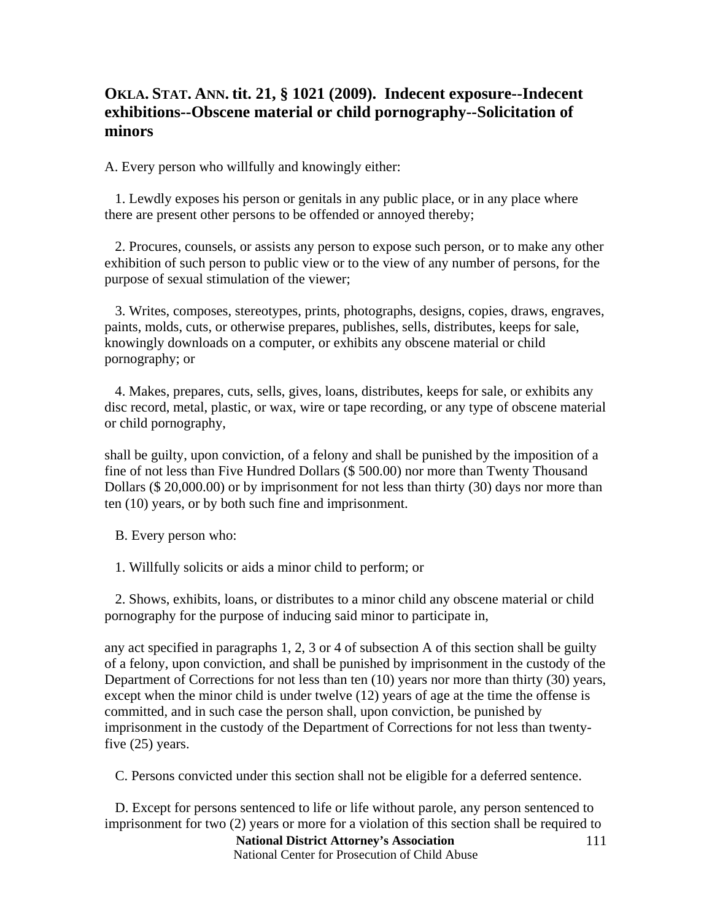## **OKLA. STAT. ANN. tit. 21, § 1021 (2009). Indecent exposure--Indecent exhibitions--Obscene material or child pornography--Solicitation of minors**

A. Every person who willfully and knowingly either:

 1. Lewdly exposes his person or genitals in any public place, or in any place where there are present other persons to be offended or annoyed thereby;

 2. Procures, counsels, or assists any person to expose such person, or to make any other exhibition of such person to public view or to the view of any number of persons, for the purpose of sexual stimulation of the viewer;

 3. Writes, composes, stereotypes, prints, photographs, designs, copies, draws, engraves, paints, molds, cuts, or otherwise prepares, publishes, sells, distributes, keeps for sale, knowingly downloads on a computer, or exhibits any obscene material or child pornography; or

 4. Makes, prepares, cuts, sells, gives, loans, distributes, keeps for sale, or exhibits any disc record, metal, plastic, or wax, wire or tape recording, or any type of obscene material or child pornography,

shall be guilty, upon conviction, of a felony and shall be punished by the imposition of a fine of not less than Five Hundred Dollars (\$ 500.00) nor more than Twenty Thousand Dollars (\$ 20,000.00) or by imprisonment for not less than thirty (30) days nor more than ten (10) years, or by both such fine and imprisonment.

B. Every person who:

1. Willfully solicits or aids a minor child to perform; or

 2. Shows, exhibits, loans, or distributes to a minor child any obscene material or child pornography for the purpose of inducing said minor to participate in,

any act specified in paragraphs 1, 2, 3 or 4 of subsection A of this section shall be guilty of a felony, upon conviction, and shall be punished by imprisonment in the custody of the Department of Corrections for not less than ten (10) years nor more than thirty (30) years, except when the minor child is under twelve (12) years of age at the time the offense is committed, and in such case the person shall, upon conviction, be punished by imprisonment in the custody of the Department of Corrections for not less than twentyfive (25) years.

C. Persons convicted under this section shall not be eligible for a deferred sentence.

**National District Attorney's Association**  D. Except for persons sentenced to life or life without parole, any person sentenced to imprisonment for two (2) years or more for a violation of this section shall be required to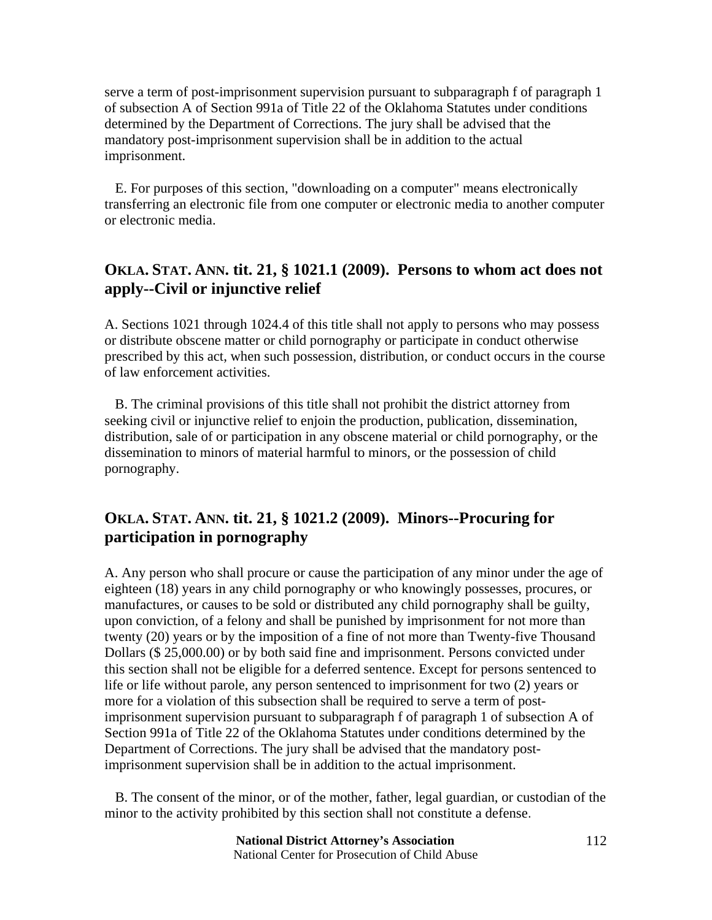serve a term of post-imprisonment supervision pursuant to subparagraph f of paragraph 1 of subsection A of Section 991a of Title 22 of the Oklahoma Statutes under conditions determined by the Department of Corrections. The jury shall be advised that the mandatory post-imprisonment supervision shall be in addition to the actual imprisonment.

 E. For purposes of this section, "downloading on a computer" means electronically transferring an electronic file from one computer or electronic media to another computer or electronic media.

#### **OKLA. STAT. ANN. tit. 21, § 1021.1 (2009). Persons to whom act does not apply--Civil or injunctive relief**

A. Sections 1021 through 1024.4 of this title shall not apply to persons who may possess or distribute obscene matter or child pornography or participate in conduct otherwise prescribed by this act, when such possession, distribution, or conduct occurs in the course of law enforcement activities.

 B. The criminal provisions of this title shall not prohibit the district attorney from seeking civil or injunctive relief to enjoin the production, publication, dissemination, distribution, sale of or participation in any obscene material or child pornography, or the dissemination to minors of material harmful to minors, or the possession of child pornography.

#### **OKLA. STAT. ANN. tit. 21, § 1021.2 (2009). Minors--Procuring for participation in pornography**

A. Any person who shall procure or cause the participation of any minor under the age of eighteen (18) years in any child pornography or who knowingly possesses, procures, or manufactures, or causes to be sold or distributed any child pornography shall be guilty, upon conviction, of a felony and shall be punished by imprisonment for not more than twenty (20) years or by the imposition of a fine of not more than Twenty-five Thousand Dollars (\$ 25,000.00) or by both said fine and imprisonment. Persons convicted under this section shall not be eligible for a deferred sentence. Except for persons sentenced to life or life without parole, any person sentenced to imprisonment for two (2) years or more for a violation of this subsection shall be required to serve a term of postimprisonment supervision pursuant to subparagraph f of paragraph 1 of subsection A of Section 991a of Title 22 of the Oklahoma Statutes under conditions determined by the Department of Corrections. The jury shall be advised that the mandatory postimprisonment supervision shall be in addition to the actual imprisonment.

 B. The consent of the minor, or of the mother, father, legal guardian, or custodian of the minor to the activity prohibited by this section shall not constitute a defense.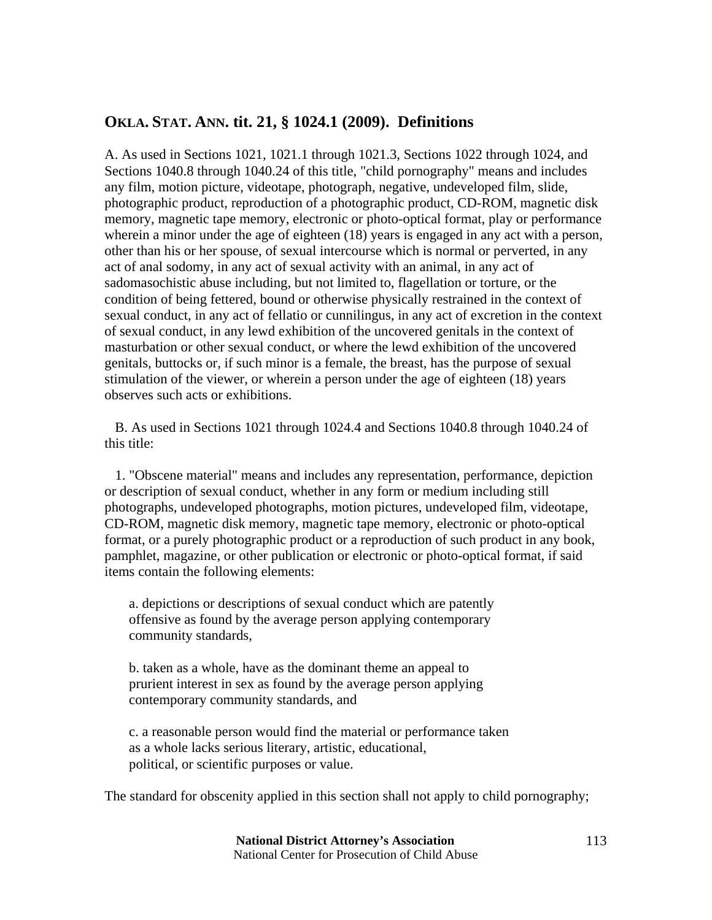#### **OKLA. STAT. ANN. tit. 21, § 1024.1 (2009). Definitions**

A. As used in Sections 1021, 1021.1 through 1021.3, Sections 1022 through 1024, and Sections 1040.8 through 1040.24 of this title, "child pornography" means and includes any film, motion picture, videotape, photograph, negative, undeveloped film, slide, photographic product, reproduction of a photographic product, CD-ROM, magnetic disk memory, magnetic tape memory, electronic or photo-optical format, play or performance wherein a minor under the age of eighteen (18) years is engaged in any act with a person, other than his or her spouse, of sexual intercourse which is normal or perverted, in any act of anal sodomy, in any act of sexual activity with an animal, in any act of sadomasochistic abuse including, but not limited to, flagellation or torture, or the condition of being fettered, bound or otherwise physically restrained in the context of sexual conduct, in any act of fellatio or cunnilingus, in any act of excretion in the context of sexual conduct, in any lewd exhibition of the uncovered genitals in the context of masturbation or other sexual conduct, or where the lewd exhibition of the uncovered genitals, buttocks or, if such minor is a female, the breast, has the purpose of sexual stimulation of the viewer, or wherein a person under the age of eighteen (18) years observes such acts or exhibitions.

 B. As used in Sections 1021 through 1024.4 and Sections 1040.8 through 1040.24 of this title:

 1. "Obscene material" means and includes any representation, performance, depiction or description of sexual conduct, whether in any form or medium including still photographs, undeveloped photographs, motion pictures, undeveloped film, videotape, CD-ROM, magnetic disk memory, magnetic tape memory, electronic or photo-optical format, or a purely photographic product or a reproduction of such product in any book, pamphlet, magazine, or other publication or electronic or photo-optical format, if said items contain the following elements:

 a. depictions or descriptions of sexual conduct which are patently offensive as found by the average person applying contemporary community standards,

 b. taken as a whole, have as the dominant theme an appeal to prurient interest in sex as found by the average person applying contemporary community standards, and

 c. a reasonable person would find the material or performance taken as a whole lacks serious literary, artistic, educational, political, or scientific purposes or value.

The standard for obscenity applied in this section shall not apply to child pornography;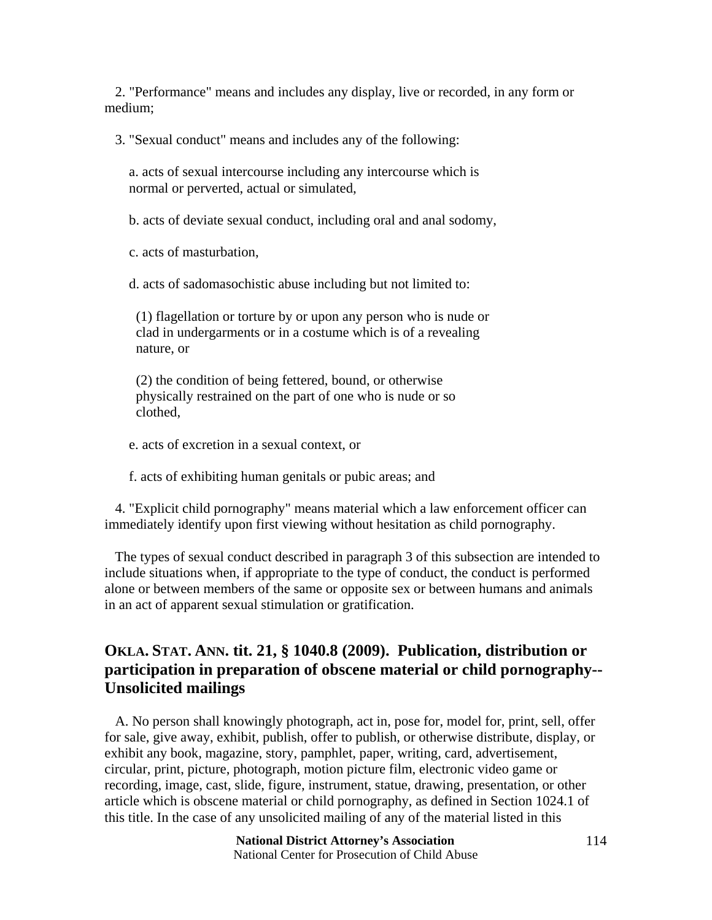2. "Performance" means and includes any display, live or recorded, in any form or medium;

3. "Sexual conduct" means and includes any of the following:

 a. acts of sexual intercourse including any intercourse which is normal or perverted, actual or simulated,

b. acts of deviate sexual conduct, including oral and anal sodomy,

c. acts of masturbation,

d. acts of sadomasochistic abuse including but not limited to:

 (1) flagellation or torture by or upon any person who is nude or clad in undergarments or in a costume which is of a revealing nature, or

 (2) the condition of being fettered, bound, or otherwise physically restrained on the part of one who is nude or so clothed,

e. acts of excretion in a sexual context, or

f. acts of exhibiting human genitals or pubic areas; and

 4. "Explicit child pornography" means material which a law enforcement officer can immediately identify upon first viewing without hesitation as child pornography.

 The types of sexual conduct described in paragraph 3 of this subsection are intended to include situations when, if appropriate to the type of conduct, the conduct is performed alone or between members of the same or opposite sex or between humans and animals in an act of apparent sexual stimulation or gratification.

#### **OKLA. STAT. ANN. tit. 21, § 1040.8 (2009). Publication, distribution or participation in preparation of obscene material or child pornography-- Unsolicited mailings**

 A. No person shall knowingly photograph, act in, pose for, model for, print, sell, offer for sale, give away, exhibit, publish, offer to publish, or otherwise distribute, display, or exhibit any book, magazine, story, pamphlet, paper, writing, card, advertisement, circular, print, picture, photograph, motion picture film, electronic video game or recording, image, cast, slide, figure, instrument, statue, drawing, presentation, or other article which is obscene material or child pornography, as defined in Section 1024.1 of this title. In the case of any unsolicited mailing of any of the material listed in this

> **National District Attorney's Association**  National Center for Prosecution of Child Abuse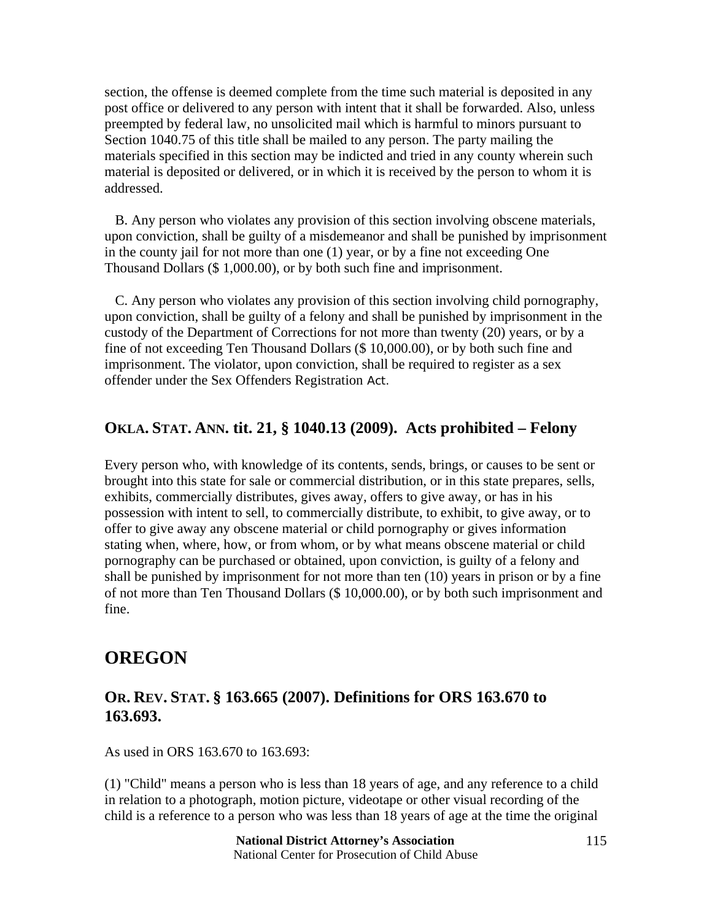section, the offense is deemed complete from the time such material is deposited in any post office or delivered to any person with intent that it shall be forwarded. Also, unless preempted by federal law, no unsolicited mail which is harmful to minors pursuant to Section 1040.75 of this title shall be mailed to any person. The party mailing the materials specified in this section may be indicted and tried in any county wherein such material is deposited or delivered, or in which it is received by the person to whom it is addressed.

 B. Any person who violates any provision of this section involving obscene materials, upon conviction, shall be guilty of a misdemeanor and shall be punished by imprisonment in the county jail for not more than one (1) year, or by a fine not exceeding One Thousand Dollars (\$ 1,000.00), or by both such fine and imprisonment.

 C. Any person who violates any provision of this section involving child pornography, upon conviction, shall be guilty of a felony and shall be punished by imprisonment in the custody of the Department of Corrections for not more than twenty (20) years, or by a fine of not exceeding Ten Thousand Dollars (\$ 10,000.00), or by both such fine and imprisonment. The violator, upon conviction, shall be required to register as a sex offender under the Sex Offenders Registration Act.

#### **OKLA. STAT. ANN. tit. 21, § 1040.13 (2009). Acts prohibited – Felony**

Every person who, with knowledge of its contents, sends, brings, or causes to be sent or brought into this state for sale or commercial distribution, or in this state prepares, sells, exhibits, commercially distributes, gives away, offers to give away, or has in his possession with intent to sell, to commercially distribute, to exhibit, to give away, or to offer to give away any obscene material or child pornography or gives information stating when, where, how, or from whom, or by what means obscene material or child pornography can be purchased or obtained, upon conviction, is guilty of a felony and shall be punished by imprisonment for not more than ten (10) years in prison or by a fine of not more than Ten Thousand Dollars (\$ 10,000.00), or by both such imprisonment and fine.

# **OREGON**

#### **OR. REV. STAT. § 163.665 (2007). Definitions for ORS 163.670 to 163.693.**

As used in ORS 163.670 to 163.693:

(1) "Child" means a person who is less than 18 years of age, and any reference to a child in relation to a photograph, motion picture, videotape or other visual recording of the child is a reference to a person who was less than 18 years of age at the time the original

> **National District Attorney's Association**  National Center for Prosecution of Child Abuse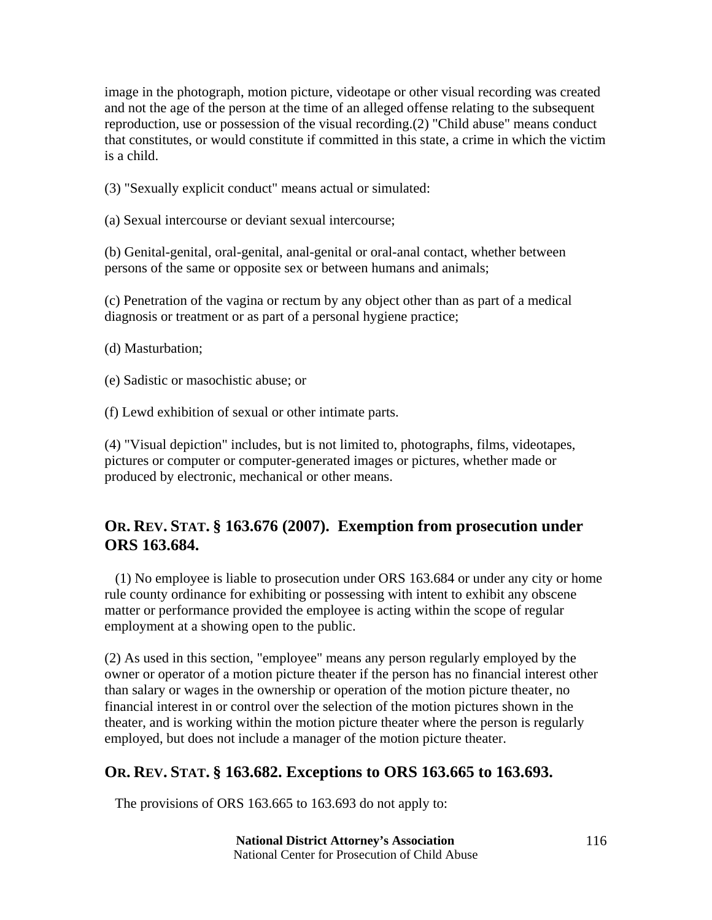image in the photograph, motion picture, videotape or other visual recording was created and not the age of the person at the time of an alleged offense relating to the subsequent reproduction, use or possession of the visual recording.(2) "Child abuse" means conduct that constitutes, or would constitute if committed in this state, a crime in which the victim is a child.

(3) "Sexually explicit conduct" means actual or simulated:

(a) Sexual intercourse or deviant sexual intercourse;

(b) Genital-genital, oral-genital, anal-genital or oral-anal contact, whether between persons of the same or opposite sex or between humans and animals;

(c) Penetration of the vagina or rectum by any object other than as part of a medical diagnosis or treatment or as part of a personal hygiene practice;

(d) Masturbation;

(e) Sadistic or masochistic abuse; or

(f) Lewd exhibition of sexual or other intimate parts.

(4) "Visual depiction" includes, but is not limited to, photographs, films, videotapes, pictures or computer or computer-generated images or pictures, whether made or produced by electronic, mechanical or other means.

## **OR. REV. STAT. § 163.676 (2007). Exemption from prosecution under ORS 163.684.**

 (1) No employee is liable to prosecution under ORS 163.684 or under any city or home rule county ordinance for exhibiting or possessing with intent to exhibit any obscene matter or performance provided the employee is acting within the scope of regular employment at a showing open to the public.

(2) As used in this section, "employee" means any person regularly employed by the owner or operator of a motion picture theater if the person has no financial interest other than salary or wages in the ownership or operation of the motion picture theater, no financial interest in or control over the selection of the motion pictures shown in the theater, and is working within the motion picture theater where the person is regularly employed, but does not include a manager of the motion picture theater.

## **OR. REV. STAT. § 163.682. Exceptions to ORS 163.665 to 163.693.**

The provisions of ORS 163.665 to 163.693 do not apply to: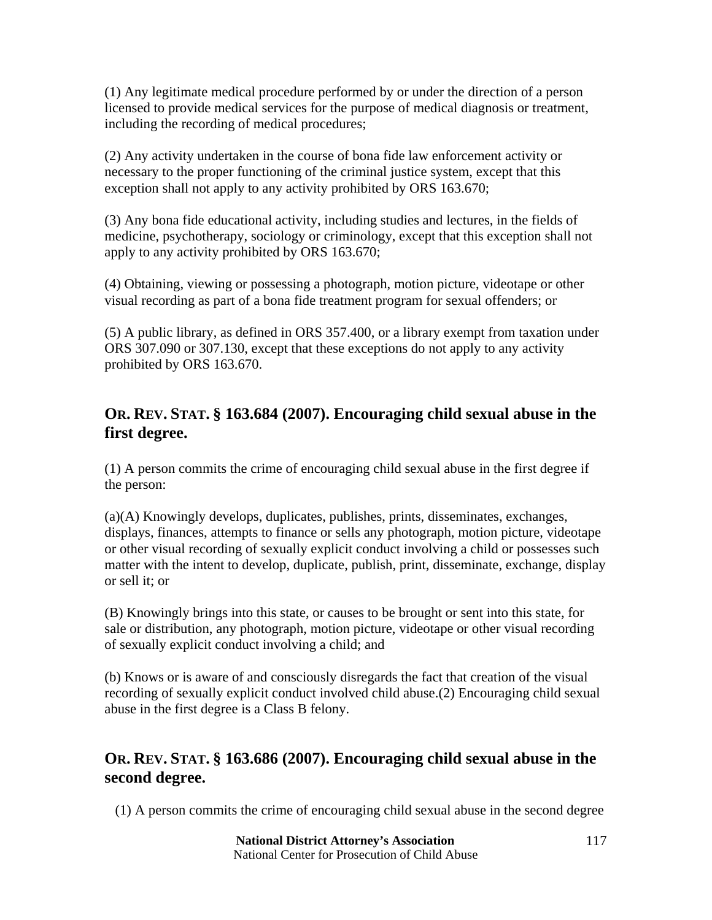(1) Any legitimate medical procedure performed by or under the direction of a person licensed to provide medical services for the purpose of medical diagnosis or treatment, including the recording of medical procedures;

(2) Any activity undertaken in the course of bona fide law enforcement activity or necessary to the proper functioning of the criminal justice system, except that this exception shall not apply to any activity prohibited by ORS 163.670;

(3) Any bona fide educational activity, including studies and lectures, in the fields of medicine, psychotherapy, sociology or criminology, except that this exception shall not apply to any activity prohibited by ORS 163.670;

(4) Obtaining, viewing or possessing a photograph, motion picture, videotape or other visual recording as part of a bona fide treatment program for sexual offenders; or

(5) A public library, as defined in ORS 357.400, or a library exempt from taxation under ORS 307.090 or 307.130, except that these exceptions do not apply to any activity prohibited by ORS 163.670.

# **OR. REV. STAT. § 163.684 (2007). Encouraging child sexual abuse in the first degree.**

(1) A person commits the crime of encouraging child sexual abuse in the first degree if the person:

(a)(A) Knowingly develops, duplicates, publishes, prints, disseminates, exchanges, displays, finances, attempts to finance or sells any photograph, motion picture, videotape or other visual recording of sexually explicit conduct involving a child or possesses such matter with the intent to develop, duplicate, publish, print, disseminate, exchange, display or sell it; or

(B) Knowingly brings into this state, or causes to be brought or sent into this state, for sale or distribution, any photograph, motion picture, videotape or other visual recording of sexually explicit conduct involving a child; and

(b) Knows or is aware of and consciously disregards the fact that creation of the visual recording of sexually explicit conduct involved child abuse.(2) Encouraging child sexual abuse in the first degree is a Class B felony.

## **OR. REV. STAT. § 163.686 (2007). Encouraging child sexual abuse in the second degree.**

(1) A person commits the crime of encouraging child sexual abuse in the second degree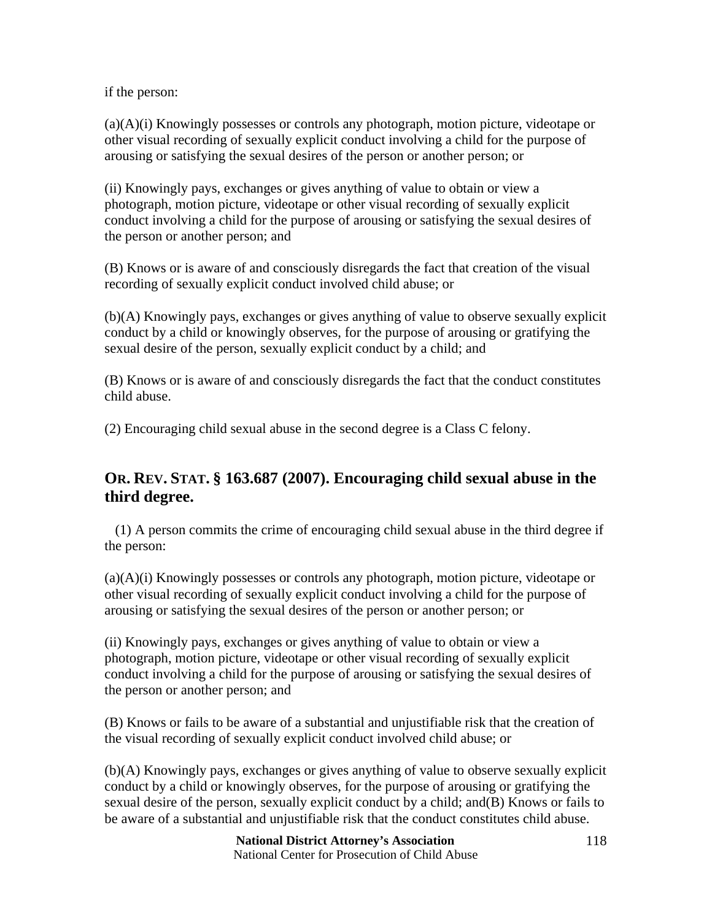if the person:

(a)(A)(i) Knowingly possesses or controls any photograph, motion picture, videotape or other visual recording of sexually explicit conduct involving a child for the purpose of arousing or satisfying the sexual desires of the person or another person; or

(ii) Knowingly pays, exchanges or gives anything of value to obtain or view a photograph, motion picture, videotape or other visual recording of sexually explicit conduct involving a child for the purpose of arousing or satisfying the sexual desires of the person or another person; and

(B) Knows or is aware of and consciously disregards the fact that creation of the visual recording of sexually explicit conduct involved child abuse; or

(b)(A) Knowingly pays, exchanges or gives anything of value to observe sexually explicit conduct by a child or knowingly observes, for the purpose of arousing or gratifying the sexual desire of the person, sexually explicit conduct by a child; and

(B) Knows or is aware of and consciously disregards the fact that the conduct constitutes child abuse.

(2) Encouraging child sexual abuse in the second degree is a Class C felony.

## **OR. REV. STAT. § 163.687 (2007). Encouraging child sexual abuse in the third degree.**

 (1) A person commits the crime of encouraging child sexual abuse in the third degree if the person:

(a)(A)(i) Knowingly possesses or controls any photograph, motion picture, videotape or other visual recording of sexually explicit conduct involving a child for the purpose of arousing or satisfying the sexual desires of the person or another person; or

(ii) Knowingly pays, exchanges or gives anything of value to obtain or view a photograph, motion picture, videotape or other visual recording of sexually explicit conduct involving a child for the purpose of arousing or satisfying the sexual desires of the person or another person; and

(B) Knows or fails to be aware of a substantial and unjustifiable risk that the creation of the visual recording of sexually explicit conduct involved child abuse; or

(b)(A) Knowingly pays, exchanges or gives anything of value to observe sexually explicit conduct by a child or knowingly observes, for the purpose of arousing or gratifying the sexual desire of the person, sexually explicit conduct by a child; and(B) Knows or fails to be aware of a substantial and unjustifiable risk that the conduct constitutes child abuse.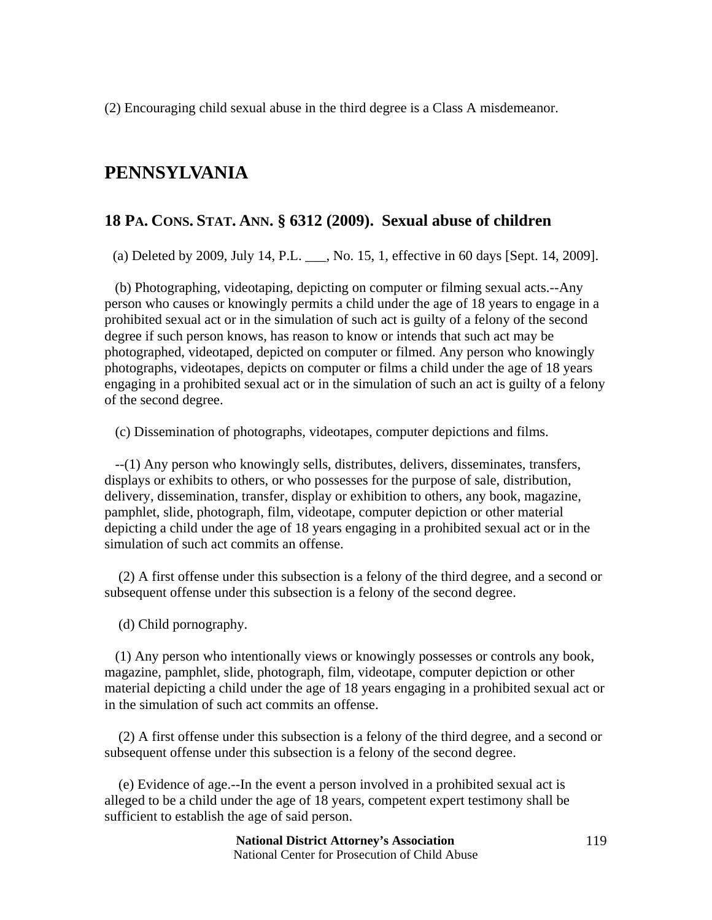(2) Encouraging child sexual abuse in the third degree is a Class A misdemeanor.

# **PENNSYLVANIA**

#### **18 PA. CONS. STAT. ANN. § 6312 (2009). Sexual abuse of children**

(a) Deleted by 2009, July 14, P.L. \_\_\_, No. 15, 1, effective in 60 days [Sept. 14, 2009].

 (b) Photographing, videotaping, depicting on computer or filming sexual acts.--Any person who causes or knowingly permits a child under the age of 18 years to engage in a prohibited sexual act or in the simulation of such act is guilty of a felony of the second degree if such person knows, has reason to know or intends that such act may be photographed, videotaped, depicted on computer or filmed. Any person who knowingly photographs, videotapes, depicts on computer or films a child under the age of 18 years engaging in a prohibited sexual act or in the simulation of such an act is guilty of a felony of the second degree.

(c) Dissemination of photographs, videotapes, computer depictions and films.

 --(1) Any person who knowingly sells, distributes, delivers, disseminates, transfers, displays or exhibits to others, or who possesses for the purpose of sale, distribution, delivery, dissemination, transfer, display or exhibition to others, any book, magazine, pamphlet, slide, photograph, film, videotape, computer depiction or other material depicting a child under the age of 18 years engaging in a prohibited sexual act or in the simulation of such act commits an offense.

 (2) A first offense under this subsection is a felony of the third degree, and a second or subsequent offense under this subsection is a felony of the second degree.

(d) Child pornography.

 (1) Any person who intentionally views or knowingly possesses or controls any book, magazine, pamphlet, slide, photograph, film, videotape, computer depiction or other material depicting a child under the age of 18 years engaging in a prohibited sexual act or in the simulation of such act commits an offense.

 (2) A first offense under this subsection is a felony of the third degree, and a second or subsequent offense under this subsection is a felony of the second degree.

 (e) Evidence of age.--In the event a person involved in a prohibited sexual act is alleged to be a child under the age of 18 years, competent expert testimony shall be sufficient to establish the age of said person.

> **National District Attorney's Association**  National Center for Prosecution of Child Abuse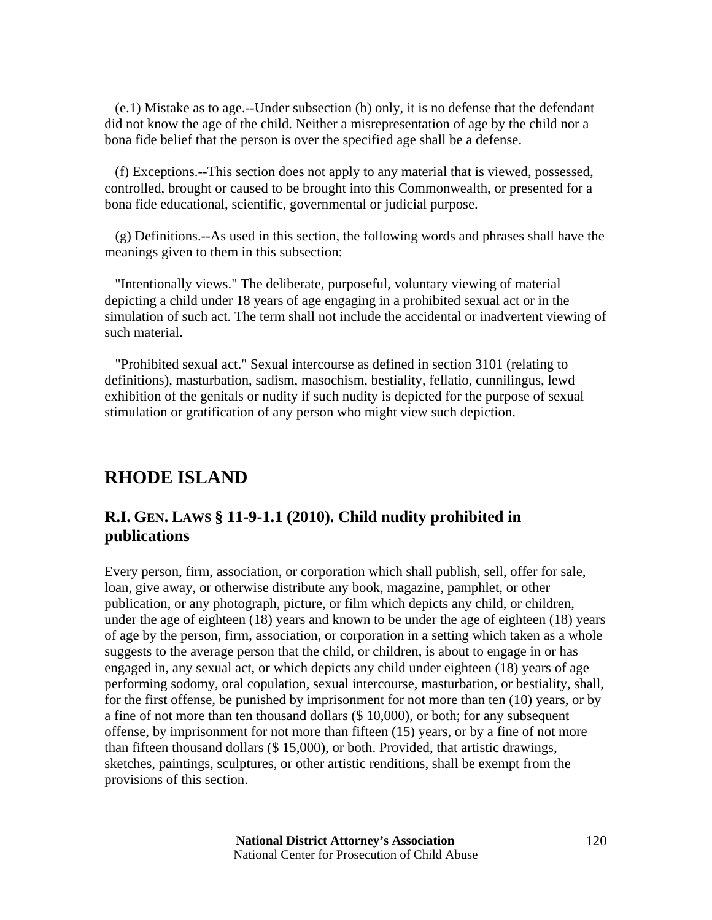(e.1) Mistake as to age.--Under subsection (b) only, it is no defense that the defendant did not know the age of the child. Neither a misrepresentation of age by the child nor a bona fide belief that the person is over the specified age shall be a defense.

 (f) Exceptions.--This section does not apply to any material that is viewed, possessed, controlled, brought or caused to be brought into this Commonwealth, or presented for a bona fide educational, scientific, governmental or judicial purpose.

 (g) Definitions.--As used in this section, the following words and phrases shall have the meanings given to them in this subsection:

 "Intentionally views." The deliberate, purposeful, voluntary viewing of material depicting a child under 18 years of age engaging in a prohibited sexual act or in the simulation of such act. The term shall not include the accidental or inadvertent viewing of such material.

 "Prohibited sexual act." Sexual intercourse as defined in section 3101 (relating to definitions), masturbation, sadism, masochism, bestiality, fellatio, cunnilingus, lewd exhibition of the genitals or nudity if such nudity is depicted for the purpose of sexual stimulation or gratification of any person who might view such depiction.

# **RHODE ISLAND**

#### **R.I. GEN. LAWS § 11-9-1.1 (2010). Child nudity prohibited in publications**

Every person, firm, association, or corporation which shall publish, sell, offer for sale, loan, give away, or otherwise distribute any book, magazine, pamphlet, or other publication, or any photograph, picture, or film which depicts any child, or children, under the age of eighteen (18) years and known to be under the age of eighteen (18) years of age by the person, firm, association, or corporation in a setting which taken as a whole suggests to the average person that the child, or children, is about to engage in or has engaged in, any sexual act, or which depicts any child under eighteen (18) years of age performing sodomy, oral copulation, sexual intercourse, masturbation, or bestiality, shall, for the first offense, be punished by imprisonment for not more than ten (10) years, or by a fine of not more than ten thousand dollars (\$ 10,000), or both; for any subsequent offense, by imprisonment for not more than fifteen (15) years, or by a fine of not more than fifteen thousand dollars (\$ 15,000), or both. Provided, that artistic drawings, sketches, paintings, sculptures, or other artistic renditions, shall be exempt from the provisions of this section.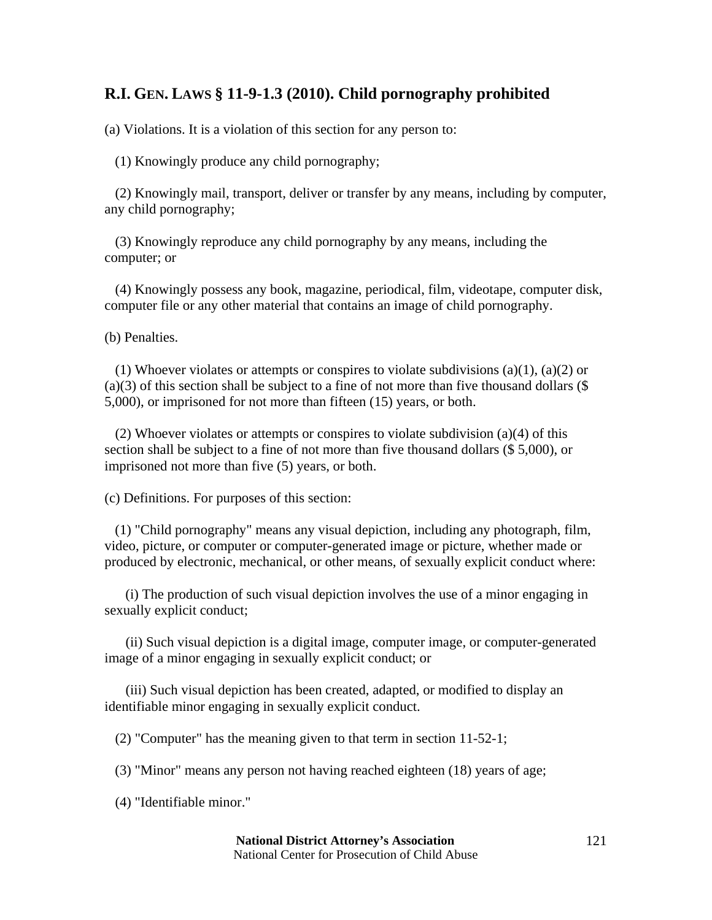#### **R.I. GEN. LAWS § 11-9-1.3 (2010). Child pornography prohibited**

(a) Violations. It is a violation of this section for any person to:

(1) Knowingly produce any child pornography;

 (2) Knowingly mail, transport, deliver or transfer by any means, including by computer, any child pornography;

 (3) Knowingly reproduce any child pornography by any means, including the computer; or

 (4) Knowingly possess any book, magazine, periodical, film, videotape, computer disk, computer file or any other material that contains an image of child pornography.

(b) Penalties.

(1) Whoever violates or attempts or conspires to violate subdivisions (a)(1), (a)(2) or  $(a)(3)$  of this section shall be subject to a fine of not more than five thousand dollars  $(\$$ 5,000), or imprisoned for not more than fifteen (15) years, or both.

 (2) Whoever violates or attempts or conspires to violate subdivision (a)(4) of this section shall be subject to a fine of not more than five thousand dollars (\$ 5,000), or imprisoned not more than five (5) years, or both.

(c) Definitions. For purposes of this section:

 (1) "Child pornography" means any visual depiction, including any photograph, film, video, picture, or computer or computer-generated image or picture, whether made or produced by electronic, mechanical, or other means, of sexually explicit conduct where:

 (i) The production of such visual depiction involves the use of a minor engaging in sexually explicit conduct;

 (ii) Such visual depiction is a digital image, computer image, or computer-generated image of a minor engaging in sexually explicit conduct; or

 (iii) Such visual depiction has been created, adapted, or modified to display an identifiable minor engaging in sexually explicit conduct.

(2) "Computer" has the meaning given to that term in section 11-52-1;

(3) "Minor" means any person not having reached eighteen (18) years of age;

(4) "Identifiable minor."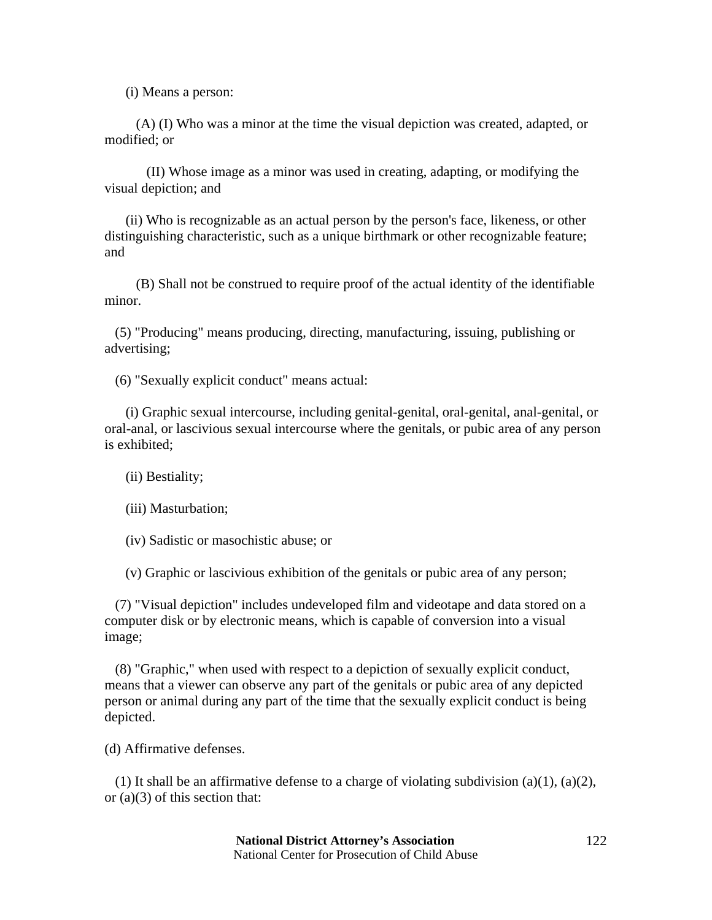(i) Means a person:

 (A) (I) Who was a minor at the time the visual depiction was created, adapted, or modified; or

 (II) Whose image as a minor was used in creating, adapting, or modifying the visual depiction; and

 (ii) Who is recognizable as an actual person by the person's face, likeness, or other distinguishing characteristic, such as a unique birthmark or other recognizable feature; and

 (B) Shall not be construed to require proof of the actual identity of the identifiable minor.

 (5) "Producing" means producing, directing, manufacturing, issuing, publishing or advertising;

(6) "Sexually explicit conduct" means actual:

 (i) Graphic sexual intercourse, including genital-genital, oral-genital, anal-genital, or oral-anal, or lascivious sexual intercourse where the genitals, or pubic area of any person is exhibited;

(ii) Bestiality;

(iii) Masturbation;

(iv) Sadistic or masochistic abuse; or

(v) Graphic or lascivious exhibition of the genitals or pubic area of any person;

 (7) "Visual depiction" includes undeveloped film and videotape and data stored on a computer disk or by electronic means, which is capable of conversion into a visual image;

 (8) "Graphic," when used with respect to a depiction of sexually explicit conduct, means that a viewer can observe any part of the genitals or pubic area of any depicted person or animal during any part of the time that the sexually explicit conduct is being depicted.

(d) Affirmative defenses.

(1) It shall be an affirmative defense to a charge of violating subdivision (a)(1), (a)(2), or  $(a)(3)$  of this section that:

> **National District Attorney's Association**  National Center for Prosecution of Child Abuse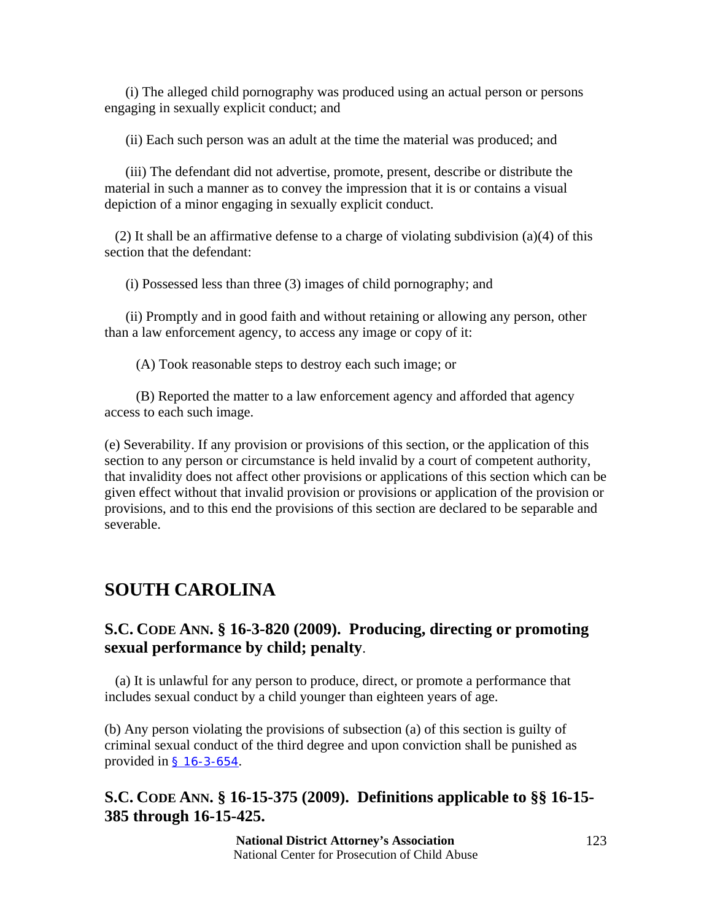(i) The alleged child pornography was produced using an actual person or persons engaging in sexually explicit conduct; and

(ii) Each such person was an adult at the time the material was produced; and

 (iii) The defendant did not advertise, promote, present, describe or distribute the material in such a manner as to convey the impression that it is or contains a visual depiction of a minor engaging in sexually explicit conduct.

 (2) It shall be an affirmative defense to a charge of violating subdivision (a)(4) of this section that the defendant:

(i) Possessed less than three (3) images of child pornography; and

 (ii) Promptly and in good faith and without retaining or allowing any person, other than a law enforcement agency, to access any image or copy of it:

(A) Took reasonable steps to destroy each such image; or

 (B) Reported the matter to a law enforcement agency and afforded that agency access to each such image.

(e) Severability. If any provision or provisions of this section, or the application of this section to any person or circumstance is held invalid by a court of competent authority, that invalidity does not affect other provisions or applications of this section which can be given effect without that invalid provision or provisions or application of the provision or provisions, and to this end the provisions of this section are declared to be separable and severable.

# **SOUTH CAROLINA**

#### **S.C. CODE ANN. § 16-3-820 (2009). Producing, directing or promoting sexual performance by child; penalty**.

 (a) It is unlawful for any person to produce, direct, or promote a performance that includes sexual conduct by a child younger than eighteen years of age.

(b) Any person violating the provisions of subsection (a) of this section is guilty of criminal sexual conduct of the third degree and upon conviction shall be punished as provided in § 16-3-654.

## **S.C. CODE ANN. § 16-15-375 (2009). Definitions applicable to §§ 16-15- 385 through 16-15-425.**

**National District Attorney's Association**  National Center for Prosecution of Child Abuse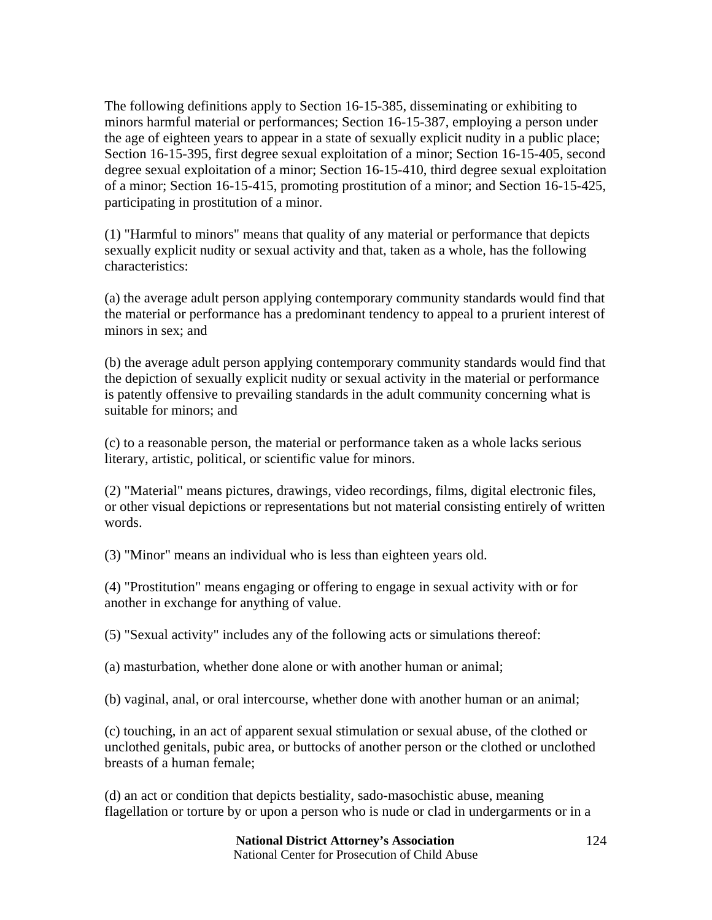The following definitions apply to Section 16-15-385, disseminating or exhibiting to minors harmful material or performances; Section 16-15-387, employing a person under the age of eighteen years to appear in a state of sexually explicit nudity in a public place; Section 16-15-395, first degree sexual exploitation of a minor; Section 16-15-405, second degree sexual exploitation of a minor; Section 16-15-410, third degree sexual exploitation of a minor; Section 16-15-415, promoting prostitution of a minor; and Section 16-15-425, participating in prostitution of a minor.

(1) "Harmful to minors" means that quality of any material or performance that depicts sexually explicit nudity or sexual activity and that, taken as a whole, has the following characteristics:

(a) the average adult person applying contemporary community standards would find that the material or performance has a predominant tendency to appeal to a prurient interest of minors in sex; and

(b) the average adult person applying contemporary community standards would find that the depiction of sexually explicit nudity or sexual activity in the material or performance is patently offensive to prevailing standards in the adult community concerning what is suitable for minors; and

(c) to a reasonable person, the material or performance taken as a whole lacks serious literary, artistic, political, or scientific value for minors.

(2) "Material" means pictures, drawings, video recordings, films, digital electronic files, or other visual depictions or representations but not material consisting entirely of written words.

(3) "Minor" means an individual who is less than eighteen years old.

(4) "Prostitution" means engaging or offering to engage in sexual activity with or for another in exchange for anything of value.

(5) "Sexual activity" includes any of the following acts or simulations thereof:

(a) masturbation, whether done alone or with another human or animal;

(b) vaginal, anal, or oral intercourse, whether done with another human or an animal;

(c) touching, in an act of apparent sexual stimulation or sexual abuse, of the clothed or unclothed genitals, pubic area, or buttocks of another person or the clothed or unclothed breasts of a human female;

(d) an act or condition that depicts bestiality, sado-masochistic abuse, meaning flagellation or torture by or upon a person who is nude or clad in undergarments or in a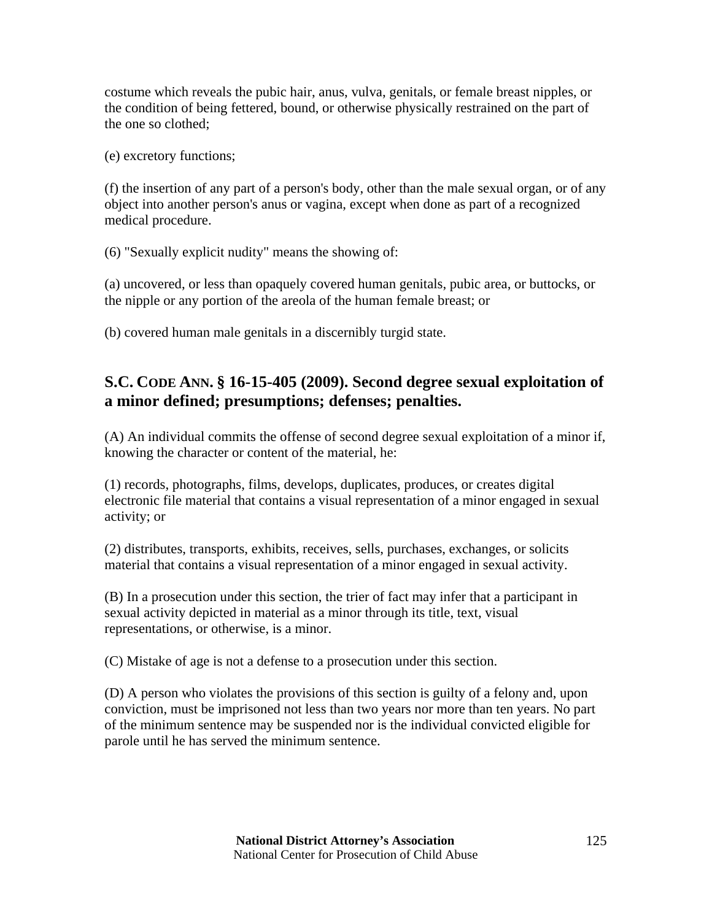costume which reveals the pubic hair, anus, vulva, genitals, or female breast nipples, or the condition of being fettered, bound, or otherwise physically restrained on the part of the one so clothed;

(e) excretory functions;

(f) the insertion of any part of a person's body, other than the male sexual organ, or of any object into another person's anus or vagina, except when done as part of a recognized medical procedure.

(6) "Sexually explicit nudity" means the showing of:

(a) uncovered, or less than opaquely covered human genitals, pubic area, or buttocks, or the nipple or any portion of the areola of the human female breast; or

(b) covered human male genitals in a discernibly turgid state.

# **S.C. CODE ANN. § 16-15-405 (2009). Second degree sexual exploitation of a minor defined; presumptions; defenses; penalties.**

(A) An individual commits the offense of second degree sexual exploitation of a minor if, knowing the character or content of the material, he:

(1) records, photographs, films, develops, duplicates, produces, or creates digital electronic file material that contains a visual representation of a minor engaged in sexual activity; or

(2) distributes, transports, exhibits, receives, sells, purchases, exchanges, or solicits material that contains a visual representation of a minor engaged in sexual activity.

(B) In a prosecution under this section, the trier of fact may infer that a participant in sexual activity depicted in material as a minor through its title, text, visual representations, or otherwise, is a minor.

(C) Mistake of age is not a defense to a prosecution under this section.

(D) A person who violates the provisions of this section is guilty of a felony and, upon conviction, must be imprisoned not less than two years nor more than ten years. No part of the minimum sentence may be suspended nor is the individual convicted eligible for parole until he has served the minimum sentence.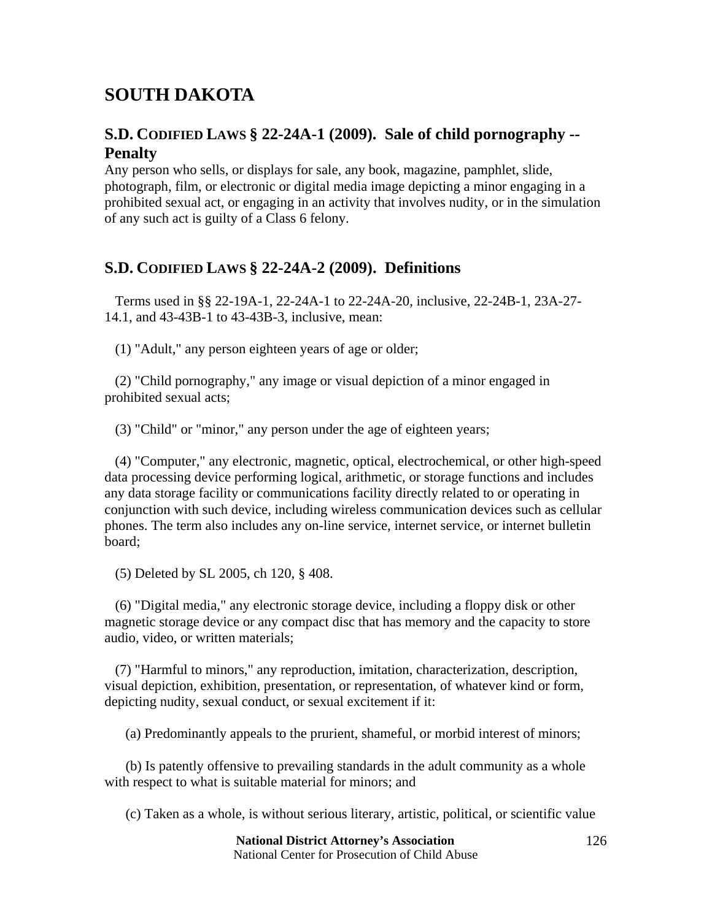# **SOUTH DAKOTA**

## **S.D. CODIFIED LAWS § 22-24A-1 (2009). Sale of child pornography -- Penalty**

Any person who sells, or displays for sale, any book, magazine, pamphlet, slide, photograph, film, or electronic or digital media image depicting a minor engaging in a prohibited sexual act, or engaging in an activity that involves nudity, or in the simulation of any such act is guilty of a Class 6 felony.

#### **S.D. CODIFIED LAWS § 22-24A-2 (2009). Definitions**

 Terms used in §§ 22-19A-1, 22-24A-1 to 22-24A-20, inclusive, 22-24B-1, 23A-27- 14.1, and 43-43B-1 to 43-43B-3, inclusive, mean:

(1) "Adult," any person eighteen years of age or older;

 (2) "Child pornography," any image or visual depiction of a minor engaged in prohibited sexual acts;

(3) "Child" or "minor," any person under the age of eighteen years;

 (4) "Computer," any electronic, magnetic, optical, electrochemical, or other high-speed data processing device performing logical, arithmetic, or storage functions and includes any data storage facility or communications facility directly related to or operating in conjunction with such device, including wireless communication devices such as cellular phones. The term also includes any on-line service, internet service, or internet bulletin board;

(5) Deleted by SL 2005, ch 120, § 408.

 (6) "Digital media," any electronic storage device, including a floppy disk or other magnetic storage device or any compact disc that has memory and the capacity to store audio, video, or written materials;

 (7) "Harmful to minors," any reproduction, imitation, characterization, description, visual depiction, exhibition, presentation, or representation, of whatever kind or form, depicting nudity, sexual conduct, or sexual excitement if it:

(a) Predominantly appeals to the prurient, shameful, or morbid interest of minors;

 (b) Is patently offensive to prevailing standards in the adult community as a whole with respect to what is suitable material for minors; and

(c) Taken as a whole, is without serious literary, artistic, political, or scientific value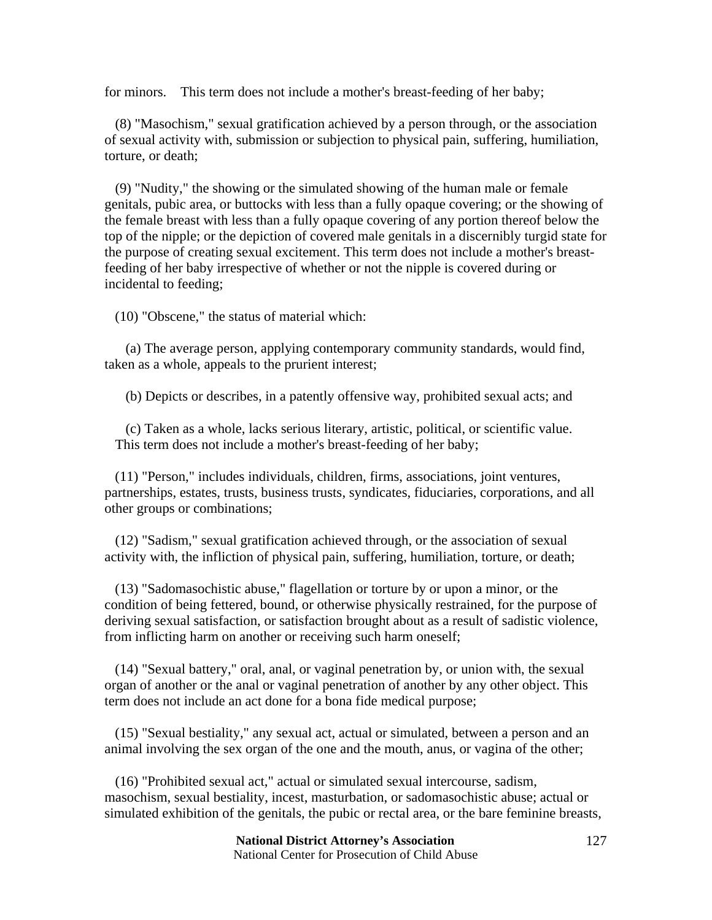for minors. This term does not include a mother's breast-feeding of her baby;

 (8) "Masochism," sexual gratification achieved by a person through, or the association of sexual activity with, submission or subjection to physical pain, suffering, humiliation, torture, or death;

 (9) "Nudity," the showing or the simulated showing of the human male or female genitals, pubic area, or buttocks with less than a fully opaque covering; or the showing of the female breast with less than a fully opaque covering of any portion thereof below the top of the nipple; or the depiction of covered male genitals in a discernibly turgid state for the purpose of creating sexual excitement. This term does not include a mother's breastfeeding of her baby irrespective of whether or not the nipple is covered during or incidental to feeding;

(10) "Obscene," the status of material which:

 (a) The average person, applying contemporary community standards, would find, taken as a whole, appeals to the prurient interest;

(b) Depicts or describes, in a patently offensive way, prohibited sexual acts; and

 (c) Taken as a whole, lacks serious literary, artistic, political, or scientific value. This term does not include a mother's breast-feeding of her baby;

 (11) "Person," includes individuals, children, firms, associations, joint ventures, partnerships, estates, trusts, business trusts, syndicates, fiduciaries, corporations, and all other groups or combinations;

 (12) "Sadism," sexual gratification achieved through, or the association of sexual activity with, the infliction of physical pain, suffering, humiliation, torture, or death;

 (13) "Sadomasochistic abuse," flagellation or torture by or upon a minor, or the condition of being fettered, bound, or otherwise physically restrained, for the purpose of deriving sexual satisfaction, or satisfaction brought about as a result of sadistic violence, from inflicting harm on another or receiving such harm oneself;

 (14) "Sexual battery," oral, anal, or vaginal penetration by, or union with, the sexual organ of another or the anal or vaginal penetration of another by any other object. This term does not include an act done for a bona fide medical purpose;

 (15) "Sexual bestiality," any sexual act, actual or simulated, between a person and an animal involving the sex organ of the one and the mouth, anus, or vagina of the other;

 (16) "Prohibited sexual act," actual or simulated sexual intercourse, sadism, masochism, sexual bestiality, incest, masturbation, or sadomasochistic abuse; actual or simulated exhibition of the genitals, the pubic or rectal area, or the bare feminine breasts,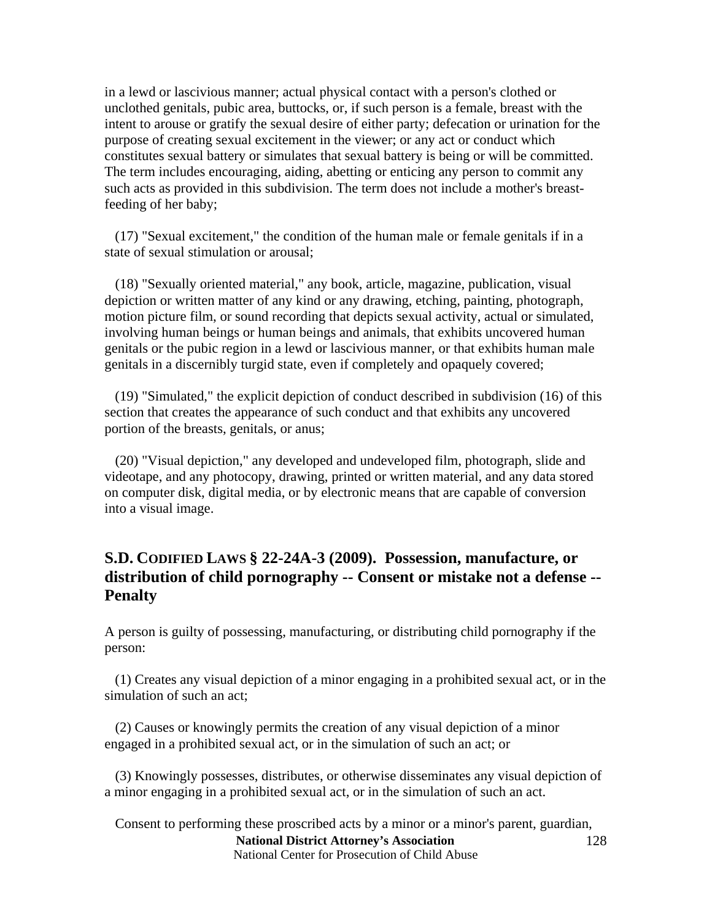in a lewd or lascivious manner; actual physical contact with a person's clothed or unclothed genitals, pubic area, buttocks, or, if such person is a female, breast with the intent to arouse or gratify the sexual desire of either party; defecation or urination for the purpose of creating sexual excitement in the viewer; or any act or conduct which constitutes sexual battery or simulates that sexual battery is being or will be committed. The term includes encouraging, aiding, abetting or enticing any person to commit any such acts as provided in this subdivision. The term does not include a mother's breastfeeding of her baby;

 (17) "Sexual excitement," the condition of the human male or female genitals if in a state of sexual stimulation or arousal;

 (18) "Sexually oriented material," any book, article, magazine, publication, visual depiction or written matter of any kind or any drawing, etching, painting, photograph, motion picture film, or sound recording that depicts sexual activity, actual or simulated, involving human beings or human beings and animals, that exhibits uncovered human genitals or the pubic region in a lewd or lascivious manner, or that exhibits human male genitals in a discernibly turgid state, even if completely and opaquely covered;

 (19) "Simulated," the explicit depiction of conduct described in subdivision (16) of this section that creates the appearance of such conduct and that exhibits any uncovered portion of the breasts, genitals, or anus;

 (20) "Visual depiction," any developed and undeveloped film, photograph, slide and videotape, and any photocopy, drawing, printed or written material, and any data stored on computer disk, digital media, or by electronic means that are capable of conversion into a visual image.

## **S.D. CODIFIED LAWS § 22-24A-3 (2009). Possession, manufacture, or distribution of child pornography -- Consent or mistake not a defense -- Penalty**

A person is guilty of possessing, manufacturing, or distributing child pornography if the person:

 (1) Creates any visual depiction of a minor engaging in a prohibited sexual act, or in the simulation of such an act;

 (2) Causes or knowingly permits the creation of any visual depiction of a minor engaged in a prohibited sexual act, or in the simulation of such an act; or

 (3) Knowingly possesses, distributes, or otherwise disseminates any visual depiction of a minor engaging in a prohibited sexual act, or in the simulation of such an act.

**National District Attorney's Association**  National Center for Prosecution of Child Abuse 128 Consent to performing these proscribed acts by a minor or a minor's parent, guardian,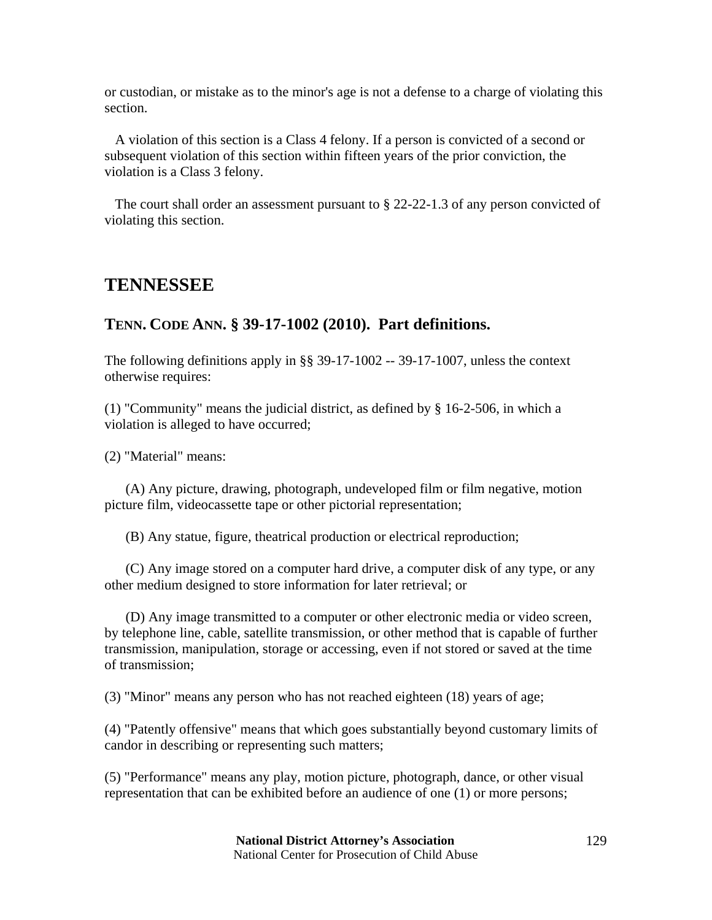or custodian, or mistake as to the minor's age is not a defense to a charge of violating this section.

 A violation of this section is a Class 4 felony. If a person is convicted of a second or subsequent violation of this section within fifteen years of the prior conviction, the violation is a Class 3 felony.

 The court shall order an assessment pursuant to § 22-22-1.3 of any person convicted of violating this section.

## **TENNESSEE**

#### **TENN. CODE ANN. § 39-17-1002 (2010). Part definitions.**

The following definitions apply in §§ 39-17-1002 -- 39-17-1007, unless the context otherwise requires:

(1) "Community" means the judicial district, as defined by § 16-2-506, in which a violation is alleged to have occurred;

(2) "Material" means:

 (A) Any picture, drawing, photograph, undeveloped film or film negative, motion picture film, videocassette tape or other pictorial representation;

(B) Any statue, figure, theatrical production or electrical reproduction;

 (C) Any image stored on a computer hard drive, a computer disk of any type, or any other medium designed to store information for later retrieval; or

 (D) Any image transmitted to a computer or other electronic media or video screen, by telephone line, cable, satellite transmission, or other method that is capable of further transmission, manipulation, storage or accessing, even if not stored or saved at the time of transmission;

(3) "Minor" means any person who has not reached eighteen (18) years of age;

(4) "Patently offensive" means that which goes substantially beyond customary limits of candor in describing or representing such matters;

(5) "Performance" means any play, motion picture, photograph, dance, or other visual representation that can be exhibited before an audience of one (1) or more persons;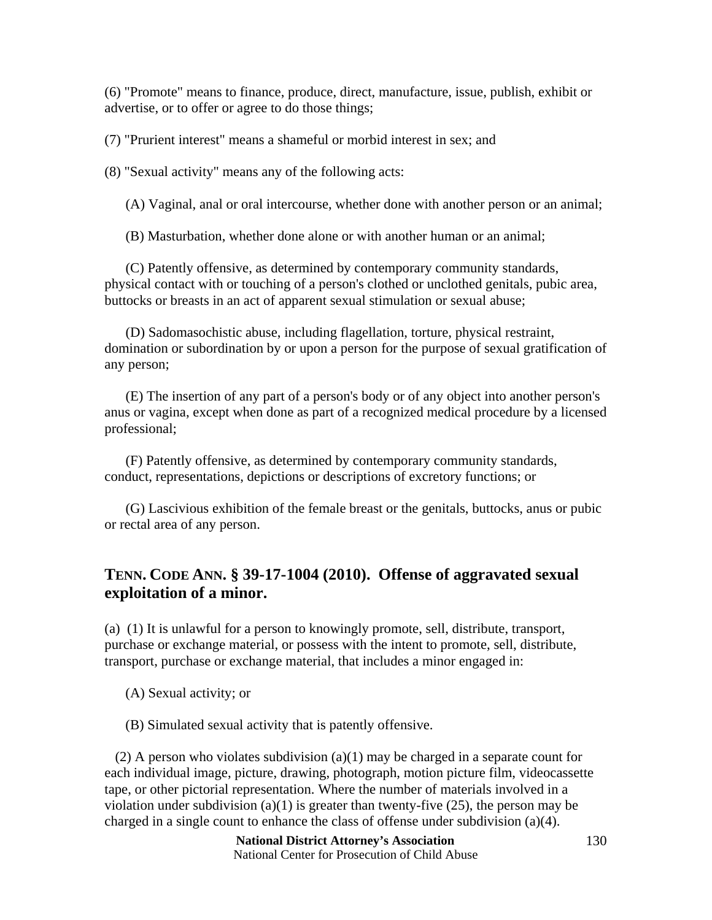(6) "Promote" means to finance, produce, direct, manufacture, issue, publish, exhibit or advertise, or to offer or agree to do those things;

(7) "Prurient interest" means a shameful or morbid interest in sex; and

(8) "Sexual activity" means any of the following acts:

(A) Vaginal, anal or oral intercourse, whether done with another person or an animal;

(B) Masturbation, whether done alone or with another human or an animal;

 (C) Patently offensive, as determined by contemporary community standards, physical contact with or touching of a person's clothed or unclothed genitals, pubic area, buttocks or breasts in an act of apparent sexual stimulation or sexual abuse;

 (D) Sadomasochistic abuse, including flagellation, torture, physical restraint, domination or subordination by or upon a person for the purpose of sexual gratification of any person;

 (E) The insertion of any part of a person's body or of any object into another person's anus or vagina, except when done as part of a recognized medical procedure by a licensed professional;

 (F) Patently offensive, as determined by contemporary community standards, conduct, representations, depictions or descriptions of excretory functions; or

 (G) Lascivious exhibition of the female breast or the genitals, buttocks, anus or pubic or rectal area of any person.

# **TENN. CODE ANN. § 39-17-1004 (2010). Offense of aggravated sexual exploitation of a minor.**

(a) (1) It is unlawful for a person to knowingly promote, sell, distribute, transport, purchase or exchange material, or possess with the intent to promote, sell, distribute, transport, purchase or exchange material, that includes a minor engaged in:

(A) Sexual activity; or

(B) Simulated sexual activity that is patently offensive.

 (2) A person who violates subdivision (a)(1) may be charged in a separate count for each individual image, picture, drawing, photograph, motion picture film, videocassette tape, or other pictorial representation. Where the number of materials involved in a violation under subdivision  $(a)(1)$  is greater than twenty-five  $(25)$ , the person may be charged in a single count to enhance the class of offense under subdivision (a)(4).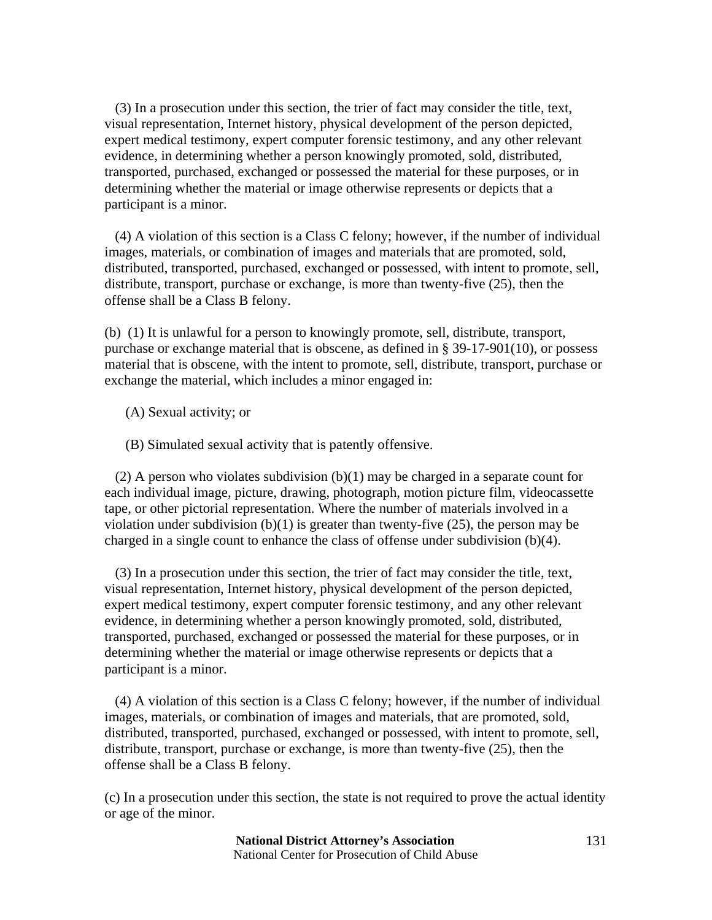(3) In a prosecution under this section, the trier of fact may consider the title, text, visual representation, Internet history, physical development of the person depicted, expert medical testimony, expert computer forensic testimony, and any other relevant evidence, in determining whether a person knowingly promoted, sold, distributed, transported, purchased, exchanged or possessed the material for these purposes, or in determining whether the material or image otherwise represents or depicts that a participant is a minor.

 (4) A violation of this section is a Class C felony; however, if the number of individual images, materials, or combination of images and materials that are promoted, sold, distributed, transported, purchased, exchanged or possessed, with intent to promote, sell, distribute, transport, purchase or exchange, is more than twenty-five (25), then the offense shall be a Class B felony.

(b) (1) It is unlawful for a person to knowingly promote, sell, distribute, transport, purchase or exchange material that is obscene, as defined in § 39-17-901(10), or possess material that is obscene, with the intent to promote, sell, distribute, transport, purchase or exchange the material, which includes a minor engaged in:

(A) Sexual activity; or

(B) Simulated sexual activity that is patently offensive.

 (2) A person who violates subdivision (b)(1) may be charged in a separate count for each individual image, picture, drawing, photograph, motion picture film, videocassette tape, or other pictorial representation. Where the number of materials involved in a violation under subdivision  $(b)(1)$  is greater than twenty-five  $(25)$ , the person may be charged in a single count to enhance the class of offense under subdivision  $(b)(4)$ .

 (3) In a prosecution under this section, the trier of fact may consider the title, text, visual representation, Internet history, physical development of the person depicted, expert medical testimony, expert computer forensic testimony, and any other relevant evidence, in determining whether a person knowingly promoted, sold, distributed, transported, purchased, exchanged or possessed the material for these purposes, or in determining whether the material or image otherwise represents or depicts that a participant is a minor.

 (4) A violation of this section is a Class C felony; however, if the number of individual images, materials, or combination of images and materials, that are promoted, sold, distributed, transported, purchased, exchanged or possessed, with intent to promote, sell, distribute, transport, purchase or exchange, is more than twenty-five (25), then the offense shall be a Class B felony.

(c) In a prosecution under this section, the state is not required to prove the actual identity or age of the minor.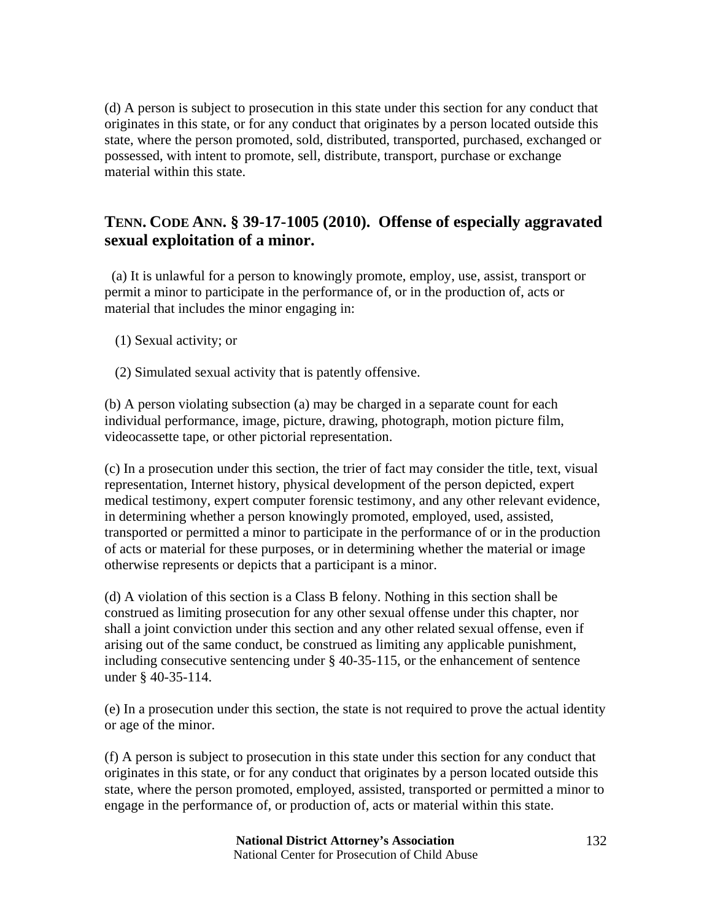(d) A person is subject to prosecution in this state under this section for any conduct that originates in this state, or for any conduct that originates by a person located outside this state, where the person promoted, sold, distributed, transported, purchased, exchanged or possessed, with intent to promote, sell, distribute, transport, purchase or exchange material within this state.

## **TENN. CODE ANN. § 39-17-1005 (2010). Offense of especially aggravated sexual exploitation of a minor.**

 (a) It is unlawful for a person to knowingly promote, employ, use, assist, transport or permit a minor to participate in the performance of, or in the production of, acts or material that includes the minor engaging in:

(1) Sexual activity; or

(2) Simulated sexual activity that is patently offensive.

(b) A person violating subsection (a) may be charged in a separate count for each individual performance, image, picture, drawing, photograph, motion picture film, videocassette tape, or other pictorial representation.

(c) In a prosecution under this section, the trier of fact may consider the title, text, visual representation, Internet history, physical development of the person depicted, expert medical testimony, expert computer forensic testimony, and any other relevant evidence, in determining whether a person knowingly promoted, employed, used, assisted, transported or permitted a minor to participate in the performance of or in the production of acts or material for these purposes, or in determining whether the material or image otherwise represents or depicts that a participant is a minor.

(d) A violation of this section is a Class B felony. Nothing in this section shall be construed as limiting prosecution for any other sexual offense under this chapter, nor shall a joint conviction under this section and any other related sexual offense, even if arising out of the same conduct, be construed as limiting any applicable punishment, including consecutive sentencing under § 40-35-115, or the enhancement of sentence under § 40-35-114.

(e) In a prosecution under this section, the state is not required to prove the actual identity or age of the minor.

(f) A person is subject to prosecution in this state under this section for any conduct that originates in this state, or for any conduct that originates by a person located outside this state, where the person promoted, employed, assisted, transported or permitted a minor to engage in the performance of, or production of, acts or material within this state.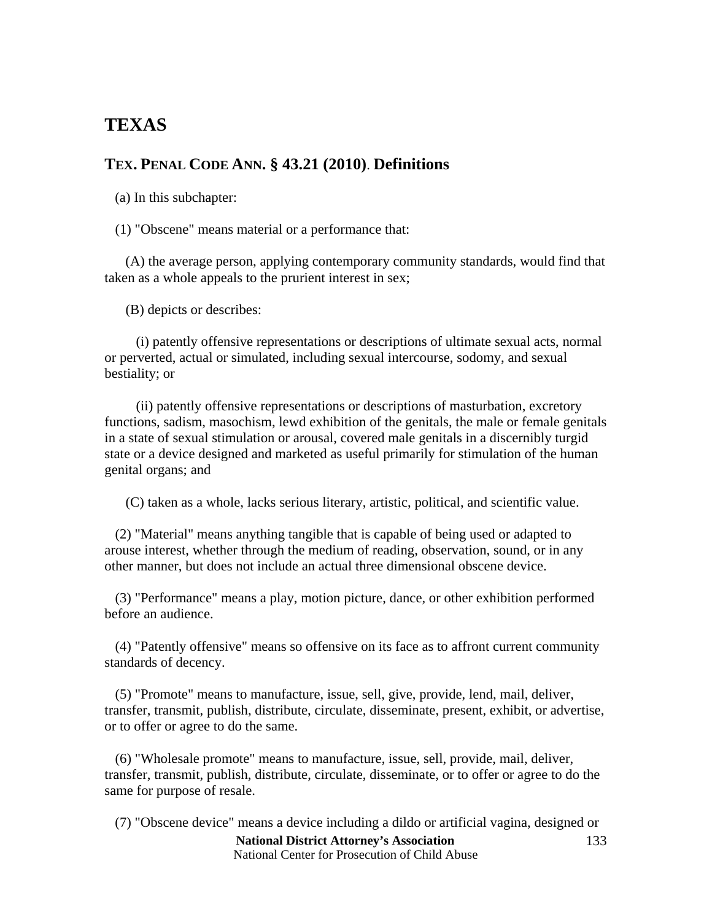# **TEXAS**

#### **TEX. PENAL CODE ANN. § 43.21 (2010)**. **Definitions**

(a) In this subchapter:

(1) "Obscene" means material or a performance that:

 (A) the average person, applying contemporary community standards, would find that taken as a whole appeals to the prurient interest in sex;

(B) depicts or describes:

 (i) patently offensive representations or descriptions of ultimate sexual acts, normal or perverted, actual or simulated, including sexual intercourse, sodomy, and sexual bestiality; or

 (ii) patently offensive representations or descriptions of masturbation, excretory functions, sadism, masochism, lewd exhibition of the genitals, the male or female genitals in a state of sexual stimulation or arousal, covered male genitals in a discernibly turgid state or a device designed and marketed as useful primarily for stimulation of the human genital organs; and

(C) taken as a whole, lacks serious literary, artistic, political, and scientific value.

 (2) "Material" means anything tangible that is capable of being used or adapted to arouse interest, whether through the medium of reading, observation, sound, or in any other manner, but does not include an actual three dimensional obscene device.

 (3) "Performance" means a play, motion picture, dance, or other exhibition performed before an audience.

 (4) "Patently offensive" means so offensive on its face as to affront current community standards of decency.

 (5) "Promote" means to manufacture, issue, sell, give, provide, lend, mail, deliver, transfer, transmit, publish, distribute, circulate, disseminate, present, exhibit, or advertise, or to offer or agree to do the same.

 (6) "Wholesale promote" means to manufacture, issue, sell, provide, mail, deliver, transfer, transmit, publish, distribute, circulate, disseminate, or to offer or agree to do the same for purpose of resale.

**National District Attorney's Association**  National Center for Prosecution of Child Abuse 133 (7) "Obscene device" means a device including a dildo or artificial vagina, designed or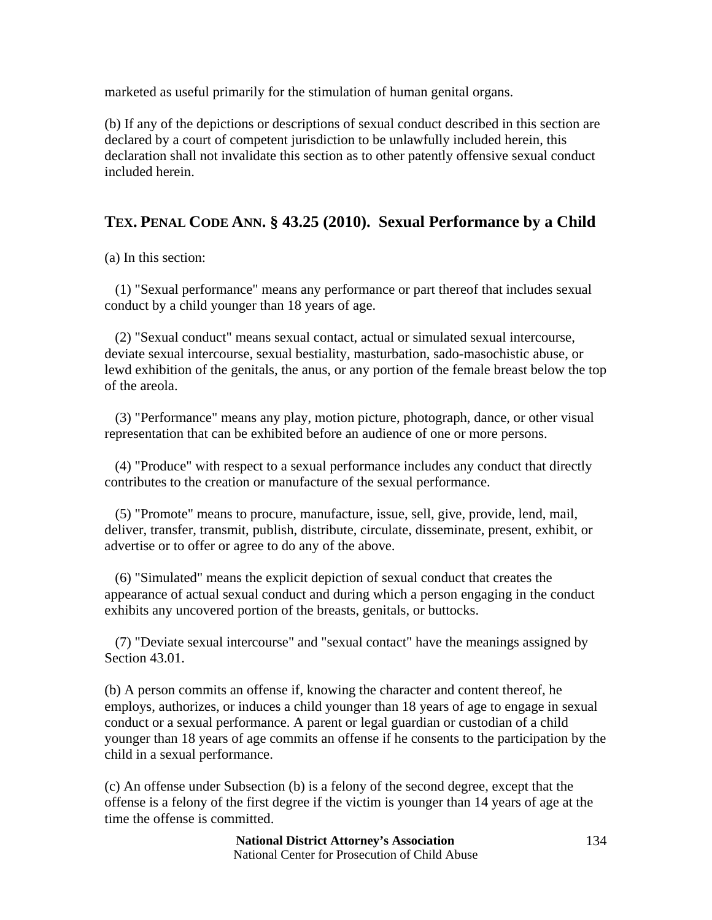marketed as useful primarily for the stimulation of human genital organs.

(b) If any of the depictions or descriptions of sexual conduct described in this section are declared by a court of competent jurisdiction to be unlawfully included herein, this declaration shall not invalidate this section as to other patently offensive sexual conduct included herein.

## **TEX. PENAL CODE ANN. § 43.25 (2010). Sexual Performance by a Child**

(a) In this section:

 (1) "Sexual performance" means any performance or part thereof that includes sexual conduct by a child younger than 18 years of age.

 (2) "Sexual conduct" means sexual contact, actual or simulated sexual intercourse, deviate sexual intercourse, sexual bestiality, masturbation, sado-masochistic abuse, or lewd exhibition of the genitals, the anus, or any portion of the female breast below the top of the areola.

 (3) "Performance" means any play, motion picture, photograph, dance, or other visual representation that can be exhibited before an audience of one or more persons.

 (4) "Produce" with respect to a sexual performance includes any conduct that directly contributes to the creation or manufacture of the sexual performance.

 (5) "Promote" means to procure, manufacture, issue, sell, give, provide, lend, mail, deliver, transfer, transmit, publish, distribute, circulate, disseminate, present, exhibit, or advertise or to offer or agree to do any of the above.

 (6) "Simulated" means the explicit depiction of sexual conduct that creates the appearance of actual sexual conduct and during which a person engaging in the conduct exhibits any uncovered portion of the breasts, genitals, or buttocks.

 (7) "Deviate sexual intercourse" and "sexual contact" have the meanings assigned by Section 43.01.

(b) A person commits an offense if, knowing the character and content thereof, he employs, authorizes, or induces a child younger than 18 years of age to engage in sexual conduct or a sexual performance. A parent or legal guardian or custodian of a child younger than 18 years of age commits an offense if he consents to the participation by the child in a sexual performance.

(c) An offense under Subsection (b) is a felony of the second degree, except that the offense is a felony of the first degree if the victim is younger than 14 years of age at the time the offense is committed.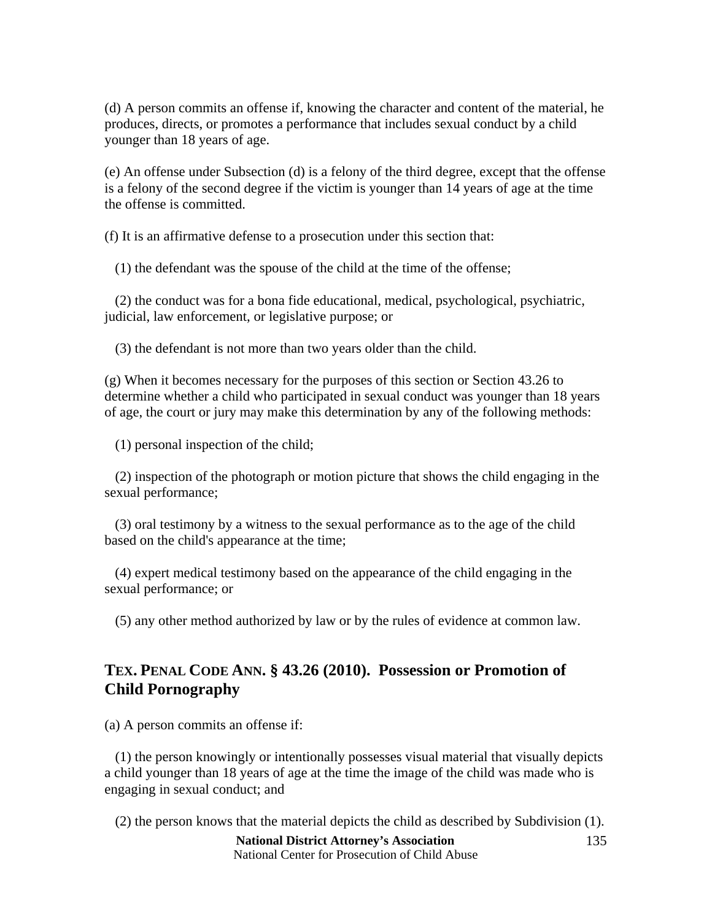(d) A person commits an offense if, knowing the character and content of the material, he produces, directs, or promotes a performance that includes sexual conduct by a child younger than 18 years of age.

(e) An offense under Subsection (d) is a felony of the third degree, except that the offense is a felony of the second degree if the victim is younger than 14 years of age at the time the offense is committed.

(f) It is an affirmative defense to a prosecution under this section that:

(1) the defendant was the spouse of the child at the time of the offense;

 (2) the conduct was for a bona fide educational, medical, psychological, psychiatric, judicial, law enforcement, or legislative purpose; or

(3) the defendant is not more than two years older than the child.

(g) When it becomes necessary for the purposes of this section or Section 43.26 to determine whether a child who participated in sexual conduct was younger than 18 years of age, the court or jury may make this determination by any of the following methods:

(1) personal inspection of the child;

 (2) inspection of the photograph or motion picture that shows the child engaging in the sexual performance;

 (3) oral testimony by a witness to the sexual performance as to the age of the child based on the child's appearance at the time;

 (4) expert medical testimony based on the appearance of the child engaging in the sexual performance; or

(5) any other method authorized by law or by the rules of evidence at common law.

#### **TEX. PENAL CODE ANN. § 43.26 (2010). Possession or Promotion of Child Pornography**

(a) A person commits an offense if:

 (1) the person knowingly or intentionally possesses visual material that visually depicts a child younger than 18 years of age at the time the image of the child was made who is engaging in sexual conduct; and

(2) the person knows that the material depicts the child as described by Subdivision (1).

**National District Attorney's Association**  National Center for Prosecution of Child Abuse

135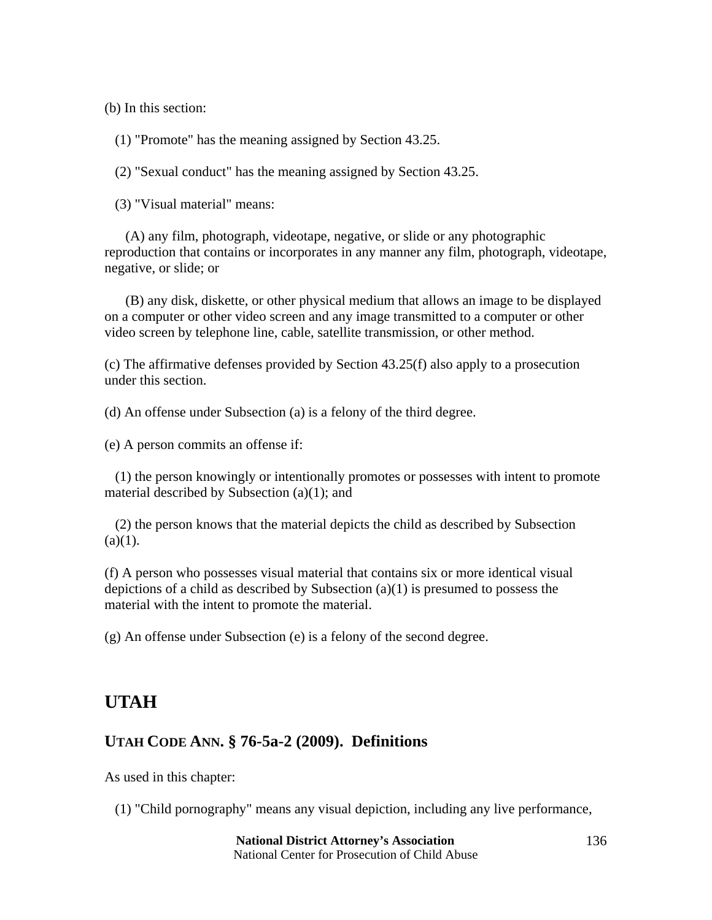(b) In this section:

(1) "Promote" has the meaning assigned by Section 43.25.

(2) "Sexual conduct" has the meaning assigned by Section 43.25.

(3) "Visual material" means:

 (A) any film, photograph, videotape, negative, or slide or any photographic reproduction that contains or incorporates in any manner any film, photograph, videotape, negative, or slide; or

 (B) any disk, diskette, or other physical medium that allows an image to be displayed on a computer or other video screen and any image transmitted to a computer or other video screen by telephone line, cable, satellite transmission, or other method.

(c) The affirmative defenses provided by Section 43.25(f) also apply to a prosecution under this section.

(d) An offense under Subsection (a) is a felony of the third degree.

(e) A person commits an offense if:

 (1) the person knowingly or intentionally promotes or possesses with intent to promote material described by Subsection (a)(1); and

 (2) the person knows that the material depicts the child as described by Subsection  $(a)(1)$ .

(f) A person who possesses visual material that contains six or more identical visual depictions of a child as described by Subsection (a)(1) is presumed to possess the material with the intent to promote the material.

(g) An offense under Subsection (e) is a felony of the second degree.

# **UTAH**

#### **UTAH CODE ANN. § 76-5a-2 (2009). Definitions**

As used in this chapter:

(1) "Child pornography" means any visual depiction, including any live performance,

**National District Attorney's Association**  National Center for Prosecution of Child Abuse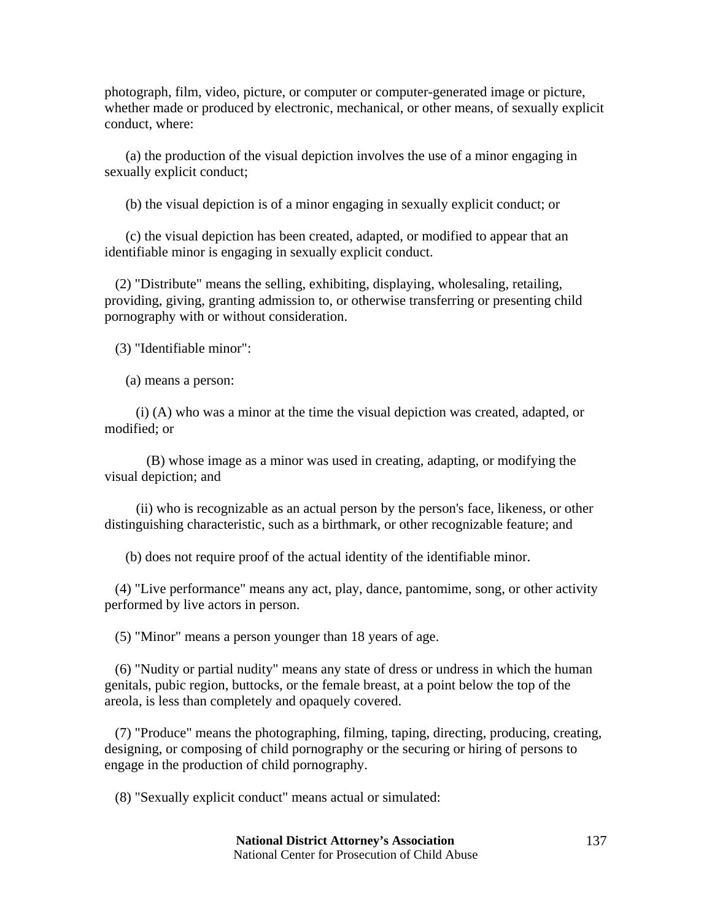photograph, film, video, picture, or computer or computer-generated image or picture, whether made or produced by electronic, mechanical, or other means, of sexually explicit conduct, where:

 (a) the production of the visual depiction involves the use of a minor engaging in sexually explicit conduct;

(b) the visual depiction is of a minor engaging in sexually explicit conduct; or

 (c) the visual depiction has been created, adapted, or modified to appear that an identifiable minor is engaging in sexually explicit conduct.

 (2) "Distribute" means the selling, exhibiting, displaying, wholesaling, retailing, providing, giving, granting admission to, or otherwise transferring or presenting child pornography with or without consideration.

(3) "Identifiable minor":

(a) means a person:

 (i) (A) who was a minor at the time the visual depiction was created, adapted, or modified; or

 (B) whose image as a minor was used in creating, adapting, or modifying the visual depiction; and

 (ii) who is recognizable as an actual person by the person's face, likeness, or other distinguishing characteristic, such as a birthmark, or other recognizable feature; and

(b) does not require proof of the actual identity of the identifiable minor.

 (4) "Live performance" means any act, play, dance, pantomime, song, or other activity performed by live actors in person.

(5) "Minor" means a person younger than 18 years of age.

 (6) "Nudity or partial nudity" means any state of dress or undress in which the human genitals, pubic region, buttocks, or the female breast, at a point below the top of the areola, is less than completely and opaquely covered.

 (7) "Produce" means the photographing, filming, taping, directing, producing, creating, designing, or composing of child pornography or the securing or hiring of persons to engage in the production of child pornography.

(8) "Sexually explicit conduct" means actual or simulated: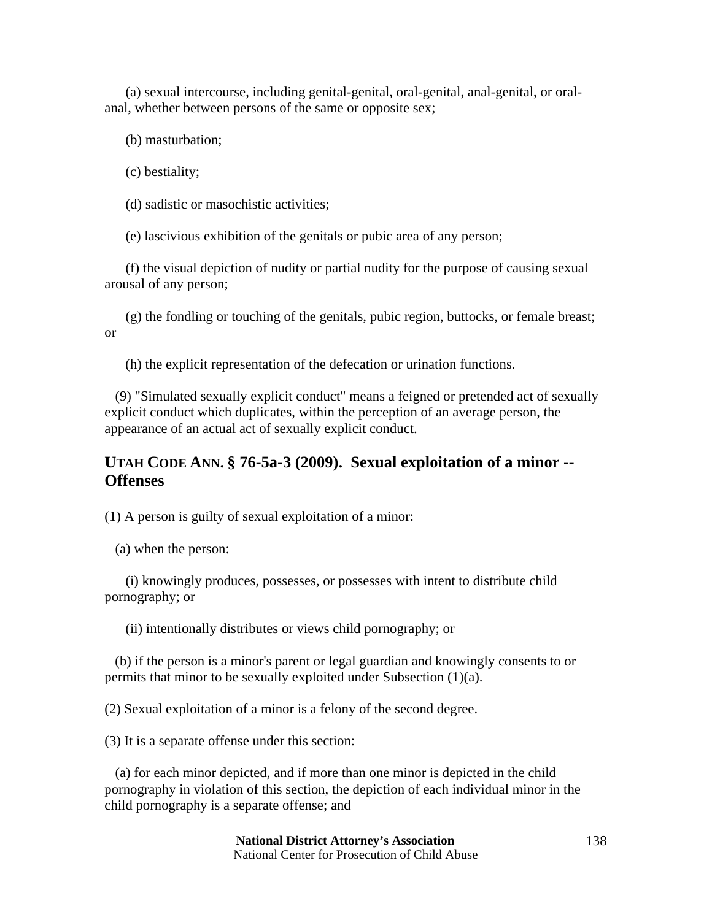(a) sexual intercourse, including genital-genital, oral-genital, anal-genital, or oralanal, whether between persons of the same or opposite sex;

(b) masturbation;

(c) bestiality;

(d) sadistic or masochistic activities;

(e) lascivious exhibition of the genitals or pubic area of any person;

 (f) the visual depiction of nudity or partial nudity for the purpose of causing sexual arousal of any person;

 (g) the fondling or touching of the genitals, pubic region, buttocks, or female breast; or

(h) the explicit representation of the defecation or urination functions.

 (9) "Simulated sexually explicit conduct" means a feigned or pretended act of sexually explicit conduct which duplicates, within the perception of an average person, the appearance of an actual act of sexually explicit conduct.

## **UTAH CODE ANN. § 76-5a-3 (2009). Sexual exploitation of a minor -- Offenses**

(1) A person is guilty of sexual exploitation of a minor:

(a) when the person:

 (i) knowingly produces, possesses, or possesses with intent to distribute child pornography; or

(ii) intentionally distributes or views child pornography; or

 (b) if the person is a minor's parent or legal guardian and knowingly consents to or permits that minor to be sexually exploited under Subsection (1)(a).

(2) Sexual exploitation of a minor is a felony of the second degree.

(3) It is a separate offense under this section:

 (a) for each minor depicted, and if more than one minor is depicted in the child pornography in violation of this section, the depiction of each individual minor in the child pornography is a separate offense; and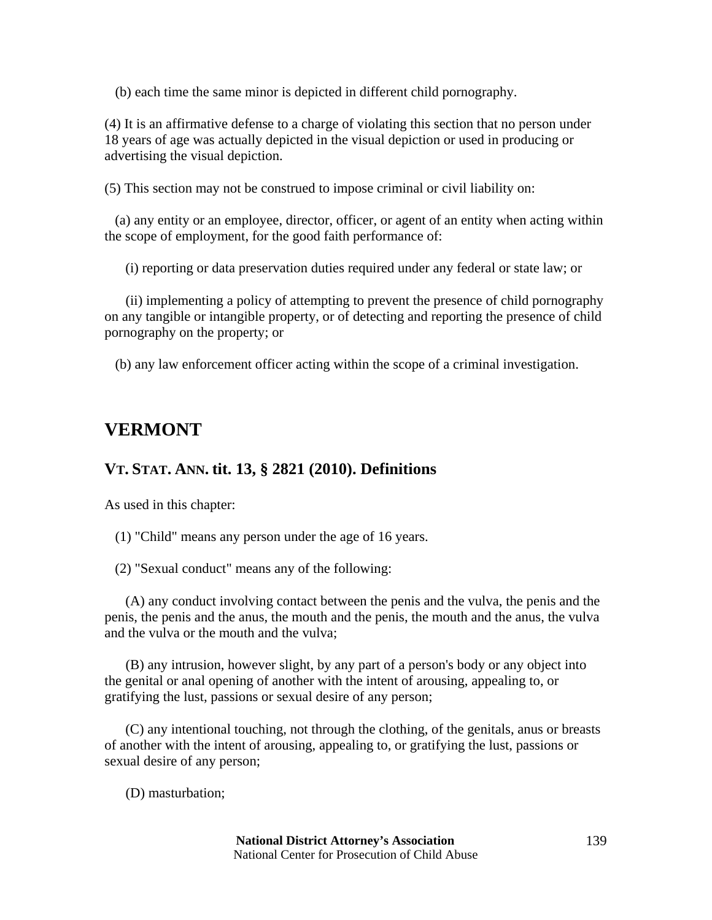(b) each time the same minor is depicted in different child pornography.

(4) It is an affirmative defense to a charge of violating this section that no person under 18 years of age was actually depicted in the visual depiction or used in producing or advertising the visual depiction.

(5) This section may not be construed to impose criminal or civil liability on:

 (a) any entity or an employee, director, officer, or agent of an entity when acting within the scope of employment, for the good faith performance of:

(i) reporting or data preservation duties required under any federal or state law; or

 (ii) implementing a policy of attempting to prevent the presence of child pornography on any tangible or intangible property, or of detecting and reporting the presence of child pornography on the property; or

(b) any law enforcement officer acting within the scope of a criminal investigation.

# **VERMONT**

#### **VT. STAT. ANN. tit. 13, § 2821 (2010). Definitions**

As used in this chapter:

(1) "Child" means any person under the age of 16 years.

(2) "Sexual conduct" means any of the following:

 (A) any conduct involving contact between the penis and the vulva, the penis and the penis, the penis and the anus, the mouth and the penis, the mouth and the anus, the vulva and the vulva or the mouth and the vulva;

 (B) any intrusion, however slight, by any part of a person's body or any object into the genital or anal opening of another with the intent of arousing, appealing to, or gratifying the lust, passions or sexual desire of any person;

 (C) any intentional touching, not through the clothing, of the genitals, anus or breasts of another with the intent of arousing, appealing to, or gratifying the lust, passions or sexual desire of any person;

(D) masturbation;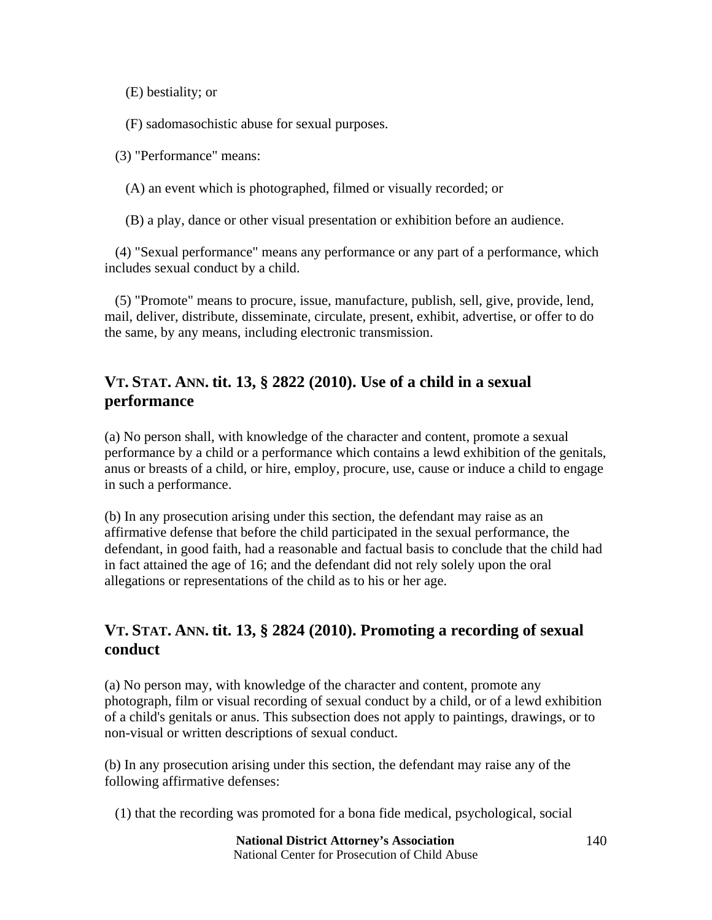(E) bestiality; or

(F) sadomasochistic abuse for sexual purposes.

(3) "Performance" means:

(A) an event which is photographed, filmed or visually recorded; or

(B) a play, dance or other visual presentation or exhibition before an audience.

 (4) "Sexual performance" means any performance or any part of a performance, which includes sexual conduct by a child.

 (5) "Promote" means to procure, issue, manufacture, publish, sell, give, provide, lend, mail, deliver, distribute, disseminate, circulate, present, exhibit, advertise, or offer to do the same, by any means, including electronic transmission.

## **VT. STAT. ANN. tit. 13, § 2822 (2010). Use of a child in a sexual performance**

(a) No person shall, with knowledge of the character and content, promote a sexual performance by a child or a performance which contains a lewd exhibition of the genitals, anus or breasts of a child, or hire, employ, procure, use, cause or induce a child to engage in such a performance.

(b) In any prosecution arising under this section, the defendant may raise as an affirmative defense that before the child participated in the sexual performance, the defendant, in good faith, had a reasonable and factual basis to conclude that the child had in fact attained the age of 16; and the defendant did not rely solely upon the oral allegations or representations of the child as to his or her age.

## **VT. STAT. ANN. tit. 13, § 2824 (2010). Promoting a recording of sexual conduct**

(a) No person may, with knowledge of the character and content, promote any photograph, film or visual recording of sexual conduct by a child, or of a lewd exhibition of a child's genitals or anus. This subsection does not apply to paintings, drawings, or to non-visual or written descriptions of sexual conduct.

(b) In any prosecution arising under this section, the defendant may raise any of the following affirmative defenses:

(1) that the recording was promoted for a bona fide medical, psychological, social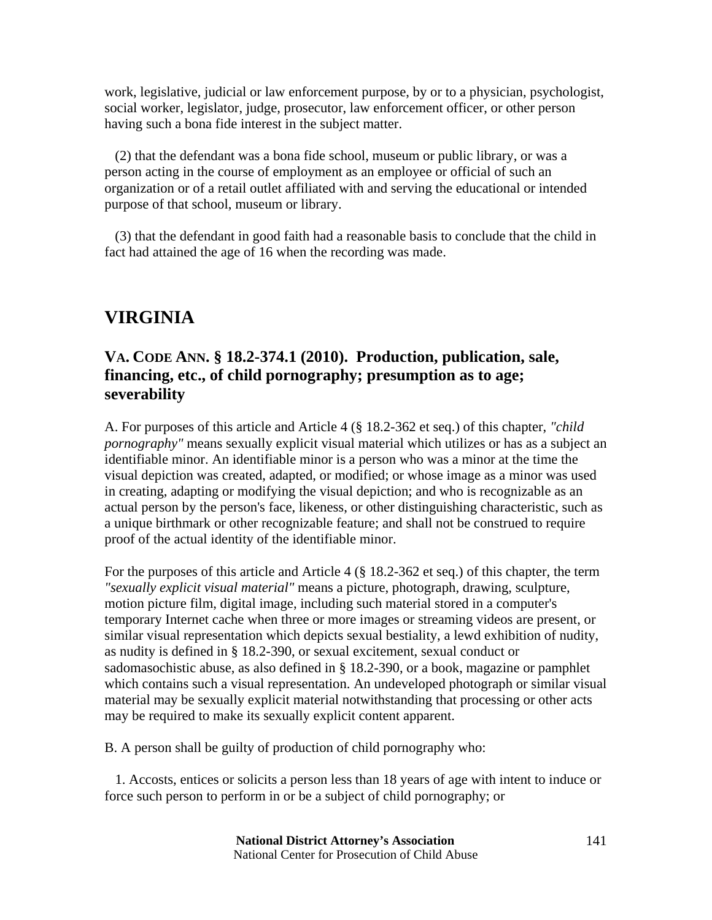work, legislative, judicial or law enforcement purpose, by or to a physician, psychologist, social worker, legislator, judge, prosecutor, law enforcement officer, or other person having such a bona fide interest in the subject matter.

 (2) that the defendant was a bona fide school, museum or public library, or was a person acting in the course of employment as an employee or official of such an organization or of a retail outlet affiliated with and serving the educational or intended purpose of that school, museum or library.

 (3) that the defendant in good faith had a reasonable basis to conclude that the child in fact had attained the age of 16 when the recording was made.

# **VIRGINIA**

## **VA. CODE ANN. § 18.2-374.1 (2010). Production, publication, sale, financing, etc., of child pornography; presumption as to age; severability**

A. For purposes of this article and Article 4 (§ 18.2-362 et seq.) of this chapter, *"child pornography"* means sexually explicit visual material which utilizes or has as a subject an identifiable minor. An identifiable minor is a person who was a minor at the time the visual depiction was created, adapted, or modified; or whose image as a minor was used in creating, adapting or modifying the visual depiction; and who is recognizable as an actual person by the person's face, likeness, or other distinguishing characteristic, such as a unique birthmark or other recognizable feature; and shall not be construed to require proof of the actual identity of the identifiable minor.

For the purposes of this article and Article 4 (§ 18.2-362 et seq.) of this chapter, the term *"sexually explicit visual material"* means a picture, photograph, drawing, sculpture, motion picture film, digital image, including such material stored in a computer's temporary Internet cache when three or more images or streaming videos are present, or similar visual representation which depicts sexual bestiality, a lewd exhibition of nudity, as nudity is defined in § 18.2-390, or sexual excitement, sexual conduct or sadomasochistic abuse, as also defined in § 18.2-390, or a book, magazine or pamphlet which contains such a visual representation. An undeveloped photograph or similar visual material may be sexually explicit material notwithstanding that processing or other acts may be required to make its sexually explicit content apparent.

B. A person shall be guilty of production of child pornography who:

 1. Accosts, entices or solicits a person less than 18 years of age with intent to induce or force such person to perform in or be a subject of child pornography; or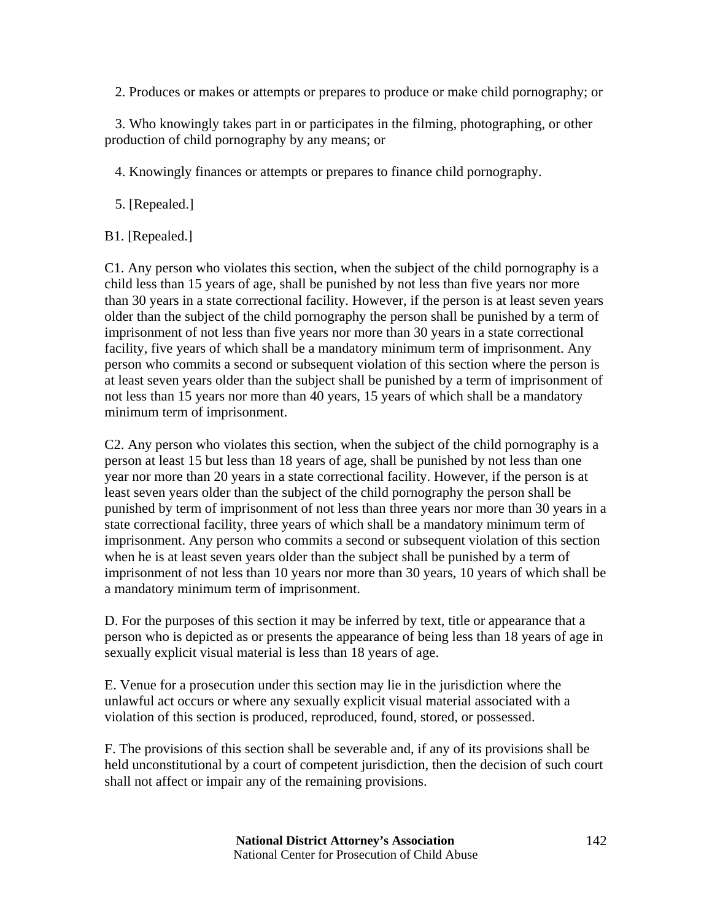2. Produces or makes or attempts or prepares to produce or make child pornography; or

 3. Who knowingly takes part in or participates in the filming, photographing, or other production of child pornography by any means; or

4. Knowingly finances or attempts or prepares to finance child pornography.

5. [Repealed.]

#### B1. [Repealed.]

C1. Any person who violates this section, when the subject of the child pornography is a child less than 15 years of age, shall be punished by not less than five years nor more than 30 years in a state correctional facility. However, if the person is at least seven years older than the subject of the child pornography the person shall be punished by a term of imprisonment of not less than five years nor more than 30 years in a state correctional facility, five years of which shall be a mandatory minimum term of imprisonment. Any person who commits a second or subsequent violation of this section where the person is at least seven years older than the subject shall be punished by a term of imprisonment of not less than 15 years nor more than 40 years, 15 years of which shall be a mandatory minimum term of imprisonment.

C2. Any person who violates this section, when the subject of the child pornography is a person at least 15 but less than 18 years of age, shall be punished by not less than one year nor more than 20 years in a state correctional facility. However, if the person is at least seven years older than the subject of the child pornography the person shall be punished by term of imprisonment of not less than three years nor more than 30 years in a state correctional facility, three years of which shall be a mandatory minimum term of imprisonment. Any person who commits a second or subsequent violation of this section when he is at least seven years older than the subject shall be punished by a term of imprisonment of not less than 10 years nor more than 30 years, 10 years of which shall be a mandatory minimum term of imprisonment.

D. For the purposes of this section it may be inferred by text, title or appearance that a person who is depicted as or presents the appearance of being less than 18 years of age in sexually explicit visual material is less than 18 years of age.

E. Venue for a prosecution under this section may lie in the jurisdiction where the unlawful act occurs or where any sexually explicit visual material associated with a violation of this section is produced, reproduced, found, stored, or possessed.

F. The provisions of this section shall be severable and, if any of its provisions shall be held unconstitutional by a court of competent jurisdiction, then the decision of such court shall not affect or impair any of the remaining provisions.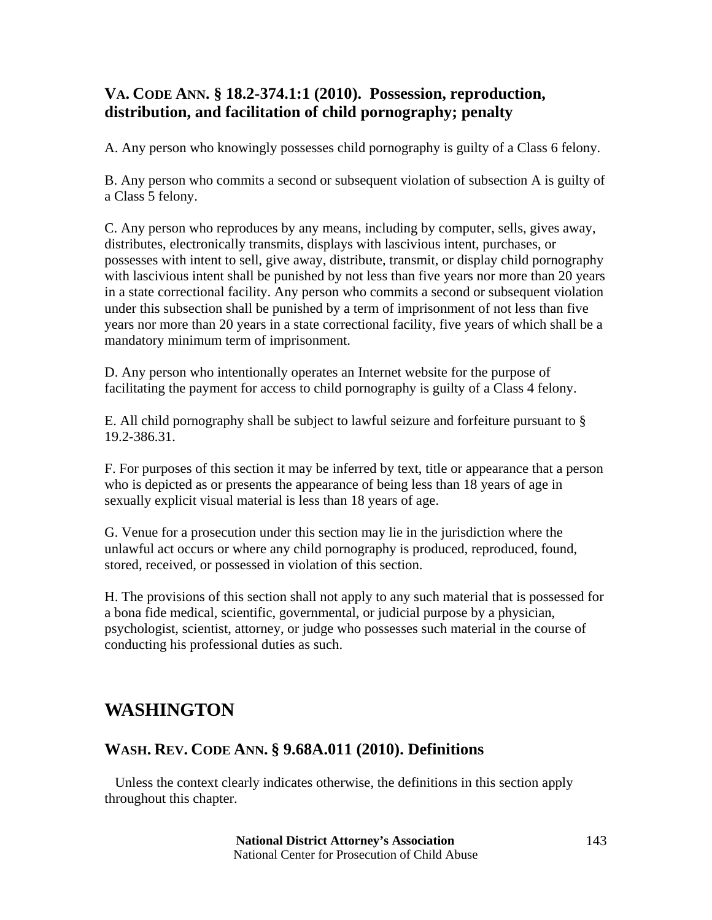# **VA. CODE ANN. § 18.2-374.1:1 (2010). Possession, reproduction, distribution, and facilitation of child pornography; penalty**

A. Any person who knowingly possesses child pornography is guilty of a Class 6 felony.

B. Any person who commits a second or subsequent violation of subsection A is guilty of a Class 5 felony.

C. Any person who reproduces by any means, including by computer, sells, gives away, distributes, electronically transmits, displays with lascivious intent, purchases, or possesses with intent to sell, give away, distribute, transmit, or display child pornography with lascivious intent shall be punished by not less than five years nor more than 20 years in a state correctional facility. Any person who commits a second or subsequent violation under this subsection shall be punished by a term of imprisonment of not less than five years nor more than 20 years in a state correctional facility, five years of which shall be a mandatory minimum term of imprisonment.

D. Any person who intentionally operates an Internet website for the purpose of facilitating the payment for access to child pornography is guilty of a Class 4 felony.

E. All child pornography shall be subject to lawful seizure and forfeiture pursuant to § 19.2-386.31.

F. For purposes of this section it may be inferred by text, title or appearance that a person who is depicted as or presents the appearance of being less than 18 years of age in sexually explicit visual material is less than 18 years of age.

G. Venue for a prosecution under this section may lie in the jurisdiction where the unlawful act occurs or where any child pornography is produced, reproduced, found, stored, received, or possessed in violation of this section.

H. The provisions of this section shall not apply to any such material that is possessed for a bona fide medical, scientific, governmental, or judicial purpose by a physician, psychologist, scientist, attorney, or judge who possesses such material in the course of conducting his professional duties as such.

# **WASHINGTON**

## **WASH. REV. CODE ANN. § 9.68A.011 (2010). Definitions**

 Unless the context clearly indicates otherwise, the definitions in this section apply throughout this chapter.

> **National District Attorney's Association**  National Center for Prosecution of Child Abuse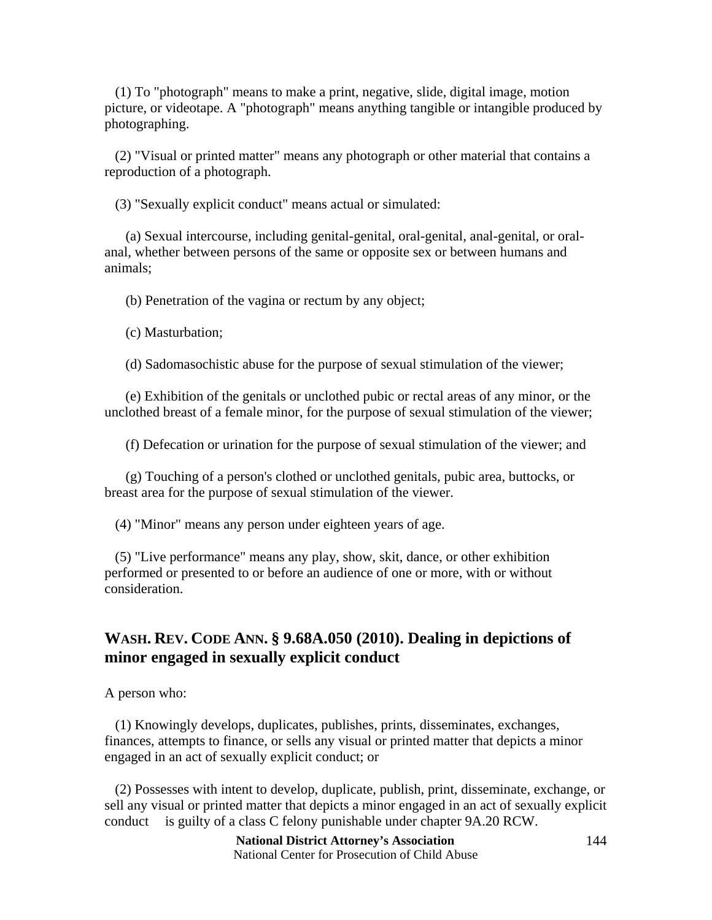(1) To "photograph" means to make a print, negative, slide, digital image, motion picture, or videotape. A "photograph" means anything tangible or intangible produced by photographing.

 (2) "Visual or printed matter" means any photograph or other material that contains a reproduction of a photograph.

(3) "Sexually explicit conduct" means actual or simulated:

 (a) Sexual intercourse, including genital-genital, oral-genital, anal-genital, or oralanal, whether between persons of the same or opposite sex or between humans and animals;

(b) Penetration of the vagina or rectum by any object;

(c) Masturbation;

(d) Sadomasochistic abuse for the purpose of sexual stimulation of the viewer;

 (e) Exhibition of the genitals or unclothed pubic or rectal areas of any minor, or the unclothed breast of a female minor, for the purpose of sexual stimulation of the viewer;

(f) Defecation or urination for the purpose of sexual stimulation of the viewer; and

 (g) Touching of a person's clothed or unclothed genitals, pubic area, buttocks, or breast area for the purpose of sexual stimulation of the viewer.

(4) "Minor" means any person under eighteen years of age.

 (5) "Live performance" means any play, show, skit, dance, or other exhibition performed or presented to or before an audience of one or more, with or without consideration.

#### **WASH. REV. CODE ANN. § 9.68A.050 (2010). Dealing in depictions of minor engaged in sexually explicit conduct**

A person who:

 (1) Knowingly develops, duplicates, publishes, prints, disseminates, exchanges, finances, attempts to finance, or sells any visual or printed matter that depicts a minor engaged in an act of sexually explicit conduct; or

 (2) Possesses with intent to develop, duplicate, publish, print, disseminate, exchange, or sell any visual or printed matter that depicts a minor engaged in an act of sexually explicit conduct is guilty of a class C felony punishable under chapter 9A.20 RCW.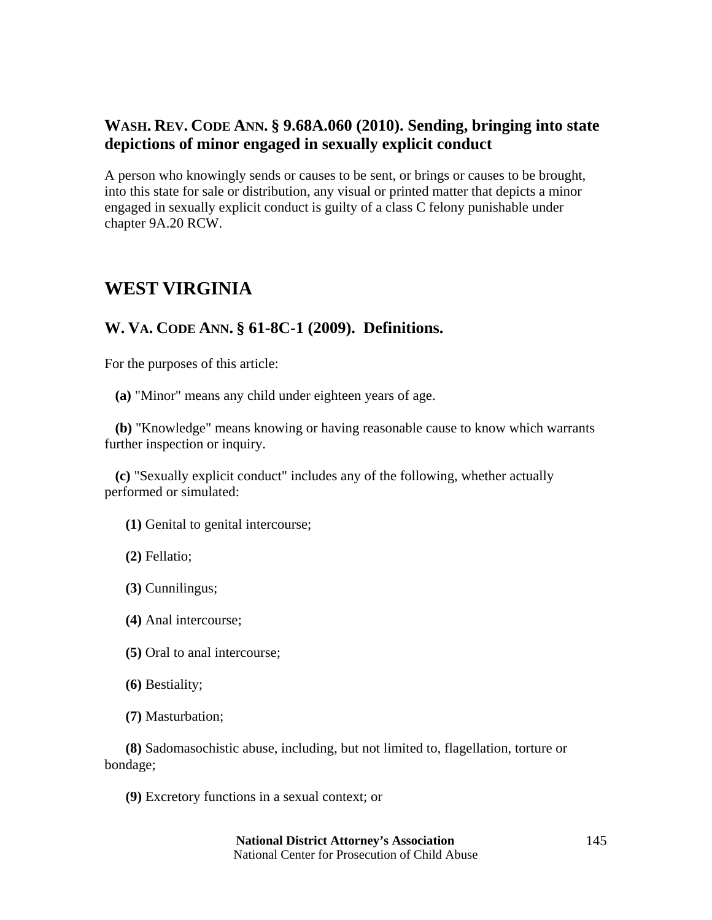### **WASH. REV. CODE ANN. § 9.68A.060 (2010). Sending, bringing into state depictions of minor engaged in sexually explicit conduct**

A person who knowingly sends or causes to be sent, or brings or causes to be brought, into this state for sale or distribution, any visual or printed matter that depicts a minor engaged in sexually explicit conduct is guilty of a class C felony punishable under chapter 9A.20 RCW.

## **WEST VIRGINIA**

### **W. VA. CODE ANN. § 61-8C-1 (2009). Definitions.**

For the purposes of this article:

**(a)** "Minor" means any child under eighteen years of age.

 **(b)** "Knowledge" means knowing or having reasonable cause to know which warrants further inspection or inquiry.

 **(c)** "Sexually explicit conduct" includes any of the following, whether actually performed or simulated:

### **(1)** Genital to genital intercourse;

**(2)** Fellatio;

- **(3)** Cunnilingus;
- **(4)** Anal intercourse;
- **(5)** Oral to anal intercourse;
- **(6)** Bestiality;

**(7)** Masturbation;

 **(8)** Sadomasochistic abuse, including, but not limited to, flagellation, torture or bondage;

**(9)** Excretory functions in a sexual context; or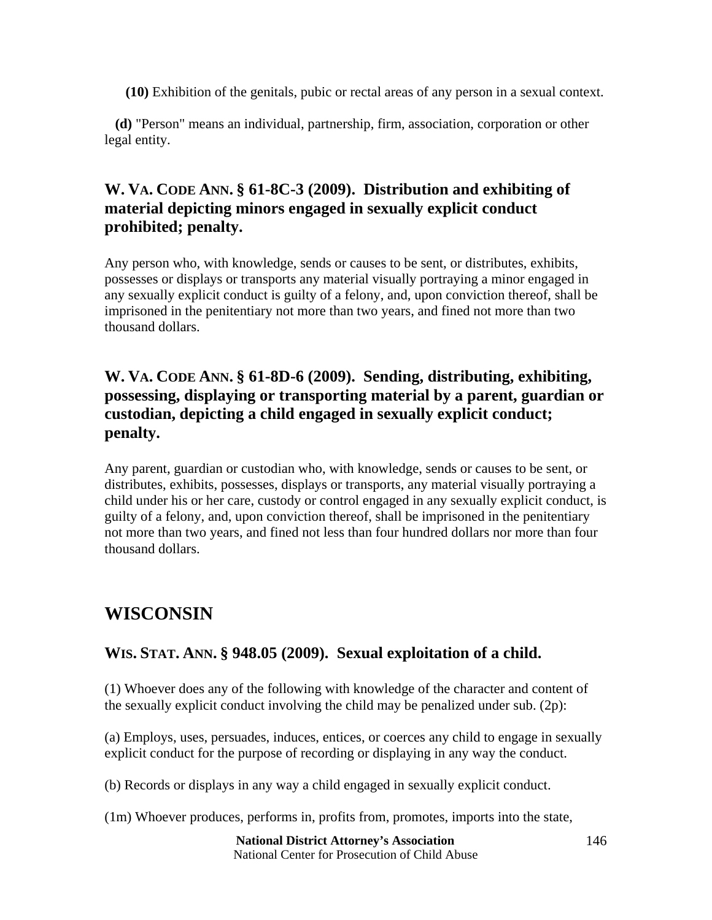**(10)** Exhibition of the genitals, pubic or rectal areas of any person in a sexual context.

 **(d)** "Person" means an individual, partnership, firm, association, corporation or other legal entity.

## **W. VA. CODE ANN. § 61-8C-3 (2009). Distribution and exhibiting of material depicting minors engaged in sexually explicit conduct prohibited; penalty.**

Any person who, with knowledge, sends or causes to be sent, or distributes, exhibits, possesses or displays or transports any material visually portraying a minor engaged in any sexually explicit conduct is guilty of a felony, and, upon conviction thereof, shall be imprisoned in the penitentiary not more than two years, and fined not more than two thousand dollars.

## **W. VA. CODE ANN. § 61-8D-6 (2009). Sending, distributing, exhibiting, possessing, displaying or transporting material by a parent, guardian or custodian, depicting a child engaged in sexually explicit conduct; penalty.**

Any parent, guardian or custodian who, with knowledge, sends or causes to be sent, or distributes, exhibits, possesses, displays or transports, any material visually portraying a child under his or her care, custody or control engaged in any sexually explicit conduct, is guilty of a felony, and, upon conviction thereof, shall be imprisoned in the penitentiary not more than two years, and fined not less than four hundred dollars nor more than four thousand dollars.

# **WISCONSIN**

## **WIS. STAT. ANN. § 948.05 (2009). Sexual exploitation of a child.**

(1) Whoever does any of the following with knowledge of the character and content of the sexually explicit conduct involving the child may be penalized under sub. (2p):

(a) Employs, uses, persuades, induces, entices, or coerces any child to engage in sexually explicit conduct for the purpose of recording or displaying in any way the conduct.

(b) Records or displays in any way a child engaged in sexually explicit conduct.

(1m) Whoever produces, performs in, profits from, promotes, imports into the state,

**National District Attorney's Association**  National Center for Prosecution of Child Abuse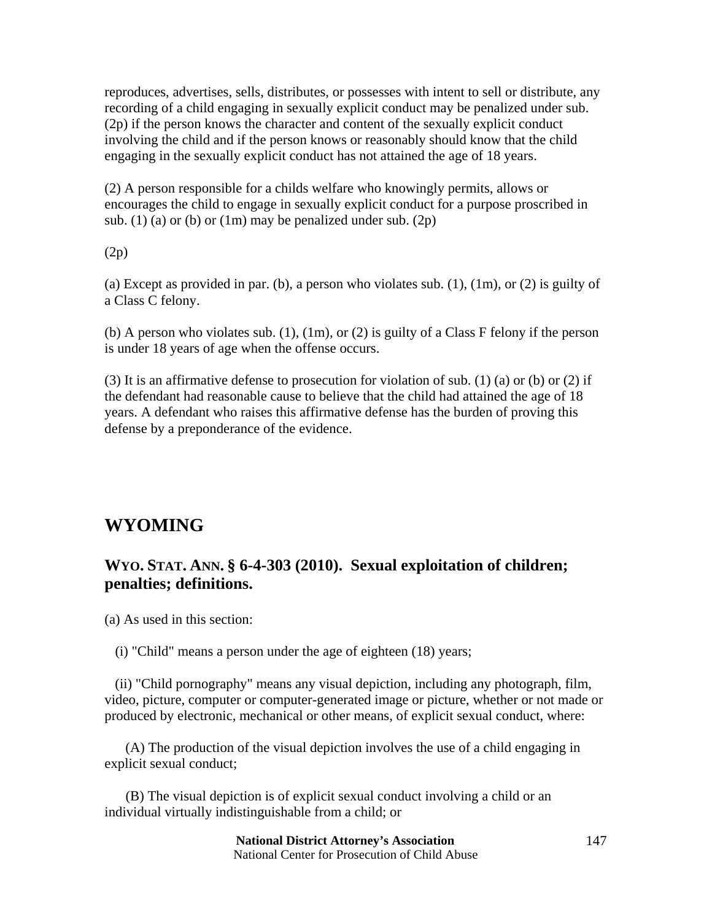reproduces, advertises, sells, distributes, or possesses with intent to sell or distribute, any recording of a child engaging in sexually explicit conduct may be penalized under sub. (2p) if the person knows the character and content of the sexually explicit conduct involving the child and if the person knows or reasonably should know that the child engaging in the sexually explicit conduct has not attained the age of 18 years.

(2) A person responsible for a childs welfare who knowingly permits, allows or encourages the child to engage in sexually explicit conduct for a purpose proscribed in sub. (1) (a) or (b) or (1m) may be penalized under sub. (2p)

(2p)

(a) Except as provided in par. (b), a person who violates sub.  $(1)$ ,  $(1m)$ , or  $(2)$  is guilty of a Class C felony.

(b) A person who violates sub.  $(1)$ ,  $(1m)$ , or  $(2)$  is guilty of a Class F felony if the person is under 18 years of age when the offense occurs.

(3) It is an affirmative defense to prosecution for violation of sub. (1) (a) or (b) or (2) if the defendant had reasonable cause to believe that the child had attained the age of 18 years. A defendant who raises this affirmative defense has the burden of proving this defense by a preponderance of the evidence.

## **WYOMING**

### **WYO. STAT. ANN. § 6-4-303 (2010). Sexual exploitation of children; penalties; definitions.**

(a) As used in this section:

(i) "Child" means a person under the age of eighteen (18) years;

 (ii) "Child pornography" means any visual depiction, including any photograph, film, video, picture, computer or computer-generated image or picture, whether or not made or produced by electronic, mechanical or other means, of explicit sexual conduct, where:

 (A) The production of the visual depiction involves the use of a child engaging in explicit sexual conduct;

 (B) The visual depiction is of explicit sexual conduct involving a child or an individual virtually indistinguishable from a child; or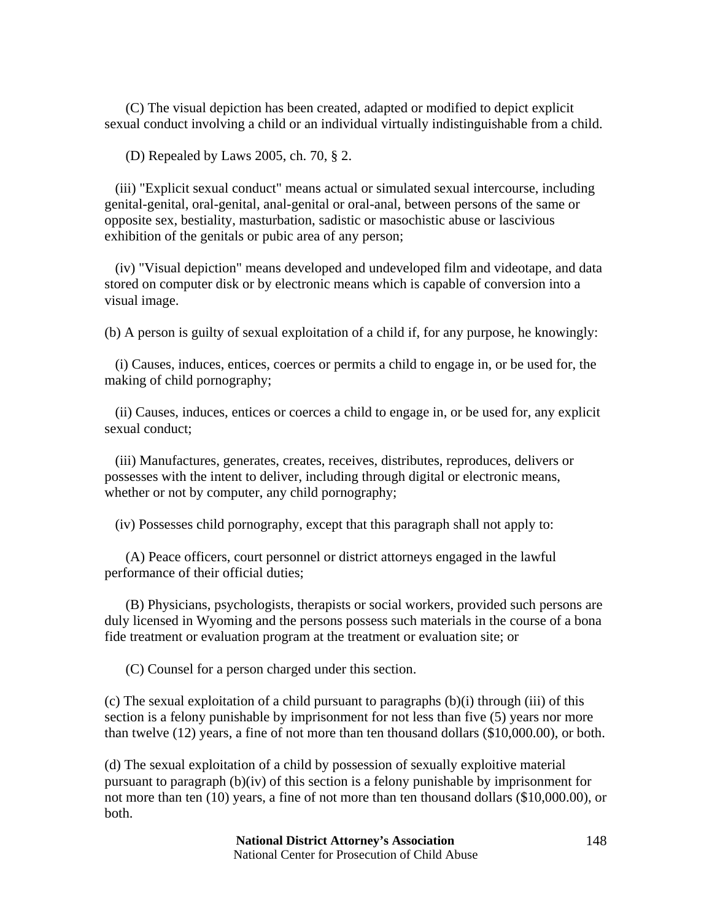(C) The visual depiction has been created, adapted or modified to depict explicit sexual conduct involving a child or an individual virtually indistinguishable from a child.

(D) Repealed by Laws 2005, ch. 70, § 2.

 (iii) "Explicit sexual conduct" means actual or simulated sexual intercourse, including genital-genital, oral-genital, anal-genital or oral-anal, between persons of the same or opposite sex, bestiality, masturbation, sadistic or masochistic abuse or lascivious exhibition of the genitals or pubic area of any person;

 (iv) "Visual depiction" means developed and undeveloped film and videotape, and data stored on computer disk or by electronic means which is capable of conversion into a visual image.

(b) A person is guilty of sexual exploitation of a child if, for any purpose, he knowingly:

 (i) Causes, induces, entices, coerces or permits a child to engage in, or be used for, the making of child pornography;

 (ii) Causes, induces, entices or coerces a child to engage in, or be used for, any explicit sexual conduct;

 (iii) Manufactures, generates, creates, receives, distributes, reproduces, delivers or possesses with the intent to deliver, including through digital or electronic means, whether or not by computer, any child pornography;

(iv) Possesses child pornography, except that this paragraph shall not apply to:

 (A) Peace officers, court personnel or district attorneys engaged in the lawful performance of their official duties;

 (B) Physicians, psychologists, therapists or social workers, provided such persons are duly licensed in Wyoming and the persons possess such materials in the course of a bona fide treatment or evaluation program at the treatment or evaluation site; or

(C) Counsel for a person charged under this section.

(c) The sexual exploitation of a child pursuant to paragraphs (b)(i) through (iii) of this section is a felony punishable by imprisonment for not less than five (5) years nor more than twelve (12) years, a fine of not more than ten thousand dollars (\$10,000.00), or both.

(d) The sexual exploitation of a child by possession of sexually exploitive material pursuant to paragraph (b)(iv) of this section is a felony punishable by imprisonment for not more than ten (10) years, a fine of not more than ten thousand dollars (\$10,000.00), or both.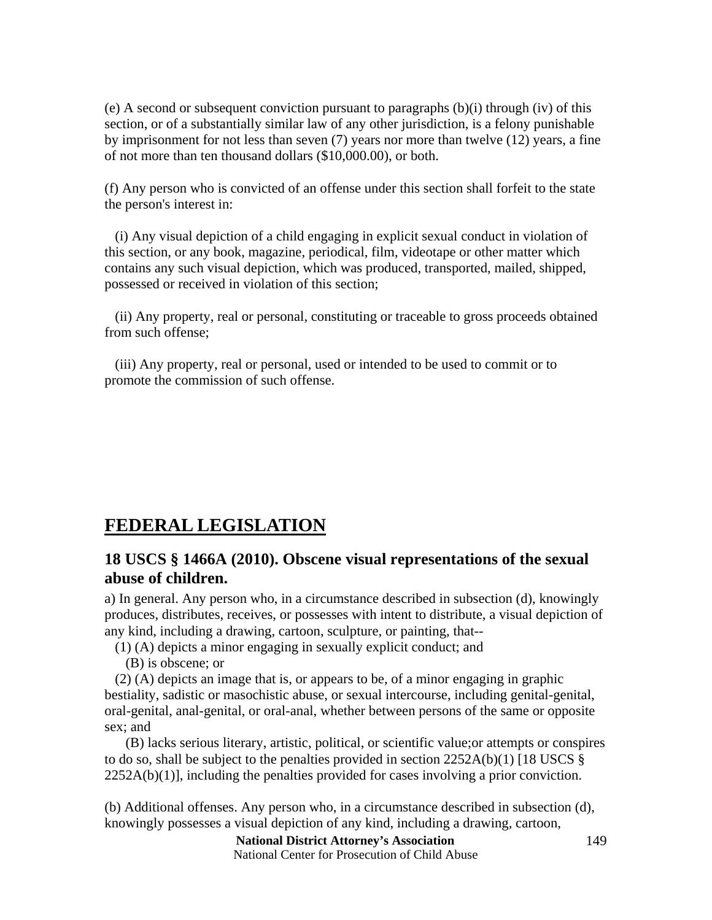(e) A second or subsequent conviction pursuant to paragraphs (b)(i) through (iv) of this section, or of a substantially similar law of any other jurisdiction, is a felony punishable by imprisonment for not less than seven (7) years nor more than twelve (12) years, a fine of not more than ten thousand dollars (\$10,000.00), or both.

(f) Any person who is convicted of an offense under this section shall forfeit to the state the person's interest in:

 (i) Any visual depiction of a child engaging in explicit sexual conduct in violation of this section, or any book, magazine, periodical, film, videotape or other matter which contains any such visual depiction, which was produced, transported, mailed, shipped, possessed or received in violation of this section;

 (ii) Any property, real or personal, constituting or traceable to gross proceeds obtained from such offense;

 (iii) Any property, real or personal, used or intended to be used to commit or to promote the commission of such offense.

## **FEDERAL LEGISLATION**

### **18 USCS § 1466A (2010). Obscene visual representations of the sexual abuse of children.**

a) In general. Any person who, in a circumstance described in subsection (d), knowingly produces, distributes, receives, or possesses with intent to distribute, a visual depiction of any kind, including a drawing, cartoon, sculpture, or painting, that--

(1) (A) depicts a minor engaging in sexually explicit conduct; and

(B) is obscene; or

 (2) (A) depicts an image that is, or appears to be, of a minor engaging in graphic bestiality, sadistic or masochistic abuse, or sexual intercourse, including genital-genital, oral-genital, anal-genital, or oral-anal, whether between persons of the same or opposite sex; and

 (B) lacks serious literary, artistic, political, or scientific value;or attempts or conspires to do so, shall be subject to the penalties provided in section  $2252A(b)(1)$  [18 USCS § 2252A(b)(1)], including the penalties provided for cases involving a prior conviction.

(b) Additional offenses. Any person who, in a circumstance described in subsection (d), knowingly possesses a visual depiction of any kind, including a drawing, cartoon,

> **National District Attorney's Association**  National Center for Prosecution of Child Abuse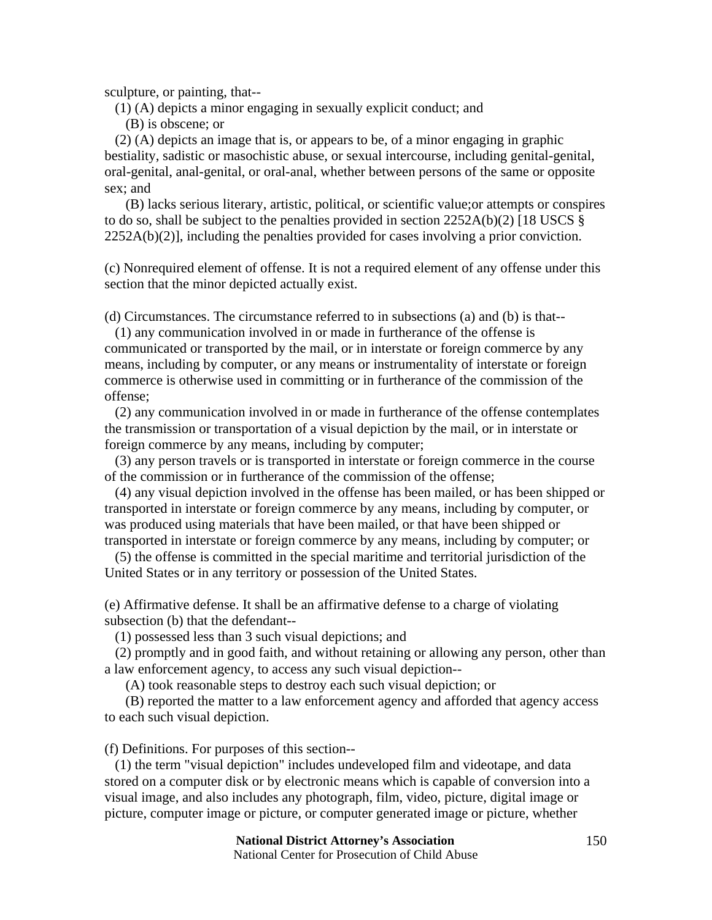sculpture, or painting, that--

(1) (A) depicts a minor engaging in sexually explicit conduct; and

(B) is obscene; or

 (2) (A) depicts an image that is, or appears to be, of a minor engaging in graphic bestiality, sadistic or masochistic abuse, or sexual intercourse, including genital-genital, oral-genital, anal-genital, or oral-anal, whether between persons of the same or opposite sex; and

 (B) lacks serious literary, artistic, political, or scientific value;or attempts or conspires to do so, shall be subject to the penalties provided in section  $2252A(b)(2)$  [18 USCS § 2252A(b)(2)], including the penalties provided for cases involving a prior conviction.

(c) Nonrequired element of offense. It is not a required element of any offense under this section that the minor depicted actually exist.

(d) Circumstances. The circumstance referred to in subsections (a) and (b) is that--

 (1) any communication involved in or made in furtherance of the offense is communicated or transported by the mail, or in interstate or foreign commerce by any means, including by computer, or any means or instrumentality of interstate or foreign commerce is otherwise used in committing or in furtherance of the commission of the offense;

 (2) any communication involved in or made in furtherance of the offense contemplates the transmission or transportation of a visual depiction by the mail, or in interstate or foreign commerce by any means, including by computer;

 (3) any person travels or is transported in interstate or foreign commerce in the course of the commission or in furtherance of the commission of the offense;

 (4) any visual depiction involved in the offense has been mailed, or has been shipped or transported in interstate or foreign commerce by any means, including by computer, or was produced using materials that have been mailed, or that have been shipped or transported in interstate or foreign commerce by any means, including by computer; or

 (5) the offense is committed in the special maritime and territorial jurisdiction of the United States or in any territory or possession of the United States.

(e) Affirmative defense. It shall be an affirmative defense to a charge of violating subsection (b) that the defendant--

(1) possessed less than 3 such visual depictions; and

 (2) promptly and in good faith, and without retaining or allowing any person, other than a law enforcement agency, to access any such visual depiction--

(A) took reasonable steps to destroy each such visual depiction; or

 (B) reported the matter to a law enforcement agency and afforded that agency access to each such visual depiction.

(f) Definitions. For purposes of this section--

 (1) the term "visual depiction" includes undeveloped film and videotape, and data stored on a computer disk or by electronic means which is capable of conversion into a visual image, and also includes any photograph, film, video, picture, digital image or picture, computer image or picture, or computer generated image or picture, whether

National Center for Prosecution of Child Abuse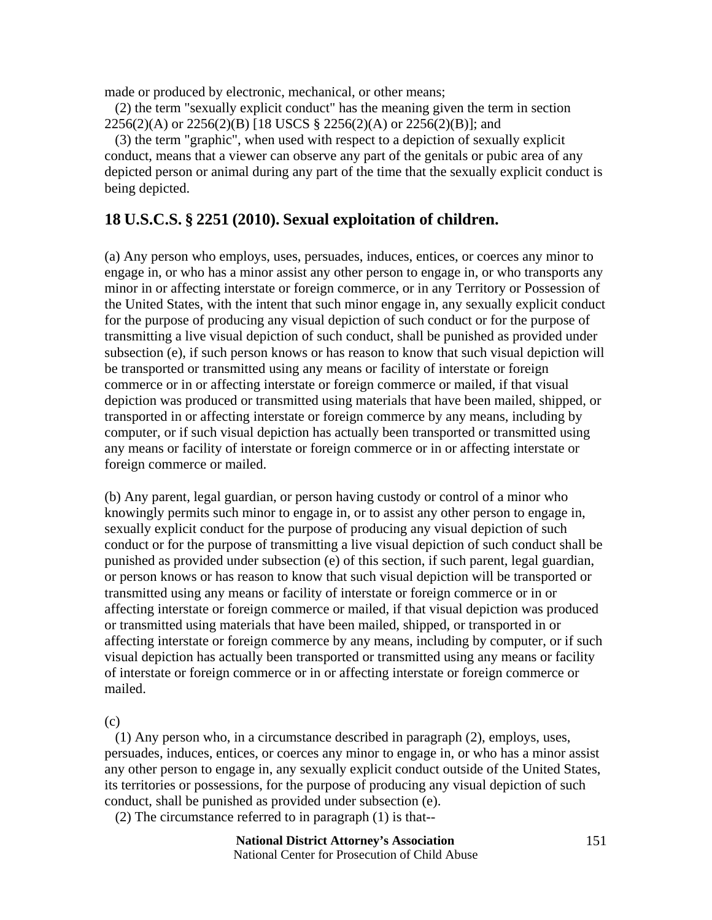made or produced by electronic, mechanical, or other means;

 (2) the term "sexually explicit conduct" has the meaning given the term in section 2256(2)(A) or 2256(2)(B) [18 USCS § 2256(2)(A) or 2256(2)(B)]; and

 (3) the term "graphic", when used with respect to a depiction of sexually explicit conduct, means that a viewer can observe any part of the genitals or pubic area of any depicted person or animal during any part of the time that the sexually explicit conduct is being depicted.

### **18 U.S.C.S. § 2251 (2010). Sexual exploitation of children.**

(a) Any person who employs, uses, persuades, induces, entices, or coerces any minor to engage in, or who has a minor assist any other person to engage in, or who transports any minor in or affecting interstate or foreign commerce, or in any Territory or Possession of the United States, with the intent that such minor engage in, any sexually explicit conduct for the purpose of producing any visual depiction of such conduct or for the purpose of transmitting a live visual depiction of such conduct, shall be punished as provided under subsection (e), if such person knows or has reason to know that such visual depiction will be transported or transmitted using any means or facility of interstate or foreign commerce or in or affecting interstate or foreign commerce or mailed, if that visual depiction was produced or transmitted using materials that have been mailed, shipped, or transported in or affecting interstate or foreign commerce by any means, including by computer, or if such visual depiction has actually been transported or transmitted using any means or facility of interstate or foreign commerce or in or affecting interstate or foreign commerce or mailed.

(b) Any parent, legal guardian, or person having custody or control of a minor who knowingly permits such minor to engage in, or to assist any other person to engage in, sexually explicit conduct for the purpose of producing any visual depiction of such conduct or for the purpose of transmitting a live visual depiction of such conduct shall be punished as provided under subsection (e) of this section, if such parent, legal guardian, or person knows or has reason to know that such visual depiction will be transported or transmitted using any means or facility of interstate or foreign commerce or in or affecting interstate or foreign commerce or mailed, if that visual depiction was produced or transmitted using materials that have been mailed, shipped, or transported in or affecting interstate or foreign commerce by any means, including by computer, or if such visual depiction has actually been transported or transmitted using any means or facility of interstate or foreign commerce or in or affecting interstate or foreign commerce or mailed.

(c)

 (1) Any person who, in a circumstance described in paragraph (2), employs, uses, persuades, induces, entices, or coerces any minor to engage in, or who has a minor assist any other person to engage in, any sexually explicit conduct outside of the United States, its territories or possessions, for the purpose of producing any visual depiction of such conduct, shall be punished as provided under subsection (e).

(2) The circumstance referred to in paragraph (1) is that--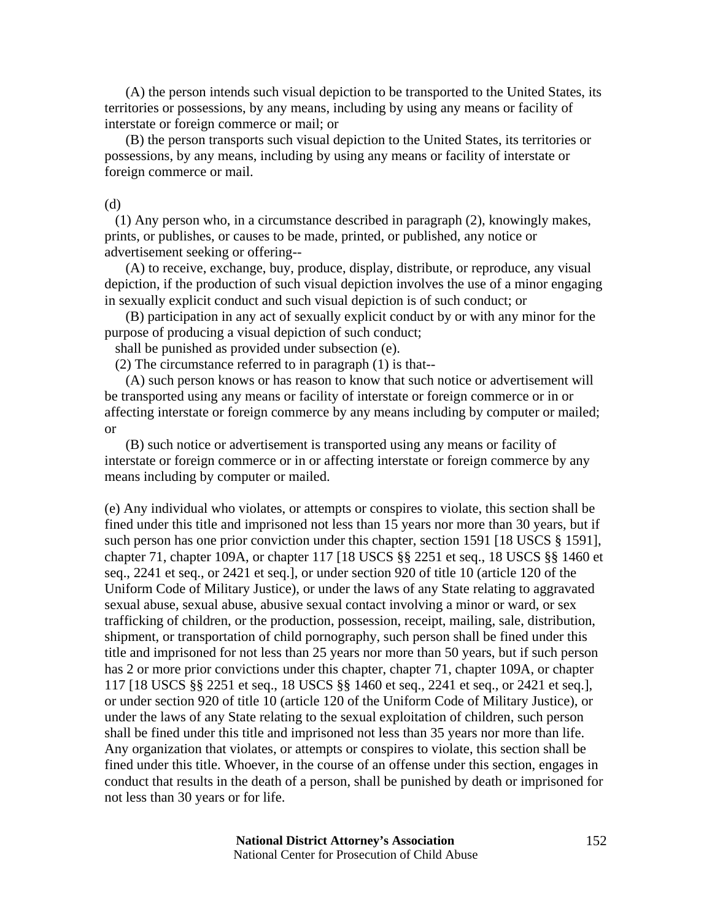(A) the person intends such visual depiction to be transported to the United States, its territories or possessions, by any means, including by using any means or facility of interstate or foreign commerce or mail; or

 (B) the person transports such visual depiction to the United States, its territories or possessions, by any means, including by using any means or facility of interstate or foreign commerce or mail.

#### (d)

 (1) Any person who, in a circumstance described in paragraph (2), knowingly makes, prints, or publishes, or causes to be made, printed, or published, any notice or advertisement seeking or offering--

 (A) to receive, exchange, buy, produce, display, distribute, or reproduce, any visual depiction, if the production of such visual depiction involves the use of a minor engaging in sexually explicit conduct and such visual depiction is of such conduct; or

 (B) participation in any act of sexually explicit conduct by or with any minor for the purpose of producing a visual depiction of such conduct;

shall be punished as provided under subsection (e).

(2) The circumstance referred to in paragraph (1) is that--

 (A) such person knows or has reason to know that such notice or advertisement will be transported using any means or facility of interstate or foreign commerce or in or affecting interstate or foreign commerce by any means including by computer or mailed; or

 (B) such notice or advertisement is transported using any means or facility of interstate or foreign commerce or in or affecting interstate or foreign commerce by any means including by computer or mailed.

(e) Any individual who violates, or attempts or conspires to violate, this section shall be fined under this title and imprisoned not less than 15 years nor more than 30 years, but if such person has one prior conviction under this chapter, section 1591 [18 USCS § 1591], chapter 71, chapter 109A, or chapter 117 [18 USCS §§ 2251 et seq., 18 USCS §§ 1460 et seq., 2241 et seq., or 2421 et seq.], or under section 920 of title 10 (article 120 of the Uniform Code of Military Justice), or under the laws of any State relating to aggravated sexual abuse, sexual abuse, abusive sexual contact involving a minor or ward, or sex trafficking of children, or the production, possession, receipt, mailing, sale, distribution, shipment, or transportation of child pornography, such person shall be fined under this title and imprisoned for not less than 25 years nor more than 50 years, but if such person has 2 or more prior convictions under this chapter, chapter 71, chapter 109A, or chapter 117 [18 USCS §§ 2251 et seq., 18 USCS §§ 1460 et seq., 2241 et seq., or 2421 et seq.], or under section 920 of title 10 (article 120 of the Uniform Code of Military Justice), or under the laws of any State relating to the sexual exploitation of children, such person shall be fined under this title and imprisoned not less than 35 years nor more than life. Any organization that violates, or attempts or conspires to violate, this section shall be fined under this title. Whoever, in the course of an offense under this section, engages in conduct that results in the death of a person, shall be punished by death or imprisoned for not less than 30 years or for life.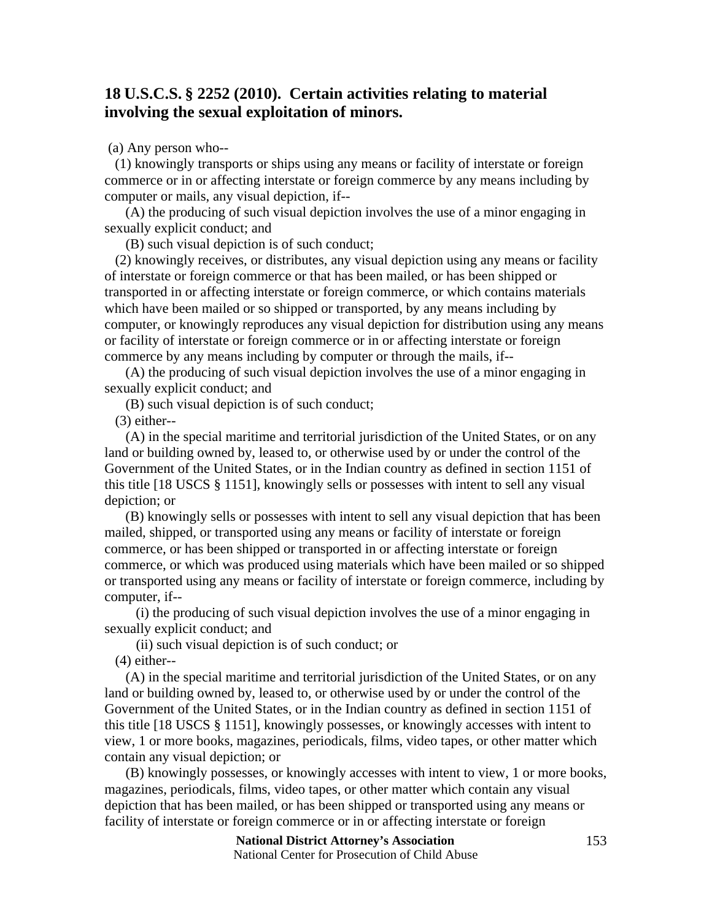### **18 U.S.C.S. § 2252 (2010). Certain activities relating to material involving the sexual exploitation of minors.**

(a) Any person who--

 (1) knowingly transports or ships using any means or facility of interstate or foreign commerce or in or affecting interstate or foreign commerce by any means including by computer or mails, any visual depiction, if--

 (A) the producing of such visual depiction involves the use of a minor engaging in sexually explicit conduct; and

(B) such visual depiction is of such conduct;

 (2) knowingly receives, or distributes, any visual depiction using any means or facility of interstate or foreign commerce or that has been mailed, or has been shipped or transported in or affecting interstate or foreign commerce, or which contains materials which have been mailed or so shipped or transported, by any means including by computer, or knowingly reproduces any visual depiction for distribution using any means or facility of interstate or foreign commerce or in or affecting interstate or foreign commerce by any means including by computer or through the mails, if--

 (A) the producing of such visual depiction involves the use of a minor engaging in sexually explicit conduct; and

(B) such visual depiction is of such conduct;

(3) either--

 (A) in the special maritime and territorial jurisdiction of the United States, or on any land or building owned by, leased to, or otherwise used by or under the control of the Government of the United States, or in the Indian country as defined in section 1151 of this title [18 USCS § 1151], knowingly sells or possesses with intent to sell any visual depiction; or

 (B) knowingly sells or possesses with intent to sell any visual depiction that has been mailed, shipped, or transported using any means or facility of interstate or foreign commerce, or has been shipped or transported in or affecting interstate or foreign commerce, or which was produced using materials which have been mailed or so shipped or transported using any means or facility of interstate or foreign commerce, including by computer, if--

 (i) the producing of such visual depiction involves the use of a minor engaging in sexually explicit conduct; and

(ii) such visual depiction is of such conduct; or

(4) either--

 (A) in the special maritime and territorial jurisdiction of the United States, or on any land or building owned by, leased to, or otherwise used by or under the control of the Government of the United States, or in the Indian country as defined in section 1151 of this title [18 USCS § 1151], knowingly possesses, or knowingly accesses with intent to view, 1 or more books, magazines, periodicals, films, video tapes, or other matter which contain any visual depiction; or

 (B) knowingly possesses, or knowingly accesses with intent to view, 1 or more books, magazines, periodicals, films, video tapes, or other matter which contain any visual depiction that has been mailed, or has been shipped or transported using any means or facility of interstate or foreign commerce or in or affecting interstate or foreign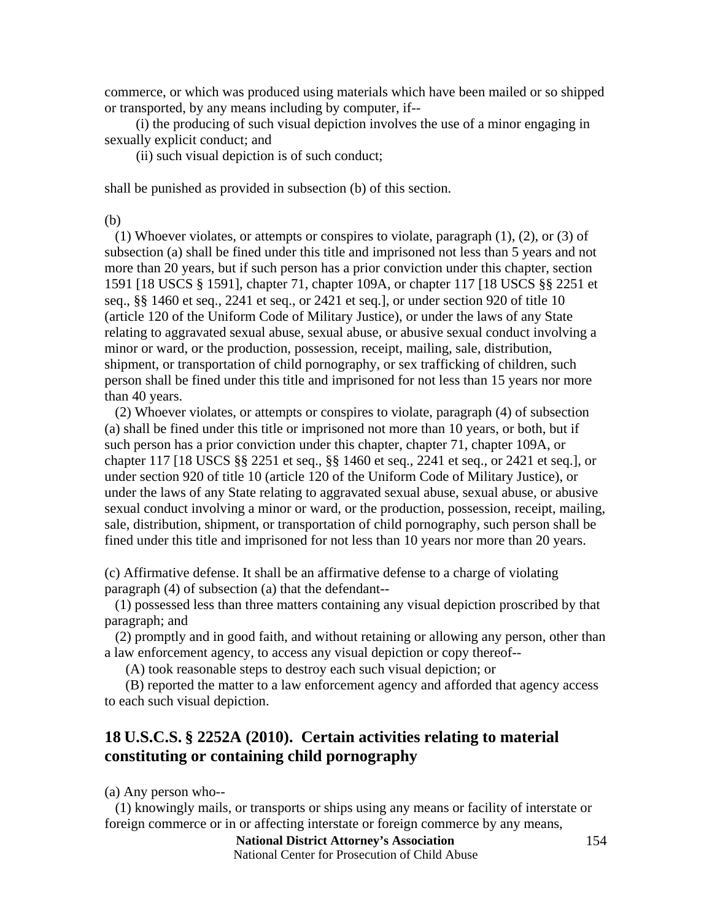commerce, or which was produced using materials which have been mailed or so shipped or transported, by any means including by computer, if--

 (i) the producing of such visual depiction involves the use of a minor engaging in sexually explicit conduct; and

(ii) such visual depiction is of such conduct;

shall be punished as provided in subsection (b) of this section.

(b)

 (1) Whoever violates, or attempts or conspires to violate, paragraph (1), (2), or (3) of subsection (a) shall be fined under this title and imprisoned not less than 5 years and not more than 20 years, but if such person has a prior conviction under this chapter, section 1591 [18 USCS § 1591], chapter 71, chapter 109A, or chapter 117 [18 USCS §§ 2251 et seq., §§ 1460 et seq., 2241 et seq., or 2421 et seq.], or under section 920 of title 10 (article 120 of the Uniform Code of Military Justice), or under the laws of any State relating to aggravated sexual abuse, sexual abuse, or abusive sexual conduct involving a minor or ward, or the production, possession, receipt, mailing, sale, distribution, shipment, or transportation of child pornography, or sex trafficking of children, such person shall be fined under this title and imprisoned for not less than 15 years nor more than 40 years.

 (2) Whoever violates, or attempts or conspires to violate, paragraph (4) of subsection (a) shall be fined under this title or imprisoned not more than 10 years, or both, but if such person has a prior conviction under this chapter, chapter 71, chapter 109A, or chapter 117 [18 USCS §§ 2251 et seq., §§ 1460 et seq., 2241 et seq., or 2421 et seq.], or under section 920 of title 10 (article 120 of the Uniform Code of Military Justice), or under the laws of any State relating to aggravated sexual abuse, sexual abuse, or abusive sexual conduct involving a minor or ward, or the production, possession, receipt, mailing, sale, distribution, shipment, or transportation of child pornography, such person shall be fined under this title and imprisoned for not less than 10 years nor more than 20 years.

(c) Affirmative defense. It shall be an affirmative defense to a charge of violating paragraph (4) of subsection (a) that the defendant--

 (1) possessed less than three matters containing any visual depiction proscribed by that paragraph; and

 (2) promptly and in good faith, and without retaining or allowing any person, other than a law enforcement agency, to access any visual depiction or copy thereof--

(A) took reasonable steps to destroy each such visual depiction; or

 (B) reported the matter to a law enforcement agency and afforded that agency access to each such visual depiction.

### **18 U.S.C.S. § 2252A (2010). Certain activities relating to material constituting or containing child pornography**

(a) Any person who--

 (1) knowingly mails, or transports or ships using any means or facility of interstate or foreign commerce or in or affecting interstate or foreign commerce by any means,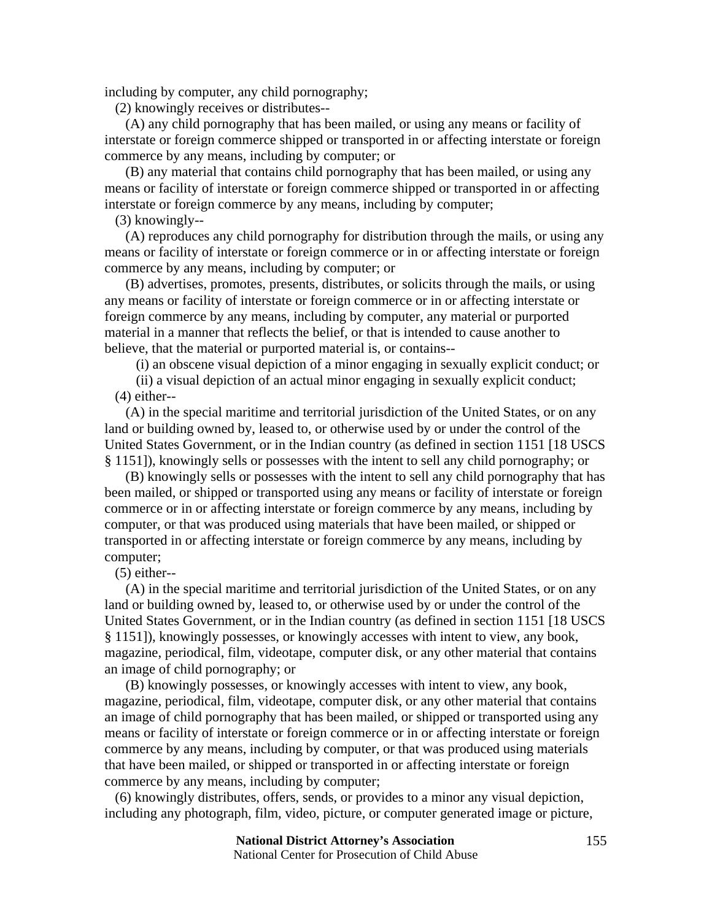including by computer, any child pornography;

(2) knowingly receives or distributes--

 (A) any child pornography that has been mailed, or using any means or facility of interstate or foreign commerce shipped or transported in or affecting interstate or foreign commerce by any means, including by computer; or

 (B) any material that contains child pornography that has been mailed, or using any means or facility of interstate or foreign commerce shipped or transported in or affecting interstate or foreign commerce by any means, including by computer;

(3) knowingly--

 (A) reproduces any child pornography for distribution through the mails, or using any means or facility of interstate or foreign commerce or in or affecting interstate or foreign commerce by any means, including by computer; or

 (B) advertises, promotes, presents, distributes, or solicits through the mails, or using any means or facility of interstate or foreign commerce or in or affecting interstate or foreign commerce by any means, including by computer, any material or purported material in a manner that reflects the belief, or that is intended to cause another to believe, that the material or purported material is, or contains--

(i) an obscene visual depiction of a minor engaging in sexually explicit conduct; or

 (ii) a visual depiction of an actual minor engaging in sexually explicit conduct; (4) either--

 (A) in the special maritime and territorial jurisdiction of the United States, or on any land or building owned by, leased to, or otherwise used by or under the control of the United States Government, or in the Indian country (as defined in section 1151 [18 USCS § 1151]), knowingly sells or possesses with the intent to sell any child pornography; or

 (B) knowingly sells or possesses with the intent to sell any child pornography that has been mailed, or shipped or transported using any means or facility of interstate or foreign commerce or in or affecting interstate or foreign commerce by any means, including by computer, or that was produced using materials that have been mailed, or shipped or transported in or affecting interstate or foreign commerce by any means, including by computer;

### $(5)$  either--

 (A) in the special maritime and territorial jurisdiction of the United States, or on any land or building owned by, leased to, or otherwise used by or under the control of the United States Government, or in the Indian country (as defined in section 1151 [18 USCS § 1151]), knowingly possesses, or knowingly accesses with intent to view, any book, magazine, periodical, film, videotape, computer disk, or any other material that contains an image of child pornography; or

 (B) knowingly possesses, or knowingly accesses with intent to view, any book, magazine, periodical, film, videotape, computer disk, or any other material that contains an image of child pornography that has been mailed, or shipped or transported using any means or facility of interstate or foreign commerce or in or affecting interstate or foreign commerce by any means, including by computer, or that was produced using materials that have been mailed, or shipped or transported in or affecting interstate or foreign commerce by any means, including by computer;

 (6) knowingly distributes, offers, sends, or provides to a minor any visual depiction, including any photograph, film, video, picture, or computer generated image or picture,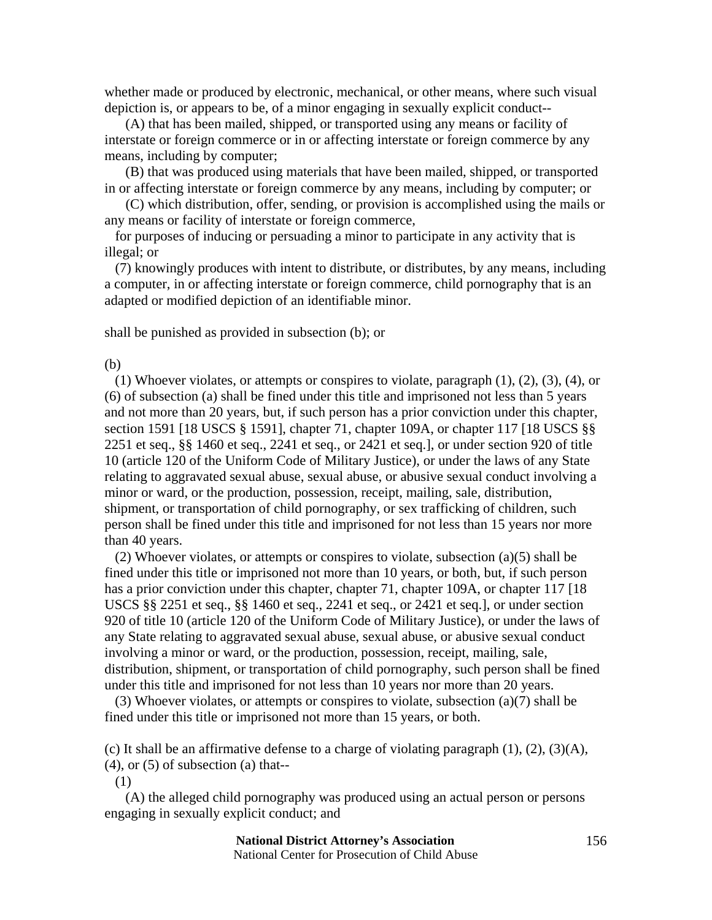whether made or produced by electronic, mechanical, or other means, where such visual depiction is, or appears to be, of a minor engaging in sexually explicit conduct--

 (A) that has been mailed, shipped, or transported using any means or facility of interstate or foreign commerce or in or affecting interstate or foreign commerce by any means, including by computer;

 (B) that was produced using materials that have been mailed, shipped, or transported in or affecting interstate or foreign commerce by any means, including by computer; or

 (C) which distribution, offer, sending, or provision is accomplished using the mails or any means or facility of interstate or foreign commerce,

 for purposes of inducing or persuading a minor to participate in any activity that is illegal; or

 (7) knowingly produces with intent to distribute, or distributes, by any means, including a computer, in or affecting interstate or foreign commerce, child pornography that is an adapted or modified depiction of an identifiable minor.

shall be punished as provided in subsection (b); or

#### (b)

 (1) Whoever violates, or attempts or conspires to violate, paragraph (1), (2), (3), (4), or (6) of subsection (a) shall be fined under this title and imprisoned not less than 5 years and not more than 20 years, but, if such person has a prior conviction under this chapter, section 1591 [18 USCS § 1591], chapter 71, chapter 109A, or chapter 117 [18 USCS §§ 2251 et seq., §§ 1460 et seq., 2241 et seq., or 2421 et seq.], or under section 920 of title 10 (article 120 of the Uniform Code of Military Justice), or under the laws of any State relating to aggravated sexual abuse, sexual abuse, or abusive sexual conduct involving a minor or ward, or the production, possession, receipt, mailing, sale, distribution, shipment, or transportation of child pornography, or sex trafficking of children, such person shall be fined under this title and imprisoned for not less than 15 years nor more than 40 years.

 (2) Whoever violates, or attempts or conspires to violate, subsection (a)(5) shall be fined under this title or imprisoned not more than 10 years, or both, but, if such person has a prior conviction under this chapter, chapter 71, chapter 109A, or chapter 117 [18] USCS §§ 2251 et seq., §§ 1460 et seq., 2241 et seq., or 2421 et seq.], or under section 920 of title 10 (article 120 of the Uniform Code of Military Justice), or under the laws of any State relating to aggravated sexual abuse, sexual abuse, or abusive sexual conduct involving a minor or ward, or the production, possession, receipt, mailing, sale, distribution, shipment, or transportation of child pornography, such person shall be fined under this title and imprisoned for not less than 10 years nor more than 20 years.

 (3) Whoever violates, or attempts or conspires to violate, subsection (a)(7) shall be fined under this title or imprisoned not more than 15 years, or both.

(c) It shall be an affirmative defense to a charge of violating paragraph  $(1)$ ,  $(2)$ ,  $(3)(A)$ ,  $(4)$ , or  $(5)$  of subsection  $(a)$  that--

(1)

 (A) the alleged child pornography was produced using an actual person or persons engaging in sexually explicit conduct; and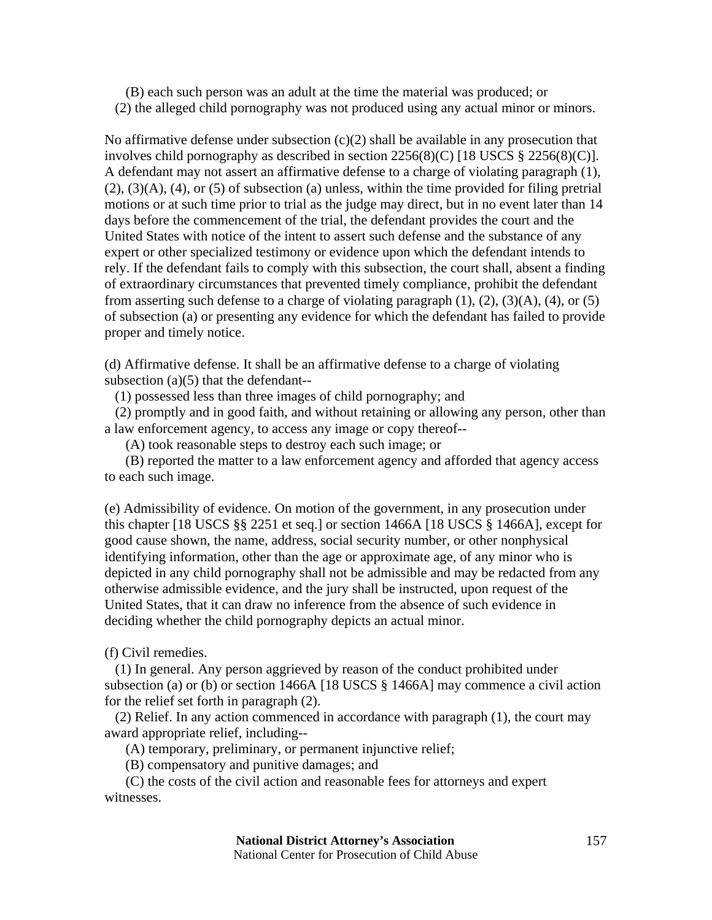(B) each such person was an adult at the time the material was produced; or (2) the alleged child pornography was not produced using any actual minor or minors.

No affirmative defense under subsection  $(c)(2)$  shall be available in any prosecution that involves child pornography as described in section 2256(8)(C) [18 USCS § 2256(8)(C)]. A defendant may not assert an affirmative defense to a charge of violating paragraph (1),  $(2)$ ,  $(3)(A)$ ,  $(4)$ , or  $(5)$  of subsection (a) unless, within the time provided for filing pretrial motions or at such time prior to trial as the judge may direct, but in no event later than 14 days before the commencement of the trial, the defendant provides the court and the United States with notice of the intent to assert such defense and the substance of any expert or other specialized testimony or evidence upon which the defendant intends to rely. If the defendant fails to comply with this subsection, the court shall, absent a finding of extraordinary circumstances that prevented timely compliance, prohibit the defendant from asserting such defense to a charge of violating paragraph  $(1)$ ,  $(2)$ ,  $(3)(A)$ ,  $(4)$ , or  $(5)$ of subsection (a) or presenting any evidence for which the defendant has failed to provide proper and timely notice.

(d) Affirmative defense. It shall be an affirmative defense to a charge of violating subsection (a)(5) that the defendant--

(1) possessed less than three images of child pornography; and

 (2) promptly and in good faith, and without retaining or allowing any person, other than a law enforcement agency, to access any image or copy thereof--

(A) took reasonable steps to destroy each such image; or

 (B) reported the matter to a law enforcement agency and afforded that agency access to each such image.

(e) Admissibility of evidence. On motion of the government, in any prosecution under this chapter [18 USCS §§ 2251 et seq.] or section 1466A [18 USCS § 1466A], except for good cause shown, the name, address, social security number, or other nonphysical identifying information, other than the age or approximate age, of any minor who is depicted in any child pornography shall not be admissible and may be redacted from any otherwise admissible evidence, and the jury shall be instructed, upon request of the United States, that it can draw no inference from the absence of such evidence in deciding whether the child pornography depicts an actual minor.

(f) Civil remedies.

 (1) In general. Any person aggrieved by reason of the conduct prohibited under subsection (a) or (b) or section 1466A [18 USCS § 1466A] may commence a civil action for the relief set forth in paragraph (2).

 (2) Relief. In any action commenced in accordance with paragraph (1), the court may award appropriate relief, including--

(A) temporary, preliminary, or permanent injunctive relief;

(B) compensatory and punitive damages; and

 (C) the costs of the civil action and reasonable fees for attorneys and expert witnesses.

#### **National District Attorney's Association**

National Center for Prosecution of Child Abuse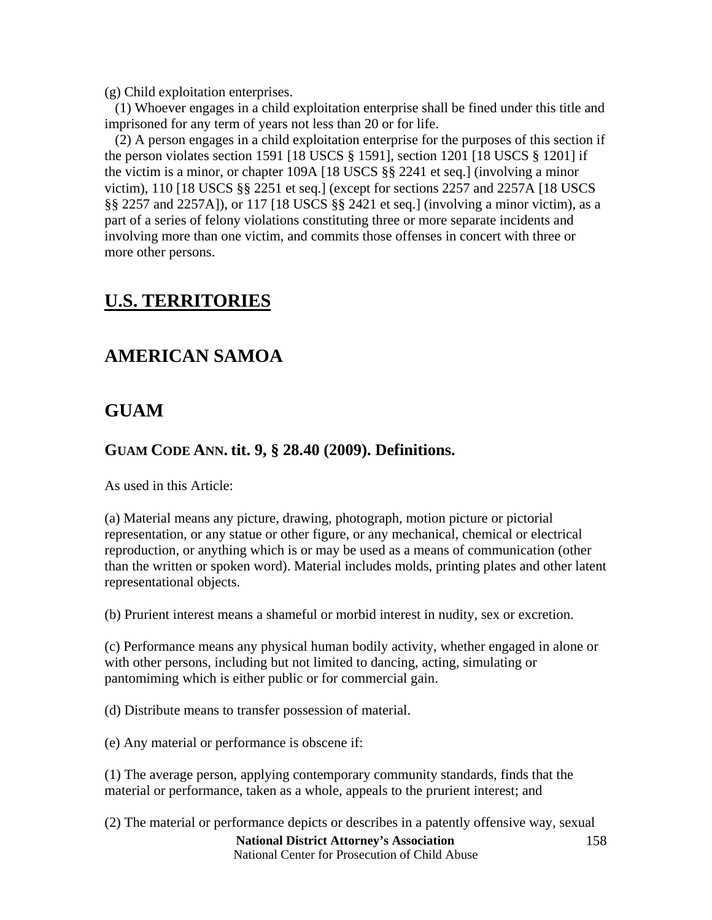(g) Child exploitation enterprises.

 (1) Whoever engages in a child exploitation enterprise shall be fined under this title and imprisoned for any term of years not less than 20 or for life.

 (2) A person engages in a child exploitation enterprise for the purposes of this section if the person violates section 1591 [18 USCS § 1591], section 1201 [18 USCS § 1201] if the victim is a minor, or chapter 109A [18 USCS §§ 2241 et seq.] (involving a minor victim), 110 [18 USCS §§ 2251 et seq.] (except for sections 2257 and 2257A [18 USCS §§ 2257 and 2257A]), or 117 [18 USCS §§ 2421 et seq.] (involving a minor victim), as a part of a series of felony violations constituting three or more separate incidents and involving more than one victim, and commits those offenses in concert with three or more other persons.

# **U.S. TERRITORIES**

# **AMERICAN SAMOA**

## **GUAM**

### **GUAM CODE ANN. tit. 9, § 28.40 (2009). Definitions.**

As used in this Article:

(a) Material means any picture, drawing, photograph, motion picture or pictorial representation, or any statue or other figure, or any mechanical, chemical or electrical reproduction, or anything which is or may be used as a means of communication (other than the written or spoken word). Material includes molds, printing plates and other latent representational objects.

(b) Prurient interest means a shameful or morbid interest in nudity, sex or excretion.

(c) Performance means any physical human bodily activity, whether engaged in alone or with other persons, including but not limited to dancing, acting, simulating or pantomiming which is either public or for commercial gain.

(d) Distribute means to transfer possession of material.

(e) Any material or performance is obscene if:

(1) The average person, applying contemporary community standards, finds that the material or performance, taken as a whole, appeals to the prurient interest; and

**National District Attorney's Association**  National Center for Prosecution of Child Abuse 158 (2) The material or performance depicts or describes in a patently offensive way, sexual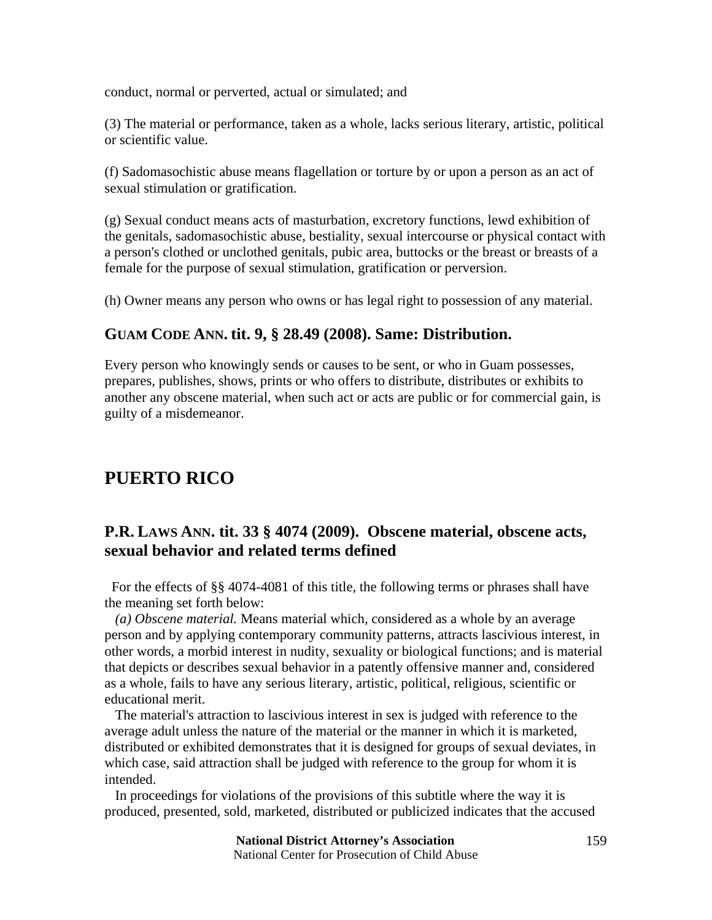conduct, normal or perverted, actual or simulated; and

(3) The material or performance, taken as a whole, lacks serious literary, artistic, political or scientific value.

(f) Sadomasochistic abuse means flagellation or torture by or upon a person as an act of sexual stimulation or gratification.

(g) Sexual conduct means acts of masturbation, excretory functions, lewd exhibition of the genitals, sadomasochistic abuse, bestiality, sexual intercourse or physical contact with a person's clothed or unclothed genitals, pubic area, buttocks or the breast or breasts of a female for the purpose of sexual stimulation, gratification or perversion.

(h) Owner means any person who owns or has legal right to possession of any material.

### **GUAM CODE ANN. tit. 9, § 28.49 (2008). Same: Distribution.**

Every person who knowingly sends or causes to be sent, or who in Guam possesses, prepares, publishes, shows, prints or who offers to distribute, distributes or exhibits to another any obscene material, when such act or acts are public or for commercial gain, is guilty of a misdemeanor.

## **PUERTO RICO**

### **P.R. LAWS ANN. tit. 33 § 4074 (2009). Obscene material, obscene acts, sexual behavior and related terms defined**

 For the effects of §§ 4074-4081 of this title, the following terms or phrases shall have the meaning set forth below:

 *(a) Obscene material.* Means material which, considered as a whole by an average person and by applying contemporary community patterns, attracts lascivious interest, in other words, a morbid interest in nudity, sexuality or biological functions; and is material that depicts or describes sexual behavior in a patently offensive manner and, considered as a whole, fails to have any serious literary, artistic, political, religious, scientific or educational merit.

 The material's attraction to lascivious interest in sex is judged with reference to the average adult unless the nature of the material or the manner in which it is marketed, distributed or exhibited demonstrates that it is designed for groups of sexual deviates, in which case, said attraction shall be judged with reference to the group for whom it is intended.

 In proceedings for violations of the provisions of this subtitle where the way it is produced, presented, sold, marketed, distributed or publicized indicates that the accused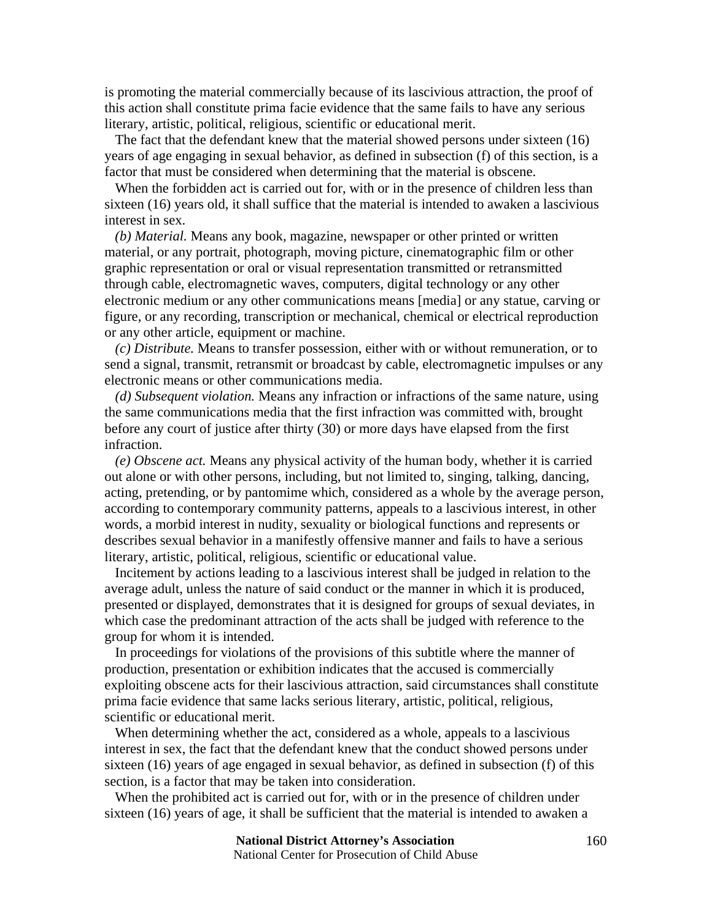is promoting the material commercially because of its lascivious attraction, the proof of this action shall constitute prima facie evidence that the same fails to have any serious literary, artistic, political, religious, scientific or educational merit.

 The fact that the defendant knew that the material showed persons under sixteen (16) years of age engaging in sexual behavior, as defined in subsection (f) of this section, is a factor that must be considered when determining that the material is obscene.

When the forbidden act is carried out for, with or in the presence of children less than sixteen (16) years old, it shall suffice that the material is intended to awaken a lascivious interest in sex.

 *(b) Material.* Means any book, magazine, newspaper or other printed or written material, or any portrait, photograph, moving picture, cinematographic film or other graphic representation or oral or visual representation transmitted or retransmitted through cable, electromagnetic waves, computers, digital technology or any other electronic medium or any other communications means [media] or any statue, carving or figure, or any recording, transcription or mechanical, chemical or electrical reproduction or any other article, equipment or machine.

 *(c) Distribute.* Means to transfer possession, either with or without remuneration, or to send a signal, transmit, retransmit or broadcast by cable, electromagnetic impulses or any electronic means or other communications media.

 *(d) Subsequent violation.* Means any infraction or infractions of the same nature, using the same communications media that the first infraction was committed with, brought before any court of justice after thirty (30) or more days have elapsed from the first infraction.

 *(e) Obscene act.* Means any physical activity of the human body, whether it is carried out alone or with other persons, including, but not limited to, singing, talking, dancing, acting, pretending, or by pantomime which, considered as a whole by the average person, according to contemporary community patterns, appeals to a lascivious interest, in other words, a morbid interest in nudity, sexuality or biological functions and represents or describes sexual behavior in a manifestly offensive manner and fails to have a serious literary, artistic, political, religious, scientific or educational value.

 Incitement by actions leading to a lascivious interest shall be judged in relation to the average adult, unless the nature of said conduct or the manner in which it is produced, presented or displayed, demonstrates that it is designed for groups of sexual deviates, in which case the predominant attraction of the acts shall be judged with reference to the group for whom it is intended.

 In proceedings for violations of the provisions of this subtitle where the manner of production, presentation or exhibition indicates that the accused is commercially exploiting obscene acts for their lascivious attraction, said circumstances shall constitute prima facie evidence that same lacks serious literary, artistic, political, religious, scientific or educational merit.

 When determining whether the act, considered as a whole, appeals to a lascivious interest in sex, the fact that the defendant knew that the conduct showed persons under sixteen (16) years of age engaged in sexual behavior, as defined in subsection (f) of this section, is a factor that may be taken into consideration.

 When the prohibited act is carried out for, with or in the presence of children under sixteen (16) years of age, it shall be sufficient that the material is intended to awaken a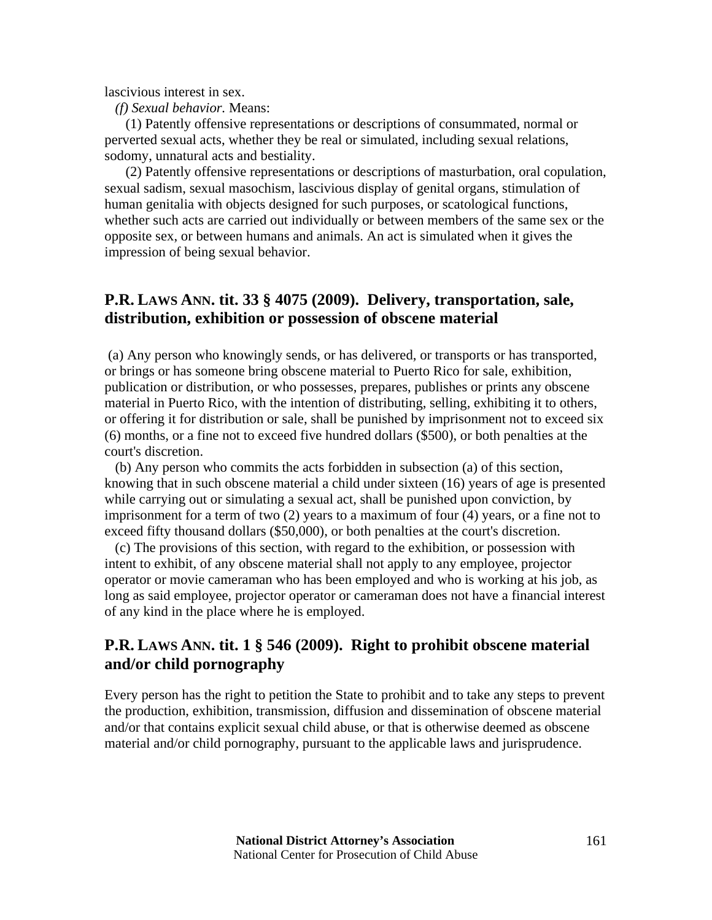lascivious interest in sex.

 *(f) Sexual behavior.* Means:

 (1) Patently offensive representations or descriptions of consummated, normal or perverted sexual acts, whether they be real or simulated, including sexual relations, sodomy, unnatural acts and bestiality.

 (2) Patently offensive representations or descriptions of masturbation, oral copulation, sexual sadism, sexual masochism, lascivious display of genital organs, stimulation of human genitalia with objects designed for such purposes, or scatological functions, whether such acts are carried out individually or between members of the same sex or the opposite sex, or between humans and animals. An act is simulated when it gives the impression of being sexual behavior.

### **P.R. LAWS ANN. tit. 33 § 4075 (2009). Delivery, transportation, sale, distribution, exhibition or possession of obscene material**

 (a) Any person who knowingly sends, or has delivered, or transports or has transported, or brings or has someone bring obscene material to Puerto Rico for sale, exhibition, publication or distribution, or who possesses, prepares, publishes or prints any obscene material in Puerto Rico, with the intention of distributing, selling, exhibiting it to others, or offering it for distribution or sale, shall be punished by imprisonment not to exceed six (6) months, or a fine not to exceed five hundred dollars (\$500), or both penalties at the court's discretion.

 (b) Any person who commits the acts forbidden in subsection (a) of this section, knowing that in such obscene material a child under sixteen (16) years of age is presented while carrying out or simulating a sexual act, shall be punished upon conviction, by imprisonment for a term of two (2) years to a maximum of four (4) years, or a fine not to exceed fifty thousand dollars (\$50,000), or both penalties at the court's discretion.

 (c) The provisions of this section, with regard to the exhibition, or possession with intent to exhibit, of any obscene material shall not apply to any employee, projector operator or movie cameraman who has been employed and who is working at his job, as long as said employee, projector operator or cameraman does not have a financial interest of any kind in the place where he is employed.

### **P.R. LAWS ANN. tit. 1 § 546 (2009). Right to prohibit obscene material and/or child pornography**

Every person has the right to petition the State to prohibit and to take any steps to prevent the production, exhibition, transmission, diffusion and dissemination of obscene material and/or that contains explicit sexual child abuse, or that is otherwise deemed as obscene material and/or child pornography, pursuant to the applicable laws and jurisprudence.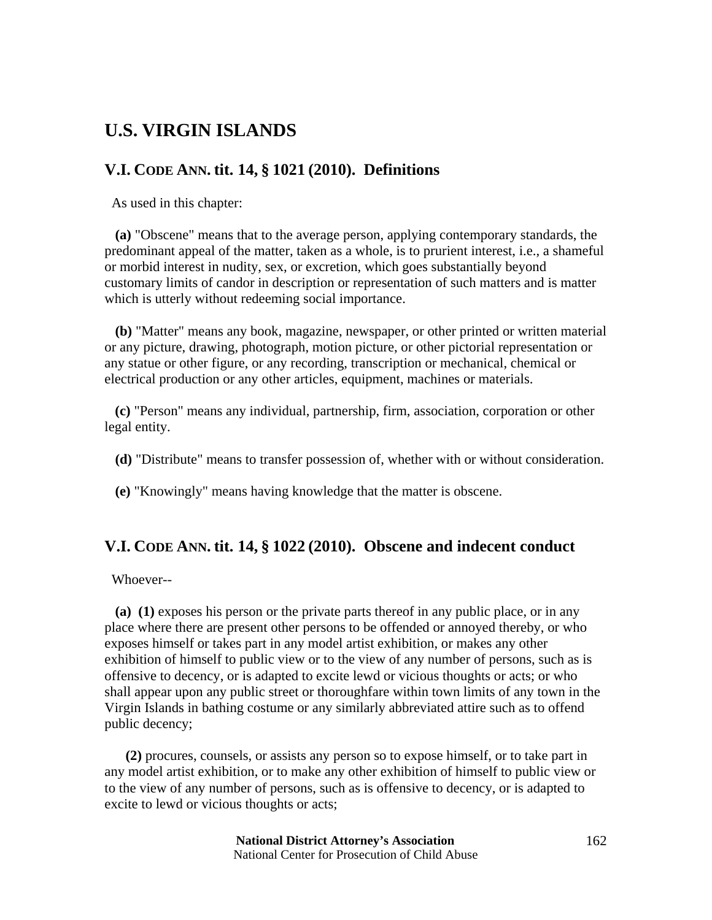## **U.S. VIRGIN ISLANDS**

### **V.I. CODE ANN. tit. 14, § 1021 (2010). Definitions**

As used in this chapter:

 **(a)** "Obscene" means that to the average person, applying contemporary standards, the predominant appeal of the matter, taken as a whole, is to prurient interest, i.e., a shameful or morbid interest in nudity, sex, or excretion, which goes substantially beyond customary limits of candor in description or representation of such matters and is matter which is utterly without redeeming social importance.

 **(b)** "Matter" means any book, magazine, newspaper, or other printed or written material or any picture, drawing, photograph, motion picture, or other pictorial representation or any statue or other figure, or any recording, transcription or mechanical, chemical or electrical production or any other articles, equipment, machines or materials.

 **(c)** "Person" means any individual, partnership, firm, association, corporation or other legal entity.

**(d)** "Distribute" means to transfer possession of, whether with or without consideration.

**(e)** "Knowingly" means having knowledge that the matter is obscene.

### **V.I. CODE ANN. tit. 14, § 1022 (2010). Obscene and indecent conduct**

Whoever--

 **(a) (1)** exposes his person or the private parts thereof in any public place, or in any place where there are present other persons to be offended or annoyed thereby, or who exposes himself or takes part in any model artist exhibition, or makes any other exhibition of himself to public view or to the view of any number of persons, such as is offensive to decency, or is adapted to excite lewd or vicious thoughts or acts; or who shall appear upon any public street or thoroughfare within town limits of any town in the Virgin Islands in bathing costume or any similarly abbreviated attire such as to offend public decency;

 **(2)** procures, counsels, or assists any person so to expose himself, or to take part in any model artist exhibition, or to make any other exhibition of himself to public view or to the view of any number of persons, such as is offensive to decency, or is adapted to excite to lewd or vicious thoughts or acts;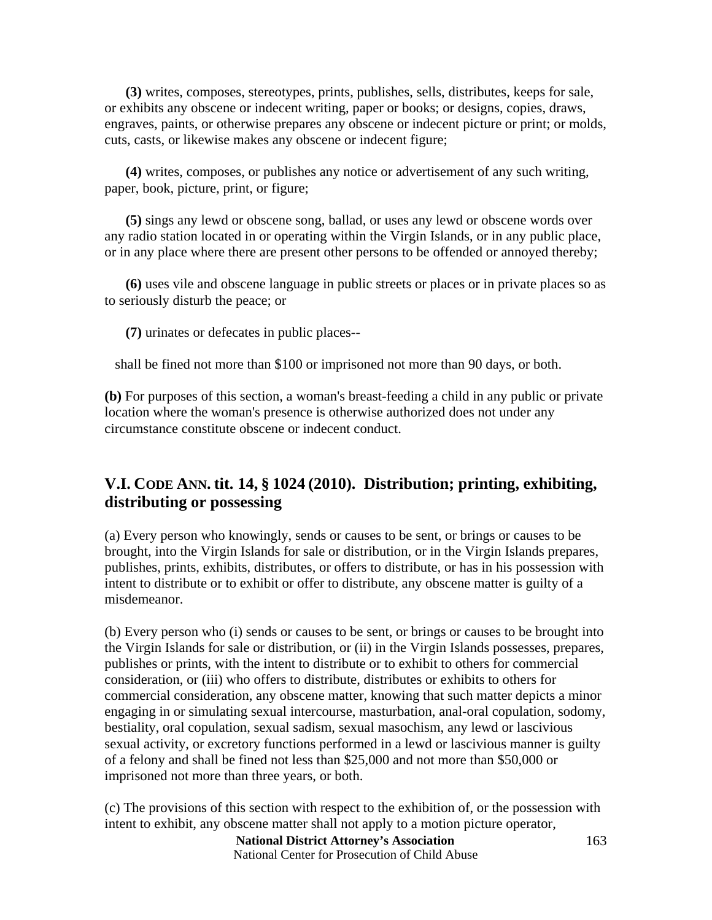**(3)** writes, composes, stereotypes, prints, publishes, sells, distributes, keeps for sale, or exhibits any obscene or indecent writing, paper or books; or designs, copies, draws, engraves, paints, or otherwise prepares any obscene or indecent picture or print; or molds, cuts, casts, or likewise makes any obscene or indecent figure;

 **(4)** writes, composes, or publishes any notice or advertisement of any such writing, paper, book, picture, print, or figure;

 **(5)** sings any lewd or obscene song, ballad, or uses any lewd or obscene words over any radio station located in or operating within the Virgin Islands, or in any public place, or in any place where there are present other persons to be offended or annoyed thereby;

 **(6)** uses vile and obscene language in public streets or places or in private places so as to seriously disturb the peace; or

**(7)** urinates or defecates in public places--

shall be fined not more than \$100 or imprisoned not more than 90 days, or both.

**(b)** For purposes of this section, a woman's breast-feeding a child in any public or private location where the woman's presence is otherwise authorized does not under any circumstance constitute obscene or indecent conduct.

## **V.I. CODE ANN. tit. 14, § 1024 (2010). Distribution; printing, exhibiting, distributing or possessing**

(a) Every person who knowingly, sends or causes to be sent, or brings or causes to be brought, into the Virgin Islands for sale or distribution, or in the Virgin Islands prepares, publishes, prints, exhibits, distributes, or offers to distribute, or has in his possession with intent to distribute or to exhibit or offer to distribute, any obscene matter is guilty of a misdemeanor.

(b) Every person who (i) sends or causes to be sent, or brings or causes to be brought into the Virgin Islands for sale or distribution, or (ii) in the Virgin Islands possesses, prepares, publishes or prints, with the intent to distribute or to exhibit to others for commercial consideration, or (iii) who offers to distribute, distributes or exhibits to others for commercial consideration, any obscene matter, knowing that such matter depicts a minor engaging in or simulating sexual intercourse, masturbation, anal-oral copulation, sodomy, bestiality, oral copulation, sexual sadism, sexual masochism, any lewd or lascivious sexual activity, or excretory functions performed in a lewd or lascivious manner is guilty of a felony and shall be fined not less than \$25,000 and not more than \$50,000 or imprisoned not more than three years, or both.

(c) The provisions of this section with respect to the exhibition of, or the possession with intent to exhibit, any obscene matter shall not apply to a motion picture operator,